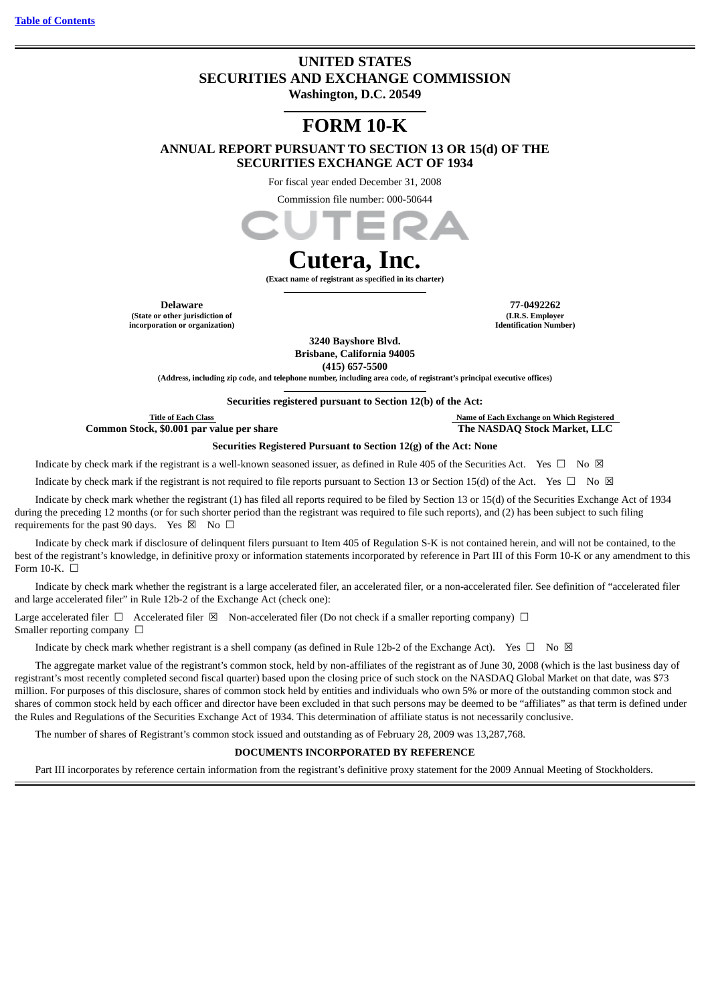# **UNITED STATES SECURITIES AND EXCHANGE COMMISSION**

**Washington, D.C. 20549**

# **FORM 10-K**

**ANNUAL REPORT PURSUANT TO SECTION 13 OR 15(d) OF THE SECURITIES EXCHANGE ACT OF 1934**

For fiscal year ended December 31, 2008



# **Cutera, Inc.**

**(Exact name of registrant as specified in its charter)**

**Delaware 77-0492262**

**(State or other jurisdiction of incorporation or organization)**

> **3240 Bayshore Blvd. Brisbane, California 94005**

> > **(415) 657-5500**

**(Address, including zip code, and telephone number, including area code, of registrant's principal executive offices)**

**Securities registered pursuant to Section 12(b) of the Act:**

**Title of Each Class Name of Each Exchange on Which Registered**

#### **Securities Registered Pursuant to Section 12(g) of the Act: None**

Indicate by check mark if the registrant is a well-known seasoned issuer, as defined in Rule 405 of the Securities Act. Yes  $\Box$  No  $\boxtimes$ 

Indicate by check mark if the registrant is not required to file reports pursuant to Section 13 or Section 15(d) of the Act. Yes  $\square$  No  $\boxtimes$ 

Indicate by check mark whether the registrant (1) has filed all reports required to be filed by Section 13 or 15(d) of the Securities Exchange Act of 1934 during the preceding 12 months (or for such shorter period than the registrant was required to file such reports), and (2) has been subject to such filing requirements for the past 90 days. Yes  $\boxtimes$  No  $\Box$ 

Indicate by check mark if disclosure of delinquent filers pursuant to Item 405 of Regulation S-K is not contained herein, and will not be contained, to the best of the registrant's knowledge, in definitive proxy or information statements incorporated by reference in Part III of this Form 10-K or any amendment to this Form 10-K.  $\Box$ 

Indicate by check mark whether the registrant is a large accelerated filer, an accelerated filer, or a non-accelerated filer. See definition of "accelerated filer and large accelerated filer" in Rule 12b-2 of the Exchange Act (check one):

Large accelerated filer  $\Box$  Accelerated filer  $\boxtimes$  Non-accelerated filer (Do not check if a smaller reporting company)  $\Box$ Smaller reporting company □

Indicate by check mark whether registrant is a shell company (as defined in Rule 12b-2 of the Exchange Act). Yes  $\Box$  No  $\boxtimes$ 

The aggregate market value of the registrant's common stock, held by non-affiliates of the registrant as of June 30, 2008 (which is the last business day of registrant's most recently completed second fiscal quarter) based upon the closing price of such stock on the NASDAQ Global Market on that date, was \$73 million. For purposes of this disclosure, shares of common stock held by entities and individuals who own 5% or more of the outstanding common stock and shares of common stock held by each officer and director have been excluded in that such persons may be deemed to be "affiliates" as that term is defined under the Rules and Regulations of the Securities Exchange Act of 1934. This determination of affiliate status is not necessarily conclusive.

The number of shares of Registrant's common stock issued and outstanding as of February 28, 2009 was 13,287,768.

# **DOCUMENTS INCORPORATED BY REFERENCE**

Part III incorporates by reference certain information from the registrant's definitive proxy statement for the 2009 Annual Meeting of Stockholders.

**(I.R.S. Employer Identification Number)**

**Common Stock, \$0.001 par value per share The NASDAQ Stock Market, LLC**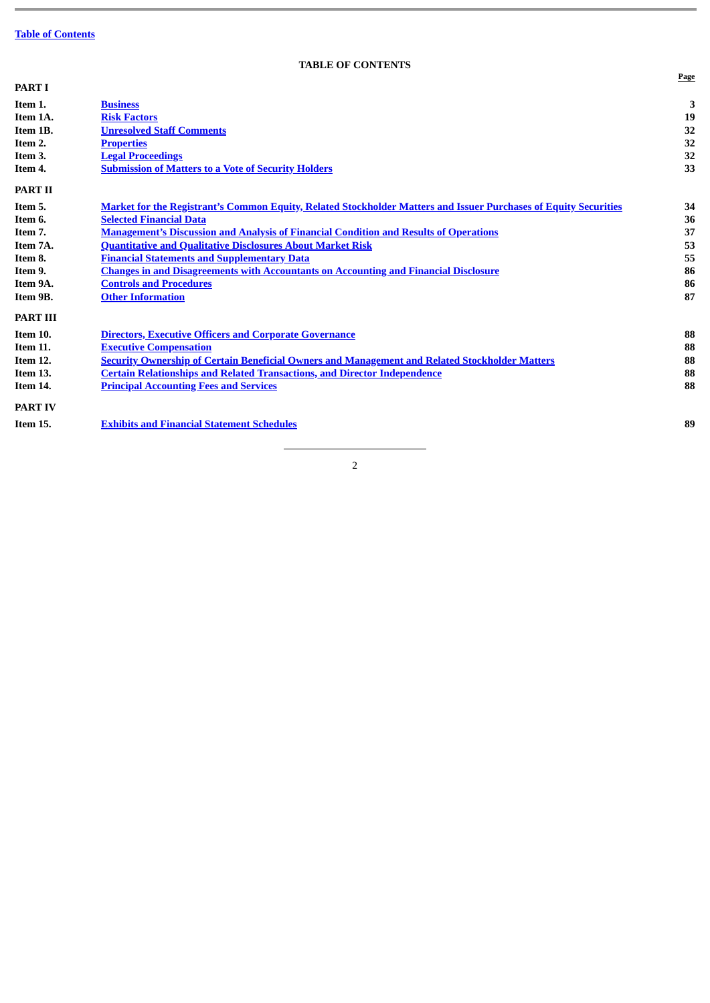# **TABLE OF CONTENTS**

<span id="page-1-0"></span>

|                 |                                                                                                                  | Page |
|-----------------|------------------------------------------------------------------------------------------------------------------|------|
| <b>PART I</b>   |                                                                                                                  |      |
| Item 1.         | <b>Business</b>                                                                                                  | 3    |
| Item 1A.        | <b>Risk Factors</b>                                                                                              | 19   |
| Item 1B.        | <b>Unresolved Staff Comments</b>                                                                                 | 32   |
| Item 2.         | <b>Properties</b>                                                                                                | 32   |
| Item 3.         | <b>Legal Proceedings</b>                                                                                         | 32   |
| Item 4.         | <b>Submission of Matters to a Vote of Security Holders</b>                                                       | 33   |
| <b>PART II</b>  |                                                                                                                  |      |
| Item 5.         | Market for the Registrant's Common Equity, Related Stockholder Matters and Issuer Purchases of Equity Securities | 34   |
| Item 6.         | <b>Selected Financial Data</b>                                                                                   | 36   |
| Item 7.         | <b>Management's Discussion and Analysis of Financial Condition and Results of Operations</b>                     | 37   |
| Item 7A.        | <b>Quantitative and Qualitative Disclosures About Market Risk</b>                                                | 53   |
| Item 8.         | <b>Financial Statements and Supplementary Data</b>                                                               | 55   |
| Item 9.         | <b>Changes in and Disagreements with Accountants on Accounting and Financial Disclosure</b>                      | 86   |
| Item 9A.        | <b>Controls and Procedures</b>                                                                                   | 86   |
| Item 9B.        | <b>Other Information</b>                                                                                         | 87   |
| <b>PART III</b> |                                                                                                                  |      |
| Item 10.        | <b>Directors, Executive Officers and Corporate Governance</b>                                                    | 88   |
| Item 11.        | <b>Executive Compensation</b>                                                                                    | 88   |
| <b>Item 12.</b> | <b>Security Ownership of Certain Beneficial Owners and Management and Related Stockholder Matters</b>            | 88   |
| Item 13.        | <b>Certain Relationships and Related Transactions, and Director Independence</b>                                 | 88   |
| <b>Item 14.</b> | <b>Principal Accounting Fees and Services</b>                                                                    | 88   |
| <b>PART IV</b>  |                                                                                                                  |      |
| Item 15.        | <b>Exhibits and Financial Statement Schedules</b>                                                                | 89   |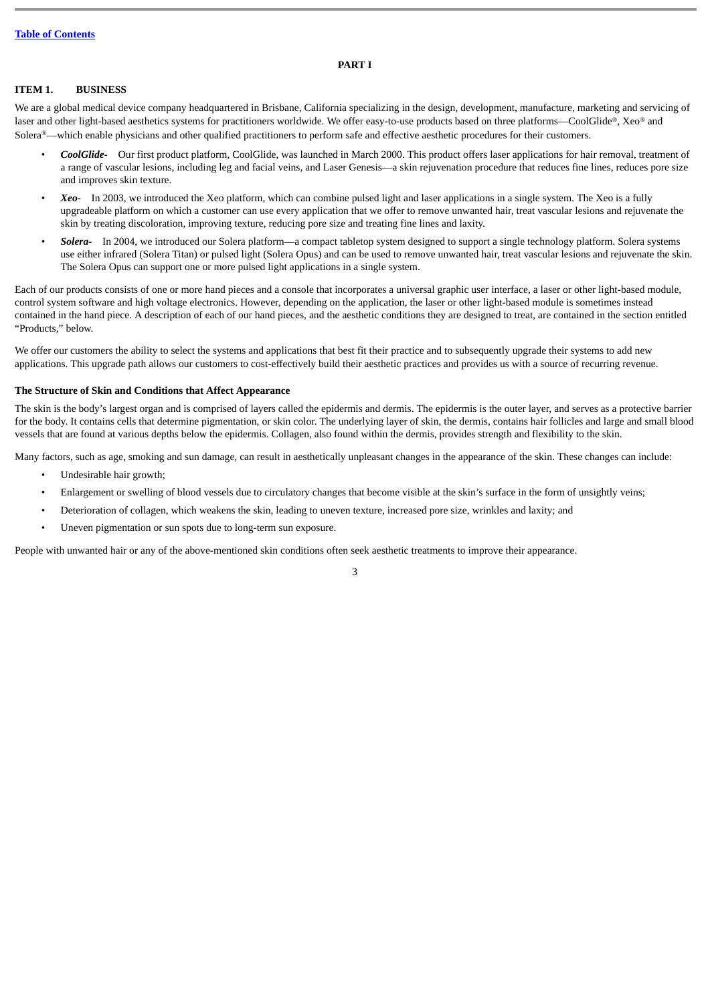#### **PART I**

# <span id="page-2-0"></span>**ITEM 1. BUSINESS**

We are a global medical device company headquartered in Brisbane, California specializing in the design, development, manufacture, marketing and servicing of laser and other light-based aesthetics systems for practitioners worldwide. We offer easy-to-use products based on three platforms—CoolGlide®, Xeo® and Solera<sup>®</sup>—which enable physicians and other qualified practitioners to perform safe and effective aesthetic procedures for their customers.

- *CoolGlide-* Our first product platform, CoolGlide, was launched in March 2000. This product offers laser applications for hair removal, treatment of a range of vascular lesions, including leg and facial veins, and Laser Genesis—a skin rejuvenation procedure that reduces fine lines, reduces pore size and improves skin texture.
- *Xeo-* In 2003, we introduced the Xeo platform, which can combine pulsed light and laser applications in a single system. The Xeo is a fully upgradeable platform on which a customer can use every application that we offer to remove unwanted hair, treat vascular lesions and rejuvenate the skin by treating discoloration, improving texture, reducing pore size and treating fine lines and laxity.
- *Solera-* In 2004, we introduced our Solera platform—a compact tabletop system designed to support a single technology platform. Solera systems use either infrared (Solera Titan) or pulsed light (Solera Opus) and can be used to remove unwanted hair, treat vascular lesions and rejuvenate the skin. The Solera Opus can support one or more pulsed light applications in a single system.

Each of our products consists of one or more hand pieces and a console that incorporates a universal graphic user interface, a laser or other light-based module, control system software and high voltage electronics. However, depending on the application, the laser or other light-based module is sometimes instead contained in the hand piece. A description of each of our hand pieces, and the aesthetic conditions they are designed to treat, are contained in the section entitled "Products," below.

We offer our customers the ability to select the systems and applications that best fit their practice and to subsequently upgrade their systems to add new applications. This upgrade path allows our customers to cost-effectively build their aesthetic practices and provides us with a source of recurring revenue.

#### **The Structure of Skin and Conditions that Affect Appearance**

The skin is the body's largest organ and is comprised of layers called the epidermis and dermis. The epidermis is the outer layer, and serves as a protective barrier for the body. It contains cells that determine pigmentation, or skin color. The underlying layer of skin, the dermis, contains hair follicles and large and small blood vessels that are found at various depths below the epidermis. Collagen, also found within the dermis, provides strength and flexibility to the skin.

Many factors, such as age, smoking and sun damage, can result in aesthetically unpleasant changes in the appearance of the skin. These changes can include:

- Undesirable hair growth:
- Enlargement or swelling of blood vessels due to circulatory changes that become visible at the skin's surface in the form of unsightly veins;
- Deterioration of collagen, which weakens the skin, leading to uneven texture, increased pore size, wrinkles and laxity; and
- Uneven pigmentation or sun spots due to long-term sun exposure.

People with unwanted hair or any of the above-mentioned skin conditions often seek aesthetic treatments to improve their appearance.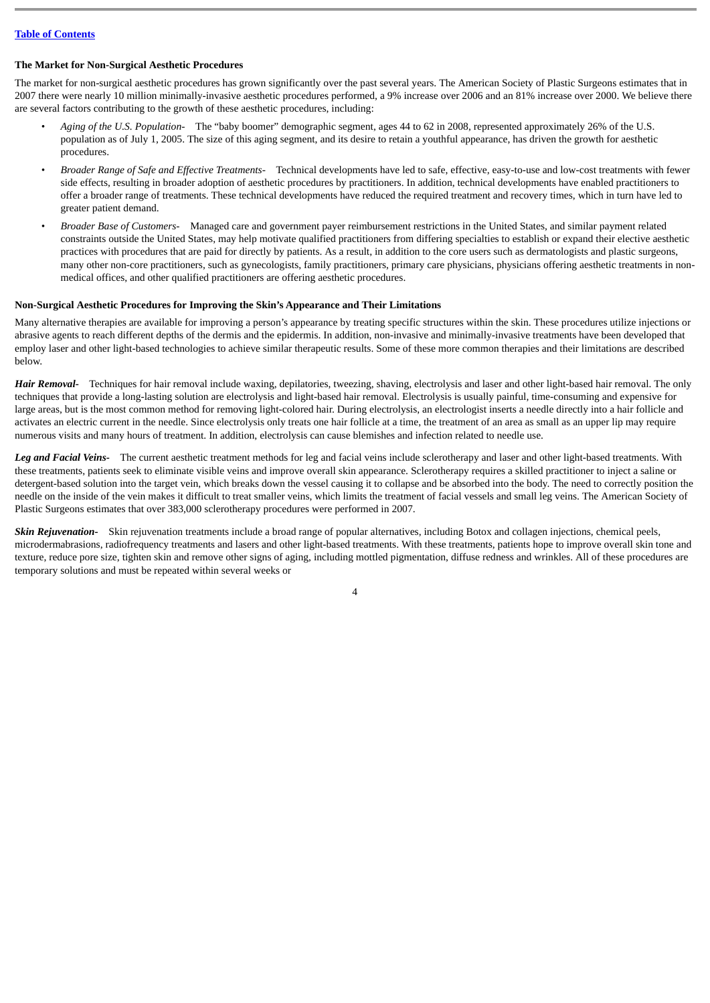#### **The Market for Non-Surgical Aesthetic Procedures**

The market for non-surgical aesthetic procedures has grown significantly over the past several years. The American Society of Plastic Surgeons estimates that in 2007 there were nearly 10 million minimally-invasive aesthetic procedures performed, a 9% increase over 2006 and an 81% increase over 2000. We believe there are several factors contributing to the growth of these aesthetic procedures, including:

- *Aging of the U.S. Population-* The "baby boomer" demographic segment, ages 44 to 62 in 2008, represented approximately 26% of the U.S. population as of July 1, 2005. The size of this aging segment, and its desire to retain a youthful appearance, has driven the growth for aesthetic procedures.
- *Broader Range of Safe and Effective Treatments-* Technical developments have led to safe, effective, easy-to-use and low-cost treatments with fewer side effects, resulting in broader adoption of aesthetic procedures by practitioners. In addition, technical developments have enabled practitioners to offer a broader range of treatments. These technical developments have reduced the required treatment and recovery times, which in turn have led to greater patient demand.
- *Broader Base of Customers-* Managed care and government payer reimbursement restrictions in the United States, and similar payment related constraints outside the United States, may help motivate qualified practitioners from differing specialties to establish or expand their elective aesthetic practices with procedures that are paid for directly by patients. As a result, in addition to the core users such as dermatologists and plastic surgeons, many other non-core practitioners, such as gynecologists, family practitioners, primary care physicians, physicians offering aesthetic treatments in nonmedical offices, and other qualified practitioners are offering aesthetic procedures.

#### **Non-Surgical Aesthetic Procedures for Improving the Skin's Appearance and Their Limitations**

Many alternative therapies are available for improving a person's appearance by treating specific structures within the skin. These procedures utilize injections or abrasive agents to reach different depths of the dermis and the epidermis. In addition, non-invasive and minimally-invasive treatments have been developed that employ laser and other light-based technologies to achieve similar therapeutic results. Some of these more common therapies and their limitations are described below.

Hair Removal- Techniques for hair removal include waxing, depilatories, tweezing, shaving, electrolysis and laser and other light-based hair removal. The only techniques that provide a long-lasting solution are electrolysis and light-based hair removal. Electrolysis is usually painful, time-consuming and expensive for large areas, but is the most common method for removing light-colored hair. During electrolysis, an electrologist inserts a needle directly into a hair follicle and activates an electric current in the needle. Since electrolysis only treats one hair follicle at a time, the treatment of an area as small as an upper lip may require numerous visits and many hours of treatment. In addition, electrolysis can cause blemishes and infection related to needle use.

*Leg and Facial Veins-* The current aesthetic treatment methods for leg and facial veins include sclerotherapy and laser and other light-based treatments. With these treatments, patients seek to eliminate visible veins and improve overall skin appearance. Sclerotherapy requires a skilled practitioner to inject a saline or detergent-based solution into the target vein, which breaks down the vessel causing it to collapse and be absorbed into the body. The need to correctly position the needle on the inside of the vein makes it difficult to treat smaller veins, which limits the treatment of facial vessels and small leg veins. The American Society of Plastic Surgeons estimates that over 383,000 sclerotherapy procedures were performed in 2007.

*Skin Rejuvenation-* Skin rejuvenation treatments include a broad range of popular alternatives, including Botox and collagen injections, chemical peels, microdermabrasions, radiofrequency treatments and lasers and other light-based treatments. With these treatments, patients hope to improve overall skin tone and texture, reduce pore size, tighten skin and remove other signs of aging, including mottled pigmentation, diffuse redness and wrinkles. All of these procedures are temporary solutions and must be repeated within several weeks or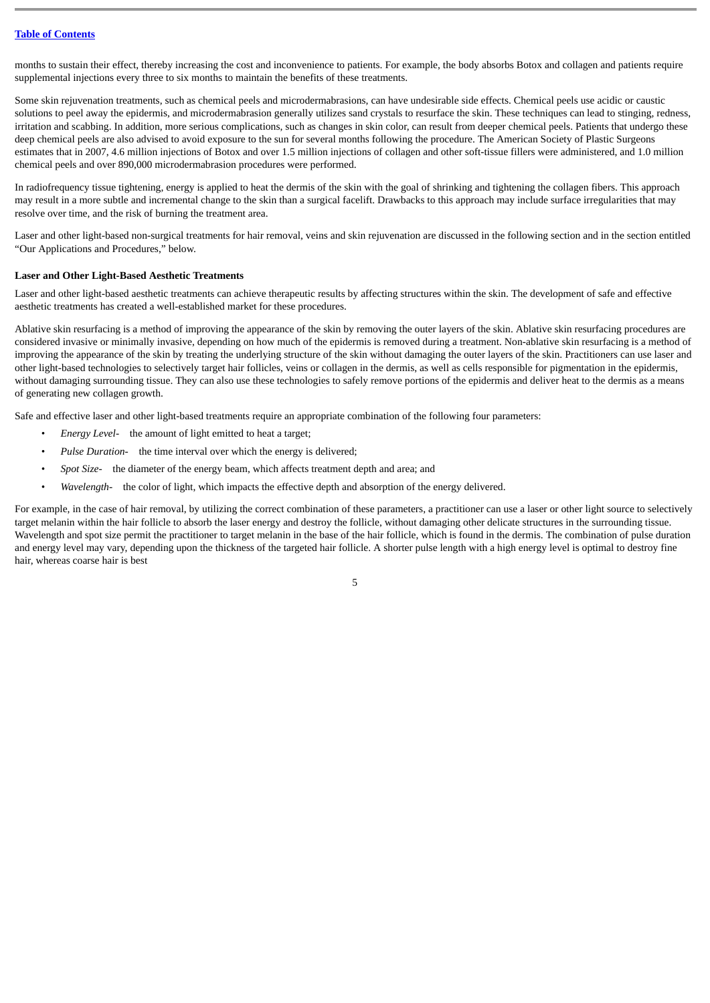months to sustain their effect, thereby increasing the cost and inconvenience to patients. For example, the body absorbs Botox and collagen and patients require supplemental injections every three to six months to maintain the benefits of these treatments.

Some skin rejuvenation treatments, such as chemical peels and microdermabrasions, can have undesirable side effects. Chemical peels use acidic or caustic solutions to peel away the epidermis, and microdermabrasion generally utilizes sand crystals to resurface the skin. These techniques can lead to stinging, redness, irritation and scabbing. In addition, more serious complications, such as changes in skin color, can result from deeper chemical peels. Patients that undergo these deep chemical peels are also advised to avoid exposure to the sun for several months following the procedure. The American Society of Plastic Surgeons estimates that in 2007, 4.6 million injections of Botox and over 1.5 million injections of collagen and other soft-tissue fillers were administered, and 1.0 million chemical peels and over 890,000 microdermabrasion procedures were performed.

In radiofrequency tissue tightening, energy is applied to heat the dermis of the skin with the goal of shrinking and tightening the collagen fibers. This approach may result in a more subtle and incremental change to the skin than a surgical facelift. Drawbacks to this approach may include surface irregularities that may resolve over time, and the risk of burning the treatment area.

Laser and other light-based non-surgical treatments for hair removal, veins and skin rejuvenation are discussed in the following section and in the section entitled "Our Applications and Procedures," below.

#### **Laser and Other Light-Based Aesthetic Treatments**

Laser and other light-based aesthetic treatments can achieve therapeutic results by affecting structures within the skin. The development of safe and effective aesthetic treatments has created a well-established market for these procedures.

Ablative skin resurfacing is a method of improving the appearance of the skin by removing the outer layers of the skin. Ablative skin resurfacing procedures are considered invasive or minimally invasive, depending on how much of the epidermis is removed during a treatment. Non-ablative skin resurfacing is a method of improving the appearance of the skin by treating the underlying structure of the skin without damaging the outer layers of the skin. Practitioners can use laser and other light-based technologies to selectively target hair follicles, veins or collagen in the dermis, as well as cells responsible for pigmentation in the epidermis, without damaging surrounding tissue. They can also use these technologies to safely remove portions of the epidermis and deliver heat to the dermis as a means of generating new collagen growth.

Safe and effective laser and other light-based treatments require an appropriate combination of the following four parameters:

- *Energy Level-* the amount of light emitted to heat a target;
- *Pulse Duration-* the time interval over which the energy is delivered;
- *Spot Size-* the diameter of the energy beam, which affects treatment depth and area; and
- *Wavelength-* the color of light, which impacts the effective depth and absorption of the energy delivered.

For example, in the case of hair removal, by utilizing the correct combination of these parameters, a practitioner can use a laser or other light source to selectively target melanin within the hair follicle to absorb the laser energy and destroy the follicle, without damaging other delicate structures in the surrounding tissue. Wavelength and spot size permit the practitioner to target melanin in the base of the hair follicle, which is found in the dermis. The combination of pulse duration and energy level may vary, depending upon the thickness of the targeted hair follicle. A shorter pulse length with a high energy level is optimal to destroy fine hair, whereas coarse hair is best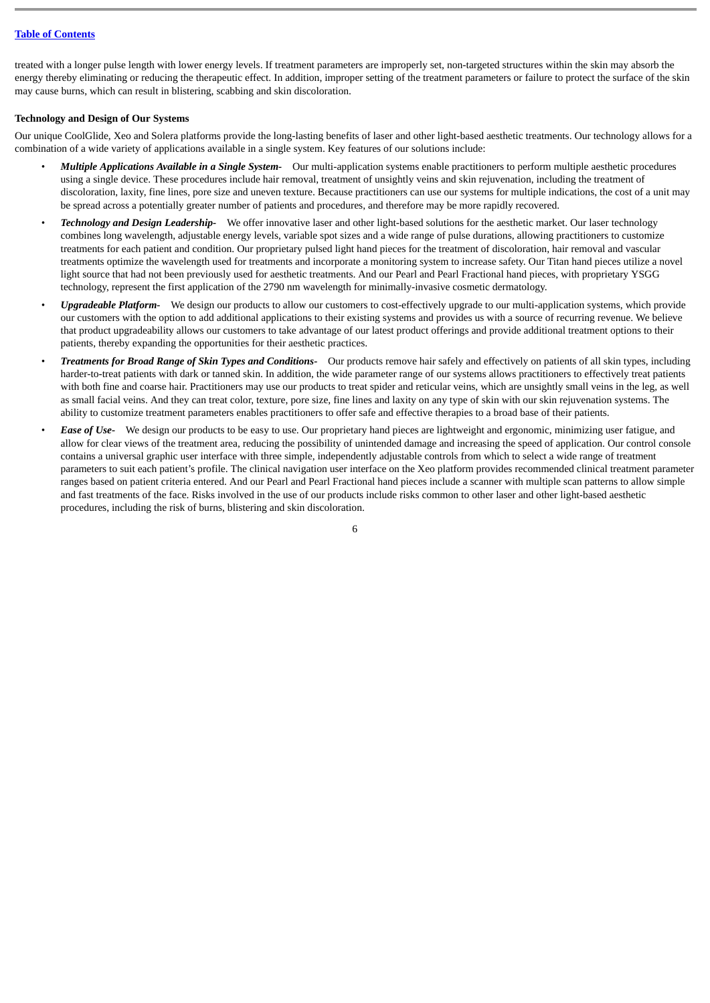treated with a longer pulse length with lower energy levels. If treatment parameters are improperly set, non-targeted structures within the skin may absorb the energy thereby eliminating or reducing the therapeutic effect. In addition, improper setting of the treatment parameters or failure to protect the surface of the skin may cause burns, which can result in blistering, scabbing and skin discoloration.

#### **Technology and Design of Our Systems**

Our unique CoolGlide, Xeo and Solera platforms provide the long-lasting benefits of laser and other light-based aesthetic treatments. Our technology allows for a combination of a wide variety of applications available in a single system. Key features of our solutions include:

- *Multiple Applications Available in a Single System-* Our multi-application systems enable practitioners to perform multiple aesthetic procedures using a single device. These procedures include hair removal, treatment of unsightly veins and skin rejuvenation, including the treatment of discoloration, laxity, fine lines, pore size and uneven texture. Because practitioners can use our systems for multiple indications, the cost of a unit may be spread across a potentially greater number of patients and procedures, and therefore may be more rapidly recovered.
- *Technology and Design Leadership-* We offer innovative laser and other light-based solutions for the aesthetic market. Our laser technology combines long wavelength, adjustable energy levels, variable spot sizes and a wide range of pulse durations, allowing practitioners to customize treatments for each patient and condition. Our proprietary pulsed light hand pieces for the treatment of discoloration, hair removal and vascular treatments optimize the wavelength used for treatments and incorporate a monitoring system to increase safety. Our Titan hand pieces utilize a novel light source that had not been previously used for aesthetic treatments. And our Pearl and Pearl Fractional hand pieces, with proprietary YSGG technology, represent the first application of the 2790 nm wavelength for minimally-invasive cosmetic dermatology.
- *Upgradeable Platform-* We design our products to allow our customers to cost-effectively upgrade to our multi-application systems, which provide our customers with the option to add additional applications to their existing systems and provides us with a source of recurring revenue. We believe that product upgradeability allows our customers to take advantage of our latest product offerings and provide additional treatment options to their patients, thereby expanding the opportunities for their aesthetic practices.
- *Treatments for Broad Range of Skin Types and Conditions-* Our products remove hair safely and effectively on patients of all skin types, including harder-to-treat patients with dark or tanned skin. In addition, the wide parameter range of our systems allows practitioners to effectively treat patients with both fine and coarse hair. Practitioners may use our products to treat spider and reticular veins, which are unsightly small veins in the leg, as well as small facial veins. And they can treat color, texture, pore size, fine lines and laxity on any type of skin with our skin rejuvenation systems. The ability to customize treatment parameters enables practitioners to offer safe and effective therapies to a broad base of their patients.
- *Ease of Use-* We design our products to be easy to use. Our proprietary hand pieces are lightweight and ergonomic, minimizing user fatigue, and allow for clear views of the treatment area, reducing the possibility of unintended damage and increasing the speed of application. Our control console contains a universal graphic user interface with three simple, independently adjustable controls from which to select a wide range of treatment parameters to suit each patient's profile. The clinical navigation user interface on the Xeo platform provides recommended clinical treatment parameter ranges based on patient criteria entered. And our Pearl and Pearl Fractional hand pieces include a scanner with multiple scan patterns to allow simple and fast treatments of the face. Risks involved in the use of our products include risks common to other laser and other light-based aesthetic procedures, including the risk of burns, blistering and skin discoloration.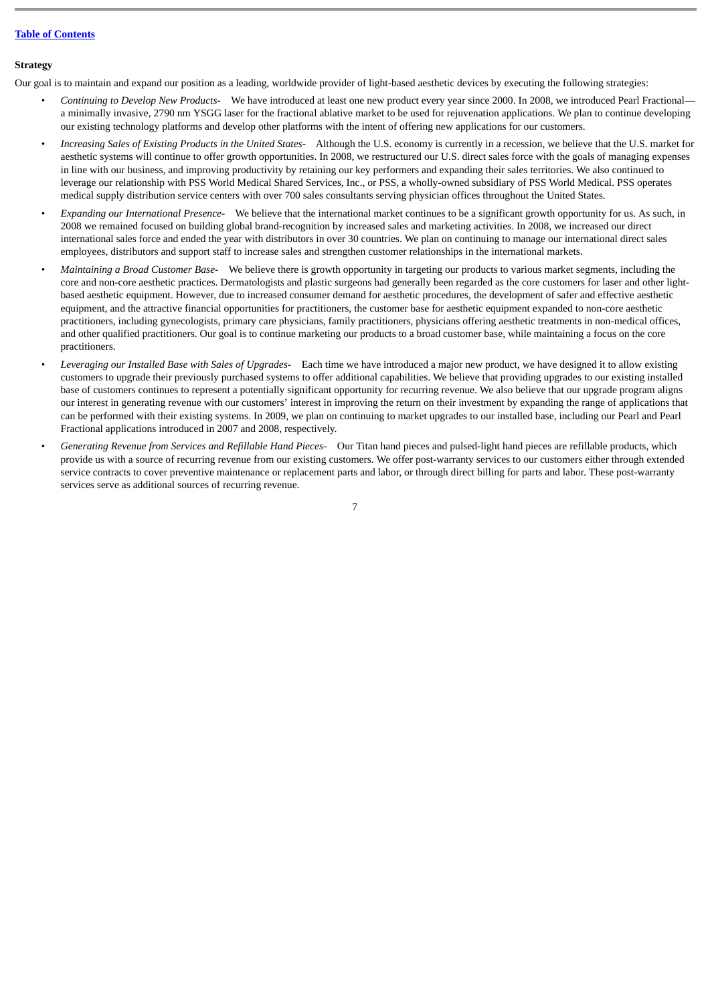#### **Strategy**

Our goal is to maintain and expand our position as a leading, worldwide provider of light-based aesthetic devices by executing the following strategies:

- *Continuing to Develop New Products-*We have introduced at least one new product every year since 2000. In 2008, we introduced Pearl Fractional a minimally invasive, 2790 nm YSGG laser for the fractional ablative market to be used for rejuvenation applications. We plan to continue developing our existing technology platforms and develop other platforms with the intent of offering new applications for our customers.
- *Increasing Sales of Existing Products in the United States-* Although the U.S. economy is currently in a recession, we believe that the U.S. market for aesthetic systems will continue to offer growth opportunities. In 2008, we restructured our U.S. direct sales force with the goals of managing expenses in line with our business, and improving productivity by retaining our key performers and expanding their sales territories. We also continued to leverage our relationship with PSS World Medical Shared Services, Inc., or PSS, a wholly-owned subsidiary of PSS World Medical. PSS operates medical supply distribution service centers with over 700 sales consultants serving physician offices throughout the United States.
- *Expanding our International Presence-* We believe that the international market continues to be a significant growth opportunity for us. As such, in 2008 we remained focused on building global brand-recognition by increased sales and marketing activities. In 2008, we increased our direct international sales force and ended the year with distributors in over 30 countries. We plan on continuing to manage our international direct sales employees, distributors and support staff to increase sales and strengthen customer relationships in the international markets.
- *Maintaining a Broad Customer Base-* We believe there is growth opportunity in targeting our products to various market segments, including the core and non-core aesthetic practices. Dermatologists and plastic surgeons had generally been regarded as the core customers for laser and other lightbased aesthetic equipment. However, due to increased consumer demand for aesthetic procedures, the development of safer and effective aesthetic equipment, and the attractive financial opportunities for practitioners, the customer base for aesthetic equipment expanded to non-core aesthetic practitioners, including gynecologists, primary care physicians, family practitioners, physicians offering aesthetic treatments in non-medical offices, and other qualified practitioners. Our goal is to continue marketing our products to a broad customer base, while maintaining a focus on the core practitioners.
- *Leveraging our Installed Base with Sales of Upgrades-* Each time we have introduced a major new product, we have designed it to allow existing customers to upgrade their previously purchased systems to offer additional capabilities. We believe that providing upgrades to our existing installed base of customers continues to represent a potentially significant opportunity for recurring revenue. We also believe that our upgrade program aligns our interest in generating revenue with our customers' interest in improving the return on their investment by expanding the range of applications that can be performed with their existing systems. In 2009, we plan on continuing to market upgrades to our installed base, including our Pearl and Pearl Fractional applications introduced in 2007 and 2008, respectively.
- *Generating Revenue from Services and Refillable Hand Pieces-* Our Titan hand pieces and pulsed-light hand pieces are refillable products, which provide us with a source of recurring revenue from our existing customers. We offer post-warranty services to our customers either through extended service contracts to cover preventive maintenance or replacement parts and labor, or through direct billing for parts and labor. These post-warranty services serve as additional sources of recurring revenue.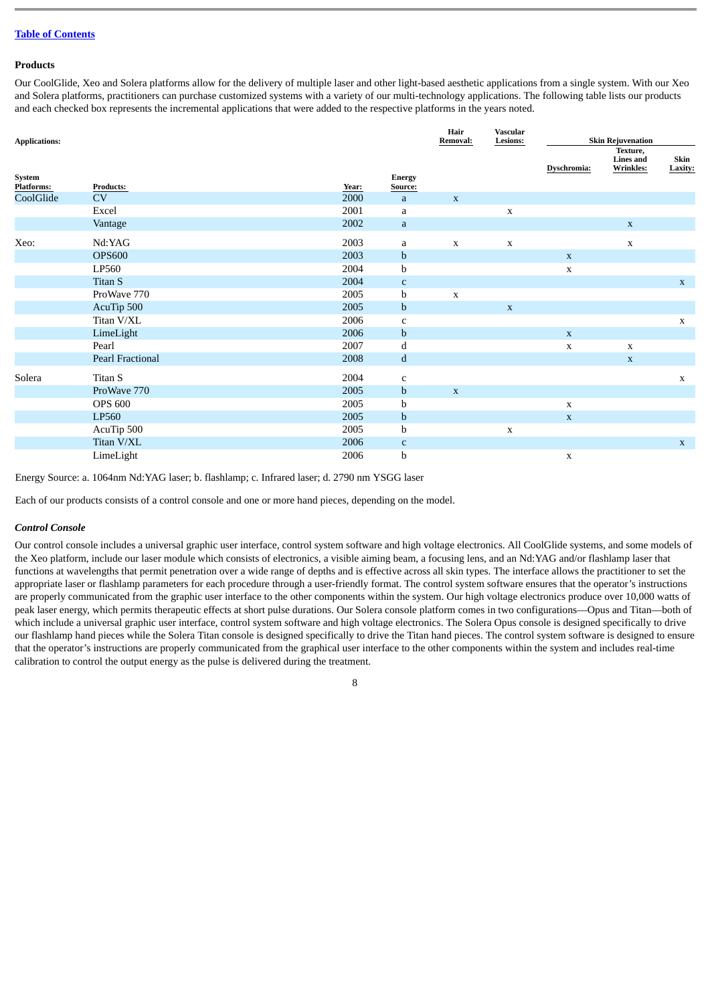#### **Products**

Our CoolGlide, Xeo and Solera platforms allow for the delivery of multiple laser and other light-based aesthetic applications from a single system. With our Xeo and Solera platforms, practitioners can purchase customized systems with a variety of our multi-technology applications. The following table lists our products and each checked box represents the incremental applications that were added to the respective platforms in the years noted.

|                             |                  |       |                          | Hair<br><b>Removal:</b> | <b>Vascular</b><br><b>Lesions:</b> | <b>Skin Rejuvenation</b> |                                           |                 |
|-----------------------------|------------------|-------|--------------------------|-------------------------|------------------------------------|--------------------------|-------------------------------------------|-----------------|
| <b>Applications:</b>        |                  |       |                          |                         |                                    | Dyschromia:              | Texture,<br><b>Lines</b> and<br>Wrinkles: | Skin<br>Laxity: |
| System<br><b>Platforms:</b> | <b>Products:</b> | Year: | <b>Energy</b><br>Source: |                         |                                    |                          |                                           |                 |
| CoolGlide                   | CV               | 2000  | $\mathbf{a}$             | $\mathbf X$             |                                    |                          |                                           |                 |
|                             | Excel            | 2001  | a                        |                         | $\mathbf X$                        |                          |                                           |                 |
|                             | Vantage          | 2002  | a                        |                         |                                    |                          | $\mathbf{x}$                              |                 |
| Xeo:                        | Nd:YAG           | 2003  | a                        | $\mathbf x$             | $\mathbf X$                        |                          | $\mathbf x$                               |                 |
|                             | <b>OPS600</b>    | 2003  | $\mathbf b$              |                         |                                    | $\mathbf{X}$             |                                           |                 |
|                             | LP560            | 2004  | b                        |                         |                                    | $\mathbf X$              |                                           |                 |
|                             | Titan S          | 2004  | $\mathsf{C}$             |                         |                                    |                          |                                           | $\mathbf{X}$    |
|                             | ProWave 770      | 2005  | b                        | $\mathbf X$             |                                    |                          |                                           |                 |
|                             | AcuTip 500       | 2005  | $\mathbf b$              |                         | $\mathbf X$                        |                          |                                           |                 |
|                             | Titan V/XL       | 2006  | C                        |                         |                                    |                          |                                           | $\mathbf X$     |
|                             | LimeLight        | 2006  | $\mathbf b$              |                         |                                    | $\mathbf X$              |                                           |                 |
|                             | Pearl            | 2007  | $\rm d$                  |                         |                                    | $\mathbf X$              | $\mathbf X$                               |                 |
|                             | Pearl Fractional | 2008  | $\mathbf d$              |                         |                                    |                          | $\mathbf{X}$                              |                 |
| Solera                      | Titan S          | 2004  | C                        |                         |                                    |                          |                                           | $\mathbf X$     |
|                             | ProWave 770      | 2005  | $\mathbf b$              | $\mathbf{x}$            |                                    |                          |                                           |                 |
|                             | <b>OPS 600</b>   | 2005  | b                        |                         |                                    | $\mathbf X$              |                                           |                 |
|                             | LP560            | 2005  | b                        |                         |                                    | $\mathbf X$              |                                           |                 |
|                             | AcuTip 500       | 2005  | b                        |                         | $\mathbf X$                        |                          |                                           |                 |
|                             | Titan V/XL       | 2006  | $\mathsf C$              |                         |                                    |                          |                                           | $\mathbf X$     |
|                             | LimeLight        | 2006  | $\rm b$                  |                         |                                    | $\mathbf X$              |                                           |                 |

Energy Source: a. 1064nm Nd:YAG laser; b. flashlamp; c. Infrared laser; d. 2790 nm YSGG laser

Each of our products consists of a control console and one or more hand pieces, depending on the model.

#### *Control Console*

Our control console includes a universal graphic user interface, control system software and high voltage electronics. All CoolGlide systems, and some models of the Xeo platform, include our laser module which consists of electronics, a visible aiming beam, a focusing lens, and an Nd:YAG and/or flashlamp laser that functions at wavelengths that permit penetration over a wide range of depths and is effective across all skin types. The interface allows the practitioner to set the appropriate laser or flashlamp parameters for each procedure through a user-friendly format. The control system software ensures that the operator's instructions are properly communicated from the graphic user interface to the other components within the system. Our high voltage electronics produce over 10,000 watts of peak laser energy, which permits therapeutic effects at short pulse durations. Our Solera console platform comes in two configurations—Opus and Titan—both of which include a universal graphic user interface, control system software and high voltage electronics. The Solera Opus console is designed specifically to drive our flashlamp hand pieces while the Solera Titan console is designed specifically to drive the Titan hand pieces. The control system software is designed to ensure that the operator's instructions are properly communicated from the graphical user interface to the other components within the system and includes real-time calibration to control the output energy as the pulse is delivered during the treatment.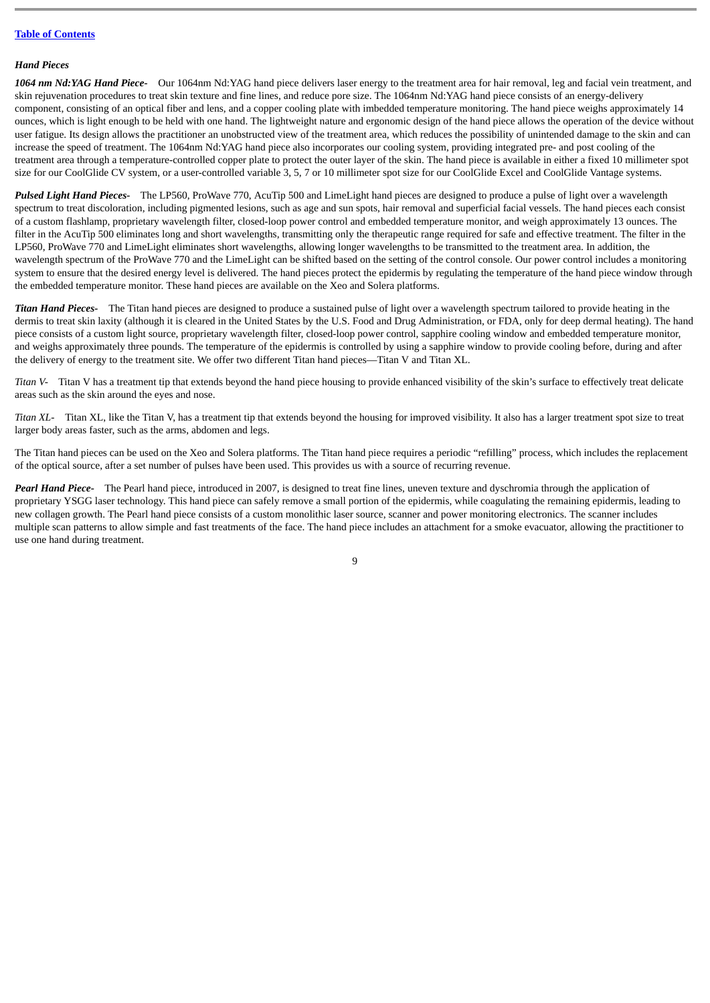#### *Hand Pieces*

*1064 nm Nd:YAG Hand Piece-* Our 1064nm Nd:YAG hand piece delivers laser energy to the treatment area for hair removal, leg and facial vein treatment, and skin rejuvenation procedures to treat skin texture and fine lines, and reduce pore size. The 1064nm Nd:YAG hand piece consists of an energy-delivery component, consisting of an optical fiber and lens, and a copper cooling plate with imbedded temperature monitoring. The hand piece weighs approximately 14 ounces, which is light enough to be held with one hand. The lightweight nature and ergonomic design of the hand piece allows the operation of the device without user fatigue. Its design allows the practitioner an unobstructed view of the treatment area, which reduces the possibility of unintended damage to the skin and can increase the speed of treatment. The 1064nm Nd:YAG hand piece also incorporates our cooling system, providing integrated pre- and post cooling of the treatment area through a temperature-controlled copper plate to protect the outer layer of the skin. The hand piece is available in either a fixed 10 millimeter spot size for our CoolGlide CV system, or a user-controlled variable 3, 5, 7 or 10 millimeter spot size for our CoolGlide Excel and CoolGlide Vantage systems.

*Pulsed Light Hand Pieces-* The LP560, ProWave 770, AcuTip 500 and LimeLight hand pieces are designed to produce a pulse of light over a wavelength spectrum to treat discoloration, including pigmented lesions, such as age and sun spots, hair removal and superficial facial vessels. The hand pieces each consist of a custom flashlamp, proprietary wavelength filter, closed-loop power control and embedded temperature monitor, and weigh approximately 13 ounces. The filter in the AcuTip 500 eliminates long and short wavelengths, transmitting only the therapeutic range required for safe and effective treatment. The filter in the LP560, ProWave 770 and LimeLight eliminates short wavelengths, allowing longer wavelengths to be transmitted to the treatment area. In addition, the wavelength spectrum of the ProWave 770 and the LimeLight can be shifted based on the setting of the control console. Our power control includes a monitoring system to ensure that the desired energy level is delivered. The hand pieces protect the epidermis by regulating the temperature of the hand piece window through the embedded temperature monitor. These hand pieces are available on the Xeo and Solera platforms.

*Titan Hand Pieces-* The Titan hand pieces are designed to produce a sustained pulse of light over a wavelength spectrum tailored to provide heating in the dermis to treat skin laxity (although it is cleared in the United States by the U.S. Food and Drug Administration, or FDA, only for deep dermal heating). The hand piece consists of a custom light source, proprietary wavelength filter, closed-loop power control, sapphire cooling window and embedded temperature monitor, and weighs approximately three pounds. The temperature of the epidermis is controlled by using a sapphire window to provide cooling before, during and after the delivery of energy to the treatment site. We offer two different Titan hand pieces—Titan V and Titan XL.

*Titan V-* Titan V has a treatment tip that extends beyond the hand piece housing to provide enhanced visibility of the skin's surface to effectively treat delicate areas such as the skin around the eyes and nose.

*Titan XL-* Titan XL, like the Titan V, has a treatment tip that extends beyond the housing for improved visibility. It also has a larger treatment spot size to treat larger body areas faster, such as the arms, abdomen and legs.

The Titan hand pieces can be used on the Xeo and Solera platforms. The Titan hand piece requires a periodic "refilling" process, which includes the replacement of the optical source, after a set number of pulses have been used. This provides us with a source of recurring revenue.

*Pearl Hand Piece-* The Pearl hand piece, introduced in 2007, is designed to treat fine lines, uneven texture and dyschromia through the application of proprietary YSGG laser technology. This hand piece can safely remove a small portion of the epidermis, while coagulating the remaining epidermis, leading to new collagen growth. The Pearl hand piece consists of a custom monolithic laser source, scanner and power monitoring electronics. The scanner includes multiple scan patterns to allow simple and fast treatments of the face. The hand piece includes an attachment for a smoke evacuator, allowing the practitioner to use one hand during treatment.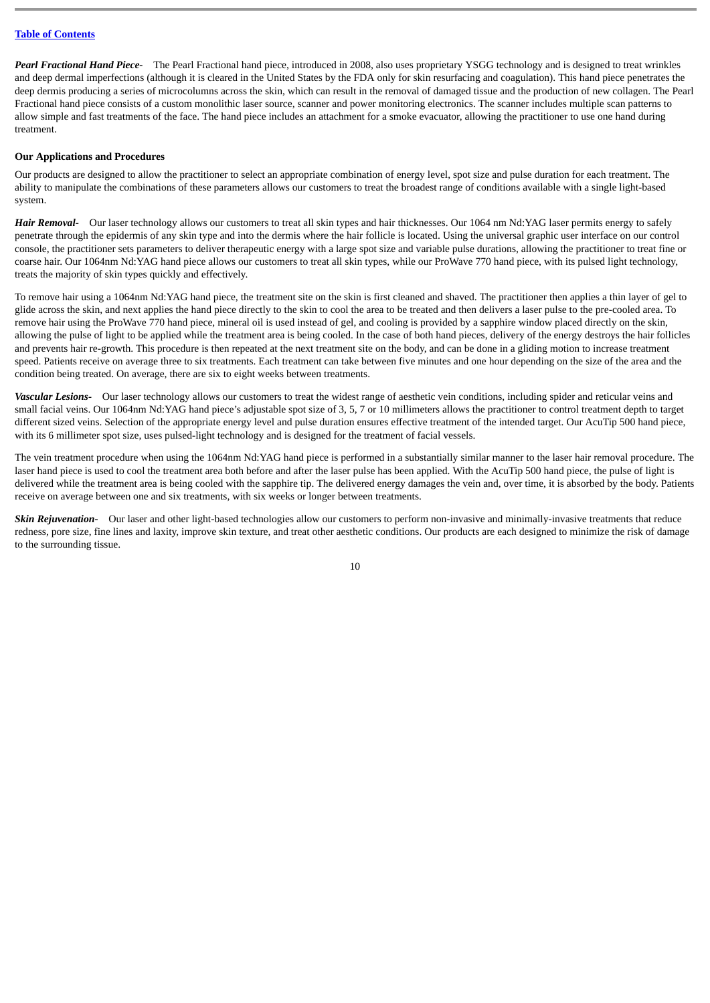*Pearl Fractional Hand Piece-* The Pearl Fractional hand piece, introduced in 2008, also uses proprietary YSGG technology and is designed to treat wrinkles and deep dermal imperfections (although it is cleared in the United States by the FDA only for skin resurfacing and coagulation). This hand piece penetrates the deep dermis producing a series of microcolumns across the skin, which can result in the removal of damaged tissue and the production of new collagen. The Pearl Fractional hand piece consists of a custom monolithic laser source, scanner and power monitoring electronics. The scanner includes multiple scan patterns to allow simple and fast treatments of the face. The hand piece includes an attachment for a smoke evacuator, allowing the practitioner to use one hand during treatment.

#### **Our Applications and Procedures**

Our products are designed to allow the practitioner to select an appropriate combination of energy level, spot size and pulse duration for each treatment. The ability to manipulate the combinations of these parameters allows our customers to treat the broadest range of conditions available with a single light-based system.

*Hair Removal-* Our laser technology allows our customers to treat all skin types and hair thicknesses. Our 1064 nm Nd:YAG laser permits energy to safely penetrate through the epidermis of any skin type and into the dermis where the hair follicle is located. Using the universal graphic user interface on our control console, the practitioner sets parameters to deliver therapeutic energy with a large spot size and variable pulse durations, allowing the practitioner to treat fine or coarse hair. Our 1064nm Nd:YAG hand piece allows our customers to treat all skin types, while our ProWave 770 hand piece, with its pulsed light technology, treats the majority of skin types quickly and effectively.

To remove hair using a 1064nm Nd:YAG hand piece, the treatment site on the skin is first cleaned and shaved. The practitioner then applies a thin layer of gel to glide across the skin, and next applies the hand piece directly to the skin to cool the area to be treated and then delivers a laser pulse to the pre-cooled area. To remove hair using the ProWave 770 hand piece, mineral oil is used instead of gel, and cooling is provided by a sapphire window placed directly on the skin, allowing the pulse of light to be applied while the treatment area is being cooled. In the case of both hand pieces, delivery of the energy destroys the hair follicles and prevents hair re-growth. This procedure is then repeated at the next treatment site on the body, and can be done in a gliding motion to increase treatment speed. Patients receive on average three to six treatments. Each treatment can take between five minutes and one hour depending on the size of the area and the condition being treated. On average, there are six to eight weeks between treatments.

*Vascular Lesions-* Our laser technology allows our customers to treat the widest range of aesthetic vein conditions, including spider and reticular veins and small facial veins. Our 1064nm Nd:YAG hand piece's adjustable spot size of 3, 5, 7 or 10 millimeters allows the practitioner to control treatment depth to target different sized veins. Selection of the appropriate energy level and pulse duration ensures effective treatment of the intended target. Our AcuTip 500 hand piece, with its 6 millimeter spot size, uses pulsed-light technology and is designed for the treatment of facial vessels.

The vein treatment procedure when using the 1064nm Nd:YAG hand piece is performed in a substantially similar manner to the laser hair removal procedure. The laser hand piece is used to cool the treatment area both before and after the laser pulse has been applied. With the AcuTip 500 hand piece, the pulse of light is delivered while the treatment area is being cooled with the sapphire tip. The delivered energy damages the vein and, over time, it is absorbed by the body. Patients receive on average between one and six treatments, with six weeks or longer between treatments.

*Skin Rejuvenation-* Our laser and other light-based technologies allow our customers to perform non-invasive and minimally-invasive treatments that reduce redness, pore size, fine lines and laxity, improve skin texture, and treat other aesthetic conditions. Our products are each designed to minimize the risk of damage to the surrounding tissue.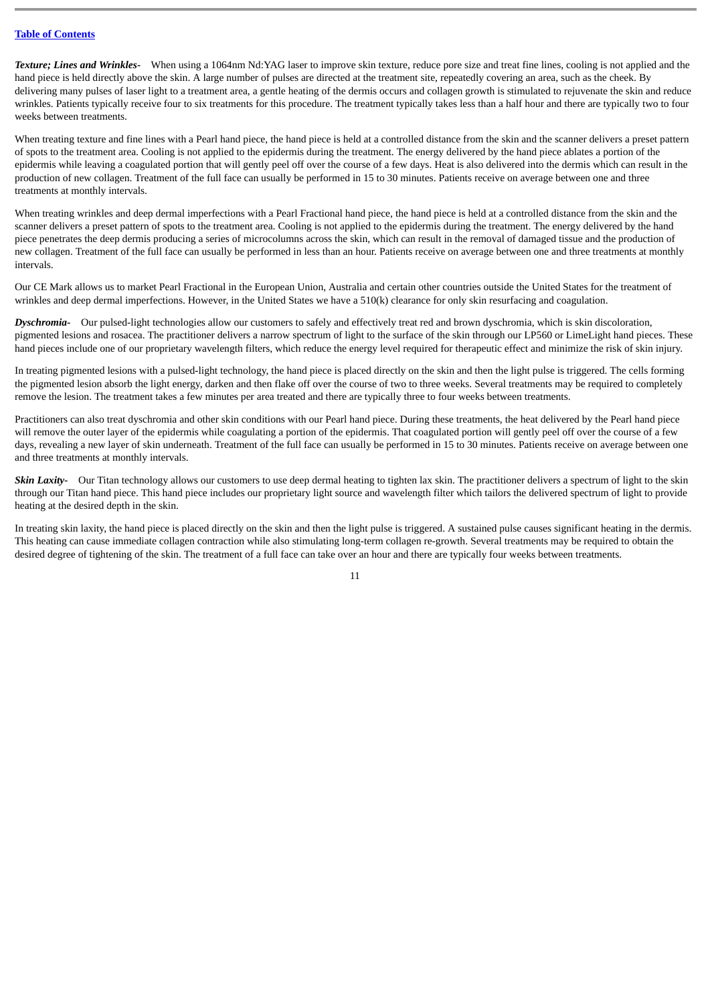*Texture; Lines and Wrinkles-* When using a 1064nm Nd:YAG laser to improve skin texture, reduce pore size and treat fine lines, cooling is not applied and the hand piece is held directly above the skin. A large number of pulses are directed at the treatment site, repeatedly covering an area, such as the cheek. By delivering many pulses of laser light to a treatment area, a gentle heating of the dermis occurs and collagen growth is stimulated to rejuvenate the skin and reduce wrinkles. Patients typically receive four to six treatments for this procedure. The treatment typically takes less than a half hour and there are typically two to four weeks between treatments.

When treating texture and fine lines with a Pearl hand piece, the hand piece is held at a controlled distance from the skin and the scanner delivers a preset pattern of spots to the treatment area. Cooling is not applied to the epidermis during the treatment. The energy delivered by the hand piece ablates a portion of the epidermis while leaving a coagulated portion that will gently peel off over the course of a few days. Heat is also delivered into the dermis which can result in the production of new collagen. Treatment of the full face can usually be performed in 15 to 30 minutes. Patients receive on average between one and three treatments at monthly intervals.

When treating wrinkles and deep dermal imperfections with a Pearl Fractional hand piece, the hand piece is held at a controlled distance from the skin and the scanner delivers a preset pattern of spots to the treatment area. Cooling is not applied to the epidermis during the treatment. The energy delivered by the hand piece penetrates the deep dermis producing a series of microcolumns across the skin, which can result in the removal of damaged tissue and the production of new collagen. Treatment of the full face can usually be performed in less than an hour. Patients receive on average between one and three treatments at monthly intervals.

Our CE Mark allows us to market Pearl Fractional in the European Union, Australia and certain other countries outside the United States for the treatment of wrinkles and deep dermal imperfections. However, in the United States we have a 510(k) clearance for only skin resurfacing and coagulation.

*Dyschromia-* Our pulsed-light technologies allow our customers to safely and effectively treat red and brown dyschromia, which is skin discoloration, pigmented lesions and rosacea. The practitioner delivers a narrow spectrum of light to the surface of the skin through our LP560 or LimeLight hand pieces. These hand pieces include one of our proprietary wavelength filters, which reduce the energy level required for therapeutic effect and minimize the risk of skin injury.

In treating pigmented lesions with a pulsed-light technology, the hand piece is placed directly on the skin and then the light pulse is triggered. The cells forming the pigmented lesion absorb the light energy, darken and then flake off over the course of two to three weeks. Several treatments may be required to completely remove the lesion. The treatment takes a few minutes per area treated and there are typically three to four weeks between treatments.

Practitioners can also treat dyschromia and other skin conditions with our Pearl hand piece. During these treatments, the heat delivered by the Pearl hand piece will remove the outer layer of the epidermis while coagulating a portion of the epidermis. That coagulated portion will gently peel off over the course of a few days, revealing a new layer of skin underneath. Treatment of the full face can usually be performed in 15 to 30 minutes. Patients receive on average between one and three treatments at monthly intervals.

*Skin Laxity-* Our Titan technology allows our customers to use deep dermal heating to tighten lax skin. The practitioner delivers a spectrum of light to the skin through our Titan hand piece. This hand piece includes our proprietary light source and wavelength filter which tailors the delivered spectrum of light to provide heating at the desired depth in the skin.

In treating skin laxity, the hand piece is placed directly on the skin and then the light pulse is triggered. A sustained pulse causes significant heating in the dermis. This heating can cause immediate collagen contraction while also stimulating long-term collagen re-growth. Several treatments may be required to obtain the desired degree of tightening of the skin. The treatment of a full face can take over an hour and there are typically four weeks between treatments.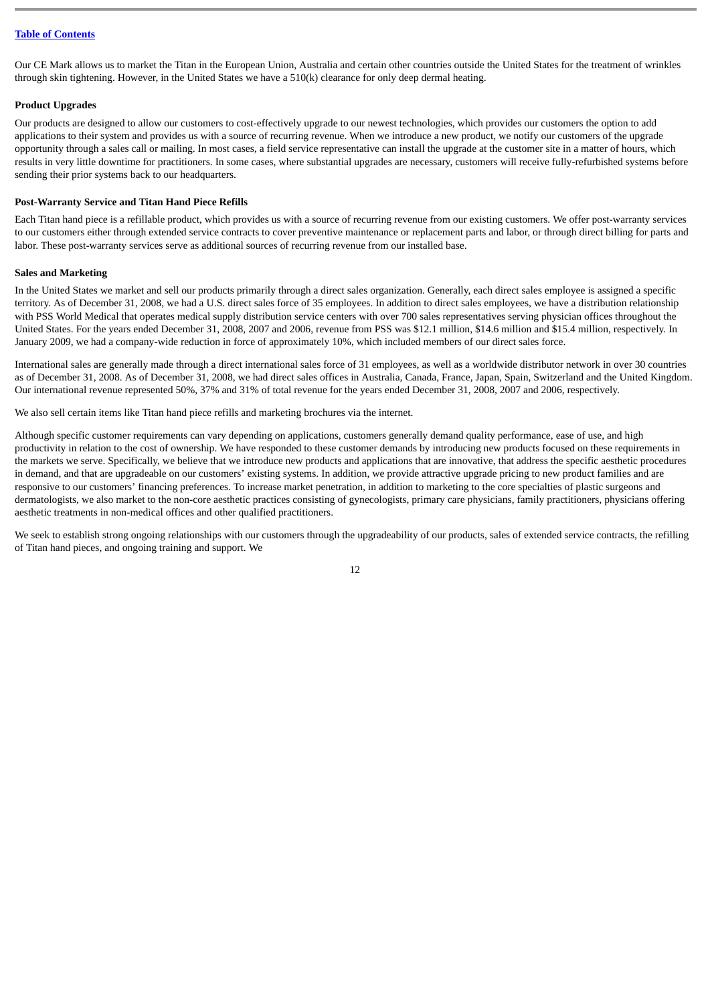Our CE Mark allows us to market the Titan in the European Union, Australia and certain other countries outside the United States for the treatment of wrinkles through skin tightening. However, in the United States we have a 510(k) clearance for only deep dermal heating.

#### **Product Upgrades**

Our products are designed to allow our customers to cost-effectively upgrade to our newest technologies, which provides our customers the option to add applications to their system and provides us with a source of recurring revenue. When we introduce a new product, we notify our customers of the upgrade opportunity through a sales call or mailing. In most cases, a field service representative can install the upgrade at the customer site in a matter of hours, which results in very little downtime for practitioners. In some cases, where substantial upgrades are necessary, customers will receive fully-refurbished systems before sending their prior systems back to our headquarters.

#### **Post-Warranty Service and Titan Hand Piece Refills**

Each Titan hand piece is a refillable product, which provides us with a source of recurring revenue from our existing customers. We offer post-warranty services to our customers either through extended service contracts to cover preventive maintenance or replacement parts and labor, or through direct billing for parts and labor. These post-warranty services serve as additional sources of recurring revenue from our installed base.

#### **Sales and Marketing**

In the United States we market and sell our products primarily through a direct sales organization. Generally, each direct sales employee is assigned a specific territory. As of December 31, 2008, we had a U.S. direct sales force of 35 employees. In addition to direct sales employees, we have a distribution relationship with PSS World Medical that operates medical supply distribution service centers with over 700 sales representatives serving physician offices throughout the United States. For the years ended December 31, 2008, 2007 and 2006, revenue from PSS was \$12.1 million, \$14.6 million and \$15.4 million, respectively. In January 2009, we had a company-wide reduction in force of approximately 10%, which included members of our direct sales force.

International sales are generally made through a direct international sales force of 31 employees, as well as a worldwide distributor network in over 30 countries as of December 31, 2008. As of December 31, 2008, we had direct sales offices in Australia, Canada, France, Japan, Spain, Switzerland and the United Kingdom. Our international revenue represented 50%, 37% and 31% of total revenue for the years ended December 31, 2008, 2007 and 2006, respectively.

We also sell certain items like Titan hand piece refills and marketing brochures via the internet.

Although specific customer requirements can vary depending on applications, customers generally demand quality performance, ease of use, and high productivity in relation to the cost of ownership. We have responded to these customer demands by introducing new products focused on these requirements in the markets we serve. Specifically, we believe that we introduce new products and applications that are innovative, that address the specific aesthetic procedures in demand, and that are upgradeable on our customers' existing systems. In addition, we provide attractive upgrade pricing to new product families and are responsive to our customers' financing preferences. To increase market penetration, in addition to marketing to the core specialties of plastic surgeons and dermatologists, we also market to the non-core aesthetic practices consisting of gynecologists, primary care physicians, family practitioners, physicians offering aesthetic treatments in non-medical offices and other qualified practitioners.

We seek to establish strong ongoing relationships with our customers through the upgradeability of our products, sales of extended service contracts, the refilling of Titan hand pieces, and ongoing training and support. We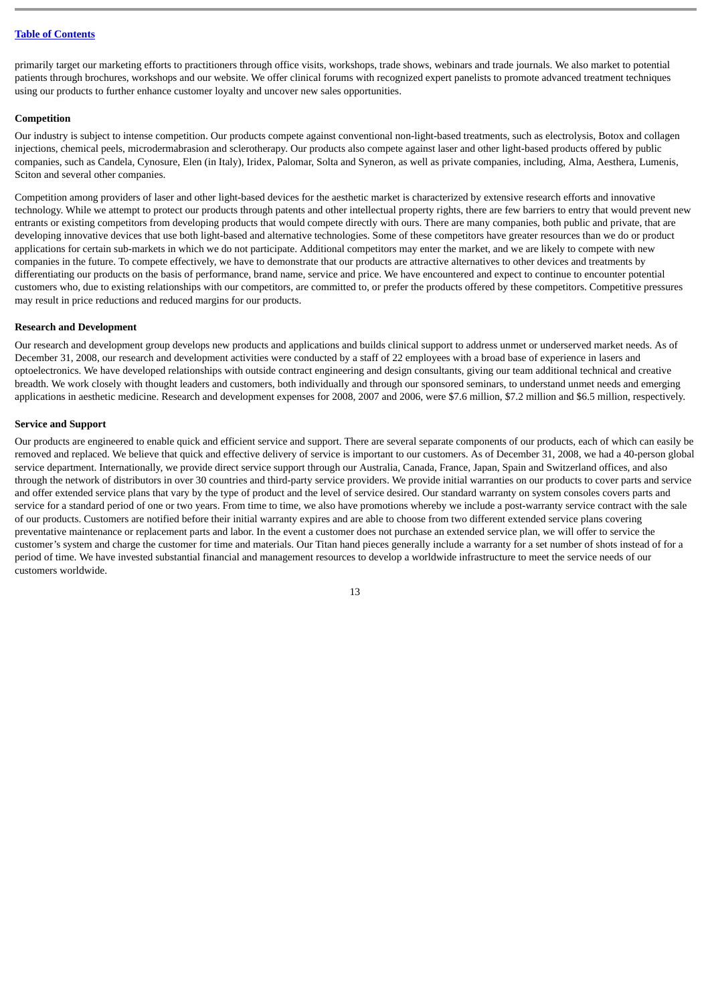primarily target our marketing efforts to practitioners through office visits, workshops, trade shows, webinars and trade journals. We also market to potential patients through brochures, workshops and our website. We offer clinical forums with recognized expert panelists to promote advanced treatment techniques using our products to further enhance customer loyalty and uncover new sales opportunities.

#### **Competition**

Our industry is subject to intense competition. Our products compete against conventional non-light-based treatments, such as electrolysis, Botox and collagen injections, chemical peels, microdermabrasion and sclerotherapy. Our products also compete against laser and other light-based products offered by public companies, such as Candela, Cynosure, Elen (in Italy), Iridex, Palomar, Solta and Syneron, as well as private companies, including, Alma, Aesthera, Lumenis, Sciton and several other companies.

Competition among providers of laser and other light-based devices for the aesthetic market is characterized by extensive research efforts and innovative technology. While we attempt to protect our products through patents and other intellectual property rights, there are few barriers to entry that would prevent new entrants or existing competitors from developing products that would compete directly with ours. There are many companies, both public and private, that are developing innovative devices that use both light-based and alternative technologies. Some of these competitors have greater resources than we do or product applications for certain sub-markets in which we do not participate. Additional competitors may enter the market, and we are likely to compete with new companies in the future. To compete effectively, we have to demonstrate that our products are attractive alternatives to other devices and treatments by differentiating our products on the basis of performance, brand name, service and price. We have encountered and expect to continue to encounter potential customers who, due to existing relationships with our competitors, are committed to, or prefer the products offered by these competitors. Competitive pressures may result in price reductions and reduced margins for our products.

#### **Research and Development**

Our research and development group develops new products and applications and builds clinical support to address unmet or underserved market needs. As of December 31, 2008, our research and development activities were conducted by a staff of 22 employees with a broad base of experience in lasers and optoelectronics. We have developed relationships with outside contract engineering and design consultants, giving our team additional technical and creative breadth. We work closely with thought leaders and customers, both individually and through our sponsored seminars, to understand unmet needs and emerging applications in aesthetic medicine. Research and development expenses for 2008, 2007 and 2006, were \$7.6 million, \$7.2 million and \$6.5 million, respectively.

#### **Service and Support**

Our products are engineered to enable quick and efficient service and support. There are several separate components of our products, each of which can easily be removed and replaced. We believe that quick and effective delivery of service is important to our customers. As of December 31, 2008, we had a 40-person global service department. Internationally, we provide direct service support through our Australia, Canada, France, Japan, Spain and Switzerland offices, and also through the network of distributors in over 30 countries and third-party service providers. We provide initial warranties on our products to cover parts and service and offer extended service plans that vary by the type of product and the level of service desired. Our standard warranty on system consoles covers parts and service for a standard period of one or two years. From time to time, we also have promotions whereby we include a post-warranty service contract with the sale of our products. Customers are notified before their initial warranty expires and are able to choose from two different extended service plans covering preventative maintenance or replacement parts and labor. In the event a customer does not purchase an extended service plan, we will offer to service the customer's system and charge the customer for time and materials. Our Titan hand pieces generally include a warranty for a set number of shots instead of for a period of time. We have invested substantial financial and management resources to develop a worldwide infrastructure to meet the service needs of our customers worldwide.

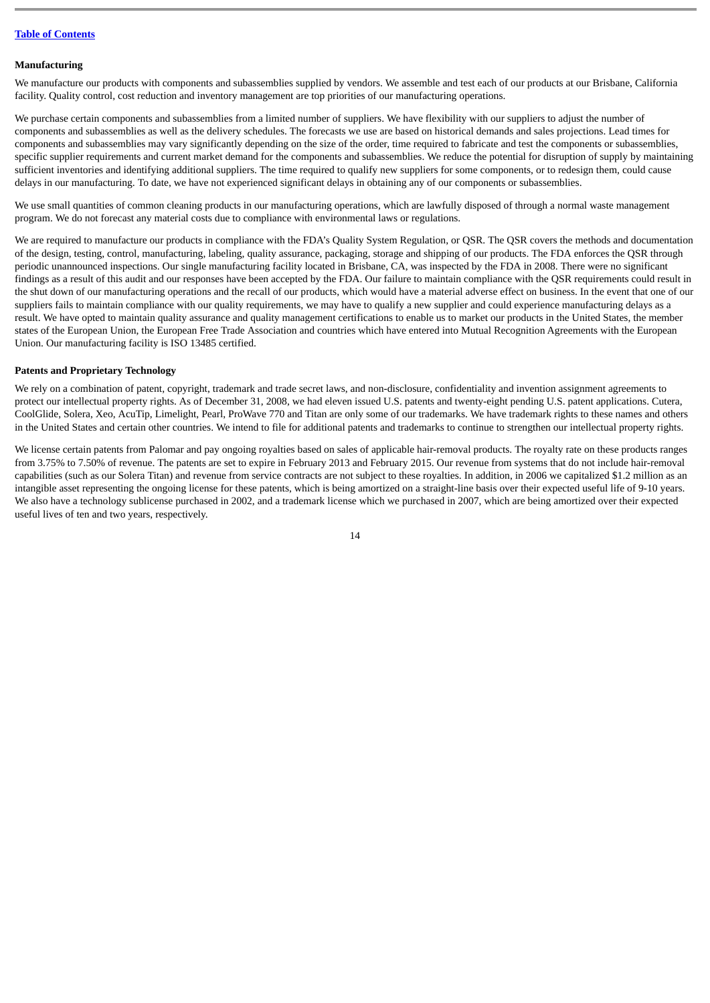#### **Manufacturing**

We manufacture our products with components and subassemblies supplied by vendors. We assemble and test each of our products at our Brisbane, California facility. Quality control, cost reduction and inventory management are top priorities of our manufacturing operations.

We purchase certain components and subassemblies from a limited number of suppliers. We have flexibility with our suppliers to adjust the number of components and subassemblies as well as the delivery schedules. The forecasts we use are based on historical demands and sales projections. Lead times for components and subassemblies may vary significantly depending on the size of the order, time required to fabricate and test the components or subassemblies, specific supplier requirements and current market demand for the components and subassemblies. We reduce the potential for disruption of supply by maintaining sufficient inventories and identifying additional suppliers. The time required to qualify new suppliers for some components, or to redesign them, could cause delays in our manufacturing. To date, we have not experienced significant delays in obtaining any of our components or subassemblies.

We use small quantities of common cleaning products in our manufacturing operations, which are lawfully disposed of through a normal waste management program. We do not forecast any material costs due to compliance with environmental laws or regulations.

We are required to manufacture our products in compliance with the FDA's Quality System Regulation, or QSR. The QSR covers the methods and documentation of the design, testing, control, manufacturing, labeling, quality assurance, packaging, storage and shipping of our products. The FDA enforces the QSR through periodic unannounced inspections. Our single manufacturing facility located in Brisbane, CA, was inspected by the FDA in 2008. There were no significant findings as a result of this audit and our responses have been accepted by the FDA. Our failure to maintain compliance with the QSR requirements could result in the shut down of our manufacturing operations and the recall of our products, which would have a material adverse effect on business. In the event that one of our suppliers fails to maintain compliance with our quality requirements, we may have to qualify a new supplier and could experience manufacturing delays as a result. We have opted to maintain quality assurance and quality management certifications to enable us to market our products in the United States, the member states of the European Union, the European Free Trade Association and countries which have entered into Mutual Recognition Agreements with the European Union. Our manufacturing facility is ISO 13485 certified.

#### **Patents and Proprietary Technology**

We rely on a combination of patent, copyright, trademark and trade secret laws, and non-disclosure, confidentiality and invention assignment agreements to protect our intellectual property rights. As of December 31, 2008, we had eleven issued U.S. patents and twenty-eight pending U.S. patent applications. Cutera, CoolGlide, Solera, Xeo, AcuTip, Limelight, Pearl, ProWave 770 and Titan are only some of our trademarks. We have trademark rights to these names and others in the United States and certain other countries. We intend to file for additional patents and trademarks to continue to strengthen our intellectual property rights.

We license certain patents from Palomar and pay ongoing royalties based on sales of applicable hair-removal products. The royalty rate on these products ranges from 3.75% to 7.50% of revenue. The patents are set to expire in February 2013 and February 2015. Our revenue from systems that do not include hair-removal capabilities (such as our Solera Titan) and revenue from service contracts are not subject to these royalties. In addition, in 2006 we capitalized \$1.2 million as an intangible asset representing the ongoing license for these patents, which is being amortized on a straight-line basis over their expected useful life of 9-10 years. We also have a technology sublicense purchased in 2002, and a trademark license which we purchased in 2007, which are being amortized over their expected useful lives of ten and two years, respectively.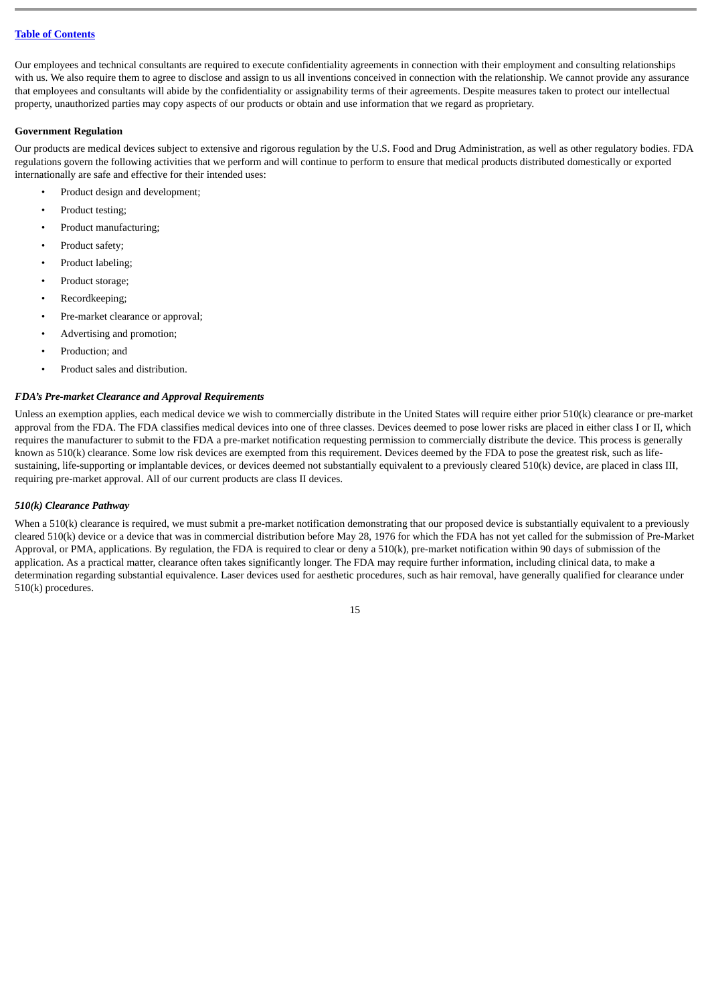Our employees and technical consultants are required to execute confidentiality agreements in connection with their employment and consulting relationships with us. We also require them to agree to disclose and assign to us all inventions conceived in connection with the relationship. We cannot provide any assurance that employees and consultants will abide by the confidentiality or assignability terms of their agreements. Despite measures taken to protect our intellectual property, unauthorized parties may copy aspects of our products or obtain and use information that we regard as proprietary.

#### **Government Regulation**

Our products are medical devices subject to extensive and rigorous regulation by the U.S. Food and Drug Administration, as well as other regulatory bodies. FDA regulations govern the following activities that we perform and will continue to perform to ensure that medical products distributed domestically or exported internationally are safe and effective for their intended uses:

- Product design and development;
- Product testing;
- Product manufacturing;
- Product safety;
- Product labeling;
- Product storage;
- Recordkeeping;
- Pre-market clearance or approval;
- Advertising and promotion;
- Production; and
- Product sales and distribution.

#### *FDA's Pre-market Clearance and Approval Requirements*

Unless an exemption applies, each medical device we wish to commercially distribute in the United States will require either prior 510(k) clearance or pre-market approval from the FDA. The FDA classifies medical devices into one of three classes. Devices deemed to pose lower risks are placed in either class I or II, which requires the manufacturer to submit to the FDA a pre-market notification requesting permission to commercially distribute the device. This process is generally known as 510(k) clearance. Some low risk devices are exempted from this requirement. Devices deemed by the FDA to pose the greatest risk, such as lifesustaining, life-supporting or implantable devices, or devices deemed not substantially equivalent to a previously cleared 510(k) device, are placed in class III, requiring pre-market approval. All of our current products are class II devices.

#### *510(k) Clearance Pathway*

When a 510(k) clearance is required, we must submit a pre-market notification demonstrating that our proposed device is substantially equivalent to a previously cleared 510(k) device or a device that was in commercial distribution before May 28, 1976 for which the FDA has not yet called for the submission of Pre-Market Approval, or PMA, applications. By regulation, the FDA is required to clear or deny a 510(k), pre-market notification within 90 days of submission of the application. As a practical matter, clearance often takes significantly longer. The FDA may require further information, including clinical data, to make a determination regarding substantial equivalence. Laser devices used for aesthetic procedures, such as hair removal, have generally qualified for clearance under 510(k) procedures.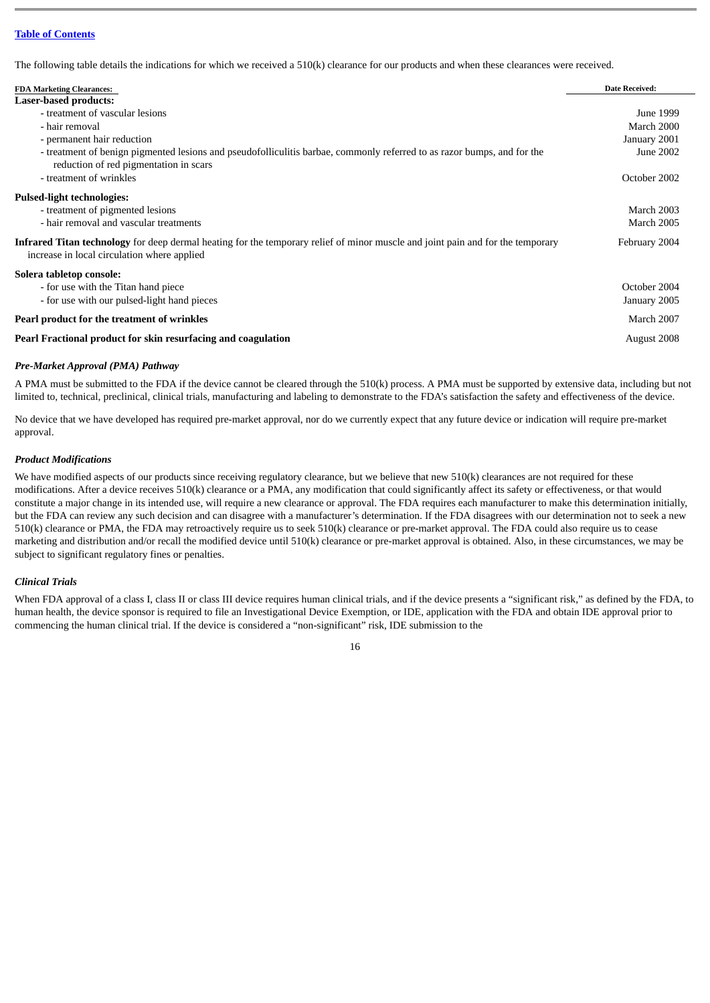The following table details the indications for which we received a 510(k) clearance for our products and when these clearances were received.

| <b>FDA Marketing Clearances:</b>                                                                                                                                                      | <b>Date Received:</b> |
|---------------------------------------------------------------------------------------------------------------------------------------------------------------------------------------|-----------------------|
| <b>Laser-based products:</b>                                                                                                                                                          |                       |
| - treatment of vascular lesions                                                                                                                                                       | June 1999             |
| - hair removal                                                                                                                                                                        | March 2000            |
| - permanent hair reduction                                                                                                                                                            | January 2001          |
| - treatment of benign pigmented lesions and pseudofolliculitis barbae, commonly referred to as razor bumps, and for the<br>reduction of red pigmentation in scars                     | June 2002             |
| - treatment of wrinkles                                                                                                                                                               | October 2002          |
| <b>Pulsed-light technologies:</b>                                                                                                                                                     |                       |
| - treatment of pigmented lesions                                                                                                                                                      | March 2003            |
| - hair removal and vascular treatments                                                                                                                                                | March 2005            |
| <b>Infrared Titan technology</b> for deep dermal heating for the temporary relief of minor muscle and joint pain and for the temporary<br>increase in local circulation where applied | February 2004         |
| Solera tabletop console:                                                                                                                                                              |                       |
| - for use with the Titan hand piece                                                                                                                                                   | October 2004          |
| - for use with our pulsed-light hand pieces                                                                                                                                           | January 2005          |
| Pearl product for the treatment of wrinkles                                                                                                                                           | March 2007            |
| Pearl Fractional product for skin resurfacing and coagulation                                                                                                                         | August 2008           |

#### *Pre-Market Approval (PMA) Pathway*

A PMA must be submitted to the FDA if the device cannot be cleared through the 510(k) process. A PMA must be supported by extensive data, including but not limited to, technical, preclinical, clinical trials, manufacturing and labeling to demonstrate to the FDA's satisfaction the safety and effectiveness of the device.

No device that we have developed has required pre-market approval, nor do we currently expect that any future device or indication will require pre-market approval.

#### *Product Modifications*

We have modified aspects of our products since receiving regulatory clearance, but we believe that new 510(k) clearances are not required for these modifications. After a device receives 510(k) clearance or a PMA, any modification that could significantly affect its safety or effectiveness, or that would constitute a major change in its intended use, will require a new clearance or approval. The FDA requires each manufacturer to make this determination initially, but the FDA can review any such decision and can disagree with a manufacturer's determination. If the FDA disagrees with our determination not to seek a new 510(k) clearance or PMA, the FDA may retroactively require us to seek 510(k) clearance or pre-market approval. The FDA could also require us to cease marketing and distribution and/or recall the modified device until 510(k) clearance or pre-market approval is obtained. Also, in these circumstances, we may be subject to significant regulatory fines or penalties.

# *Clinical Trials*

When FDA approval of a class I, class II or class III device requires human clinical trials, and if the device presents a "significant risk," as defined by the FDA, to human health, the device sponsor is required to file an Investigational Device Exemption, or IDE, application with the FDA and obtain IDE approval prior to commencing the human clinical trial. If the device is considered a "non-significant" risk, IDE submission to the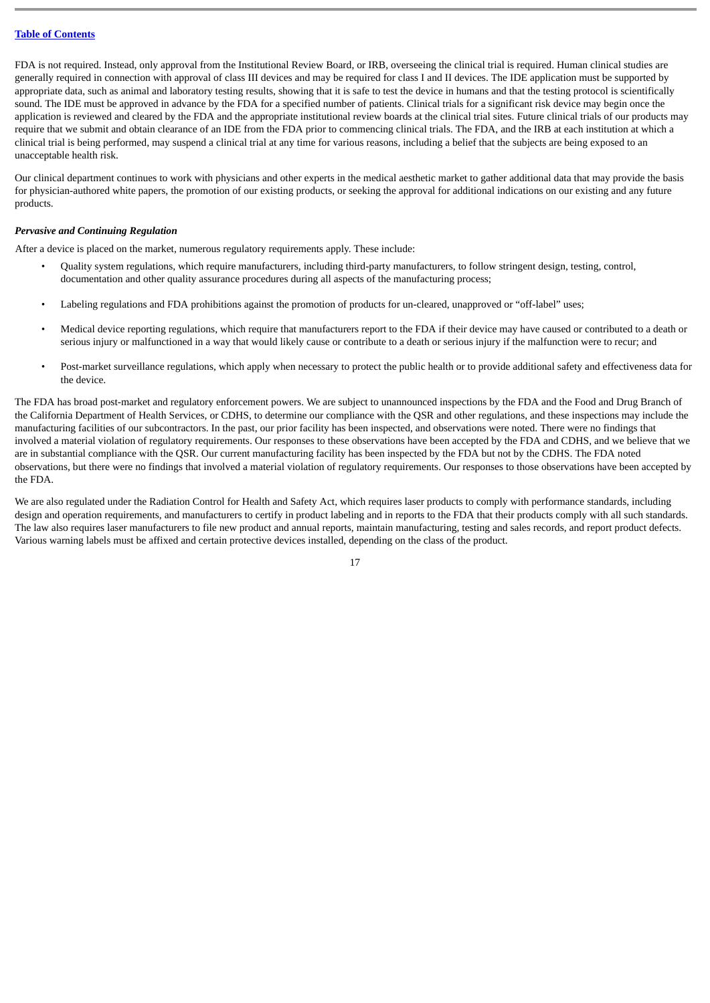FDA is not required. Instead, only approval from the Institutional Review Board, or IRB, overseeing the clinical trial is required. Human clinical studies are generally required in connection with approval of class III devices and may be required for class I and II devices. The IDE application must be supported by appropriate data, such as animal and laboratory testing results, showing that it is safe to test the device in humans and that the testing protocol is scientifically sound. The IDE must be approved in advance by the FDA for a specified number of patients. Clinical trials for a significant risk device may begin once the application is reviewed and cleared by the FDA and the appropriate institutional review boards at the clinical trial sites. Future clinical trials of our products may require that we submit and obtain clearance of an IDE from the FDA prior to commencing clinical trials. The FDA, and the IRB at each institution at which a clinical trial is being performed, may suspend a clinical trial at any time for various reasons, including a belief that the subjects are being exposed to an unacceptable health risk.

Our clinical department continues to work with physicians and other experts in the medical aesthetic market to gather additional data that may provide the basis for physician-authored white papers, the promotion of our existing products, or seeking the approval for additional indications on our existing and any future products.

# *Pervasive and Continuing Regulation*

After a device is placed on the market, numerous regulatory requirements apply. These include:

- Quality system regulations, which require manufacturers, including third-party manufacturers, to follow stringent design, testing, control, documentation and other quality assurance procedures during all aspects of the manufacturing process;
- Labeling regulations and FDA prohibitions against the promotion of products for un-cleared, unapproved or "off-label" uses;
- Medical device reporting regulations, which require that manufacturers report to the FDA if their device may have caused or contributed to a death or serious injury or malfunctioned in a way that would likely cause or contribute to a death or serious injury if the malfunction were to recur; and
- Post-market surveillance regulations, which apply when necessary to protect the public health or to provide additional safety and effectiveness data for the device.

The FDA has broad post-market and regulatory enforcement powers. We are subject to unannounced inspections by the FDA and the Food and Drug Branch of the California Department of Health Services, or CDHS, to determine our compliance with the QSR and other regulations, and these inspections may include the manufacturing facilities of our subcontractors. In the past, our prior facility has been inspected, and observations were noted. There were no findings that involved a material violation of regulatory requirements. Our responses to these observations have been accepted by the FDA and CDHS, and we believe that we are in substantial compliance with the QSR. Our current manufacturing facility has been inspected by the FDA but not by the CDHS. The FDA noted observations, but there were no findings that involved a material violation of regulatory requirements. Our responses to those observations have been accepted by the FDA.

We are also regulated under the Radiation Control for Health and Safety Act, which requires laser products to comply with performance standards, including design and operation requirements, and manufacturers to certify in product labeling and in reports to the FDA that their products comply with all such standards. The law also requires laser manufacturers to file new product and annual reports, maintain manufacturing, testing and sales records, and report product defects. Various warning labels must be affixed and certain protective devices installed, depending on the class of the product.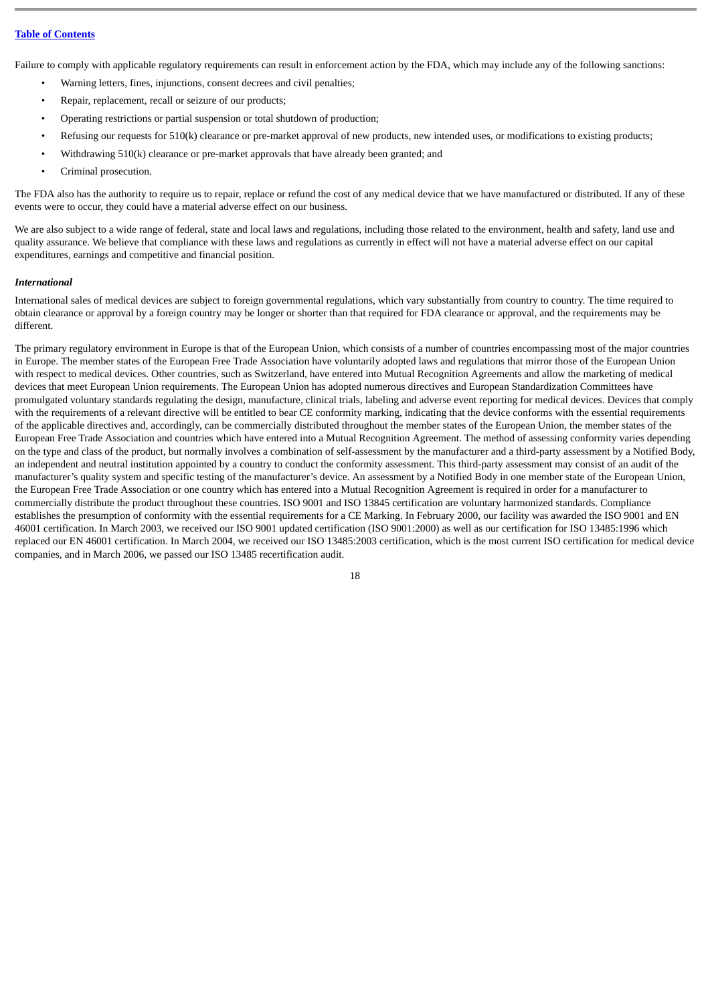Failure to comply with applicable regulatory requirements can result in enforcement action by the FDA, which may include any of the following sanctions:

- Warning letters, fines, injunctions, consent decrees and civil penalties;
- Repair, replacement, recall or seizure of our products;
- Operating restrictions or partial suspension or total shutdown of production;
- Refusing our requests for 510(k) clearance or pre-market approval of new products, new intended uses, or modifications to existing products;
- Withdrawing 510(k) clearance or pre-market approvals that have already been granted; and
- Criminal prosecution.

The FDA also has the authority to require us to repair, replace or refund the cost of any medical device that we have manufactured or distributed. If any of these events were to occur, they could have a material adverse effect on our business.

We are also subject to a wide range of federal, state and local laws and regulations, including those related to the environment, health and safety, land use and quality assurance. We believe that compliance with these laws and regulations as currently in effect will not have a material adverse effect on our capital expenditures, earnings and competitive and financial position.

#### *International*

International sales of medical devices are subject to foreign governmental regulations, which vary substantially from country to country. The time required to obtain clearance or approval by a foreign country may be longer or shorter than that required for FDA clearance or approval, and the requirements may be different.

The primary regulatory environment in Europe is that of the European Union, which consists of a number of countries encompassing most of the major countries in Europe. The member states of the European Free Trade Association have voluntarily adopted laws and regulations that mirror those of the European Union with respect to medical devices. Other countries, such as Switzerland, have entered into Mutual Recognition Agreements and allow the marketing of medical devices that meet European Union requirements. The European Union has adopted numerous directives and European Standardization Committees have promulgated voluntary standards regulating the design, manufacture, clinical trials, labeling and adverse event reporting for medical devices. Devices that comply with the requirements of a relevant directive will be entitled to bear CE conformity marking, indicating that the device conforms with the essential requirements of the applicable directives and, accordingly, can be commercially distributed throughout the member states of the European Union, the member states of the European Free Trade Association and countries which have entered into a Mutual Recognition Agreement. The method of assessing conformity varies depending on the type and class of the product, but normally involves a combination of self-assessment by the manufacturer and a third-party assessment by a Notified Body, an independent and neutral institution appointed by a country to conduct the conformity assessment. This third-party assessment may consist of an audit of the manufacturer's quality system and specific testing of the manufacturer's device. An assessment by a Notified Body in one member state of the European Union, the European Free Trade Association or one country which has entered into a Mutual Recognition Agreement is required in order for a manufacturer to commercially distribute the product throughout these countries. ISO 9001 and ISO 13845 certification are voluntary harmonized standards. Compliance establishes the presumption of conformity with the essential requirements for a CE Marking. In February 2000, our facility was awarded the ISO 9001 and EN 46001 certification. In March 2003, we received our ISO 9001 updated certification (ISO 9001:2000) as well as our certification for ISO 13485:1996 which replaced our EN 46001 certification. In March 2004, we received our ISO 13485:2003 certification, which is the most current ISO certification for medical device companies, and in March 2006, we passed our ISO 13485 recertification audit.

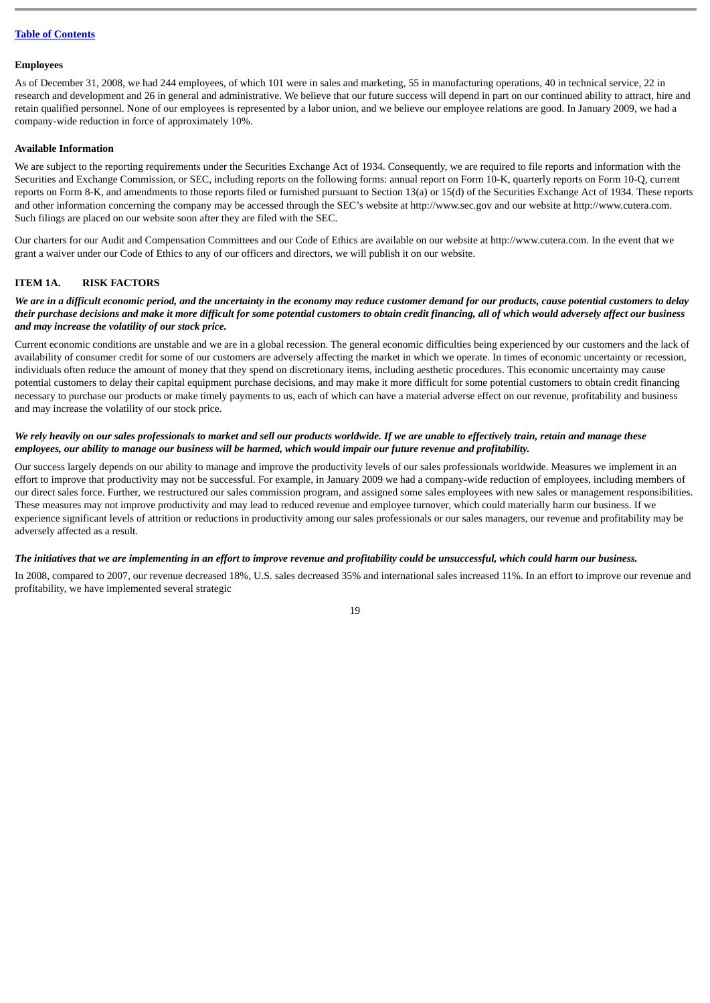#### **Employees**

As of December 31, 2008, we had 244 employees, of which 101 were in sales and marketing, 55 in manufacturing operations, 40 in technical service, 22 in research and development and 26 in general and administrative. We believe that our future success will depend in part on our continued ability to attract, hire and retain qualified personnel. None of our employees is represented by a labor union, and we believe our employee relations are good. In January 2009, we had a company-wide reduction in force of approximately 10%.

#### **Available Information**

We are subject to the reporting requirements under the Securities Exchange Act of 1934. Consequently, we are required to file reports and information with the Securities and Exchange Commission, or SEC, including reports on the following forms: annual report on Form 10-K, quarterly reports on Form 10-Q, current reports on Form 8-K, and amendments to those reports filed or furnished pursuant to Section 13(a) or 15(d) of the Securities Exchange Act of 1934. These reports and other information concerning the company may be accessed through the SEC's website at http://www.sec.gov and our website at http://www.cutera.com. Such filings are placed on our website soon after they are filed with the SEC.

Our charters for our Audit and Compensation Committees and our Code of Ethics are available on our website at http://www.cutera.com. In the event that we grant a waiver under our Code of Ethics to any of our officers and directors, we will publish it on our website.

#### <span id="page-18-0"></span>**ITEM 1A. RISK FACTORS**

#### *We are in a difficult economic period, and the uncertainty in the economy may reduce customer demand for our products, cause potential customers to delay their purchase decisions and make it more difficult for some potential customers to obtain credit financing, all of which would adversely affect our business and may increase the volatility of our stock price.*

Current economic conditions are unstable and we are in a global recession. The general economic difficulties being experienced by our customers and the lack of availability of consumer credit for some of our customers are adversely affecting the market in which we operate. In times of economic uncertainty or recession, individuals often reduce the amount of money that they spend on discretionary items, including aesthetic procedures. This economic uncertainty may cause potential customers to delay their capital equipment purchase decisions, and may make it more difficult for some potential customers to obtain credit financing necessary to purchase our products or make timely payments to us, each of which can have a material adverse effect on our revenue, profitability and business and may increase the volatility of our stock price.

#### *We rely heavily on our sales professionals to market and sell our products worldwide. If we are unable to effectively train, retain and manage these employees, our ability to manage our business will be harmed, which would impair our future revenue and profitability.*

Our success largely depends on our ability to manage and improve the productivity levels of our sales professionals worldwide. Measures we implement in an effort to improve that productivity may not be successful. For example, in January 2009 we had a company-wide reduction of employees, including members of our direct sales force. Further, we restructured our sales commission program, and assigned some sales employees with new sales or management responsibilities. These measures may not improve productivity and may lead to reduced revenue and employee turnover, which could materially harm our business. If we experience significant levels of attrition or reductions in productivity among our sales professionals or our sales managers, our revenue and profitability may be adversely affected as a result.

#### *The initiatives that we are implementing in an effort to improve revenue and profitability could be unsuccessful, which could harm our business.*

In 2008, compared to 2007, our revenue decreased 18%, U.S. sales decreased 35% and international sales increased 11%. In an effort to improve our revenue and profitability, we have implemented several strategic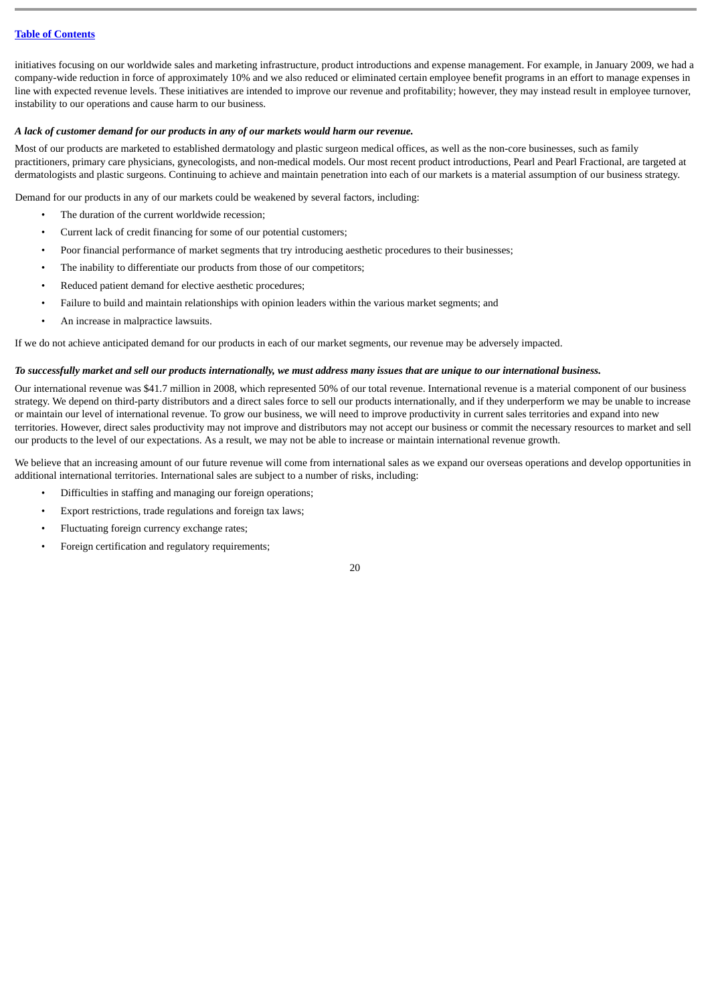initiatives focusing on our worldwide sales and marketing infrastructure, product introductions and expense management. For example, in January 2009, we had a company-wide reduction in force of approximately 10% and we also reduced or eliminated certain employee benefit programs in an effort to manage expenses in line with expected revenue levels. These initiatives are intended to improve our revenue and profitability; however, they may instead result in employee turnover, instability to our operations and cause harm to our business.

#### *A lack of customer demand for our products in any of our markets would harm our revenue.*

Most of our products are marketed to established dermatology and plastic surgeon medical offices, as well as the non-core businesses, such as family practitioners, primary care physicians, gynecologists, and non-medical models. Our most recent product introductions, Pearl and Pearl Fractional, are targeted at dermatologists and plastic surgeons. Continuing to achieve and maintain penetration into each of our markets is a material assumption of our business strategy.

Demand for our products in any of our markets could be weakened by several factors, including:

- The duration of the current worldwide recession:
- Current lack of credit financing for some of our potential customers;
- Poor financial performance of market segments that try introducing aesthetic procedures to their businesses;
- The inability to differentiate our products from those of our competitors;
- Reduced patient demand for elective aesthetic procedures;
- Failure to build and maintain relationships with opinion leaders within the various market segments; and
- An increase in malpractice lawsuits.

If we do not achieve anticipated demand for our products in each of our market segments, our revenue may be adversely impacted.

#### *To successfully market and sell our products internationally, we must address many issues that are unique to our international business.*

Our international revenue was \$41.7 million in 2008, which represented 50% of our total revenue. International revenue is a material component of our business strategy. We depend on third-party distributors and a direct sales force to sell our products internationally, and if they underperform we may be unable to increase or maintain our level of international revenue. To grow our business, we will need to improve productivity in current sales territories and expand into new territories. However, direct sales productivity may not improve and distributors may not accept our business or commit the necessary resources to market and sell our products to the level of our expectations. As a result, we may not be able to increase or maintain international revenue growth.

We believe that an increasing amount of our future revenue will come from international sales as we expand our overseas operations and develop opportunities in additional international territories. International sales are subject to a number of risks, including:

- Difficulties in staffing and managing our foreign operations;
- Export restrictions, trade regulations and foreign tax laws;
- Fluctuating foreign currency exchange rates;
- Foreign certification and regulatory requirements;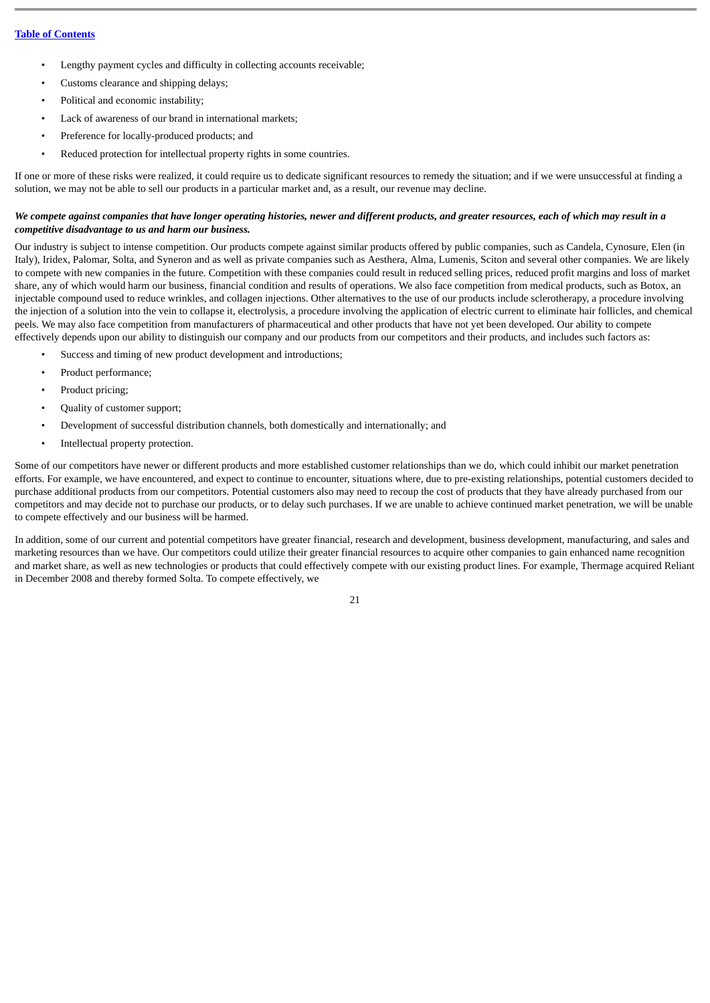- Lengthy payment cycles and difficulty in collecting accounts receivable;
- Customs clearance and shipping delays;
- Political and economic instability;
- Lack of awareness of our brand in international markets;
- Preference for locally-produced products; and
- Reduced protection for intellectual property rights in some countries.

If one or more of these risks were realized, it could require us to dedicate significant resources to remedy the situation; and if we were unsuccessful at finding a solution, we may not be able to sell our products in a particular market and, as a result, our revenue may decline.

# *We compete against companies that have longer operating histories, newer and different products, and greater resources, each of which may result in a competitive disadvantage to us and harm our business.*

Our industry is subject to intense competition. Our products compete against similar products offered by public companies, such as Candela, Cynosure, Elen (in Italy), Iridex, Palomar, Solta, and Syneron and as well as private companies such as Aesthera, Alma, Lumenis, Sciton and several other companies. We are likely to compete with new companies in the future. Competition with these companies could result in reduced selling prices, reduced profit margins and loss of market share, any of which would harm our business, financial condition and results of operations. We also face competition from medical products, such as Botox, an injectable compound used to reduce wrinkles, and collagen injections. Other alternatives to the use of our products include sclerotherapy, a procedure involving the injection of a solution into the vein to collapse it, electrolysis, a procedure involving the application of electric current to eliminate hair follicles, and chemical peels. We may also face competition from manufacturers of pharmaceutical and other products that have not yet been developed. Our ability to compete effectively depends upon our ability to distinguish our company and our products from our competitors and their products, and includes such factors as:

- Success and timing of new product development and introductions;
- Product performance;
- Product pricing;
- Quality of customer support;
- Development of successful distribution channels, both domestically and internationally; and
- Intellectual property protection.

Some of our competitors have newer or different products and more established customer relationships than we do, which could inhibit our market penetration efforts. For example, we have encountered, and expect to continue to encounter, situations where, due to pre-existing relationships, potential customers decided to purchase additional products from our competitors. Potential customers also may need to recoup the cost of products that they have already purchased from our competitors and may decide not to purchase our products, or to delay such purchases. If we are unable to achieve continued market penetration, we will be unable to compete effectively and our business will be harmed.

In addition, some of our current and potential competitors have greater financial, research and development, business development, manufacturing, and sales and marketing resources than we have. Our competitors could utilize their greater financial resources to acquire other companies to gain enhanced name recognition and market share, as well as new technologies or products that could effectively compete with our existing product lines. For example, Thermage acquired Reliant in December 2008 and thereby formed Solta. To compete effectively, we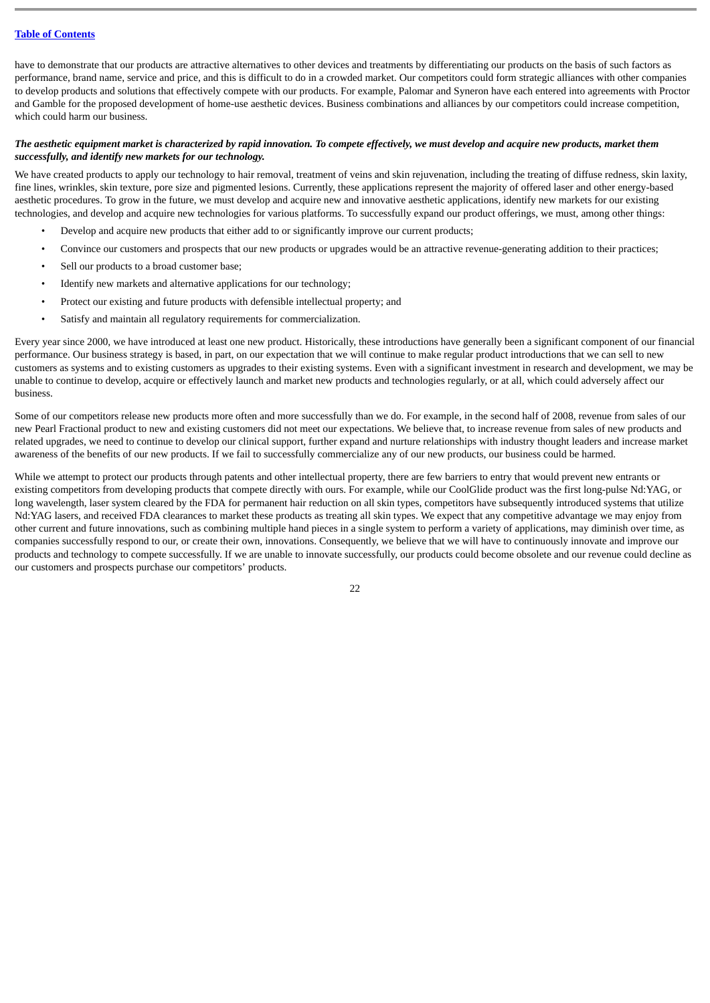have to demonstrate that our products are attractive alternatives to other devices and treatments by differentiating our products on the basis of such factors as performance, brand name, service and price, and this is difficult to do in a crowded market. Our competitors could form strategic alliances with other companies to develop products and solutions that effectively compete with our products. For example, Palomar and Syneron have each entered into agreements with Proctor and Gamble for the proposed development of home-use aesthetic devices. Business combinations and alliances by our competitors could increase competition, which could harm our business.

# *The aesthetic equipment market is characterized by rapid innovation. To compete effectively, we must develop and acquire new products, market them successfully, and identify new markets for our technology.*

We have created products to apply our technology to hair removal, treatment of veins and skin rejuvenation, including the treating of diffuse redness, skin laxity, fine lines, wrinkles, skin texture, pore size and pigmented lesions. Currently, these applications represent the majority of offered laser and other energy-based aesthetic procedures. To grow in the future, we must develop and acquire new and innovative aesthetic applications, identify new markets for our existing technologies, and develop and acquire new technologies for various platforms. To successfully expand our product offerings, we must, among other things:

- Develop and acquire new products that either add to or significantly improve our current products;
- Convince our customers and prospects that our new products or upgrades would be an attractive revenue-generating addition to their practices;
- Sell our products to a broad customer base;
- Identify new markets and alternative applications for our technology;
- Protect our existing and future products with defensible intellectual property; and
- Satisfy and maintain all regulatory requirements for commercialization.

Every year since 2000, we have introduced at least one new product. Historically, these introductions have generally been a significant component of our financial performance. Our business strategy is based, in part, on our expectation that we will continue to make regular product introductions that we can sell to new customers as systems and to existing customers as upgrades to their existing systems. Even with a significant investment in research and development, we may be unable to continue to develop, acquire or effectively launch and market new products and technologies regularly, or at all, which could adversely affect our business.

Some of our competitors release new products more often and more successfully than we do. For example, in the second half of 2008, revenue from sales of our new Pearl Fractional product to new and existing customers did not meet our expectations. We believe that, to increase revenue from sales of new products and related upgrades, we need to continue to develop our clinical support, further expand and nurture relationships with industry thought leaders and increase market awareness of the benefits of our new products. If we fail to successfully commercialize any of our new products, our business could be harmed.

While we attempt to protect our products through patents and other intellectual property, there are few barriers to entry that would prevent new entrants or existing competitors from developing products that compete directly with ours. For example, while our CoolGlide product was the first long-pulse Nd:YAG, or long wavelength, laser system cleared by the FDA for permanent hair reduction on all skin types, competitors have subsequently introduced systems that utilize Nd:YAG lasers, and received FDA clearances to market these products as treating all skin types. We expect that any competitive advantage we may enjoy from other current and future innovations, such as combining multiple hand pieces in a single system to perform a variety of applications, may diminish over time, as companies successfully respond to our, or create their own, innovations. Consequently, we believe that we will have to continuously innovate and improve our products and technology to compete successfully. If we are unable to innovate successfully, our products could become obsolete and our revenue could decline as our customers and prospects purchase our competitors' products.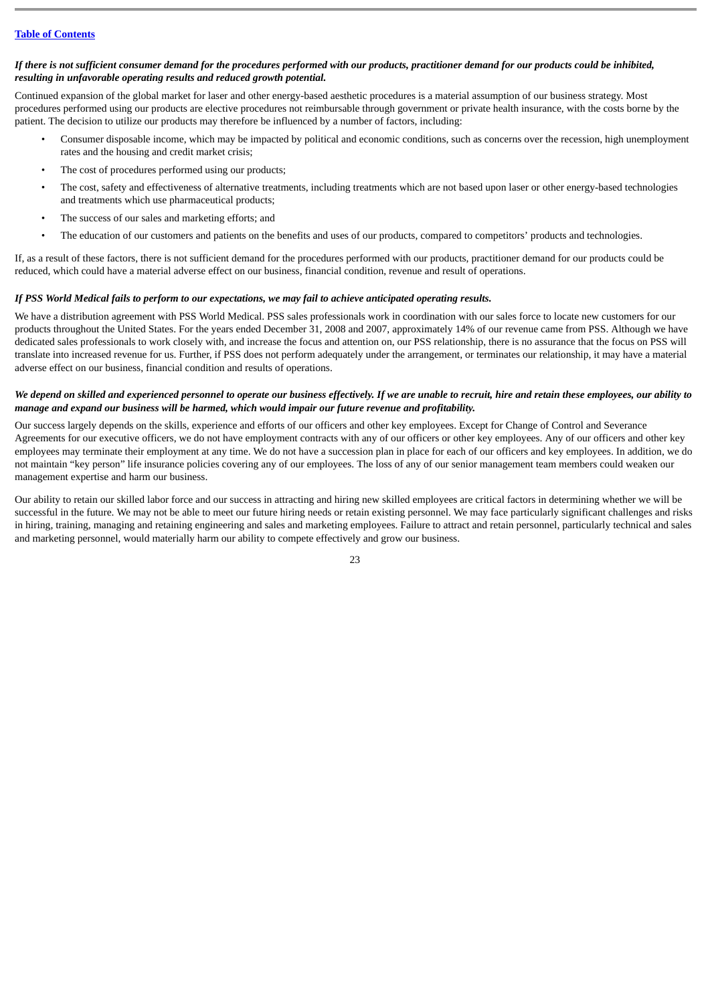# *If there is not sufficient consumer demand for the procedures performed with our products, practitioner demand for our products could be inhibited, resulting in unfavorable operating results and reduced growth potential.*

Continued expansion of the global market for laser and other energy-based aesthetic procedures is a material assumption of our business strategy. Most procedures performed using our products are elective procedures not reimbursable through government or private health insurance, with the costs borne by the patient. The decision to utilize our products may therefore be influenced by a number of factors, including:

- Consumer disposable income, which may be impacted by political and economic conditions, such as concerns over the recession, high unemployment rates and the housing and credit market crisis;
- The cost of procedures performed using our products;
- The cost, safety and effectiveness of alternative treatments, including treatments which are not based upon laser or other energy-based technologies and treatments which use pharmaceutical products;
- The success of our sales and marketing efforts; and
- The education of our customers and patients on the benefits and uses of our products, compared to competitors' products and technologies.

If, as a result of these factors, there is not sufficient demand for the procedures performed with our products, practitioner demand for our products could be reduced, which could have a material adverse effect on our business, financial condition, revenue and result of operations.

#### *If PSS World Medical fails to perform to our expectations, we may fail to achieve anticipated operating results.*

We have a distribution agreement with PSS World Medical. PSS sales professionals work in coordination with our sales force to locate new customers for our products throughout the United States. For the years ended December 31, 2008 and 2007, approximately 14% of our revenue came from PSS. Although we have dedicated sales professionals to work closely with, and increase the focus and attention on, our PSS relationship, there is no assurance that the focus on PSS will translate into increased revenue for us. Further, if PSS does not perform adequately under the arrangement, or terminates our relationship, it may have a material adverse effect on our business, financial condition and results of operations.

#### *We depend on skilled and experienced personnel to operate our business effectively. If we are unable to recruit, hire and retain these employees, our ability to manage and expand our business will be harmed, which would impair our future revenue and profitability.*

Our success largely depends on the skills, experience and efforts of our officers and other key employees. Except for Change of Control and Severance Agreements for our executive officers, we do not have employment contracts with any of our officers or other key employees. Any of our officers and other key employees may terminate their employment at any time. We do not have a succession plan in place for each of our officers and key employees. In addition, we do not maintain "key person" life insurance policies covering any of our employees. The loss of any of our senior management team members could weaken our management expertise and harm our business.

Our ability to retain our skilled labor force and our success in attracting and hiring new skilled employees are critical factors in determining whether we will be successful in the future. We may not be able to meet our future hiring needs or retain existing personnel. We may face particularly significant challenges and risks in hiring, training, managing and retaining engineering and sales and marketing employees. Failure to attract and retain personnel, particularly technical and sales and marketing personnel, would materially harm our ability to compete effectively and grow our business.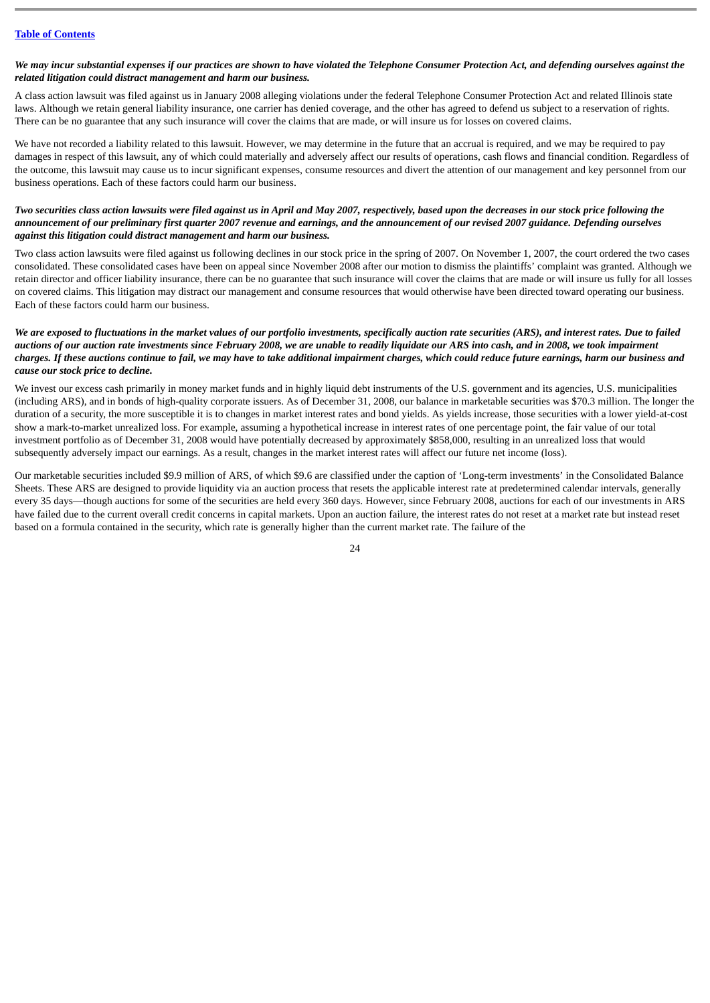#### *We may incur substantial expenses if our practices are shown to have violated the Telephone Consumer Protection Act, and defending ourselves against the related litigation could distract management and harm our business.*

A class action lawsuit was filed against us in January 2008 alleging violations under the federal Telephone Consumer Protection Act and related Illinois state laws. Although we retain general liability insurance, one carrier has denied coverage, and the other has agreed to defend us subject to a reservation of rights. There can be no guarantee that any such insurance will cover the claims that are made, or will insure us for losses on covered claims.

We have not recorded a liability related to this lawsuit. However, we may determine in the future that an accrual is required, and we may be required to pay damages in respect of this lawsuit, any of which could materially and adversely affect our results of operations, cash flows and financial condition. Regardless of the outcome, this lawsuit may cause us to incur significant expenses, consume resources and divert the attention of our management and key personnel from our business operations. Each of these factors could harm our business.

# *Two securities class action lawsuits were filed against us in April and May 2007, respectively, based upon the decreases in our stock price following the announcement of our preliminary first quarter 2007 revenue and earnings, and the announcement of our revised 2007 guidance. Defending ourselves against this litigation could distract management and harm our business.*

Two class action lawsuits were filed against us following declines in our stock price in the spring of 2007. On November 1, 2007, the court ordered the two cases consolidated. These consolidated cases have been on appeal since November 2008 after our motion to dismiss the plaintiffs' complaint was granted. Although we retain director and officer liability insurance, there can be no guarantee that such insurance will cover the claims that are made or will insure us fully for all losses on covered claims. This litigation may distract our management and consume resources that would otherwise have been directed toward operating our business. Each of these factors could harm our business.

# *We are exposed to fluctuations in the market values of our portfolio investments, specifically auction rate securities (ARS), and interest rates. Due to failed auctions of our auction rate investments since February 2008, we are unable to readily liquidate our ARS into cash, and in 2008, we took impairment charges. If these auctions continue to fail, we may have to take additional impairment charges, which could reduce future earnings, harm our business and cause our stock price to decline.*

We invest our excess cash primarily in money market funds and in highly liquid debt instruments of the U.S. government and its agencies, U.S. municipalities (including ARS), and in bonds of high-quality corporate issuers. As of December 31, 2008, our balance in marketable securities was \$70.3 million. The longer the duration of a security, the more susceptible it is to changes in market interest rates and bond yields. As yields increase, those securities with a lower yield-at-cost show a mark-to-market unrealized loss. For example, assuming a hypothetical increase in interest rates of one percentage point, the fair value of our total investment portfolio as of December 31, 2008 would have potentially decreased by approximately \$858,000, resulting in an unrealized loss that would subsequently adversely impact our earnings. As a result, changes in the market interest rates will affect our future net income (loss).

Our marketable securities included \$9.9 million of ARS, of which \$9.6 are classified under the caption of 'Long-term investments' in the Consolidated Balance Sheets. These ARS are designed to provide liquidity via an auction process that resets the applicable interest rate at predetermined calendar intervals, generally every 35 days—though auctions for some of the securities are held every 360 days. However, since February 2008, auctions for each of our investments in ARS have failed due to the current overall credit concerns in capital markets. Upon an auction failure, the interest rates do not reset at a market rate but instead reset based on a formula contained in the security, which rate is generally higher than the current market rate. The failure of the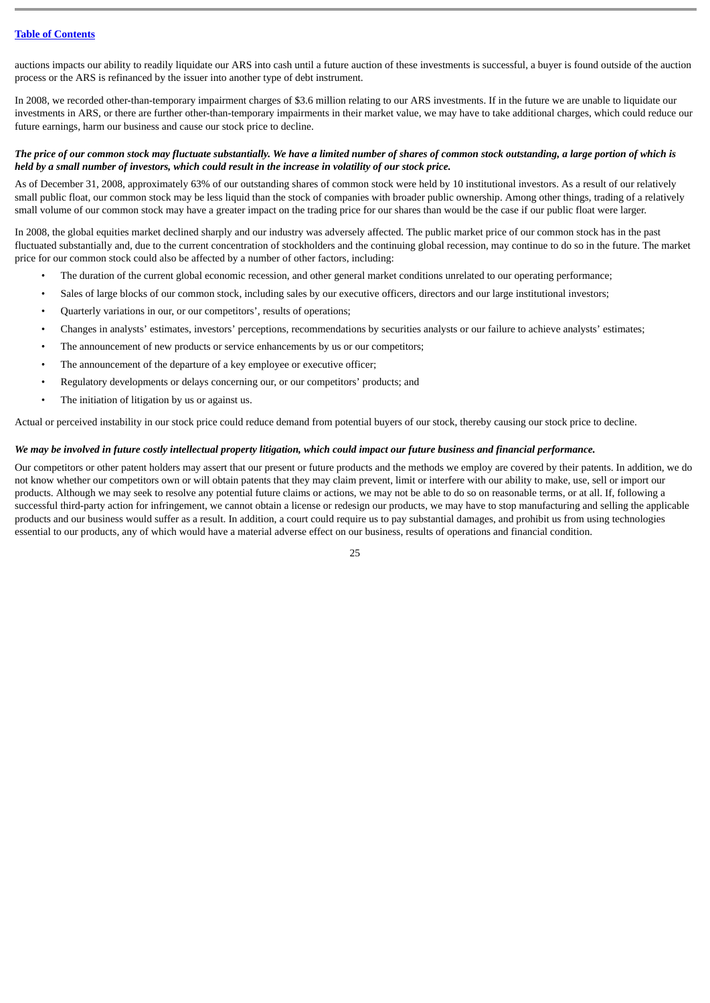auctions impacts our ability to readily liquidate our ARS into cash until a future auction of these investments is successful, a buyer is found outside of the auction process or the ARS is refinanced by the issuer into another type of debt instrument.

In 2008, we recorded other-than-temporary impairment charges of \$3.6 million relating to our ARS investments. If in the future we are unable to liquidate our investments in ARS, or there are further other-than-temporary impairments in their market value, we may have to take additional charges, which could reduce our future earnings, harm our business and cause our stock price to decline.

#### *The price of our common stock may fluctuate substantially. We have a limited number of shares of common stock outstanding, a large portion of which is held by a small number of investors, which could result in the increase in volatility of our stock price.*

As of December 31, 2008, approximately 63% of our outstanding shares of common stock were held by 10 institutional investors. As a result of our relatively small public float, our common stock may be less liquid than the stock of companies with broader public ownership. Among other things, trading of a relatively small volume of our common stock may have a greater impact on the trading price for our shares than would be the case if our public float were larger.

In 2008, the global equities market declined sharply and our industry was adversely affected. The public market price of our common stock has in the past fluctuated substantially and, due to the current concentration of stockholders and the continuing global recession, may continue to do so in the future. The market price for our common stock could also be affected by a number of other factors, including:

- The duration of the current global economic recession, and other general market conditions unrelated to our operating performance;
- Sales of large blocks of our common stock, including sales by our executive officers, directors and our large institutional investors;
- Quarterly variations in our, or our competitors', results of operations;
- Changes in analysts' estimates, investors' perceptions, recommendations by securities analysts or our failure to achieve analysts' estimates;
- The announcement of new products or service enhancements by us or our competitors;
- The announcement of the departure of a key employee or executive officer;
- Regulatory developments or delays concerning our, or our competitors' products; and
- The initiation of litigation by us or against us.

Actual or perceived instability in our stock price could reduce demand from potential buyers of our stock, thereby causing our stock price to decline.

#### *We may be involved in future costly intellectual property litigation, which could impact our future business and financial performance.*

Our competitors or other patent holders may assert that our present or future products and the methods we employ are covered by their patents. In addition, we do not know whether our competitors own or will obtain patents that they may claim prevent, limit or interfere with our ability to make, use, sell or import our products. Although we may seek to resolve any potential future claims or actions, we may not be able to do so on reasonable terms, or at all. If, following a successful third-party action for infringement, we cannot obtain a license or redesign our products, we may have to stop manufacturing and selling the applicable products and our business would suffer as a result. In addition, a court could require us to pay substantial damages, and prohibit us from using technologies essential to our products, any of which would have a material adverse effect on our business, results of operations and financial condition.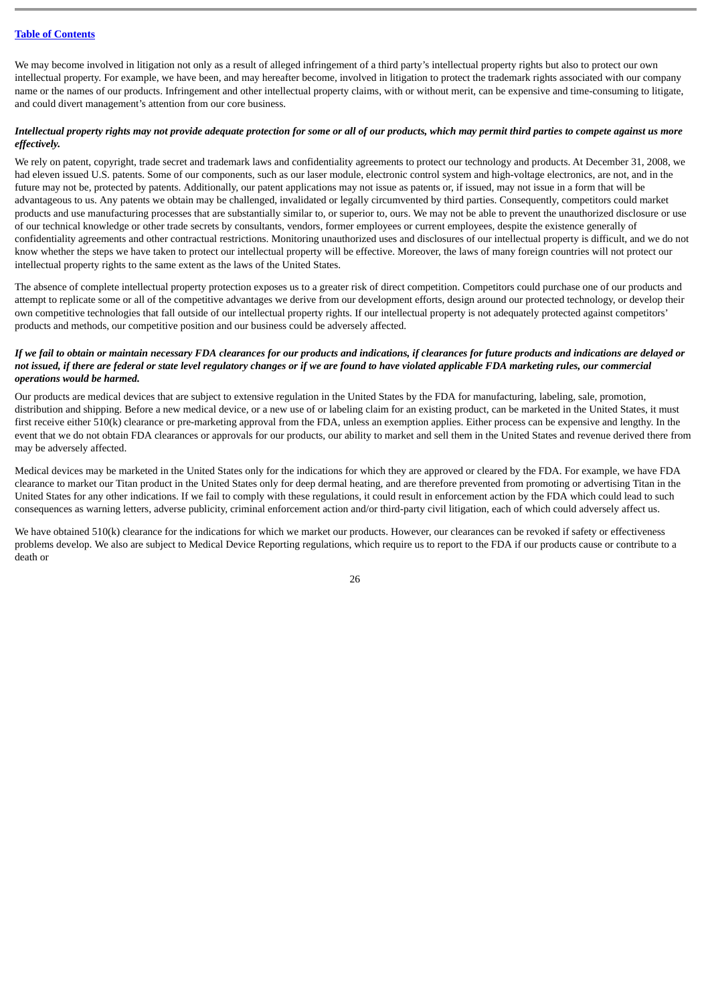We may become involved in litigation not only as a result of alleged infringement of a third party's intellectual property rights but also to protect our own intellectual property. For example, we have been, and may hereafter become, involved in litigation to protect the trademark rights associated with our company name or the names of our products. Infringement and other intellectual property claims, with or without merit, can be expensive and time-consuming to litigate, and could divert management's attention from our core business.

#### *Intellectual property rights may not provide adequate protection for some or all of our products, which may permit third parties to compete against us more effectively.*

We rely on patent, copyright, trade secret and trademark laws and confidentiality agreements to protect our technology and products. At December 31, 2008, we had eleven issued U.S. patents. Some of our components, such as our laser module, electronic control system and high-voltage electronics, are not, and in the future may not be, protected by patents. Additionally, our patent applications may not issue as patents or, if issued, may not issue in a form that will be advantageous to us. Any patents we obtain may be challenged, invalidated or legally circumvented by third parties. Consequently, competitors could market products and use manufacturing processes that are substantially similar to, or superior to, ours. We may not be able to prevent the unauthorized disclosure or use of our technical knowledge or other trade secrets by consultants, vendors, former employees or current employees, despite the existence generally of confidentiality agreements and other contractual restrictions. Monitoring unauthorized uses and disclosures of our intellectual property is difficult, and we do not know whether the steps we have taken to protect our intellectual property will be effective. Moreover, the laws of many foreign countries will not protect our intellectual property rights to the same extent as the laws of the United States.

The absence of complete intellectual property protection exposes us to a greater risk of direct competition. Competitors could purchase one of our products and attempt to replicate some or all of the competitive advantages we derive from our development efforts, design around our protected technology, or develop their own competitive technologies that fall outside of our intellectual property rights. If our intellectual property is not adequately protected against competitors' products and methods, our competitive position and our business could be adversely affected.

#### *If we fail to obtain or maintain necessary FDA clearances for our products and indications, if clearances for future products and indications are delayed or not issued, if there are federal or state level regulatory changes or if we are found to have violated applicable FDA marketing rules, our commercial operations would be harmed.*

Our products are medical devices that are subject to extensive regulation in the United States by the FDA for manufacturing, labeling, sale, promotion, distribution and shipping. Before a new medical device, or a new use of or labeling claim for an existing product, can be marketed in the United States, it must first receive either 510(k) clearance or pre-marketing approval from the FDA, unless an exemption applies. Either process can be expensive and lengthy. In the event that we do not obtain FDA clearances or approvals for our products, our ability to market and sell them in the United States and revenue derived there from may be adversely affected.

Medical devices may be marketed in the United States only for the indications for which they are approved or cleared by the FDA. For example, we have FDA clearance to market our Titan product in the United States only for deep dermal heating, and are therefore prevented from promoting or advertising Titan in the United States for any other indications. If we fail to comply with these regulations, it could result in enforcement action by the FDA which could lead to such consequences as warning letters, adverse publicity, criminal enforcement action and/or third-party civil litigation, each of which could adversely affect us.

We have obtained 510(k) clearance for the indications for which we market our products. However, our clearances can be revoked if safety or effectiveness problems develop. We also are subject to Medical Device Reporting regulations, which require us to report to the FDA if our products cause or contribute to a death or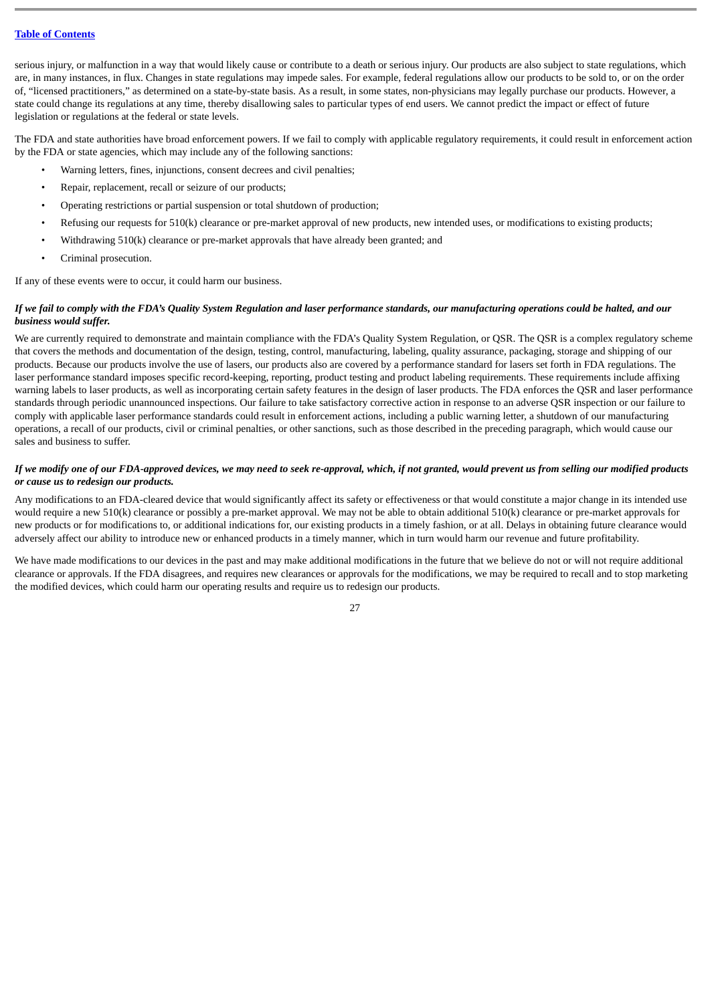serious injury, or malfunction in a way that would likely cause or contribute to a death or serious injury. Our products are also subject to state regulations, which are, in many instances, in flux. Changes in state regulations may impede sales. For example, federal regulations allow our products to be sold to, or on the order of, "licensed practitioners," as determined on a state-by-state basis. As a result, in some states, non-physicians may legally purchase our products. However, a state could change its regulations at any time, thereby disallowing sales to particular types of end users. We cannot predict the impact or effect of future legislation or regulations at the federal or state levels.

The FDA and state authorities have broad enforcement powers. If we fail to comply with applicable regulatory requirements, it could result in enforcement action by the FDA or state agencies, which may include any of the following sanctions:

- Warning letters, fines, injunctions, consent decrees and civil penalties;
- Repair, replacement, recall or seizure of our products;
- Operating restrictions or partial suspension or total shutdown of production;
- Refusing our requests for 510(k) clearance or pre-market approval of new products, new intended uses, or modifications to existing products;
- Withdrawing 510(k) clearance or pre-market approvals that have already been granted; and
- Criminal prosecution.

If any of these events were to occur, it could harm our business.

# *If we fail to comply with the FDA's Quality System Regulation and laser performance standards, our manufacturing operations could be halted, and our business would suffer.*

We are currently required to demonstrate and maintain compliance with the FDA's Quality System Regulation, or QSR. The QSR is a complex regulatory scheme that covers the methods and documentation of the design, testing, control, manufacturing, labeling, quality assurance, packaging, storage and shipping of our products. Because our products involve the use of lasers, our products also are covered by a performance standard for lasers set forth in FDA regulations. The laser performance standard imposes specific record-keeping, reporting, product testing and product labeling requirements. These requirements include affixing warning labels to laser products, as well as incorporating certain safety features in the design of laser products. The FDA enforces the QSR and laser performance standards through periodic unannounced inspections. Our failure to take satisfactory corrective action in response to an adverse QSR inspection or our failure to comply with applicable laser performance standards could result in enforcement actions, including a public warning letter, a shutdown of our manufacturing operations, a recall of our products, civil or criminal penalties, or other sanctions, such as those described in the preceding paragraph, which would cause our sales and business to suffer.

# *If we modify one of our FDA-approved devices, we may need to seek re-approval, which, if not granted, would prevent us from selling our modified products or cause us to redesign our products.*

Any modifications to an FDA-cleared device that would significantly affect its safety or effectiveness or that would constitute a major change in its intended use would require a new 510(k) clearance or possibly a pre-market approval. We may not be able to obtain additional 510(k) clearance or pre-market approvals for new products or for modifications to, or additional indications for, our existing products in a timely fashion, or at all. Delays in obtaining future clearance would adversely affect our ability to introduce new or enhanced products in a timely manner, which in turn would harm our revenue and future profitability.

We have made modifications to our devices in the past and may make additional modifications in the future that we believe do not or will not require additional clearance or approvals. If the FDA disagrees, and requires new clearances or approvals for the modifications, we may be required to recall and to stop marketing the modified devices, which could harm our operating results and require us to redesign our products.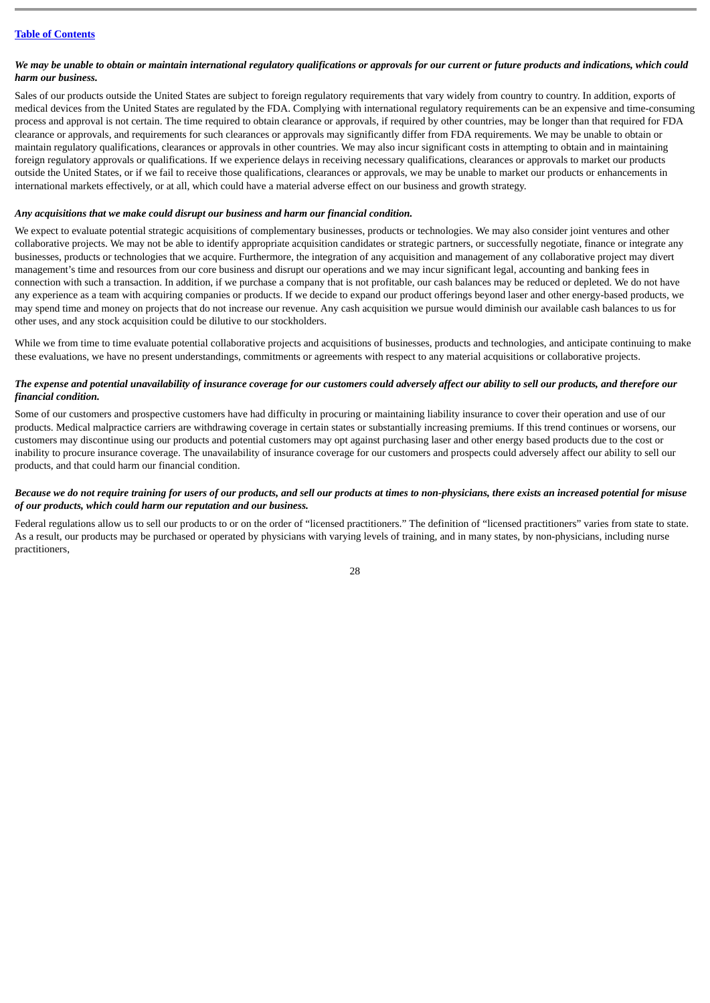# *We may be unable to obtain or maintain international regulatory qualifications or approvals for our current or future products and indications, which could harm our business.*

Sales of our products outside the United States are subject to foreign regulatory requirements that vary widely from country to country. In addition, exports of medical devices from the United States are regulated by the FDA. Complying with international regulatory requirements can be an expensive and time-consuming process and approval is not certain. The time required to obtain clearance or approvals, if required by other countries, may be longer than that required for FDA clearance or approvals, and requirements for such clearances or approvals may significantly differ from FDA requirements. We may be unable to obtain or maintain regulatory qualifications, clearances or approvals in other countries. We may also incur significant costs in attempting to obtain and in maintaining foreign regulatory approvals or qualifications. If we experience delays in receiving necessary qualifications, clearances or approvals to market our products outside the United States, or if we fail to receive those qualifications, clearances or approvals, we may be unable to market our products or enhancements in international markets effectively, or at all, which could have a material adverse effect on our business and growth strategy.

#### *Any acquisitions that we make could disrupt our business and harm our financial condition.*

We expect to evaluate potential strategic acquisitions of complementary businesses, products or technologies. We may also consider joint ventures and other collaborative projects. We may not be able to identify appropriate acquisition candidates or strategic partners, or successfully negotiate, finance or integrate any businesses, products or technologies that we acquire. Furthermore, the integration of any acquisition and management of any collaborative project may divert management's time and resources from our core business and disrupt our operations and we may incur significant legal, accounting and banking fees in connection with such a transaction. In addition, if we purchase a company that is not profitable, our cash balances may be reduced or depleted. We do not have any experience as a team with acquiring companies or products. If we decide to expand our product offerings beyond laser and other energy-based products, we may spend time and money on projects that do not increase our revenue. Any cash acquisition we pursue would diminish our available cash balances to us for other uses, and any stock acquisition could be dilutive to our stockholders.

While we from time to time evaluate potential collaborative projects and acquisitions of businesses, products and technologies, and anticipate continuing to make these evaluations, we have no present understandings, commitments or agreements with respect to any material acquisitions or collaborative projects.

# *The expense and potential unavailability of insurance coverage for our customers could adversely affect our ability to sell our products, and therefore our financial condition.*

Some of our customers and prospective customers have had difficulty in procuring or maintaining liability insurance to cover their operation and use of our products. Medical malpractice carriers are withdrawing coverage in certain states or substantially increasing premiums. If this trend continues or worsens, our customers may discontinue using our products and potential customers may opt against purchasing laser and other energy based products due to the cost or inability to procure insurance coverage. The unavailability of insurance coverage for our customers and prospects could adversely affect our ability to sell our products, and that could harm our financial condition.

#### *Because we do not require training for users of our products, and sell our products at times to non-physicians, there exists an increased potential for misuse of our products, which could harm our reputation and our business.*

Federal regulations allow us to sell our products to or on the order of "licensed practitioners." The definition of "licensed practitioners" varies from state to state. As a result, our products may be purchased or operated by physicians with varying levels of training, and in many states, by non-physicians, including nurse practitioners,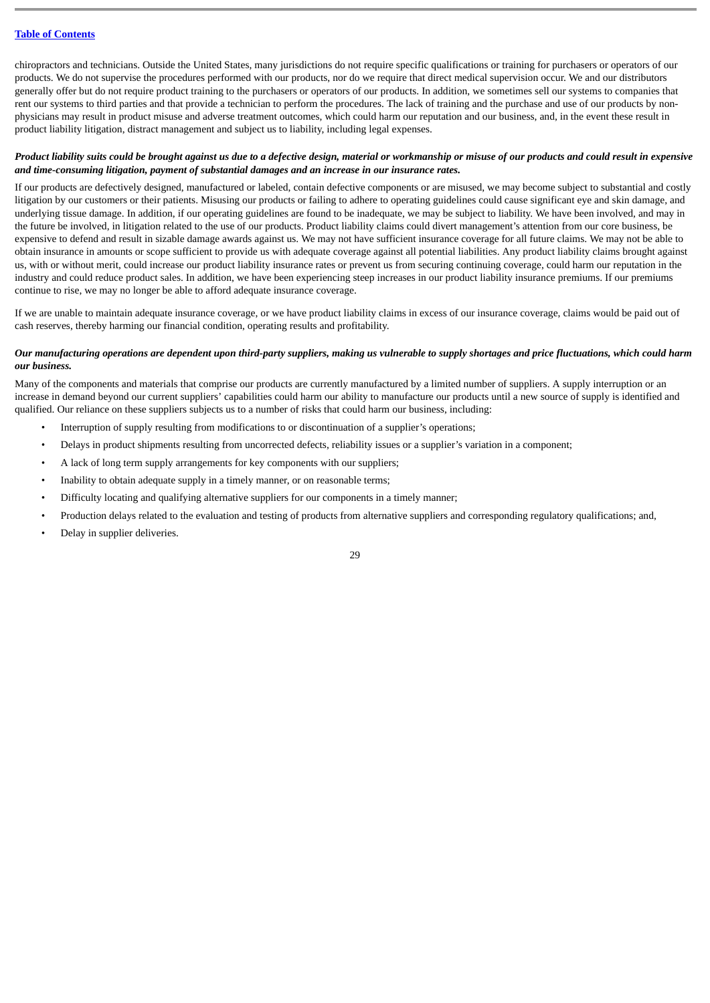chiropractors and technicians. Outside the United States, many jurisdictions do not require specific qualifications or training for purchasers or operators of our products. We do not supervise the procedures performed with our products, nor do we require that direct medical supervision occur. We and our distributors generally offer but do not require product training to the purchasers or operators of our products. In addition, we sometimes sell our systems to companies that rent our systems to third parties and that provide a technician to perform the procedures. The lack of training and the purchase and use of our products by nonphysicians may result in product misuse and adverse treatment outcomes, which could harm our reputation and our business, and, in the event these result in product liability litigation, distract management and subject us to liability, including legal expenses.

#### *Product liability suits could be brought against us due to a defective design, material or workmanship or misuse of our products and could result in expensive and time-consuming litigation, payment of substantial damages and an increase in our insurance rates.*

If our products are defectively designed, manufactured or labeled, contain defective components or are misused, we may become subject to substantial and costly litigation by our customers or their patients. Misusing our products or failing to adhere to operating guidelines could cause significant eye and skin damage, and underlying tissue damage. In addition, if our operating guidelines are found to be inadequate, we may be subject to liability. We have been involved, and may in the future be involved, in litigation related to the use of our products. Product liability claims could divert management's attention from our core business, be expensive to defend and result in sizable damage awards against us. We may not have sufficient insurance coverage for all future claims. We may not be able to obtain insurance in amounts or scope sufficient to provide us with adequate coverage against all potential liabilities. Any product liability claims brought against us, with or without merit, could increase our product liability insurance rates or prevent us from securing continuing coverage, could harm our reputation in the industry and could reduce product sales. In addition, we have been experiencing steep increases in our product liability insurance premiums. If our premiums continue to rise, we may no longer be able to afford adequate insurance coverage.

If we are unable to maintain adequate insurance coverage, or we have product liability claims in excess of our insurance coverage, claims would be paid out of cash reserves, thereby harming our financial condition, operating results and profitability.

#### *Our manufacturing operations are dependent upon third-party suppliers, making us vulnerable to supply shortages and price fluctuations, which could harm our business.*

Many of the components and materials that comprise our products are currently manufactured by a limited number of suppliers. A supply interruption or an increase in demand beyond our current suppliers' capabilities could harm our ability to manufacture our products until a new source of supply is identified and qualified. Our reliance on these suppliers subjects us to a number of risks that could harm our business, including:

- Interruption of supply resulting from modifications to or discontinuation of a supplier's operations;
- Delays in product shipments resulting from uncorrected defects, reliability issues or a supplier's variation in a component;
- A lack of long term supply arrangements for key components with our suppliers;
- Inability to obtain adequate supply in a timely manner, or on reasonable terms;
- Difficulty locating and qualifying alternative suppliers for our components in a timely manner;
- Production delays related to the evaluation and testing of products from alternative suppliers and corresponding regulatory qualifications; and,
- Delay in supplier deliveries.

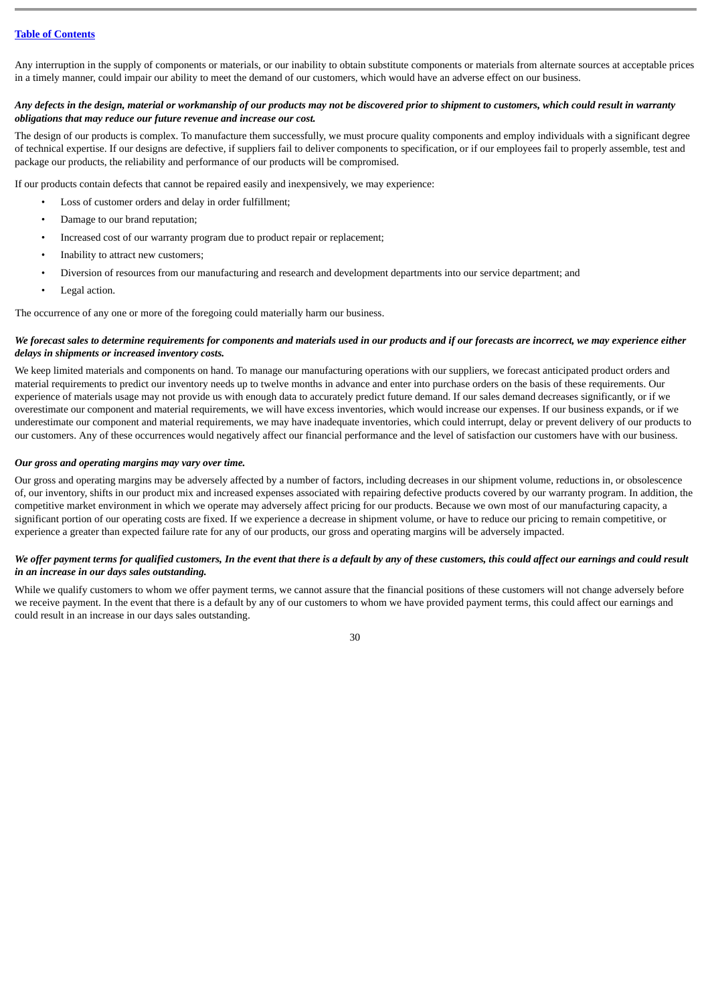Any interruption in the supply of components or materials, or our inability to obtain substitute components or materials from alternate sources at acceptable prices in a timely manner, could impair our ability to meet the demand of our customers, which would have an adverse effect on our business.

#### *Any defects in the design, material or workmanship of our products may not be discovered prior to shipment to customers, which could result in warranty obligations that may reduce our future revenue and increase our cost.*

The design of our products is complex. To manufacture them successfully, we must procure quality components and employ individuals with a significant degree of technical expertise. If our designs are defective, if suppliers fail to deliver components to specification, or if our employees fail to properly assemble, test and package our products, the reliability and performance of our products will be compromised.

If our products contain defects that cannot be repaired easily and inexpensively, we may experience:

- Loss of customer orders and delay in order fulfillment;
- Damage to our brand reputation;
- Increased cost of our warranty program due to product repair or replacement;
- Inability to attract new customers;
- Diversion of resources from our manufacturing and research and development departments into our service department; and
- Legal action.

The occurrence of any one or more of the foregoing could materially harm our business.

#### *We forecast sales to determine requirements for components and materials used in our products and if our forecasts are incorrect, we may experience either delays in shipments or increased inventory costs.*

We keep limited materials and components on hand. To manage our manufacturing operations with our suppliers, we forecast anticipated product orders and material requirements to predict our inventory needs up to twelve months in advance and enter into purchase orders on the basis of these requirements. Our experience of materials usage may not provide us with enough data to accurately predict future demand. If our sales demand decreases significantly, or if we overestimate our component and material requirements, we will have excess inventories, which would increase our expenses. If our business expands, or if we underestimate our component and material requirements, we may have inadequate inventories, which could interrupt, delay or prevent delivery of our products to our customers. Any of these occurrences would negatively affect our financial performance and the level of satisfaction our customers have with our business.

#### *Our gross and operating margins may vary over time.*

Our gross and operating margins may be adversely affected by a number of factors, including decreases in our shipment volume, reductions in, or obsolescence of, our inventory, shifts in our product mix and increased expenses associated with repairing defective products covered by our warranty program. In addition, the competitive market environment in which we operate may adversely affect pricing for our products. Because we own most of our manufacturing capacity, a significant portion of our operating costs are fixed. If we experience a decrease in shipment volume, or have to reduce our pricing to remain competitive, or experience a greater than expected failure rate for any of our products, our gross and operating margins will be adversely impacted.

# We offer payment terms for qualified customers, In the event that there is a default by any of these customers, this could affect our earnings and could result *in an increase in our days sales outstanding.*

While we qualify customers to whom we offer payment terms, we cannot assure that the financial positions of these customers will not change adversely before we receive payment. In the event that there is a default by any of our customers to whom we have provided payment terms, this could affect our earnings and could result in an increase in our days sales outstanding.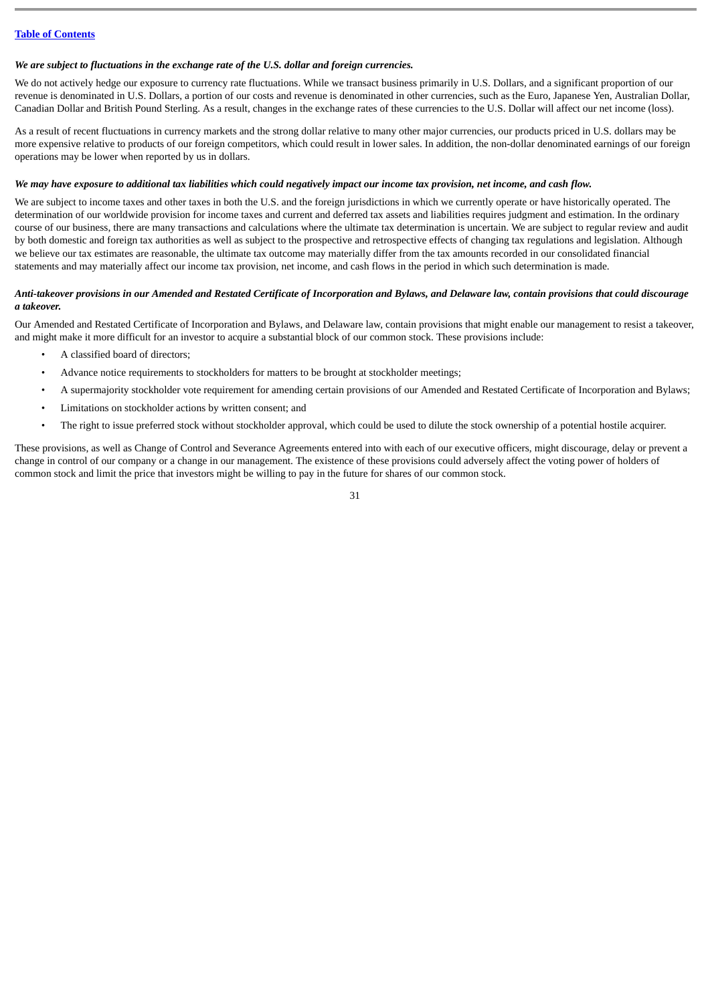#### *We are subject to fluctuations in the exchange rate of the U.S. dollar and foreign currencies.*

We do not actively hedge our exposure to currency rate fluctuations. While we transact business primarily in U.S. Dollars, and a significant proportion of our revenue is denominated in U.S. Dollars, a portion of our costs and revenue is denominated in other currencies, such as the Euro, Japanese Yen, Australian Dollar, Canadian Dollar and British Pound Sterling. As a result, changes in the exchange rates of these currencies to the U.S. Dollar will affect our net income (loss).

As a result of recent fluctuations in currency markets and the strong dollar relative to many other major currencies, our products priced in U.S. dollars may be more expensive relative to products of our foreign competitors, which could result in lower sales. In addition, the non-dollar denominated earnings of our foreign operations may be lower when reported by us in dollars.

#### *We may have exposure to additional tax liabilities which could negatively impact our income tax provision, net income, and cash flow.*

We are subject to income taxes and other taxes in both the U.S. and the foreign jurisdictions in which we currently operate or have historically operated. The determination of our worldwide provision for income taxes and current and deferred tax assets and liabilities requires judgment and estimation. In the ordinary course of our business, there are many transactions and calculations where the ultimate tax determination is uncertain. We are subject to regular review and audit by both domestic and foreign tax authorities as well as subject to the prospective and retrospective effects of changing tax regulations and legislation. Although we believe our tax estimates are reasonable, the ultimate tax outcome may materially differ from the tax amounts recorded in our consolidated financial statements and may materially affect our income tax provision, net income, and cash flows in the period in which such determination is made.

# *Anti-takeover provisions in our Amended and Restated Certificate of Incorporation and Bylaws, and Delaware law, contain provisions that could discourage a takeover.*

Our Amended and Restated Certificate of Incorporation and Bylaws, and Delaware law, contain provisions that might enable our management to resist a takeover, and might make it more difficult for an investor to acquire a substantial block of our common stock. These provisions include:

- A classified board of directors;
- Advance notice requirements to stockholders for matters to be brought at stockholder meetings;
- A supermajority stockholder vote requirement for amending certain provisions of our Amended and Restated Certificate of Incorporation and Bylaws;
- Limitations on stockholder actions by written consent; and
- The right to issue preferred stock without stockholder approval, which could be used to dilute the stock ownership of a potential hostile acquirer.

These provisions, as well as Change of Control and Severance Agreements entered into with each of our executive officers, might discourage, delay or prevent a change in control of our company or a change in our management. The existence of these provisions could adversely affect the voting power of holders of common stock and limit the price that investors might be willing to pay in the future for shares of our common stock.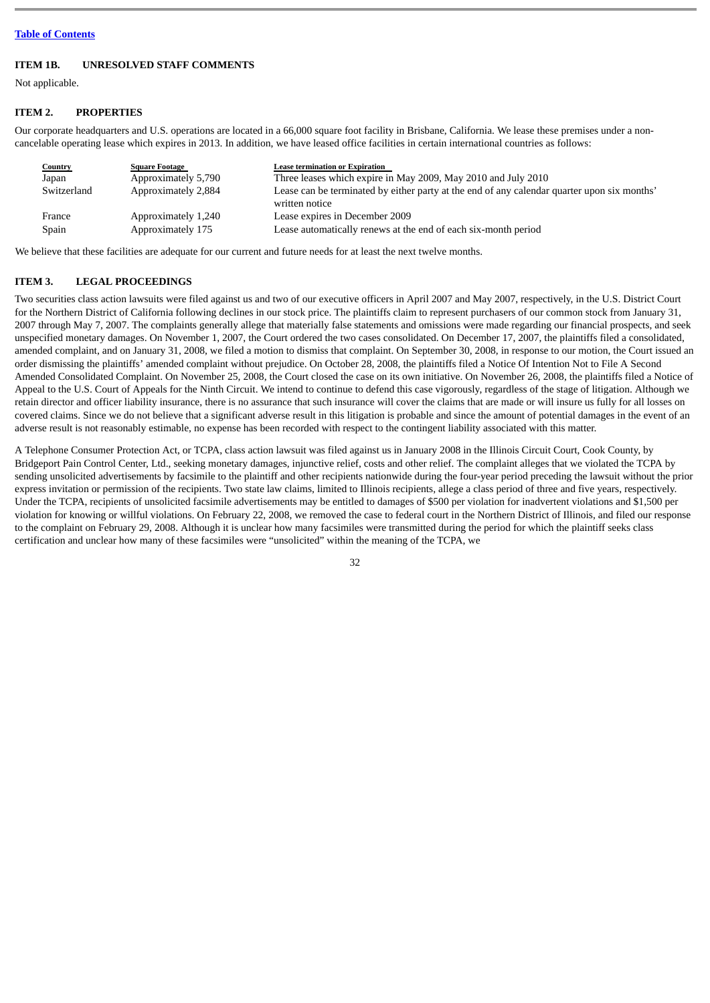#### <span id="page-31-0"></span>**ITEM 1B. UNRESOLVED STAFF COMMENTS**

Not applicable.

#### <span id="page-31-1"></span>**ITEM 2. PROPERTIES**

Our corporate headquarters and U.S. operations are located in a 66,000 square foot facility in Brisbane, California. We lease these premises under a noncancelable operating lease which expires in 2013. In addition, we have leased office facilities in certain international countries as follows:

| Country     | <b>Square Footage</b> | <b>Lease termination or Expiration</b>                                                      |
|-------------|-----------------------|---------------------------------------------------------------------------------------------|
| Japan       | Approximately 5,790   | Three leases which expire in May 2009, May 2010 and July 2010                               |
| Switzerland | Approximately 2,884   | Lease can be terminated by either party at the end of any calendar quarter upon six months' |
|             |                       | written notice                                                                              |
| France      | Approximately 1,240   | Lease expires in December 2009                                                              |
| Spain       | Approximately 175     | Lease automatically renews at the end of each six-month period                              |
|             |                       |                                                                                             |

We believe that these facilities are adequate for our current and future needs for at least the next twelve months.

# <span id="page-31-2"></span>**ITEM 3. LEGAL PROCEEDINGS**

Two securities class action lawsuits were filed against us and two of our executive officers in April 2007 and May 2007, respectively, in the U.S. District Court for the Northern District of California following declines in our stock price. The plaintiffs claim to represent purchasers of our common stock from January 31, 2007 through May 7, 2007. The complaints generally allege that materially false statements and omissions were made regarding our financial prospects, and seek unspecified monetary damages. On November 1, 2007, the Court ordered the two cases consolidated. On December 17, 2007, the plaintiffs filed a consolidated, amended complaint, and on January 31, 2008, we filed a motion to dismiss that complaint. On September 30, 2008, in response to our motion, the Court issued an order dismissing the plaintiffs' amended complaint without prejudice. On October 28, 2008, the plaintiffs filed a Notice Of Intention Not to File A Second Amended Consolidated Complaint. On November 25, 2008, the Court closed the case on its own initiative. On November 26, 2008, the plaintiffs filed a Notice of Appeal to the U.S. Court of Appeals for the Ninth Circuit. We intend to continue to defend this case vigorously, regardless of the stage of litigation. Although we retain director and officer liability insurance, there is no assurance that such insurance will cover the claims that are made or will insure us fully for all losses on covered claims. Since we do not believe that a significant adverse result in this litigation is probable and since the amount of potential damages in the event of an adverse result is not reasonably estimable, no expense has been recorded with respect to the contingent liability associated with this matter.

A Telephone Consumer Protection Act, or TCPA, class action lawsuit was filed against us in January 2008 in the Illinois Circuit Court, Cook County, by Bridgeport Pain Control Center, Ltd., seeking monetary damages, injunctive relief, costs and other relief. The complaint alleges that we violated the TCPA by sending unsolicited advertisements by facsimile to the plaintiff and other recipients nationwide during the four-year period preceding the lawsuit without the prior express invitation or permission of the recipients. Two state law claims, limited to Illinois recipients, allege a class period of three and five years, respectively. Under the TCPA, recipients of unsolicited facsimile advertisements may be entitled to damages of \$500 per violation for inadvertent violations and \$1,500 per violation for knowing or willful violations. On February 22, 2008, we removed the case to federal court in the Northern District of Illinois, and filed our response to the complaint on February 29, 2008. Although it is unclear how many facsimiles were transmitted during the period for which the plaintiff seeks class certification and unclear how many of these facsimiles were "unsolicited" within the meaning of the TCPA, we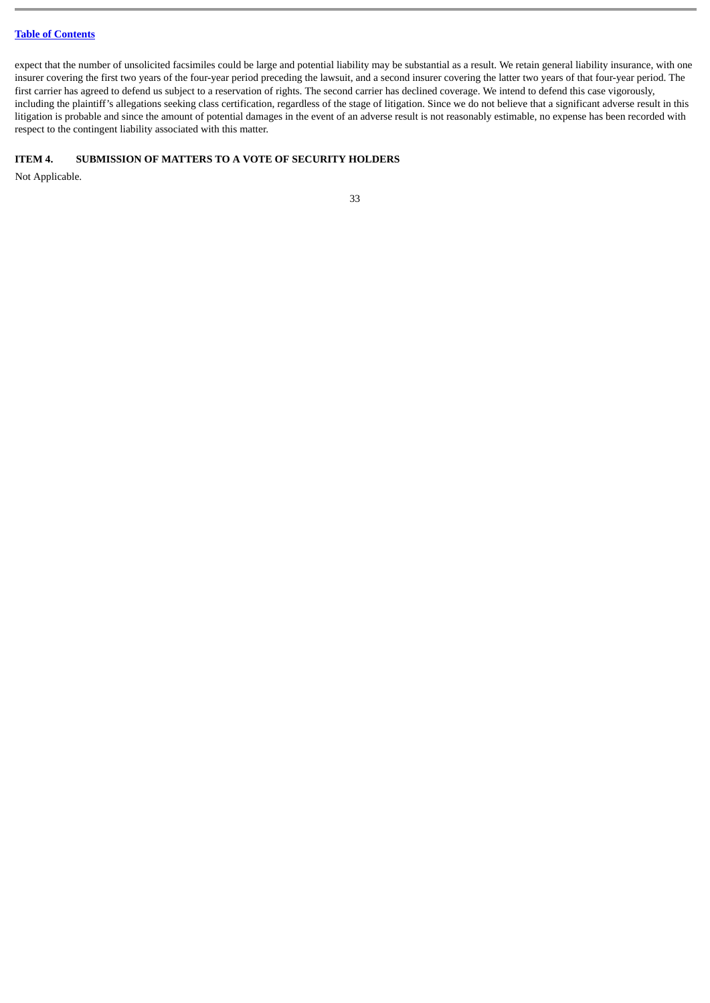expect that the number of unsolicited facsimiles could be large and potential liability may be substantial as a result. We retain general liability insurance, with one insurer covering the first two years of the four-year period preceding the lawsuit, and a second insurer covering the latter two years of that four-year period. The first carrier has agreed to defend us subject to a reservation of rights. The second carrier has declined coverage. We intend to defend this case vigorously, including the plaintiff's allegations seeking class certification, regardless of the stage of litigation. Since we do not believe that a significant adverse result in this litigation is probable and since the amount of potential damages in the event of an adverse result is not reasonably estimable, no expense has been recorded with respect to the contingent liability associated with this matter.

# <span id="page-32-0"></span>**ITEM 4. SUBMISSION OF MATTERS TO A VOTE OF SECURITY HOLDERS**

Not Applicable.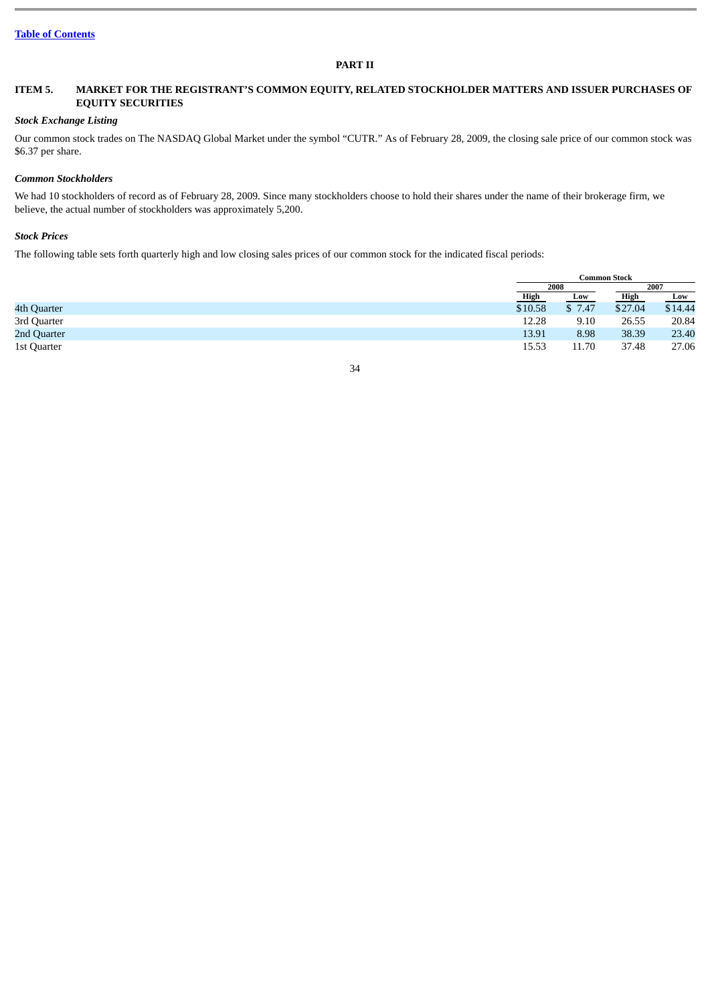# **PART II**

# <span id="page-33-0"></span>**ITEM 5. MARKET FOR THE REGISTRANT'S COMMON EQUITY, RELATED STOCKHOLDER MATTERS AND ISSUER PURCHASES OF EQUITY SECURITIES**

# *Stock Exchange Listing*

Our common stock trades on The NASDAQ Global Market under the symbol "CUTR." As of February 28, 2009, the closing sale price of our common stock was \$6.37 per share.

# *Common Stockholders*

We had 10 stockholders of record as of February 28, 2009. Since many stockholders choose to hold their shares under the name of their brokerage firm, we believe, the actual number of stockholders was approximately 5,200.

# *Stock Prices*

The following table sets forth quarterly high and low closing sales prices of our common stock for the indicated fiscal periods:

|             |         | Common Stock |         |         |  |
|-------------|---------|--------------|---------|---------|--|
|             |         | 2008         |         | 2007    |  |
|             | High    | Low          | High    | Low     |  |
| 4th Quarter | \$10.58 | \$7.47       | \$27.04 | \$14.44 |  |
| 3rd Quarter | 12.28   | 9.10         | 26.55   | 20.84   |  |
| 2nd Quarter | 13.91   | 8.98         | 38.39   | 23.40   |  |
| 1st Quarter | 15.53   | 11.70        | 37.48   | 27.06   |  |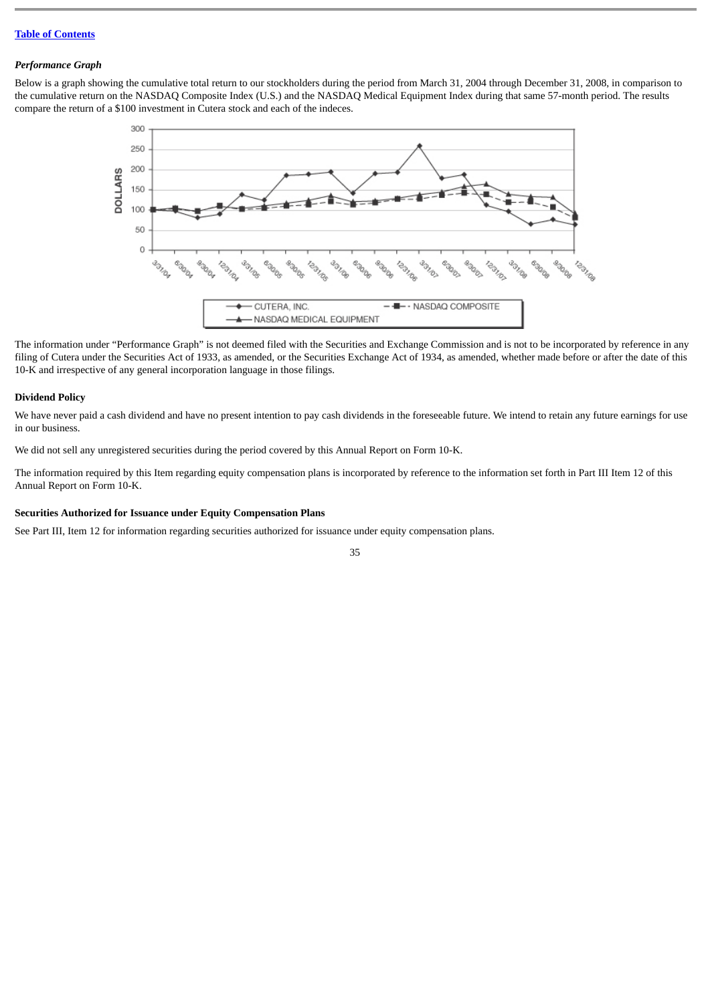#### *Performance Graph*

Below is a graph showing the cumulative total return to our stockholders during the period from March 31, 2004 through December 31, 2008, in comparison to the cumulative return on the NASDAQ Composite Index (U.S.) and the NASDAQ Medical Equipment Index during that same 57-month period. The results compare the return of a \$100 investment in Cutera stock and each of the indeces.



The information under "Performance Graph" is not deemed filed with the Securities and Exchange Commission and is not to be incorporated by reference in any filing of Cutera under the Securities Act of 1933, as amended, or the Securities Exchange Act of 1934, as amended, whether made before or after the date of this 10-K and irrespective of any general incorporation language in those filings.

#### **Dividend Policy**

We have never paid a cash dividend and have no present intention to pay cash dividends in the foreseeable future. We intend to retain any future earnings for use in our business.

We did not sell any unregistered securities during the period covered by this Annual Report on Form 10-K.

The information required by this Item regarding equity compensation plans is incorporated by reference to the information set forth in Part III Item 12 of this Annual Report on Form 10-K.

#### **Securities Authorized for Issuance under Equity Compensation Plans**

See Part III, Item 12 for information regarding securities authorized for issuance under equity compensation plans.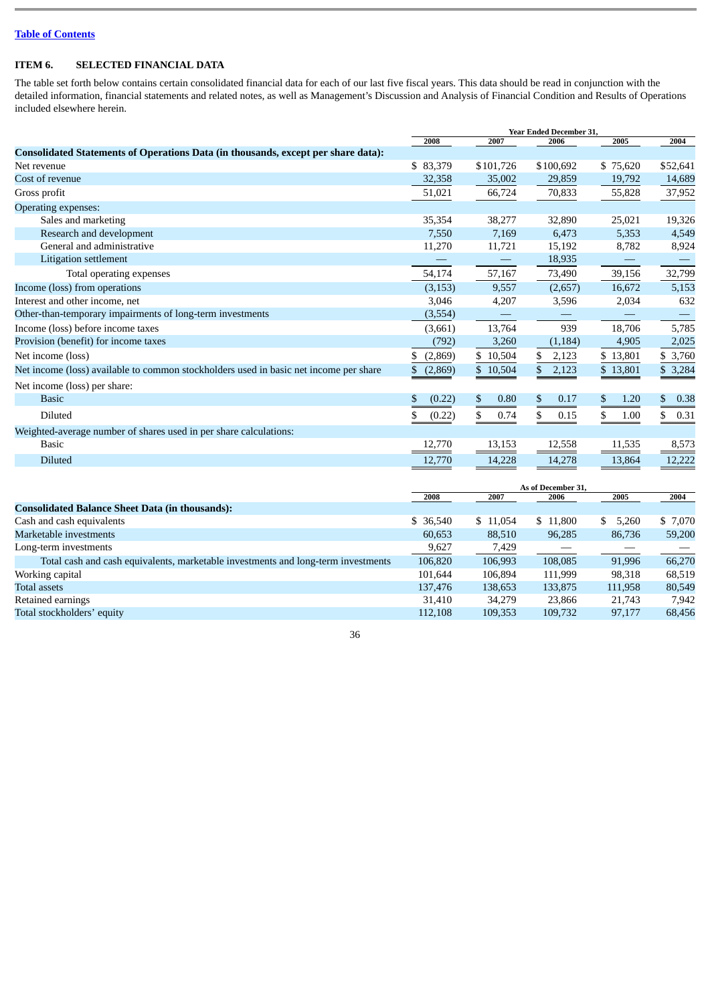# <span id="page-35-0"></span>**ITEM 6. SELECTED FINANCIAL DATA**

The table set forth below contains certain consolidated financial data for each of our last five fiscal years. This data should be read in conjunction with the detailed information, financial statements and related notes, as well as Management's Discussion and Analysis of Financial Condition and Results of Operations included elsewhere herein.

|                                                                                       | <b>Year Ended December 31,</b> |            |                            |             |            |
|---------------------------------------------------------------------------------------|--------------------------------|------------|----------------------------|-------------|------------|
|                                                                                       | 2008                           | 2007       | 2006                       | 2005        | 2004       |
| Consolidated Statements of Operations Data (in thousands, except per share data):     |                                |            |                            |             |            |
| Net revenue                                                                           | \$83,379                       | \$101,726  | \$100,692                  | \$75,620    | \$52,641   |
| Cost of revenue                                                                       | 32,358                         | 35,002     | 29,859                     | 19,792      | 14,689     |
| Gross profit                                                                          | 51,021                         | 66,724     | 70,833                     | 55,828      | 37,952     |
| Operating expenses:                                                                   |                                |            |                            |             |            |
| Sales and marketing                                                                   | 35,354                         | 38,277     | 32,890                     | 25,021      | 19,326     |
| Research and development                                                              | 7,550                          | 7,169      | 6,473                      | 5,353       | 4,549      |
| General and administrative                                                            | 11,270                         | 11,721     | 15,192                     | 8,782       | 8,924      |
| Litigation settlement                                                                 |                                |            | 18,935                     |             |            |
| Total operating expenses                                                              | 54,174                         | 57,167     | 73,490                     | 39,156      | 32,799     |
| Income (loss) from operations                                                         | (3, 153)                       | 9,557      | (2,657)                    | 16,672      | 5,153      |
| Interest and other income, net                                                        | 3,046                          | 4,207      | 3,596                      | 2,034       | 632        |
| Other-than-temporary impairments of long-term investments                             | (3,554)                        |            |                            |             |            |
| Income (loss) before income taxes                                                     | (3,661)                        | 13,764     | 939                        | 18,706      | 5,785      |
| Provision (benefit) for income taxes                                                  | (792)                          | 3,260      | (1, 184)                   | 4,905       | 2,025      |
| Net income (loss)                                                                     | \$<br>(2,869)                  | \$10,504   | \$<br>2,123                | \$13,801    | \$ 3,760   |
| Net income (loss) available to common stockholders used in basic net income per share | (2,869)                        | \$10,504   | \$<br>2,123                | \$13,801    | \$ 3,284   |
| Net income (loss) per share:                                                          |                                |            |                            |             |            |
| <b>Basic</b>                                                                          | \$<br>(0.22)                   | \$<br>0.80 | \$<br>0.17                 | \$<br>1.20  | \$<br>0.38 |
| Diluted                                                                               | \$<br>(0.22)                   | \$<br>0.74 | \$<br>0.15                 | \$<br>1.00  | \$<br>0.31 |
| Weighted-average number of shares used in per share calculations:                     |                                |            |                            |             |            |
| <b>Basic</b>                                                                          | 12,770                         | 13,153     | 12,558                     | 11,535      | 8,573      |
| <b>Diluted</b>                                                                        | 12,770                         | 14,228     | 14,278                     | 13,864      | 12,222     |
|                                                                                       |                                |            |                            |             |            |
|                                                                                       | 2008                           | 2007       | As of December 31,<br>2006 | 2005        | 2004       |
| <b>Consolidated Balance Sheet Data (in thousands):</b>                                |                                |            |                            |             |            |
| Cash and cash equivalents                                                             | \$ 36,540                      | \$11,054   | \$11,800                   | 5,260<br>\$ | \$7,070    |

| \$ 36,540 | \$11,054 | 11.800  | 5.260   | \$ 7,070 |
|-----------|----------|---------|---------|----------|
| 60,653    | 88,510   | 96,285  | 86,736  | 59,200   |
| 9,627     | 7,429    |         |         |          |
| 106,820   | 106,993  | 108,085 | 91,996  | 66,270   |
| 101,644   | 106,894  | 111,999 | 98,318  | 68,519   |
| 137,476   | 138,653  | 133,875 | 111,958 | 80,549   |
| 31.410    | 34,279   | 23,866  | 21,743  | 7,942    |
| 112,108   | 109,353  | 109,732 | 97,177  | 68,456   |
|           |          |         |         |          |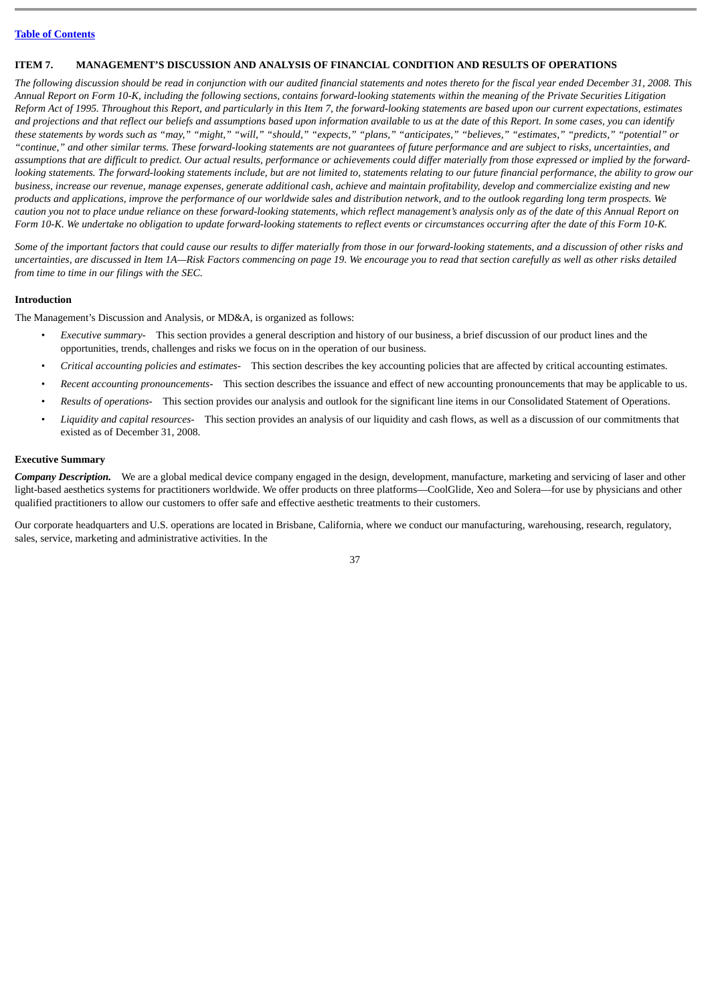## **ITEM 7. MANAGEMENT'S DISCUSSION AND ANALYSIS OF FINANCIAL CONDITION AND RESULTS OF OPERATIONS**

*The following discussion should be read in conjunction with our audited financial statements and notes thereto for the fiscal year ended December 31, 2008. This Annual Report on Form 10-K, including the following sections, contains forward-looking statements within the meaning of the Private Securities Litigation Reform Act of 1995. Throughout this Report, and particularly in this Item 7, the forward-looking statements are based upon our current expectations, estimates and projections and that reflect our beliefs and assumptions based upon information available to us at the date of this Report. In some cases, you can identify these statements by words such as "may," "might," "will," "should," "expects," "plans," "anticipates," "believes," "estimates," "predicts," "potential" or "continue," and other similar terms. These forward-looking statements are not guarantees of future performance and are subject to risks, uncertainties, and assumptions that are difficult to predict. Our actual results, performance or achievements could differ materially from those expressed or implied by the forwardlooking statements. The forward-looking statements include, but are not limited to, statements relating to our future financial performance, the ability to grow our business, increase our revenue, manage expenses, generate additional cash, achieve and maintain profitability, develop and commercialize existing and new products and applications, improve the performance of our worldwide sales and distribution network, and to the outlook regarding long term prospects. We caution you not to place undue reliance on these forward-looking statements, which reflect management's analysis only as of the date of this Annual Report on Form 10-K. We undertake no obligation to update forward-looking statements to reflect events or circumstances occurring after the date of this Form 10-K.*

*Some of the important factors that could cause our results to differ materially from those in our forward-looking statements, and a discussion of other risks and uncertainties, are discussed in Item 1A—Risk Factors commencing on page 19. We encourage you to read that section carefully as well as other risks detailed from time to time in our filings with the SEC.*

### **Introduction**

The Management's Discussion and Analysis, or MD&A, is organized as follows:

- *Executive summary-* This section provides a general description and history of our business, a brief discussion of our product lines and the opportunities, trends, challenges and risks we focus on in the operation of our business.
- *Critical accounting policies and estimates-* This section describes the key accounting policies that are affected by critical accounting estimates.
- *Recent accounting pronouncements-* This section describes the issuance and effect of new accounting pronouncements that may be applicable to us.
- *Results of operations-* This section provides our analysis and outlook for the significant line items in our Consolidated Statement of Operations.
- *Liquidity and capital resources-* This section provides an analysis of our liquidity and cash flows, as well as a discussion of our commitments that existed as of December 31, 2008.

## **Executive Summary**

*Company Description.* We are a global medical device company engaged in the design, development, manufacture, marketing and servicing of laser and other light-based aesthetics systems for practitioners worldwide. We offer products on three platforms—CoolGlide, Xeo and Solera—for use by physicians and other qualified practitioners to allow our customers to offer safe and effective aesthetic treatments to their customers.

Our corporate headquarters and U.S. operations are located in Brisbane, California, where we conduct our manufacturing, warehousing, research, regulatory, sales, service, marketing and administrative activities. In the

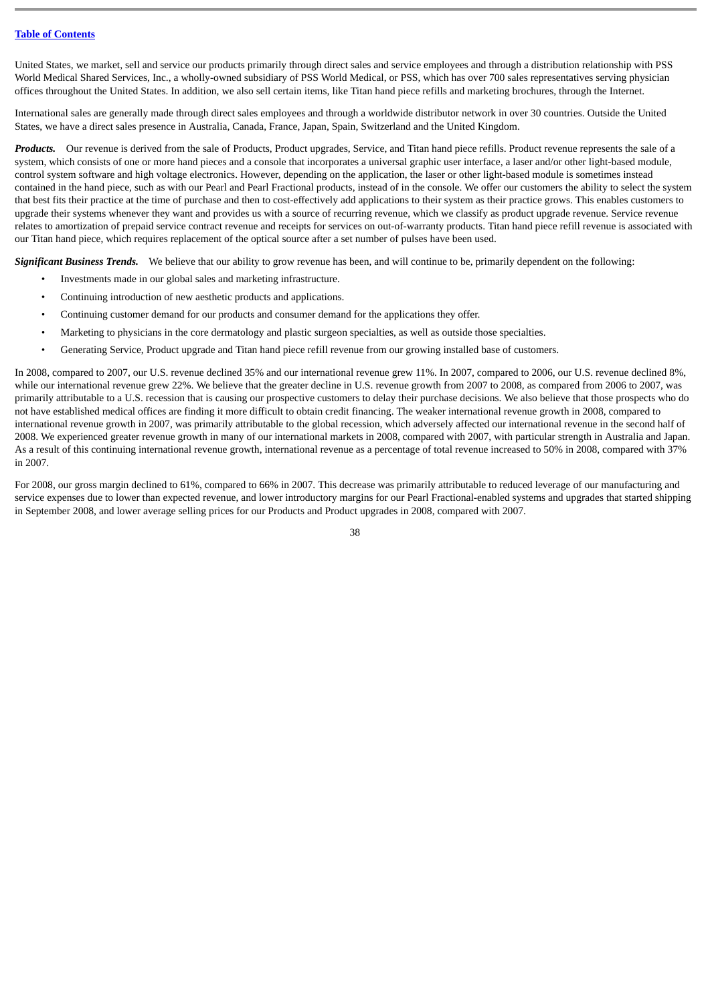United States, we market, sell and service our products primarily through direct sales and service employees and through a distribution relationship with PSS World Medical Shared Services, Inc., a wholly-owned subsidiary of PSS World Medical, or PSS, which has over 700 sales representatives serving physician offices throughout the United States. In addition, we also sell certain items, like Titan hand piece refills and marketing brochures, through the Internet.

International sales are generally made through direct sales employees and through a worldwide distributor network in over 30 countries. Outside the United States, we have a direct sales presence in Australia, Canada, France, Japan, Spain, Switzerland and the United Kingdom.

*Products.* Our revenue is derived from the sale of Products, Product upgrades, Service, and Titan hand piece refills. Product revenue represents the sale of a system, which consists of one or more hand pieces and a console that incorporates a universal graphic user interface, a laser and/or other light-based module, control system software and high voltage electronics. However, depending on the application, the laser or other light-based module is sometimes instead contained in the hand piece, such as with our Pearl and Pearl Fractional products, instead of in the console. We offer our customers the ability to select the system that best fits their practice at the time of purchase and then to cost-effectively add applications to their system as their practice grows. This enables customers to upgrade their systems whenever they want and provides us with a source of recurring revenue, which we classify as product upgrade revenue. Service revenue relates to amortization of prepaid service contract revenue and receipts for services on out-of-warranty products. Titan hand piece refill revenue is associated with our Titan hand piece, which requires replacement of the optical source after a set number of pulses have been used.

*Significant Business Trends.* We believe that our ability to grow revenue has been, and will continue to be, primarily dependent on the following:

- Investments made in our global sales and marketing infrastructure.
- Continuing introduction of new aesthetic products and applications.
- Continuing customer demand for our products and consumer demand for the applications they offer.
- Marketing to physicians in the core dermatology and plastic surgeon specialties, as well as outside those specialties.
- Generating Service, Product upgrade and Titan hand piece refill revenue from our growing installed base of customers.

In 2008, compared to 2007, our U.S. revenue declined 35% and our international revenue grew 11%. In 2007, compared to 2006, our U.S. revenue declined 8%, while our international revenue grew 22%. We believe that the greater decline in U.S. revenue growth from 2007 to 2008, as compared from 2006 to 2007, was primarily attributable to a U.S. recession that is causing our prospective customers to delay their purchase decisions. We also believe that those prospects who do not have established medical offices are finding it more difficult to obtain credit financing. The weaker international revenue growth in 2008, compared to international revenue growth in 2007, was primarily attributable to the global recession, which adversely affected our international revenue in the second half of 2008. We experienced greater revenue growth in many of our international markets in 2008, compared with 2007, with particular strength in Australia and Japan. As a result of this continuing international revenue growth, international revenue as a percentage of total revenue increased to 50% in 2008, compared with 37% in 2007.

For 2008, our gross margin declined to 61%, compared to 66% in 2007. This decrease was primarily attributable to reduced leverage of our manufacturing and service expenses due to lower than expected revenue, and lower introductory margins for our Pearl Fractional-enabled systems and upgrades that started shipping in September 2008, and lower average selling prices for our Products and Product upgrades in 2008, compared with 2007.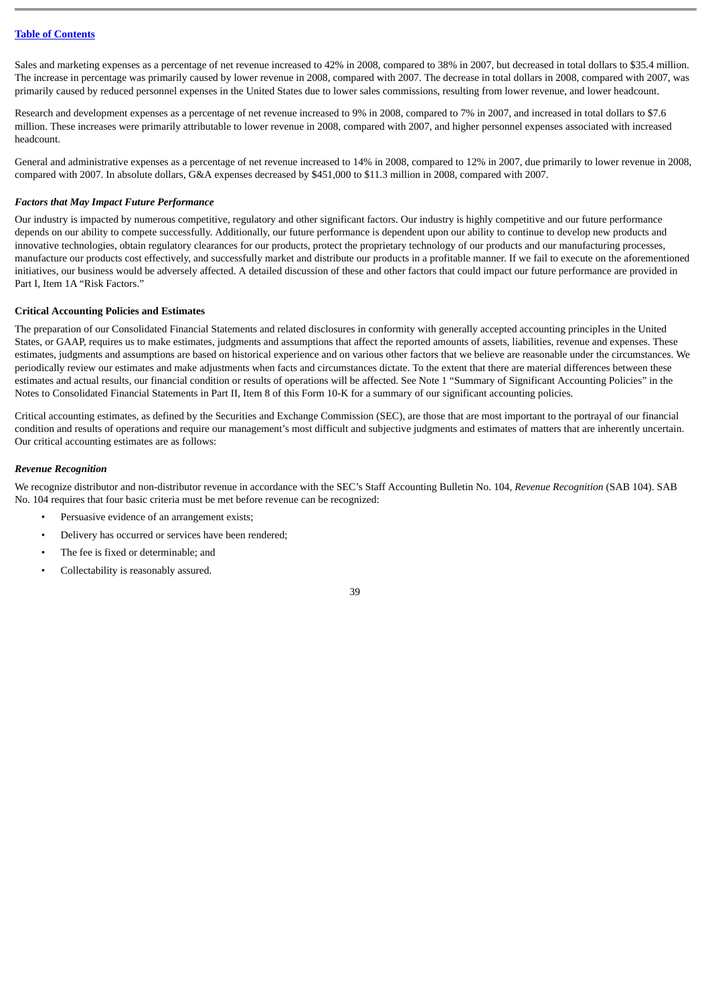Sales and marketing expenses as a percentage of net revenue increased to 42% in 2008, compared to 38% in 2007, but decreased in total dollars to \$35.4 million. The increase in percentage was primarily caused by lower revenue in 2008, compared with 2007. The decrease in total dollars in 2008, compared with 2007, was primarily caused by reduced personnel expenses in the United States due to lower sales commissions, resulting from lower revenue, and lower headcount.

Research and development expenses as a percentage of net revenue increased to 9% in 2008, compared to 7% in 2007, and increased in total dollars to \$7.6 million. These increases were primarily attributable to lower revenue in 2008, compared with 2007, and higher personnel expenses associated with increased headcount.

General and administrative expenses as a percentage of net revenue increased to 14% in 2008, compared to 12% in 2007, due primarily to lower revenue in 2008, compared with 2007. In absolute dollars, G&A expenses decreased by \$451,000 to \$11.3 million in 2008, compared with 2007.

### *Factors that May Impact Future Performance*

Our industry is impacted by numerous competitive, regulatory and other significant factors. Our industry is highly competitive and our future performance depends on our ability to compete successfully. Additionally, our future performance is dependent upon our ability to continue to develop new products and innovative technologies, obtain regulatory clearances for our products, protect the proprietary technology of our products and our manufacturing processes, manufacture our products cost effectively, and successfully market and distribute our products in a profitable manner. If we fail to execute on the aforementioned initiatives, our business would be adversely affected. A detailed discussion of these and other factors that could impact our future performance are provided in Part I, Item 1A "Risk Factors."

## **Critical Accounting Policies and Estimates**

The preparation of our Consolidated Financial Statements and related disclosures in conformity with generally accepted accounting principles in the United States, or GAAP, requires us to make estimates, judgments and assumptions that affect the reported amounts of assets, liabilities, revenue and expenses. These estimates, judgments and assumptions are based on historical experience and on various other factors that we believe are reasonable under the circumstances. We periodically review our estimates and make adjustments when facts and circumstances dictate. To the extent that there are material differences between these estimates and actual results, our financial condition or results of operations will be affected. See Note 1 "Summary of Significant Accounting Policies" in the Notes to Consolidated Financial Statements in Part II, Item 8 of this Form 10-K for a summary of our significant accounting policies.

Critical accounting estimates, as defined by the Securities and Exchange Commission (SEC), are those that are most important to the portrayal of our financial condition and results of operations and require our management's most difficult and subjective judgments and estimates of matters that are inherently uncertain. Our critical accounting estimates are as follows:

### *Revenue Recognition*

We recognize distributor and non-distributor revenue in accordance with the SEC's Staff Accounting Bulletin No. 104, *Revenue Recognition* (SAB 104). SAB No. 104 requires that four basic criteria must be met before revenue can be recognized:

- Persuasive evidence of an arrangement exists;
- Delivery has occurred or services have been rendered;
- The fee is fixed or determinable; and
- Collectability is reasonably assured.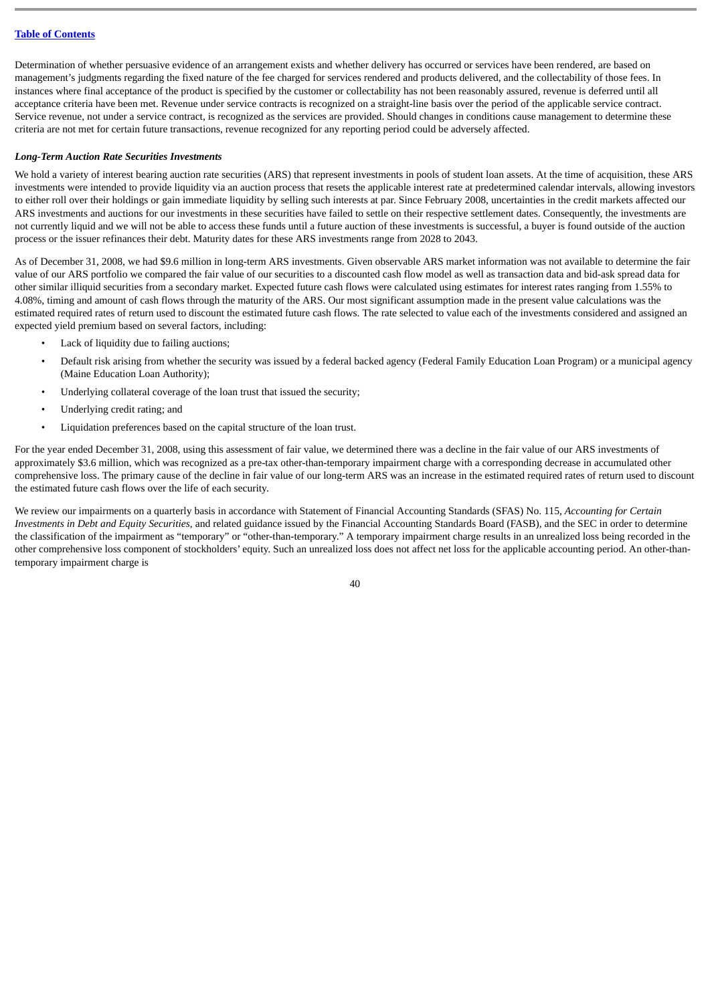Determination of whether persuasive evidence of an arrangement exists and whether delivery has occurred or services have been rendered, are based on management's judgments regarding the fixed nature of the fee charged for services rendered and products delivered, and the collectability of those fees. In instances where final acceptance of the product is specified by the customer or collectability has not been reasonably assured, revenue is deferred until all acceptance criteria have been met. Revenue under service contracts is recognized on a straight-line basis over the period of the applicable service contract. Service revenue, not under a service contract, is recognized as the services are provided. Should changes in conditions cause management to determine these criteria are not met for certain future transactions, revenue recognized for any reporting period could be adversely affected.

### *Long-Term Auction Rate Securities Investments*

We hold a variety of interest bearing auction rate securities (ARS) that represent investments in pools of student loan assets. At the time of acquisition, these ARS investments were intended to provide liquidity via an auction process that resets the applicable interest rate at predetermined calendar intervals, allowing investors to either roll over their holdings or gain immediate liquidity by selling such interests at par. Since February 2008, uncertainties in the credit markets affected our ARS investments and auctions for our investments in these securities have failed to settle on their respective settlement dates. Consequently, the investments are not currently liquid and we will not be able to access these funds until a future auction of these investments is successful, a buyer is found outside of the auction process or the issuer refinances their debt. Maturity dates for these ARS investments range from 2028 to 2043.

As of December 31, 2008, we had \$9.6 million in long-term ARS investments. Given observable ARS market information was not available to determine the fair value of our ARS portfolio we compared the fair value of our securities to a discounted cash flow model as well as transaction data and bid-ask spread data for other similar illiquid securities from a secondary market. Expected future cash flows were calculated using estimates for interest rates ranging from 1.55% to 4.08%, timing and amount of cash flows through the maturity of the ARS. Our most significant assumption made in the present value calculations was the estimated required rates of return used to discount the estimated future cash flows. The rate selected to value each of the investments considered and assigned an expected yield premium based on several factors, including:

- Lack of liquidity due to failing auctions;
- Default risk arising from whether the security was issued by a federal backed agency (Federal Family Education Loan Program) or a municipal agency (Maine Education Loan Authority);
- Underlying collateral coverage of the loan trust that issued the security;
- Underlying credit rating; and
- Liquidation preferences based on the capital structure of the loan trust.

For the year ended December 31, 2008, using this assessment of fair value, we determined there was a decline in the fair value of our ARS investments of approximately \$3.6 million, which was recognized as a pre-tax other-than-temporary impairment charge with a corresponding decrease in accumulated other comprehensive loss. The primary cause of the decline in fair value of our long-term ARS was an increase in the estimated required rates of return used to discount the estimated future cash flows over the life of each security.

We review our impairments on a quarterly basis in accordance with Statement of Financial Accounting Standards (SFAS) No. 115, *Accounting for Certain Investments in Debt and Equity Securities*, and related guidance issued by the Financial Accounting Standards Board (FASB), and the SEC in order to determine the classification of the impairment as "temporary" or "other-than-temporary." A temporary impairment charge results in an unrealized loss being recorded in the other comprehensive loss component of stockholders' equity. Such an unrealized loss does not affect net loss for the applicable accounting period. An other-thantemporary impairment charge is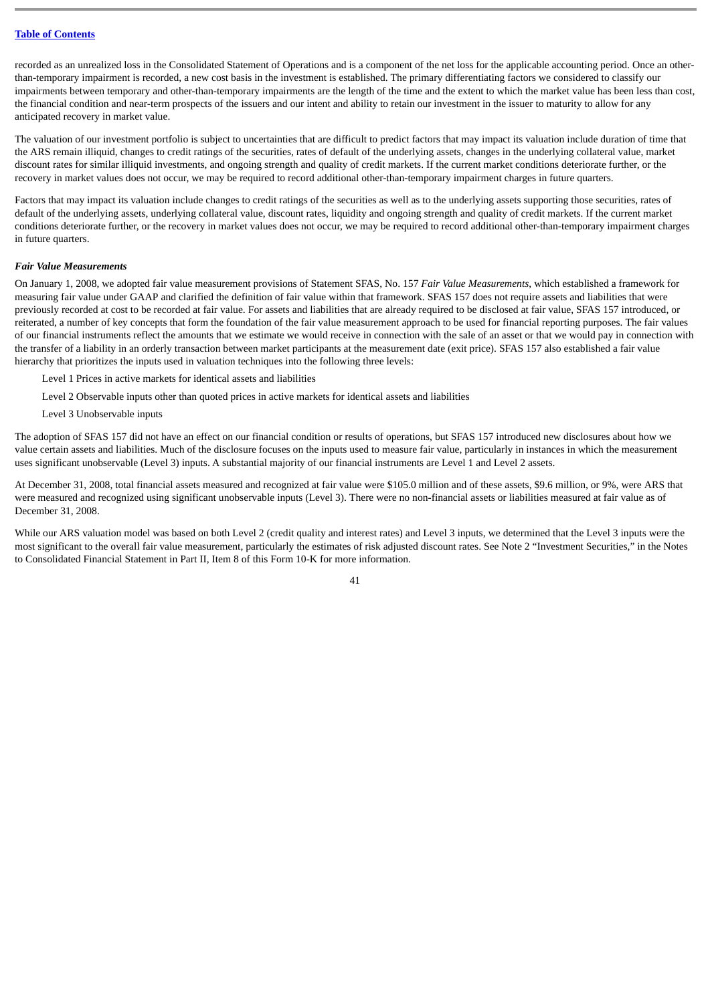recorded as an unrealized loss in the Consolidated Statement of Operations and is a component of the net loss for the applicable accounting period. Once an otherthan-temporary impairment is recorded, a new cost basis in the investment is established. The primary differentiating factors we considered to classify our impairments between temporary and other-than-temporary impairments are the length of the time and the extent to which the market value has been less than cost, the financial condition and near-term prospects of the issuers and our intent and ability to retain our investment in the issuer to maturity to allow for any anticipated recovery in market value.

The valuation of our investment portfolio is subject to uncertainties that are difficult to predict factors that may impact its valuation include duration of time that the ARS remain illiquid, changes to credit ratings of the securities, rates of default of the underlying assets, changes in the underlying collateral value, market discount rates for similar illiquid investments, and ongoing strength and quality of credit markets. If the current market conditions deteriorate further, or the recovery in market values does not occur, we may be required to record additional other-than-temporary impairment charges in future quarters.

Factors that may impact its valuation include changes to credit ratings of the securities as well as to the underlying assets supporting those securities, rates of default of the underlying assets, underlying collateral value, discount rates, liquidity and ongoing strength and quality of credit markets. If the current market conditions deteriorate further, or the recovery in market values does not occur, we may be required to record additional other-than-temporary impairment charges in future quarters.

### *Fair Value Measurements*

On January 1, 2008, we adopted fair value measurement provisions of Statement SFAS, No. 157 *Fair Value Measurements*, which established a framework for measuring fair value under GAAP and clarified the definition of fair value within that framework. SFAS 157 does not require assets and liabilities that were previously recorded at cost to be recorded at fair value. For assets and liabilities that are already required to be disclosed at fair value, SFAS 157 introduced, or reiterated, a number of key concepts that form the foundation of the fair value measurement approach to be used for financial reporting purposes. The fair values of our financial instruments reflect the amounts that we estimate we would receive in connection with the sale of an asset or that we would pay in connection with the transfer of a liability in an orderly transaction between market participants at the measurement date (exit price). SFAS 157 also established a fair value hierarchy that prioritizes the inputs used in valuation techniques into the following three levels:

- Level 1 Prices in active markets for identical assets and liabilities
- Level 2 Observable inputs other than quoted prices in active markets for identical assets and liabilities
- Level 3 Unobservable inputs

The adoption of SFAS 157 did not have an effect on our financial condition or results of operations, but SFAS 157 introduced new disclosures about how we value certain assets and liabilities. Much of the disclosure focuses on the inputs used to measure fair value, particularly in instances in which the measurement uses significant unobservable (Level 3) inputs. A substantial majority of our financial instruments are Level 1 and Level 2 assets.

At December 31, 2008, total financial assets measured and recognized at fair value were \$105.0 million and of these assets, \$9.6 million, or 9%, were ARS that were measured and recognized using significant unobservable inputs (Level 3). There were no non-financial assets or liabilities measured at fair value as of December 31, 2008.

While our ARS valuation model was based on both Level 2 (credit quality and interest rates) and Level 3 inputs, we determined that the Level 3 inputs were the most significant to the overall fair value measurement, particularly the estimates of risk adjusted discount rates. See Note 2 "Investment Securities," in the Notes to Consolidated Financial Statement in Part II, Item 8 of this Form 10-K for more information.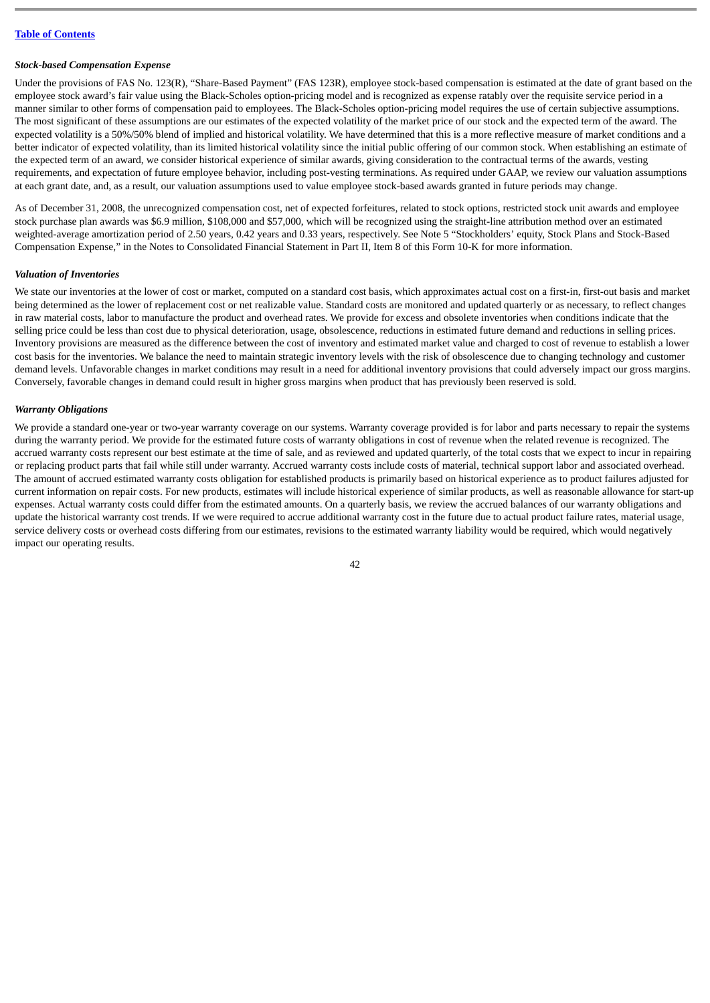### *Stock-based Compensation Expense*

Under the provisions of FAS No. 123(R), "Share-Based Payment" (FAS 123R), employee stock-based compensation is estimated at the date of grant based on the employee stock award's fair value using the Black-Scholes option-pricing model and is recognized as expense ratably over the requisite service period in a manner similar to other forms of compensation paid to employees. The Black-Scholes option-pricing model requires the use of certain subjective assumptions. The most significant of these assumptions are our estimates of the expected volatility of the market price of our stock and the expected term of the award. The expected volatility is a 50%/50% blend of implied and historical volatility. We have determined that this is a more reflective measure of market conditions and a better indicator of expected volatility, than its limited historical volatility since the initial public offering of our common stock. When establishing an estimate of the expected term of an award, we consider historical experience of similar awards, giving consideration to the contractual terms of the awards, vesting requirements, and expectation of future employee behavior, including post-vesting terminations. As required under GAAP, we review our valuation assumptions at each grant date, and, as a result, our valuation assumptions used to value employee stock-based awards granted in future periods may change.

As of December 31, 2008, the unrecognized compensation cost, net of expected forfeitures, related to stock options, restricted stock unit awards and employee stock purchase plan awards was \$6.9 million, \$108,000 and \$57,000, which will be recognized using the straight-line attribution method over an estimated weighted-average amortization period of 2.50 years, 0.42 years and 0.33 years, respectively. See Note 5 "Stockholders' equity, Stock Plans and Stock-Based Compensation Expense," in the Notes to Consolidated Financial Statement in Part II, Item 8 of this Form 10-K for more information.

#### *Valuation of Inventories*

We state our inventories at the lower of cost or market, computed on a standard cost basis, which approximates actual cost on a first-in, first-out basis and market being determined as the lower of replacement cost or net realizable value. Standard costs are monitored and updated quarterly or as necessary, to reflect changes in raw material costs, labor to manufacture the product and overhead rates. We provide for excess and obsolete inventories when conditions indicate that the selling price could be less than cost due to physical deterioration, usage, obsolescence, reductions in estimated future demand and reductions in selling prices. Inventory provisions are measured as the difference between the cost of inventory and estimated market value and charged to cost of revenue to establish a lower cost basis for the inventories. We balance the need to maintain strategic inventory levels with the risk of obsolescence due to changing technology and customer demand levels. Unfavorable changes in market conditions may result in a need for additional inventory provisions that could adversely impact our gross margins. Conversely, favorable changes in demand could result in higher gross margins when product that has previously been reserved is sold.

### *Warranty Obligations*

We provide a standard one-year or two-year warranty coverage on our systems. Warranty coverage provided is for labor and parts necessary to repair the systems during the warranty period. We provide for the estimated future costs of warranty obligations in cost of revenue when the related revenue is recognized. The accrued warranty costs represent our best estimate at the time of sale, and as reviewed and updated quarterly, of the total costs that we expect to incur in repairing or replacing product parts that fail while still under warranty. Accrued warranty costs include costs of material, technical support labor and associated overhead. The amount of accrued estimated warranty costs obligation for established products is primarily based on historical experience as to product failures adjusted for current information on repair costs. For new products, estimates will include historical experience of similar products, as well as reasonable allowance for start-up expenses. Actual warranty costs could differ from the estimated amounts. On a quarterly basis, we review the accrued balances of our warranty obligations and update the historical warranty cost trends. If we were required to accrue additional warranty cost in the future due to actual product failure rates, material usage, service delivery costs or overhead costs differing from our estimates, revisions to the estimated warranty liability would be required, which would negatively impact our operating results.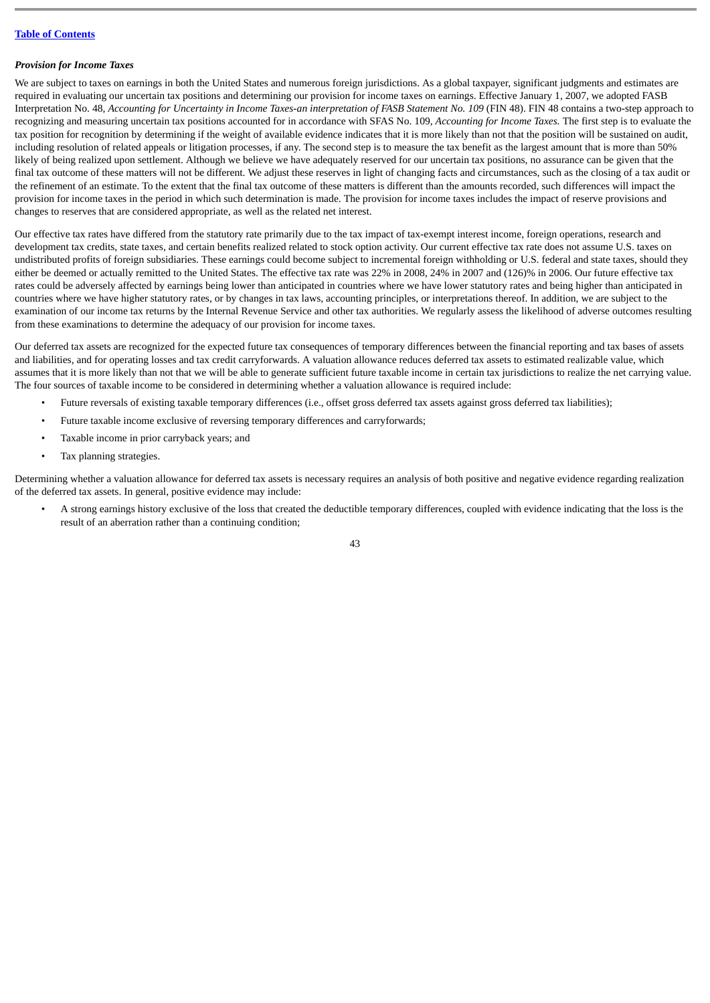#### *Provision for Income Taxes*

We are subject to taxes on earnings in both the United States and numerous foreign jurisdictions. As a global taxpayer, significant judgments and estimates are required in evaluating our uncertain tax positions and determining our provision for income taxes on earnings. Effective January 1, 2007, we adopted FASB Interpretation No. 48, *Accounting for Uncertainty in Income Taxes-an interpretation of FASB Statement No. 109* (FIN 48). FIN 48 contains a two-step approach to recognizing and measuring uncertain tax positions accounted for in accordance with SFAS No. 109, *Accounting for Income Taxes.* The first step is to evaluate the tax position for recognition by determining if the weight of available evidence indicates that it is more likely than not that the position will be sustained on audit, including resolution of related appeals or litigation processes, if any. The second step is to measure the tax benefit as the largest amount that is more than 50% likely of being realized upon settlement. Although we believe we have adequately reserved for our uncertain tax positions, no assurance can be given that the final tax outcome of these matters will not be different. We adjust these reserves in light of changing facts and circumstances, such as the closing of a tax audit or the refinement of an estimate. To the extent that the final tax outcome of these matters is different than the amounts recorded, such differences will impact the provision for income taxes in the period in which such determination is made. The provision for income taxes includes the impact of reserve provisions and changes to reserves that are considered appropriate, as well as the related net interest.

Our effective tax rates have differed from the statutory rate primarily due to the tax impact of tax-exempt interest income, foreign operations, research and development tax credits, state taxes, and certain benefits realized related to stock option activity. Our current effective tax rate does not assume U.S. taxes on undistributed profits of foreign subsidiaries. These earnings could become subject to incremental foreign withholding or U.S. federal and state taxes, should they either be deemed or actually remitted to the United States. The effective tax rate was 22% in 2008, 24% in 2007 and (126)% in 2006. Our future effective tax rates could be adversely affected by earnings being lower than anticipated in countries where we have lower statutory rates and being higher than anticipated in countries where we have higher statutory rates, or by changes in tax laws, accounting principles, or interpretations thereof. In addition, we are subject to the examination of our income tax returns by the Internal Revenue Service and other tax authorities. We regularly assess the likelihood of adverse outcomes resulting from these examinations to determine the adequacy of our provision for income taxes.

Our deferred tax assets are recognized for the expected future tax consequences of temporary differences between the financial reporting and tax bases of assets and liabilities, and for operating losses and tax credit carryforwards. A valuation allowance reduces deferred tax assets to estimated realizable value, which assumes that it is more likely than not that we will be able to generate sufficient future taxable income in certain tax jurisdictions to realize the net carrying value. The four sources of taxable income to be considered in determining whether a valuation allowance is required include:

- Future reversals of existing taxable temporary differences (i.e., offset gross deferred tax assets against gross deferred tax liabilities);
- Future taxable income exclusive of reversing temporary differences and carryforwards;
- Taxable income in prior carryback years; and
- Tax planning strategies.

Determining whether a valuation allowance for deferred tax assets is necessary requires an analysis of both positive and negative evidence regarding realization of the deferred tax assets. In general, positive evidence may include:

• A strong earnings history exclusive of the loss that created the deductible temporary differences, coupled with evidence indicating that the loss is the result of an aberration rather than a continuing condition;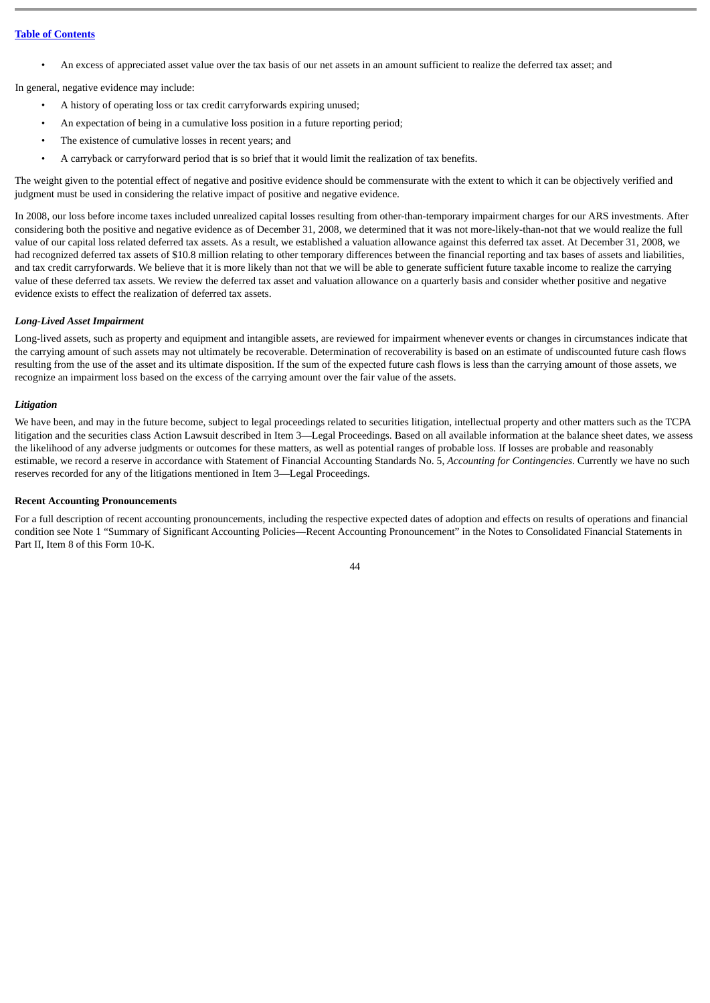• An excess of appreciated asset value over the tax basis of our net assets in an amount sufficient to realize the deferred tax asset; and

In general, negative evidence may include:

- A history of operating loss or tax credit carryforwards expiring unused;
- An expectation of being in a cumulative loss position in a future reporting period;
- The existence of cumulative losses in recent years; and
- A carryback or carryforward period that is so brief that it would limit the realization of tax benefits.

The weight given to the potential effect of negative and positive evidence should be commensurate with the extent to which it can be objectively verified and judgment must be used in considering the relative impact of positive and negative evidence.

In 2008, our loss before income taxes included unrealized capital losses resulting from other-than-temporary impairment charges for our ARS investments. After considering both the positive and negative evidence as of December 31, 2008, we determined that it was not more-likely-than-not that we would realize the full value of our capital loss related deferred tax assets. As a result, we established a valuation allowance against this deferred tax asset. At December 31, 2008, we had recognized deferred tax assets of \$10.8 million relating to other temporary differences between the financial reporting and tax bases of assets and liabilities, and tax credit carryforwards. We believe that it is more likely than not that we will be able to generate sufficient future taxable income to realize the carrying value of these deferred tax assets. We review the deferred tax asset and valuation allowance on a quarterly basis and consider whether positive and negative evidence exists to effect the realization of deferred tax assets.

### *Long-Lived Asset Impairment*

Long-lived assets, such as property and equipment and intangible assets, are reviewed for impairment whenever events or changes in circumstances indicate that the carrying amount of such assets may not ultimately be recoverable. Determination of recoverability is based on an estimate of undiscounted future cash flows resulting from the use of the asset and its ultimate disposition. If the sum of the expected future cash flows is less than the carrying amount of those assets, we recognize an impairment loss based on the excess of the carrying amount over the fair value of the assets.

### *Litigation*

We have been, and may in the future become, subject to legal proceedings related to securities litigation, intellectual property and other matters such as the TCPA litigation and the securities class Action Lawsuit described in Item 3—Legal Proceedings. Based on all available information at the balance sheet dates, we assess the likelihood of any adverse judgments or outcomes for these matters, as well as potential ranges of probable loss. If losses are probable and reasonably estimable, we record a reserve in accordance with Statement of Financial Accounting Standards No. 5, *Accounting for Contingencies*. Currently we have no such reserves recorded for any of the litigations mentioned in Item 3—Legal Proceedings.

## **Recent Accounting Pronouncements**

For a full description of recent accounting pronouncements, including the respective expected dates of adoption and effects on results of operations and financial condition see Note 1 "Summary of Significant Accounting Policies—Recent Accounting Pronouncement" in the Notes to Consolidated Financial Statements in Part II, Item 8 of this Form 10-K.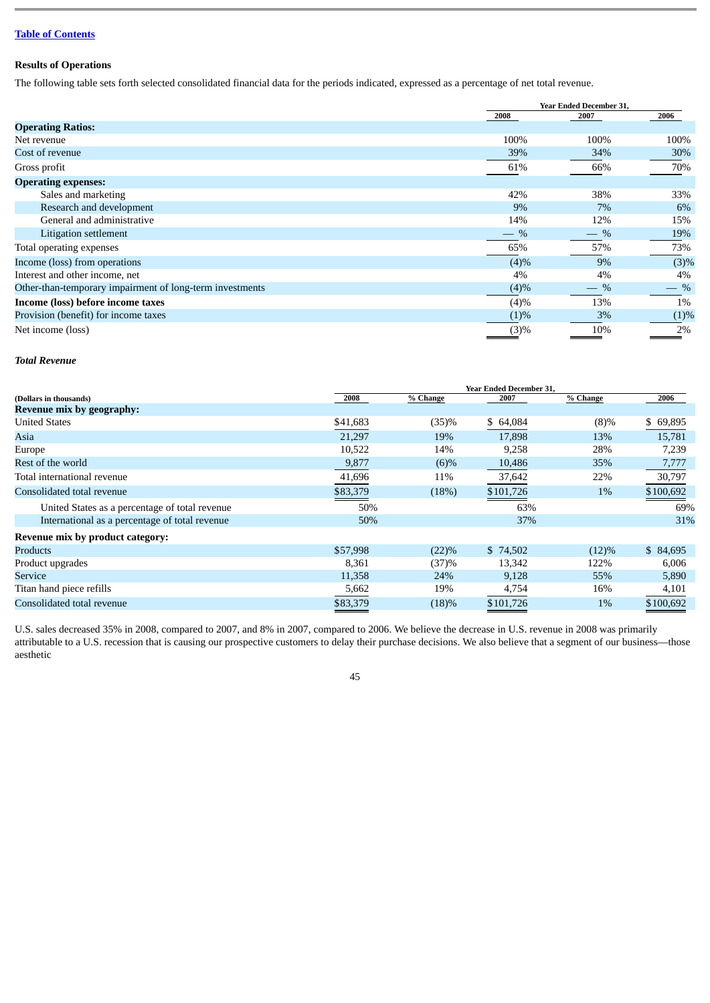## **Results of Operations**

The following table sets forth selected consolidated financial data for the periods indicated, expressed as a percentage of net total revenue.

|                                                          |       | <b>Year Ended December 31,</b> |       |  |  |
|----------------------------------------------------------|-------|--------------------------------|-------|--|--|
|                                                          | 2008  | 2007                           | 2006  |  |  |
| <b>Operating Ratios:</b>                                 |       |                                |       |  |  |
| Net revenue                                              | 100%  | 100%                           | 100%  |  |  |
| Cost of revenue                                          | 39%   | 34%                            | 30%   |  |  |
| Gross profit                                             | 61%   | 66%                            | 70%   |  |  |
| <b>Operating expenses:</b>                               |       |                                |       |  |  |
| Sales and marketing                                      | 42%   | 38%                            | 33%   |  |  |
| Research and development                                 | 9%    | 7%                             | 6%    |  |  |
| General and administrative                               | 14%   | 12%                            | 15%   |  |  |
| Litigation settlement                                    | $-$ % | $-$ %                          | 19%   |  |  |
| Total operating expenses                                 | 65%   | 57%                            | 73%   |  |  |
| Income (loss) from operations                            | (4)%  | 9%                             | (3)%  |  |  |
| Interest and other income, net                           | 4%    | 4%                             | $4\%$ |  |  |
| Other-than-temporary impairment of long-term investments | (4)%  | $-$ %                          | $-$ % |  |  |
| Income (loss) before income taxes                        | (4)%  | 13%                            | 1%    |  |  |
| Provision (benefit) for income taxes                     | (1)%  | 3%                             | (1)%  |  |  |
| Net income (loss)                                        | (3)%  | 10%                            | 2%    |  |  |

## *Total Revenue*

| Year Ended December 31,                        |          |          |           |          |               |
|------------------------------------------------|----------|----------|-----------|----------|---------------|
| (Dollars in thousands)                         | 2008     | % Change | 2007      | % Change | 2006          |
| Revenue mix by geography:                      |          |          |           |          |               |
| <b>United States</b>                           | \$41,683 | (35)%    | \$64,084  | (8)%     | \$.<br>69,895 |
| Asia                                           | 21,297   | 19%      | 17,898    | 13%      | 15,781        |
| Europe                                         | 10,522   | 14%      | 9,258     | 28%      | 7,239         |
| Rest of the world                              | 9,877    | $(6)\%$  | 10,486    | 35%      | 7,777         |
| Total international revenue                    | 41,696   | 11%      | 37,642    | 22%      | 30,797        |
| Consolidated total revenue                     | \$83,379 | (18%)    | \$101,726 | $1\%$    | \$100,692     |
| United States as a percentage of total revenue | 50%      |          | 63%       |          | 69%           |
| International as a percentage of total revenue | 50%      |          | 37%       |          | 31%           |
| Revenue mix by product category:               |          |          |           |          |               |
| Products                                       | \$57,998 | (22)%    | \$74,502  | (12)%    | \$<br>84,695  |
| Product upgrades                               | 8,361    | (37)%    | 13,342    | 122%     | 6,006         |
| Service                                        | 11,358   | 24%      | 9,128     | 55%      | 5,890         |
| Titan hand piece refills                       | 5,662    | 19%      | 4,754     | 16%      | 4,101         |
| Consolidated total revenue                     | \$83,379 | (18)%    | \$101,726 | $1\%$    | \$100,692     |
|                                                |          |          |           |          |               |

U.S. sales decreased 35% in 2008, compared to 2007, and 8% in 2007, compared to 2006. We believe the decrease in U.S. revenue in 2008 was primarily attributable to a U.S. recession that is causing our prospective customers to delay their purchase decisions. We also believe that a segment of our business—those aesthetic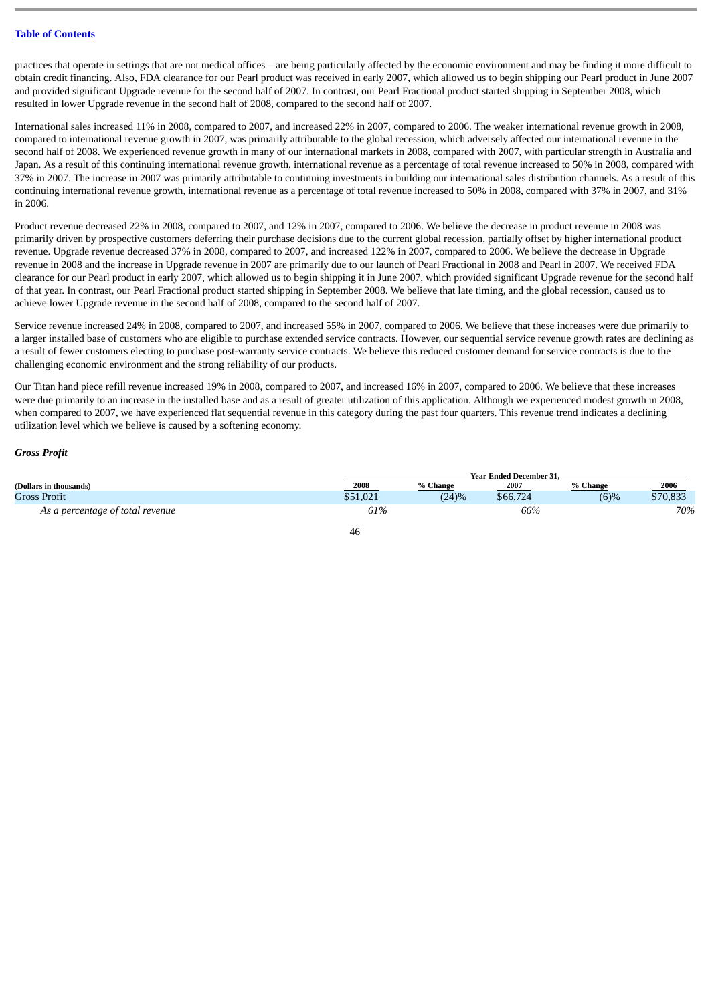practices that operate in settings that are not medical offices—are being particularly affected by the economic environment and may be finding it more difficult to obtain credit financing. Also, FDA clearance for our Pearl product was received in early 2007, which allowed us to begin shipping our Pearl product in June 2007 and provided significant Upgrade revenue for the second half of 2007. In contrast, our Pearl Fractional product started shipping in September 2008, which resulted in lower Upgrade revenue in the second half of 2008, compared to the second half of 2007.

International sales increased 11% in 2008, compared to 2007, and increased 22% in 2007, compared to 2006. The weaker international revenue growth in 2008, compared to international revenue growth in 2007, was primarily attributable to the global recession, which adversely affected our international revenue in the second half of 2008. We experienced revenue growth in many of our international markets in 2008, compared with 2007, with particular strength in Australia and Japan. As a result of this continuing international revenue growth, international revenue as a percentage of total revenue increased to 50% in 2008, compared with 37% in 2007. The increase in 2007 was primarily attributable to continuing investments in building our international sales distribution channels. As a result of this continuing international revenue growth, international revenue as a percentage of total revenue increased to 50% in 2008, compared with 37% in 2007, and 31% in 2006.

Product revenue decreased 22% in 2008, compared to 2007, and 12% in 2007, compared to 2006. We believe the decrease in product revenue in 2008 was primarily driven by prospective customers deferring their purchase decisions due to the current global recession, partially offset by higher international product revenue. Upgrade revenue decreased 37% in 2008, compared to 2007, and increased 122% in 2007, compared to 2006. We believe the decrease in Upgrade revenue in 2008 and the increase in Upgrade revenue in 2007 are primarily due to our launch of Pearl Fractional in 2008 and Pearl in 2007. We received FDA clearance for our Pearl product in early 2007, which allowed us to begin shipping it in June 2007, which provided significant Upgrade revenue for the second half of that year. In contrast, our Pearl Fractional product started shipping in September 2008. We believe that late timing, and the global recession, caused us to achieve lower Upgrade revenue in the second half of 2008, compared to the second half of 2007.

Service revenue increased 24% in 2008, compared to 2007, and increased 55% in 2007, compared to 2006. We believe that these increases were due primarily to a larger installed base of customers who are eligible to purchase extended service contracts. However, our sequential service revenue growth rates are declining as a result of fewer customers electing to purchase post-warranty service contracts. We believe this reduced customer demand for service contracts is due to the challenging economic environment and the strong reliability of our products.

Our Titan hand piece refill revenue increased 19% in 2008, compared to 2007, and increased 16% in 2007, compared to 2006. We believe that these increases were due primarily to an increase in the installed base and as a result of greater utilization of this application. Although we experienced modest growth in 2008, when compared to 2007, we have experienced flat sequential revenue in this category during the past four quarters. This revenue trend indicates a declining utilization level which we believe is caused by a softening economy.

### *Gross Profit*

|                                  |          | <b>Year Ended December 31.</b> |          |          |          |  |
|----------------------------------|----------|--------------------------------|----------|----------|----------|--|
| (Dollars in thousands)           | 2008     | % Change                       | 2007     | % Change | 2006     |  |
| Gross Profit                     | \$51,021 | (24)%                          | \$66,724 | (6)%     | \$70.833 |  |
| As a percentage of total revenue | 61%      |                                | 66%      |          | 70%      |  |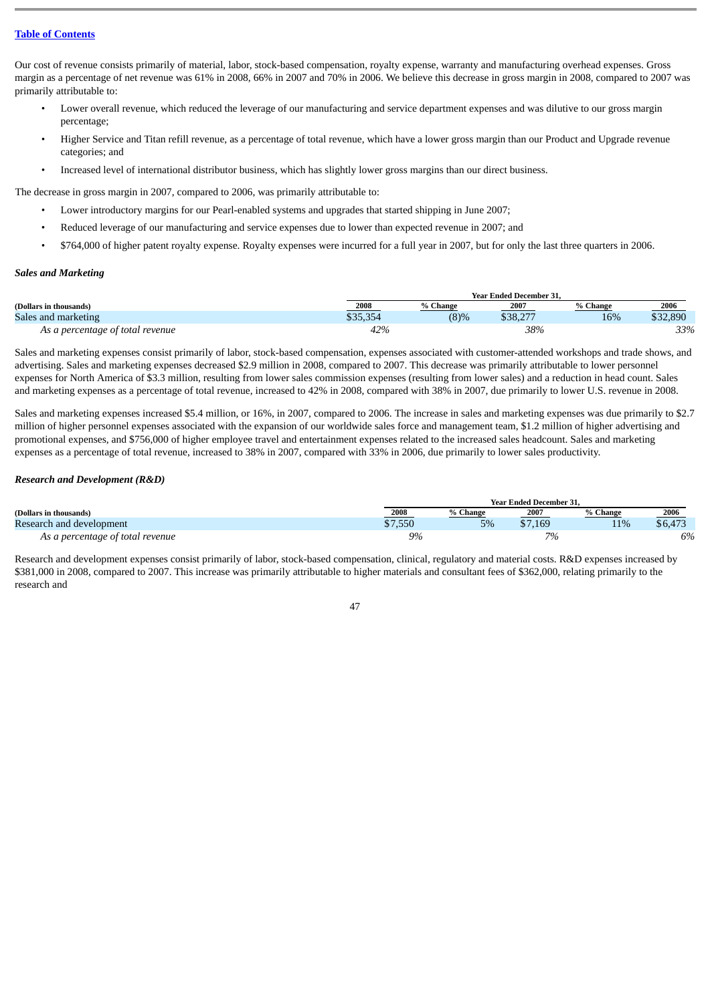Our cost of revenue consists primarily of material, labor, stock-based compensation, royalty expense, warranty and manufacturing overhead expenses. Gross margin as a percentage of net revenue was 61% in 2008, 66% in 2007 and 70% in 2006. We believe this decrease in gross margin in 2008, compared to 2007 was primarily attributable to:

- Lower overall revenue, which reduced the leverage of our manufacturing and service department expenses and was dilutive to our gross margin percentage;
- Higher Service and Titan refill revenue, as a percentage of total revenue, which have a lower gross margin than our Product and Upgrade revenue categories; and
- Increased level of international distributor business, which has slightly lower gross margins than our direct business.

The decrease in gross margin in 2007, compared to 2006, was primarily attributable to:

- Lower introductory margins for our Pearl-enabled systems and upgrades that started shipping in June 2007;
- Reduced leverage of our manufacturing and service expenses due to lower than expected revenue in 2007; and
- \$764,000 of higher patent royalty expense. Royalty expenses were incurred for a full year in 2007, but for only the last three quarters in 2006.

### *Sales and Marketing*

|                                  | <b>Year Ended December 31.</b> |          |          |          |          |
|----------------------------------|--------------------------------|----------|----------|----------|----------|
| (Dollars in thousands)           | 2008                           | % Change | 2007     | % Change | 2006     |
| Sales and marketing              | \$35.354                       | (8)%     | \$38,277 | 16%      | \$32.890 |
| As a percentage of total revenue | 42%                            |          | 38%      |          | 33%      |

Sales and marketing expenses consist primarily of labor, stock-based compensation, expenses associated with customer-attended workshops and trade shows, and advertising. Sales and marketing expenses decreased \$2.9 million in 2008, compared to 2007. This decrease was primarily attributable to lower personnel expenses for North America of \$3.3 million, resulting from lower sales commission expenses (resulting from lower sales) and a reduction in head count. Sales and marketing expenses as a percentage of total revenue, increased to 42% in 2008, compared with 38% in 2007, due primarily to lower U.S. revenue in 2008.

Sales and marketing expenses increased \$5.4 million, or 16%, in 2007, compared to 2006. The increase in sales and marketing expenses was due primarily to \$2.7 million of higher personnel expenses associated with the expansion of our worldwide sales force and management team, \$1.2 million of higher advertising and promotional expenses, and \$756,000 of higher employee travel and entertainment expenses related to the increased sales headcount. Sales and marketing expenses as a percentage of total revenue, increased to 38% in 2007, compared with 33% in 2006, due primarily to lower sales productivity.

### *Research and Development (R&D)*

|                                  |         | <b>Year Ended December 31.</b> |         |          |         |
|----------------------------------|---------|--------------------------------|---------|----------|---------|
| (Dollars in thousands)           | 2008    | % Change                       | 2007    | % Change | 2006    |
| Research and development         | \$7,550 | 5%                             | \$7,169 | 11%      | \$6,473 |
| As a percentage of total revenue | 9%      |                                | 7%      |          | 6%      |

Research and development expenses consist primarily of labor, stock-based compensation, clinical, regulatory and material costs. R&D expenses increased by \$381,000 in 2008, compared to 2007. This increase was primarily attributable to higher materials and consultant fees of \$362,000, relating primarily to the research and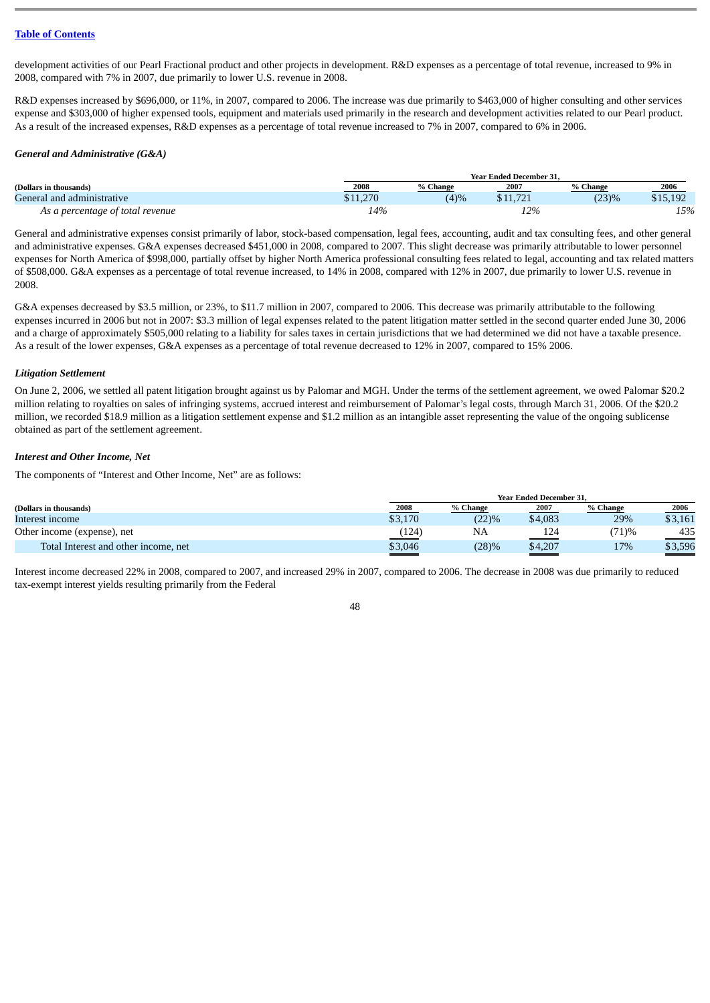development activities of our Pearl Fractional product and other projects in development. R&D expenses as a percentage of total revenue, increased to 9% in 2008, compared with 7% in 2007, due primarily to lower U.S. revenue in 2008.

R&D expenses increased by \$696,000, or 11%, in 2007, compared to 2006. The increase was due primarily to \$463,000 of higher consulting and other services expense and \$303,000 of higher expensed tools, equipment and materials used primarily in the research and development activities related to our Pearl product. As a result of the increased expenses, R&D expenses as a percentage of total revenue increased to 7% in 2007, compared to 6% in 2006.

### *General and Administrative (G&A)*

|                                  |          | <b>Year Ended December 31.</b> |          |          |          |
|----------------------------------|----------|--------------------------------|----------|----------|----------|
| (Dollars in thousands)           | 2008     | % Change                       | 2007     | % Change | 2006     |
| General and administrative       | \$11,270 | (4)%                           | \$11,721 | (23)%    | \$15.192 |
| As a percentage of total revenue | 14%      |                                | 12%      |          | 15%      |

General and administrative expenses consist primarily of labor, stock-based compensation, legal fees, accounting, audit and tax consulting fees, and other general and administrative expenses. G&A expenses decreased \$451,000 in 2008, compared to 2007. This slight decrease was primarily attributable to lower personnel expenses for North America of \$998,000, partially offset by higher North America professional consulting fees related to legal, accounting and tax related matters of \$508,000. G&A expenses as a percentage of total revenue increased, to 14% in 2008, compared with 12% in 2007, due primarily to lower U.S. revenue in 2008.

G&A expenses decreased by \$3.5 million, or 23%, to \$11.7 million in 2007, compared to 2006. This decrease was primarily attributable to the following expenses incurred in 2006 but not in 2007: \$3.3 million of legal expenses related to the patent litigation matter settled in the second quarter ended June 30, 2006 and a charge of approximately \$505,000 relating to a liability for sales taxes in certain jurisdictions that we had determined we did not have a taxable presence. As a result of the lower expenses, G&A expenses as a percentage of total revenue decreased to 12% in 2007, compared to 15% 2006.

### *Litigation Settlement*

On June 2, 2006, we settled all patent litigation brought against us by Palomar and MGH. Under the terms of the settlement agreement, we owed Palomar \$20.2 million relating to royalties on sales of infringing systems, accrued interest and reimbursement of Palomar's legal costs, through March 31, 2006. Of the \$20.2 million, we recorded \$18.9 million as a litigation settlement expense and \$1.2 million as an intangible asset representing the value of the ongoing sublicense obtained as part of the settlement agreement.

### *Interest and Other Income, Net*

The components of "Interest and Other Income, Net" are as follows:

|                                      |         | <b>Year Ended December 31,</b> |         |          |         |  |
|--------------------------------------|---------|--------------------------------|---------|----------|---------|--|
| (Dollars in thousands)               | 2008    | % Change                       | 2007    | % Change | 2006    |  |
| Interest income                      | \$3,170 | (22)%                          | \$4,083 | 29%      | \$3,161 |  |
| Other income (expense), net          | (124)   | NA                             | 124     | (71)%    | 435     |  |
| Total Interest and other income, net | \$3,046 | (28)%                          | \$4,207 | 17%      | \$3,596 |  |

Interest income decreased 22% in 2008, compared to 2007, and increased 29% in 2007, compared to 2006. The decrease in 2008 was due primarily to reduced tax-exempt interest yields resulting primarily from the Federal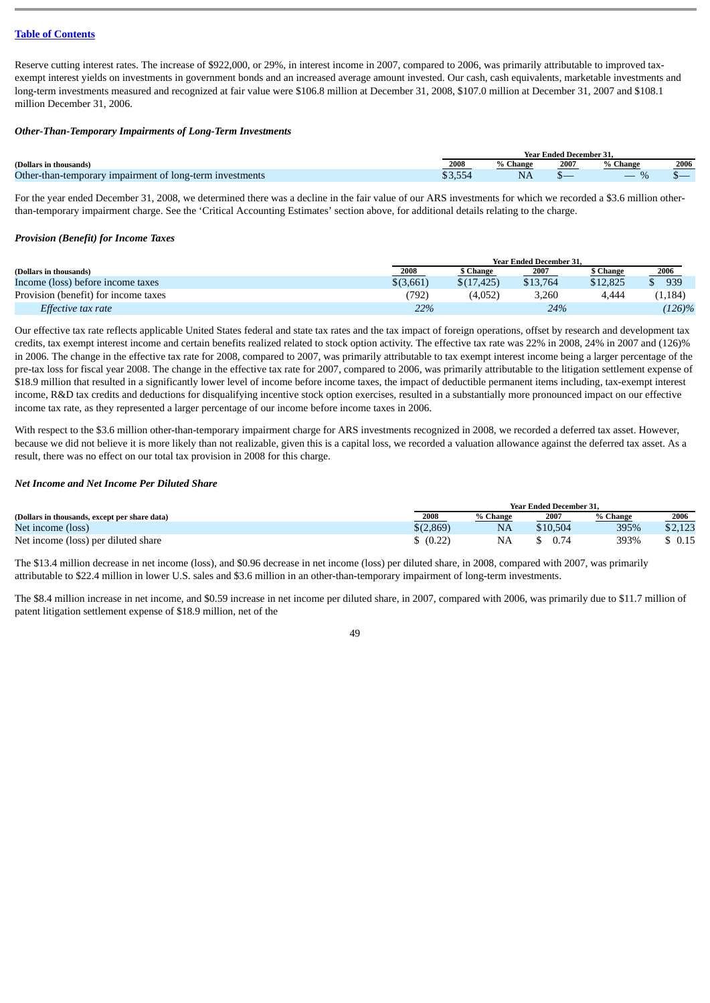Reserve cutting interest rates. The increase of \$922,000, or 29%, in interest income in 2007, compared to 2006, was primarily attributable to improved taxexempt interest yields on investments in government bonds and an increased average amount invested. Our cash, cash equivalents, marketable investments and long-term investments measured and recognized at fair value were \$106.8 million at December 31, 2008, \$107.0 million at December 31, 2007 and \$108.1 million December 31, 2006.

### *Other-Than-Temporary Impairments of Long-Term Investments*

|                                                          | <b>Year Ended December 31.</b>      |             |      |          |      |  |
|----------------------------------------------------------|-------------------------------------|-------------|------|----------|------|--|
| (Dollars in thousands)                                   | 2008                                | % Change    | 2007 | % Change | 2006 |  |
| Other-than-temporary impairment of long-term investments | $\wedge$ $\wedge$ $\wedge$<br>-טיטי | $\sim 11.5$ |      | __       |      |  |

For the year ended December 31, 2008, we determined there was a decline in the fair value of our ARS investments for which we recorded a \$3.6 million otherthan-temporary impairment charge. See the 'Critical Accounting Estimates' section above, for additional details relating to the charge.

### *Provision (Benefit) for Income Taxes*

|                                      |             | <b>Year Ended December 31.</b> |          |           |          |  |
|--------------------------------------|-------------|--------------------------------|----------|-----------|----------|--|
| (Dollars in thousands)               | 2008        | \$ Change                      | 2007     | \$ Change | 2006     |  |
| Income (loss) before income taxes    | $$$ (3,661) | \$(17, 425)                    | \$13,764 | \$12,825  | 939      |  |
| Provision (benefit) for income taxes | (792)       | (4.052)                        | 3.260    | 4.444     | (1, 184) |  |
| Effective tax rate                   | 22%         |                                | 24%      |           | (126)%   |  |

Our effective tax rate reflects applicable United States federal and state tax rates and the tax impact of foreign operations, offset by research and development tax credits, tax exempt interest income and certain benefits realized related to stock option activity. The effective tax rate was 22% in 2008, 24% in 2007 and (126)% in 2006. The change in the effective tax rate for 2008, compared to 2007, was primarily attributable to tax exempt interest income being a larger percentage of the pre-tax loss for fiscal year 2008. The change in the effective tax rate for 2007, compared to 2006, was primarily attributable to the litigation settlement expense of \$18.9 million that resulted in a significantly lower level of income before income taxes, the impact of deductible permanent items including, tax-exempt interest income, R&D tax credits and deductions for disqualifying incentive stock option exercises, resulted in a substantially more pronounced impact on our effective income tax rate, as they represented a larger percentage of our income before income taxes in 2006.

With respect to the \$3.6 million other-than-temporary impairment charge for ARS investments recognized in 2008, we recorded a deferred tax asset. However, because we did not believe it is more likely than not realizable, given this is a capital loss, we recorded a valuation allowance against the deferred tax asset. As a result, there was no effect on our total tax provision in 2008 for this charge.

### *Net Income and Net Income Per Diluted Share*

|                                               | <b>Year Ended December 31.</b> |           |          |          |         |
|-----------------------------------------------|--------------------------------|-----------|----------|----------|---------|
| (Dollars in thousands, except per share data) | 2008                           | % Change  | 2007     | % Change | 2006    |
| Net income (loss)                             | \$(2,869)                      | <b>NA</b> | \$10,504 | 395%     | \$2,123 |
| Net income (loss) per diluted share           | (0.22)                         | NA        |          | 393%     | 0.15    |

The \$13.4 million decrease in net income (loss), and \$0.96 decrease in net income (loss) per diluted share, in 2008, compared with 2007, was primarily attributable to \$22.4 million in lower U.S. sales and \$3.6 million in an other-than-temporary impairment of long-term investments.

The \$8.4 million increase in net income, and \$0.59 increase in net income per diluted share, in 2007, compared with 2006, was primarily due to \$11.7 million of patent litigation settlement expense of \$18.9 million, net of the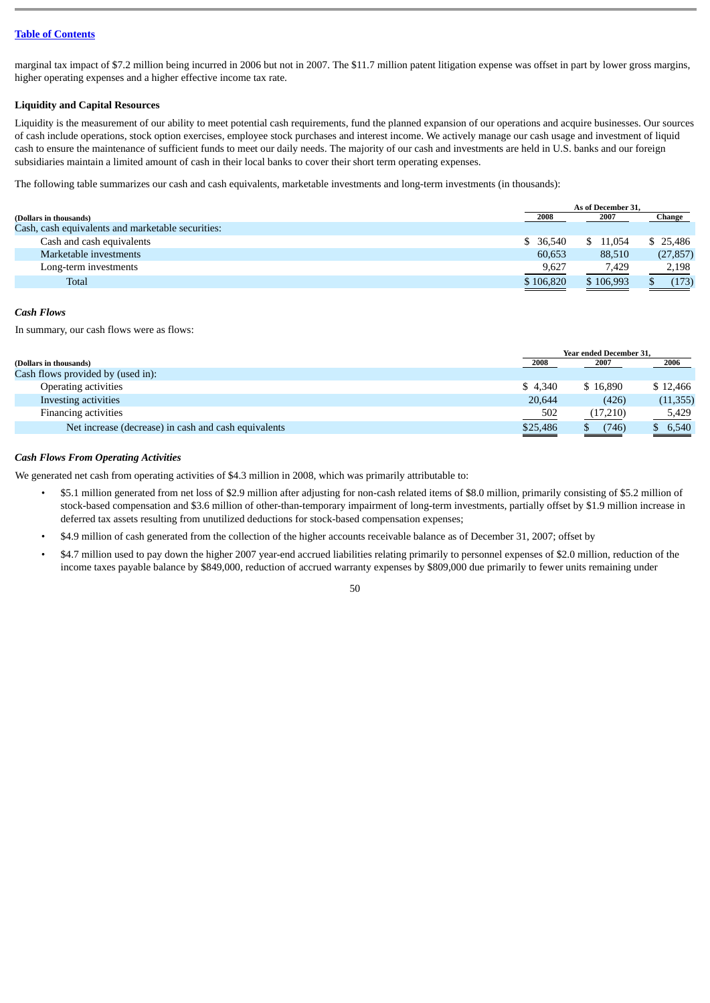marginal tax impact of \$7.2 million being incurred in 2006 but not in 2007. The \$11.7 million patent litigation expense was offset in part by lower gross margins, higher operating expenses and a higher effective income tax rate.

### **Liquidity and Capital Resources**

Liquidity is the measurement of our ability to meet potential cash requirements, fund the planned expansion of our operations and acquire businesses. Our sources of cash include operations, stock option exercises, employee stock purchases and interest income. We actively manage our cash usage and investment of liquid cash to ensure the maintenance of sufficient funds to meet our daily needs. The majority of our cash and investments are held in U.S. banks and our foreign subsidiaries maintain a limited amount of cash in their local banks to cover their short term operating expenses.

The following table summarizes our cash and cash equivalents, marketable investments and long-term investments (in thousands):

|                                                   | As of December 31, |           |           |
|---------------------------------------------------|--------------------|-----------|-----------|
| (Dollars in thousands)                            | 2008               | 2007      | Change    |
| Cash, cash equivalents and marketable securities: |                    |           |           |
| Cash and cash equivalents                         | \$ 36,540          | \$11.054  | \$25,486  |
| Marketable investments                            | 60,653             | 88,510    | (27, 857) |
| Long-term investments                             | 9,627              | 7.429     | 2,198     |
| <b>Total</b>                                      | \$106,820          | \$106,993 | (173)     |

### *Cash Flows*

In summary, our cash flows were as flows:

|                                                      |          | Year ended December 31, |                  |  |
|------------------------------------------------------|----------|-------------------------|------------------|--|
| (Dollars in thousands)                               | 2008     | 2007                    | 2006             |  |
| Cash flows provided by (used in):                    |          |                         |                  |  |
| <b>Operating activities</b>                          | \$4,340  | \$16.890                | \$12,466         |  |
| Investing activities                                 | 20,644   | (426)                   | (11, 355)        |  |
| <b>Financing activities</b>                          | 502      | (17, 210)               | 5,429            |  |
| Net increase (decrease) in cash and cash equivalents | \$25,486 | (746)                   | 6,540<br>_______ |  |

### *Cash Flows From Operating Activities*

We generated net cash from operating activities of \$4.3 million in 2008, which was primarily attributable to:

- \$5.1 million generated from net loss of \$2.9 million after adjusting for non-cash related items of \$8.0 million, primarily consisting of \$5.2 million of stock-based compensation and \$3.6 million of other-than-temporary impairment of long-term investments, partially offset by \$1.9 million increase in deferred tax assets resulting from unutilized deductions for stock-based compensation expenses;
- \$4.9 million of cash generated from the collection of the higher accounts receivable balance as of December 31, 2007; offset by
- \$4.7 million used to pay down the higher 2007 year-end accrued liabilities relating primarily to personnel expenses of \$2.0 million, reduction of the income taxes payable balance by \$849,000, reduction of accrued warranty expenses by \$809,000 due primarily to fewer units remaining under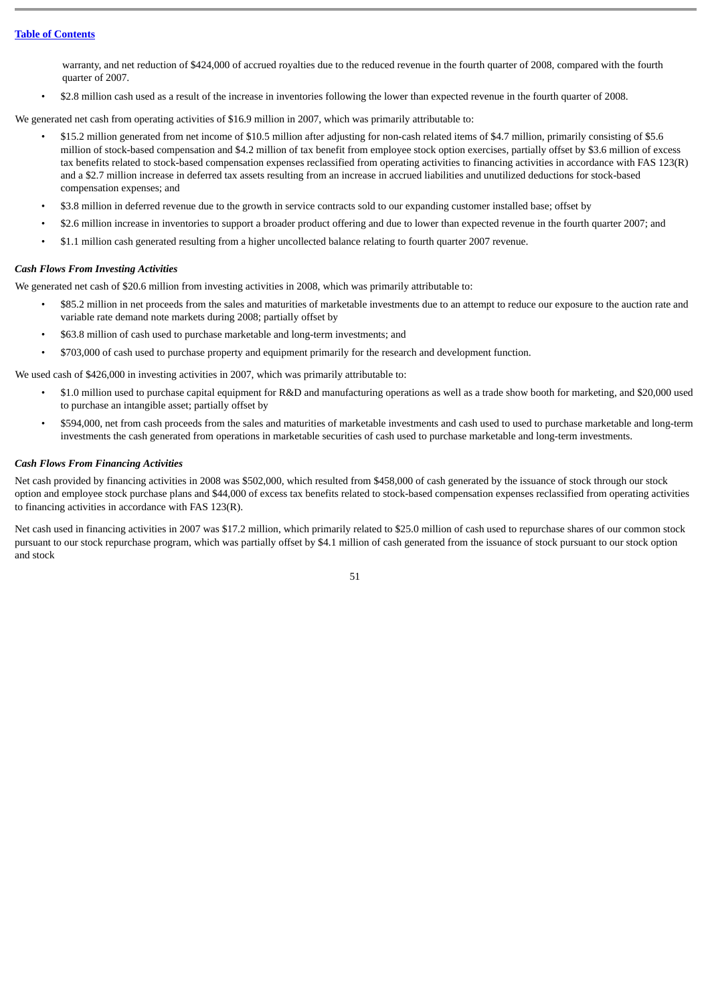warranty, and net reduction of \$424,000 of accrued royalties due to the reduced revenue in the fourth quarter of 2008, compared with the fourth quarter of 2007.

• \$2.8 million cash used as a result of the increase in inventories following the lower than expected revenue in the fourth quarter of 2008.

We generated net cash from operating activities of \$16.9 million in 2007, which was primarily attributable to:

- \$15.2 million generated from net income of \$10.5 million after adjusting for non-cash related items of \$4.7 million, primarily consisting of \$5.6 million of stock-based compensation and \$4.2 million of tax benefit from employee stock option exercises, partially offset by \$3.6 million of excess tax benefits related to stock-based compensation expenses reclassified from operating activities to financing activities in accordance with FAS 123(R) and a \$2.7 million increase in deferred tax assets resulting from an increase in accrued liabilities and unutilized deductions for stock-based compensation expenses; and
- \$3.8 million in deferred revenue due to the growth in service contracts sold to our expanding customer installed base; offset by
- \$2.6 million increase in inventories to support a broader product offering and due to lower than expected revenue in the fourth quarter 2007; and
- \$1.1 million cash generated resulting from a higher uncollected balance relating to fourth quarter 2007 revenue.

## *Cash Flows From Investing Activities*

We generated net cash of \$20.6 million from investing activities in 2008, which was primarily attributable to:

- \$85.2 million in net proceeds from the sales and maturities of marketable investments due to an attempt to reduce our exposure to the auction rate and variable rate demand note markets during 2008; partially offset by
- \$63.8 million of cash used to purchase marketable and long-term investments; and
- \$703,000 of cash used to purchase property and equipment primarily for the research and development function.

We used cash of \$426,000 in investing activities in 2007, which was primarily attributable to:

- \$1.0 million used to purchase capital equipment for R&D and manufacturing operations as well as a trade show booth for marketing, and \$20,000 used to purchase an intangible asset; partially offset by
- \$594,000, net from cash proceeds from the sales and maturities of marketable investments and cash used to used to purchase marketable and long-term investments the cash generated from operations in marketable securities of cash used to purchase marketable and long-term investments.

### *Cash Flows From Financing Activities*

Net cash provided by financing activities in 2008 was \$502,000, which resulted from \$458,000 of cash generated by the issuance of stock through our stock option and employee stock purchase plans and \$44,000 of excess tax benefits related to stock-based compensation expenses reclassified from operating activities to financing activities in accordance with FAS 123(R).

Net cash used in financing activities in 2007 was \$17.2 million, which primarily related to \$25.0 million of cash used to repurchase shares of our common stock pursuant to our stock repurchase program, which was partially offset by \$4.1 million of cash generated from the issuance of stock pursuant to our stock option and stock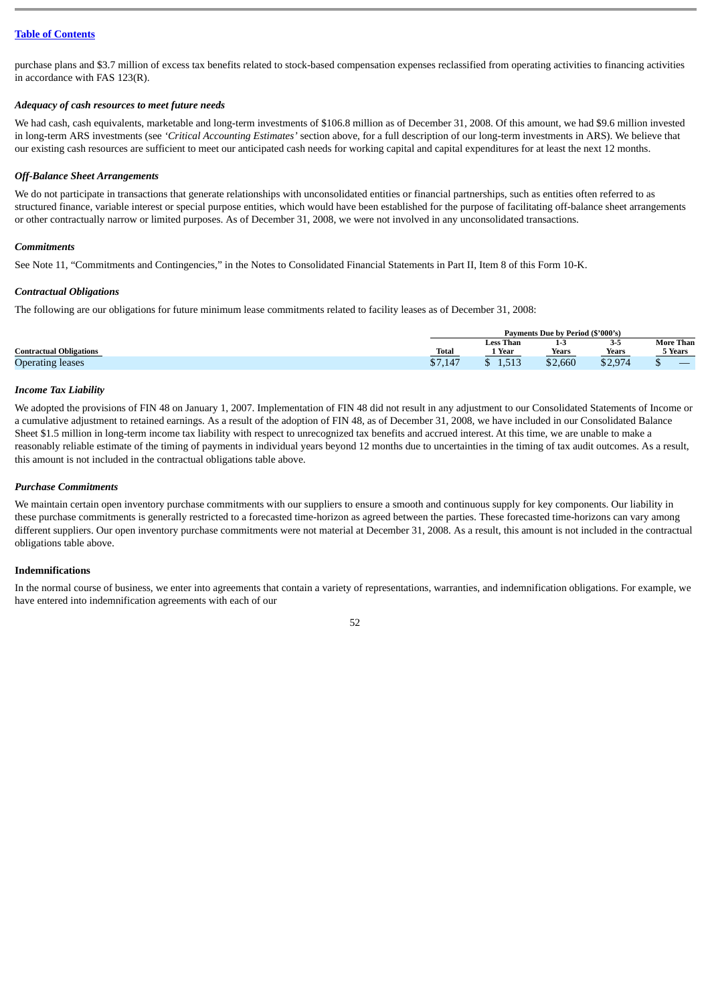purchase plans and \$3.7 million of excess tax benefits related to stock-based compensation expenses reclassified from operating activities to financing activities in accordance with FAS 123(R).

### *Adequacy of cash resources to meet future needs*

We had cash, cash equivalents, marketable and long-term investments of \$106.8 million as of December 31, 2008. Of this amount, we had \$9.6 million invested in long-term ARS investments (see *'Critical Accounting Estimates'* section above, for a full description of our long-term investments in ARS). We believe that our existing cash resources are sufficient to meet our anticipated cash needs for working capital and capital expenditures for at least the next 12 months.

#### *Off-Balance Sheet Arrangements*

We do not participate in transactions that generate relationships with unconsolidated entities or financial partnerships, such as entities often referred to as structured finance, variable interest or special purpose entities, which would have been established for the purpose of facilitating off-balance sheet arrangements or other contractually narrow or limited purposes. As of December 31, 2008, we were not involved in any unconsolidated transactions.

#### *Commitments*

See Note 11, "Commitments and Contingencies," in the Notes to Consolidated Financial Statements in Part II, Item 8 of this Form 10-K.

#### *Contractual Obligations*

The following are our obligations for future minimum lease commitments related to facility leases as of December 31, 2008:

|                                | Payments Due by Period (\$'000's) |               |              |              |                          |
|--------------------------------|-----------------------------------|---------------|--------------|--------------|--------------------------|
|                                |                                   | Than<br>Less. |              | 5-5          | <b>More Than</b>         |
| <b>Contractual Obligations</b> | <b>Total</b>                      | ' Year        | <b>Years</b> | <b>Years</b> | 5 Years                  |
| <b>Operating leases</b>        | \$7,147                           | 1,513         | \$2,660      | \$2.974      | $\overline{\phantom{a}}$ |

#### *Income Tax Liability*

We adopted the provisions of FIN 48 on January 1, 2007. Implementation of FIN 48 did not result in any adjustment to our Consolidated Statements of Income or a cumulative adjustment to retained earnings. As a result of the adoption of FIN 48, as of December 31, 2008, we have included in our Consolidated Balance Sheet \$1.5 million in long-term income tax liability with respect to unrecognized tax benefits and accrued interest. At this time, we are unable to make a reasonably reliable estimate of the timing of payments in individual years beyond 12 months due to uncertainties in the timing of tax audit outcomes. As a result, this amount is not included in the contractual obligations table above.

#### *Purchase Commitments*

We maintain certain open inventory purchase commitments with our suppliers to ensure a smooth and continuous supply for key components. Our liability in these purchase commitments is generally restricted to a forecasted time-horizon as agreed between the parties. These forecasted time-horizons can vary among different suppliers. Our open inventory purchase commitments were not material at December 31, 2008. As a result, this amount is not included in the contractual obligations table above.

#### **Indemnifications**

In the normal course of business, we enter into agreements that contain a variety of representations, warranties, and indemnification obligations. For example, we have entered into indemnification agreements with each of our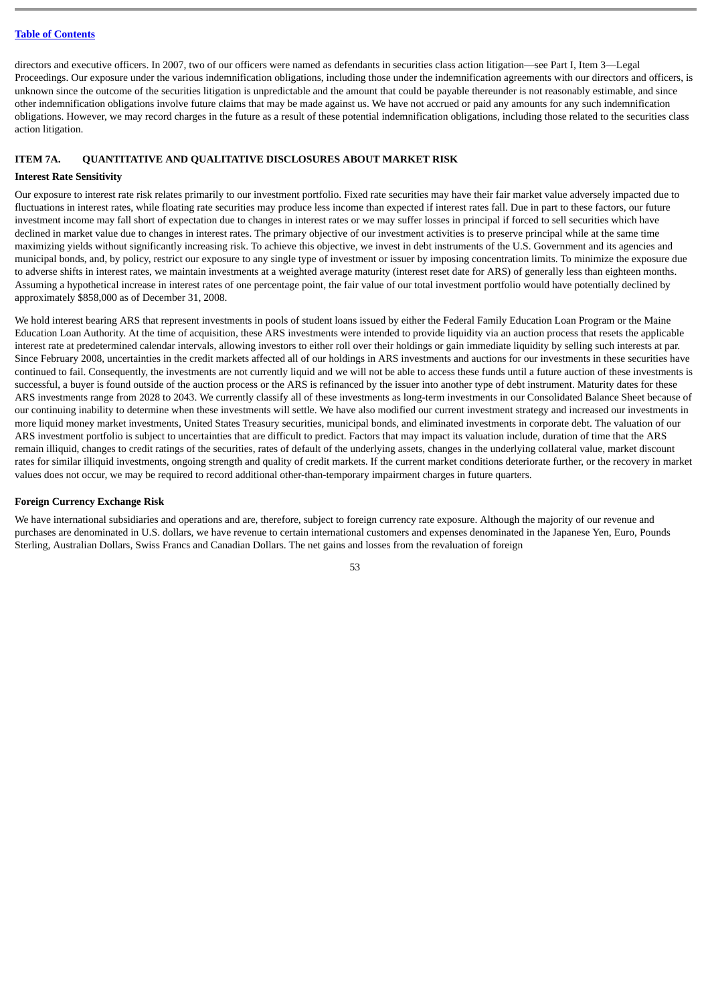directors and executive officers. In 2007, two of our officers were named as defendants in securities class action litigation—see Part I, Item 3—Legal Proceedings. Our exposure under the various indemnification obligations, including those under the indemnification agreements with our directors and officers, is unknown since the outcome of the securities litigation is unpredictable and the amount that could be payable thereunder is not reasonably estimable, and since other indemnification obligations involve future claims that may be made against us. We have not accrued or paid any amounts for any such indemnification obligations. However, we may record charges in the future as a result of these potential indemnification obligations, including those related to the securities class action litigation.

## **ITEM 7A. QUANTITATIVE AND QUALITATIVE DISCLOSURES ABOUT MARKET RISK**

### **Interest Rate Sensitivity**

Our exposure to interest rate risk relates primarily to our investment portfolio. Fixed rate securities may have their fair market value adversely impacted due to fluctuations in interest rates, while floating rate securities may produce less income than expected if interest rates fall. Due in part to these factors, our future investment income may fall short of expectation due to changes in interest rates or we may suffer losses in principal if forced to sell securities which have declined in market value due to changes in interest rates. The primary objective of our investment activities is to preserve principal while at the same time maximizing yields without significantly increasing risk. To achieve this objective, we invest in debt instruments of the U.S. Government and its agencies and municipal bonds, and, by policy, restrict our exposure to any single type of investment or issuer by imposing concentration limits. To minimize the exposure due to adverse shifts in interest rates, we maintain investments at a weighted average maturity (interest reset date for ARS) of generally less than eighteen months. Assuming a hypothetical increase in interest rates of one percentage point, the fair value of our total investment portfolio would have potentially declined by approximately \$858,000 as of December 31, 2008.

We hold interest bearing ARS that represent investments in pools of student loans issued by either the Federal Family Education Loan Program or the Maine Education Loan Authority. At the time of acquisition, these ARS investments were intended to provide liquidity via an auction process that resets the applicable interest rate at predetermined calendar intervals, allowing investors to either roll over their holdings or gain immediate liquidity by selling such interests at par. Since February 2008, uncertainties in the credit markets affected all of our holdings in ARS investments and auctions for our investments in these securities have continued to fail. Consequently, the investments are not currently liquid and we will not be able to access these funds until a future auction of these investments is successful, a buyer is found outside of the auction process or the ARS is refinanced by the issuer into another type of debt instrument. Maturity dates for these ARS investments range from 2028 to 2043. We currently classify all of these investments as long-term investments in our Consolidated Balance Sheet because of our continuing inability to determine when these investments will settle. We have also modified our current investment strategy and increased our investments in more liquid money market investments, United States Treasury securities, municipal bonds, and eliminated investments in corporate debt. The valuation of our ARS investment portfolio is subject to uncertainties that are difficult to predict. Factors that may impact its valuation include, duration of time that the ARS remain illiquid, changes to credit ratings of the securities, rates of default of the underlying assets, changes in the underlying collateral value, market discount rates for similar illiquid investments, ongoing strength and quality of credit markets. If the current market conditions deteriorate further, or the recovery in market values does not occur, we may be required to record additional other-than-temporary impairment charges in future quarters.

### **Foreign Currency Exchange Risk**

We have international subsidiaries and operations and are, therefore, subject to foreign currency rate exposure. Although the majority of our revenue and purchases are denominated in U.S. dollars, we have revenue to certain international customers and expenses denominated in the Japanese Yen, Euro, Pounds Sterling, Australian Dollars, Swiss Francs and Canadian Dollars. The net gains and losses from the revaluation of foreign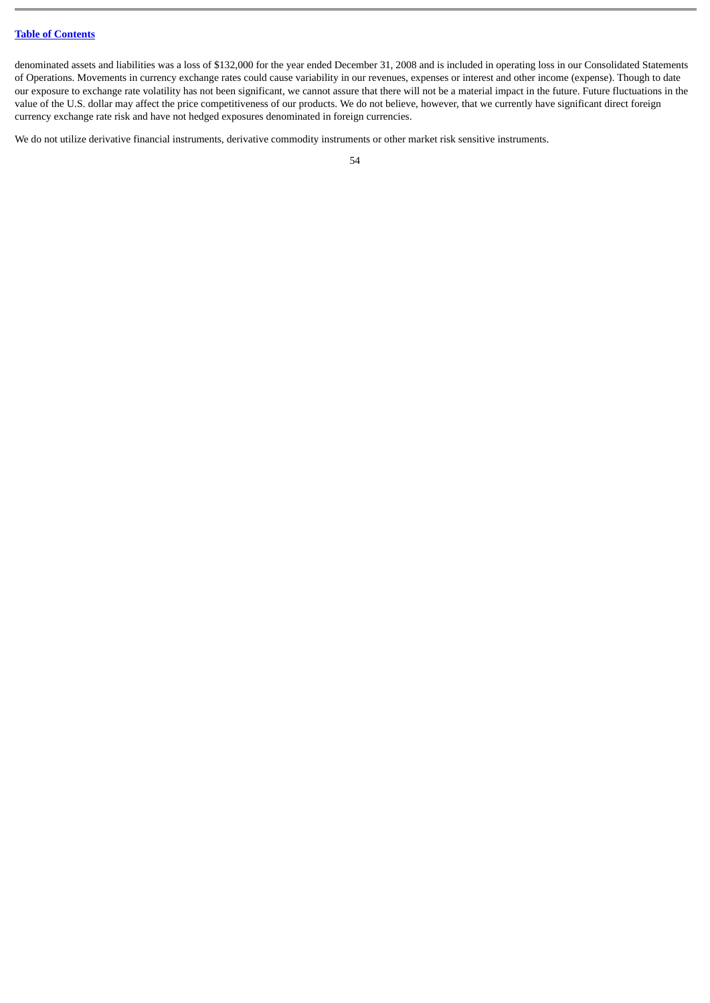denominated assets and liabilities was a loss of \$132,000 for the year ended December 31, 2008 and is included in operating loss in our Consolidated Statements of Operations. Movements in currency exchange rates could cause variability in our revenues, expenses or interest and other income (expense). Though to date our exposure to exchange rate volatility has not been significant, we cannot assure that there will not be a material impact in the future. Future fluctuations in the value of the U.S. dollar may affect the price competitiveness of our products. We do not believe, however, that we currently have significant direct foreign currency exchange rate risk and have not hedged exposures denominated in foreign currencies.

We do not utilize derivative financial instruments, derivative commodity instruments or other market risk sensitive instruments.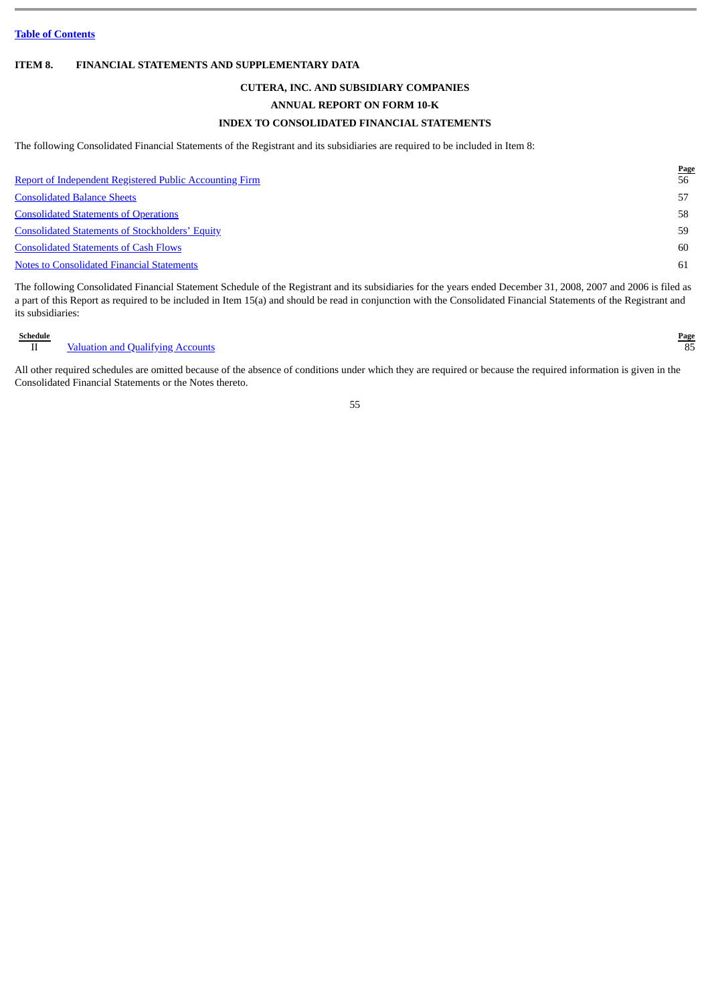## **ITEM 8. FINANCIAL STATEMENTS AND SUPPLEMENTARY DATA**

## **CUTERA, INC. AND SUBSIDIARY COMPANIES**

## **ANNUAL REPORT ON FORM 10-K**

## **INDEX TO CONSOLIDATED FINANCIAL STATEMENTS**

The following Consolidated Financial Statements of the Registrant and its subsidiaries are required to be included in Item 8:

|                                                                | Page |
|----------------------------------------------------------------|------|
| <b>Report of Independent Registered Public Accounting Firm</b> | 56   |
| <b>Consolidated Balance Sheets</b>                             | 57   |
| <b>Consolidated Statements of Operations</b>                   | 58   |
| <b>Consolidated Statements of Stockholders' Equity</b>         | 59   |
| <b>Consolidated Statements of Cash Flows</b>                   | 60   |
| <b>Notes to Consolidated Financial Statements</b>              | 61   |
|                                                                |      |

The following Consolidated Financial Statement Schedule of the Registrant and its subsidiaries for the years ended December 31, 2008, 2007 and 2006 is filed as a part of this Report as required to be included in Item 15(a) and should be read in conjunction with the Consolidated Financial Statements of the Registrant and its subsidiaries:

#### **Schedule Page**

II [Valuation and Qualifying Accounts](#page-84-0) 85

All other required schedules are omitted because of the absence of conditions under which they are required or because the required information is given in the Consolidated Financial Statements or the Notes thereto.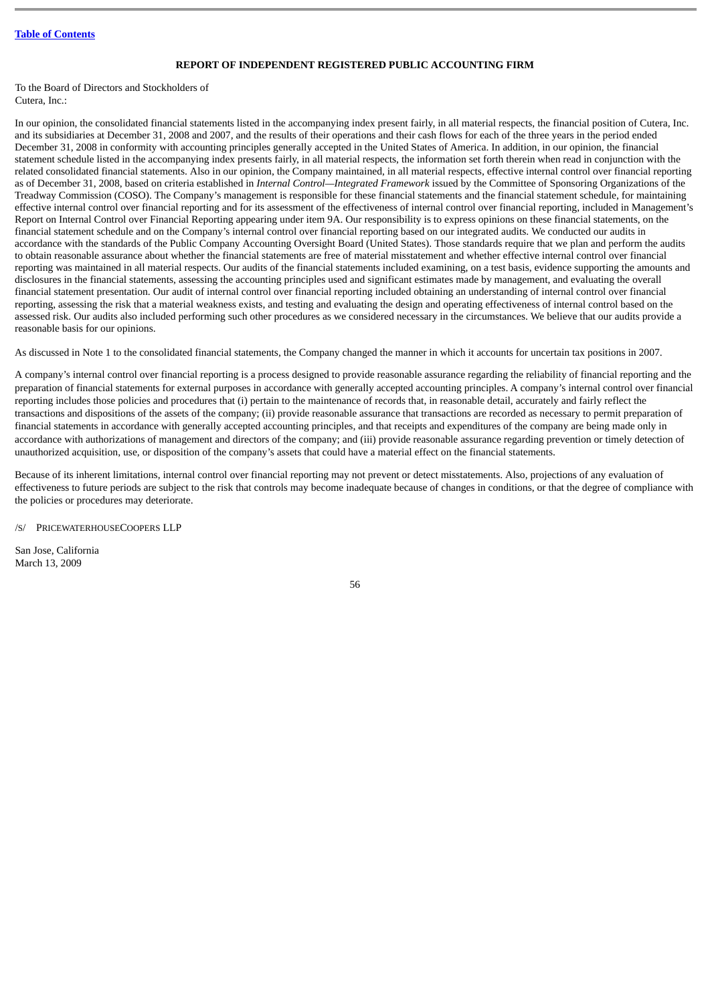## **REPORT OF INDEPENDENT REGISTERED PUBLIC ACCOUNTING FIRM**

<span id="page-55-0"></span>To the Board of Directors and Stockholders of Cutera, Inc.:

In our opinion, the consolidated financial statements listed in the accompanying index present fairly, in all material respects, the financial position of Cutera, Inc. and its subsidiaries at December 31, 2008 and 2007, and the results of their operations and their cash flows for each of the three years in the period ended December 31, 2008 in conformity with accounting principles generally accepted in the United States of America. In addition, in our opinion, the financial statement schedule listed in the accompanying index presents fairly, in all material respects, the information set forth therein when read in conjunction with the related consolidated financial statements. Also in our opinion, the Company maintained, in all material respects, effective internal control over financial reporting as of December 31, 2008, based on criteria established in *Internal Control—Integrated Framework* issued by the Committee of Sponsoring Organizations of the Treadway Commission (COSO). The Company's management is responsible for these financial statements and the financial statement schedule, for maintaining effective internal control over financial reporting and for its assessment of the effectiveness of internal control over financial reporting, included in Management's Report on Internal Control over Financial Reporting appearing under item 9A. Our responsibility is to express opinions on these financial statements, on the financial statement schedule and on the Company's internal control over financial reporting based on our integrated audits. We conducted our audits in accordance with the standards of the Public Company Accounting Oversight Board (United States). Those standards require that we plan and perform the audits to obtain reasonable assurance about whether the financial statements are free of material misstatement and whether effective internal control over financial reporting was maintained in all material respects. Our audits of the financial statements included examining, on a test basis, evidence supporting the amounts and disclosures in the financial statements, assessing the accounting principles used and significant estimates made by management, and evaluating the overall financial statement presentation. Our audit of internal control over financial reporting included obtaining an understanding of internal control over financial reporting, assessing the risk that a material weakness exists, and testing and evaluating the design and operating effectiveness of internal control based on the assessed risk. Our audits also included performing such other procedures as we considered necessary in the circumstances. We believe that our audits provide a reasonable basis for our opinions.

As discussed in Note 1 to the consolidated financial statements, the Company changed the manner in which it accounts for uncertain tax positions in 2007.

A company's internal control over financial reporting is a process designed to provide reasonable assurance regarding the reliability of financial reporting and the preparation of financial statements for external purposes in accordance with generally accepted accounting principles. A company's internal control over financial reporting includes those policies and procedures that (i) pertain to the maintenance of records that, in reasonable detail, accurately and fairly reflect the transactions and dispositions of the assets of the company; (ii) provide reasonable assurance that transactions are recorded as necessary to permit preparation of financial statements in accordance with generally accepted accounting principles, and that receipts and expenditures of the company are being made only in accordance with authorizations of management and directors of the company; and (iii) provide reasonable assurance regarding prevention or timely detection of unauthorized acquisition, use, or disposition of the company's assets that could have a material effect on the financial statements.

Because of its inherent limitations, internal control over financial reporting may not prevent or detect misstatements. Also, projections of any evaluation of effectiveness to future periods are subject to the risk that controls may become inadequate because of changes in conditions, or that the degree of compliance with the policies or procedures may deteriorate.

/S/ PRICEWATERHOUSECOOPERS LLP

San Jose, California March 13, 2009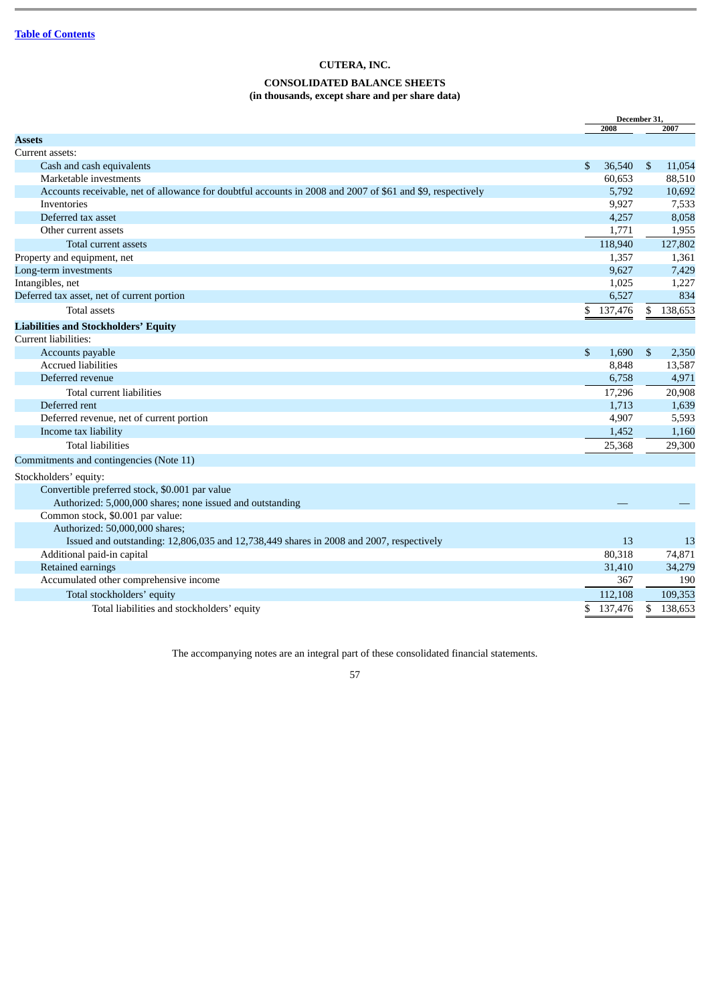# **CONSOLIDATED BALANCE SHEETS**

# **(in thousands, except share and per share data)**

<span id="page-56-0"></span>

|                                                                                                            |              | December 31, |                |            |
|------------------------------------------------------------------------------------------------------------|--------------|--------------|----------------|------------|
| Assets                                                                                                     |              | 2008         |                | 2007       |
| Current assets:                                                                                            |              |              |                |            |
| Cash and cash equivalents                                                                                  | $\mathbf{s}$ | 36,540       | $\mathfrak{s}$ | 11,054     |
| Marketable investments                                                                                     |              | 60.653       |                | 88,510     |
| Accounts receivable, net of allowance for doubtful accounts in 2008 and 2007 of \$61 and \$9, respectively |              | 5,792        |                | 10,692     |
| Inventories                                                                                                |              | 9,927        |                | 7,533      |
| Deferred tax asset                                                                                         |              | 4,257        |                | 8,058      |
| Other current assets                                                                                       |              | 1,771        |                | 1,955      |
| Total current assets                                                                                       |              | 118,940      |                | 127,802    |
| Property and equipment, net                                                                                |              | 1,357        |                | 1,361      |
| Long-term investments                                                                                      |              | 9,627        |                | 7,429      |
| Intangibles, net                                                                                           |              | 1,025        |                | 1,227      |
| Deferred tax asset, net of current portion                                                                 |              | 6,527        |                | 834        |
| <b>Total assets</b>                                                                                        |              | \$ 137,476   |                | \$ 138,653 |
| <b>Liabilities and Stockholders' Equity</b>                                                                |              |              |                |            |
| Current liabilities:                                                                                       |              |              |                |            |
| Accounts payable                                                                                           | $\mathbb{S}$ | 1,690        | $\mathfrak{s}$ | 2,350      |
| <b>Accrued liabilities</b>                                                                                 |              | 8.848        |                | 13,587     |
| Deferred revenue                                                                                           |              | 6,758        |                | 4,971      |
| Total current liabilities                                                                                  |              | 17,296       |                | 20,908     |
| Deferred rent                                                                                              |              | 1.713        |                | 1,639      |
| Deferred revenue, net of current portion                                                                   |              | 4,907        |                | 5,593      |
| Income tax liability                                                                                       |              | 1,452        |                | 1,160      |
| <b>Total liabilities</b>                                                                                   |              | 25,368       |                | 29,300     |
| Commitments and contingencies (Note 11)                                                                    |              |              |                |            |
| Stockholders' equity:                                                                                      |              |              |                |            |
| Convertible preferred stock, \$0.001 par value                                                             |              |              |                |            |
| Authorized: 5,000,000 shares; none issued and outstanding                                                  |              |              |                |            |
| Common stock, \$0.001 par value:                                                                           |              |              |                |            |
| Authorized: 50,000,000 shares;                                                                             |              |              |                |            |
| Issued and outstanding: 12,806,035 and 12,738,449 shares in 2008 and 2007, respectively                    |              | 13           |                | 13         |
| Additional paid-in capital                                                                                 |              | 80,318       |                | 74,871     |
| Retained earnings                                                                                          |              | 31,410       |                | 34,279     |
| Accumulated other comprehensive income                                                                     |              | 367          |                | 190        |
| Total stockholders' equity                                                                                 |              | 112,108      |                | 109,353    |
| Total liabilities and stockholders' equity                                                                 |              | \$137,476    | \$             | 138,653    |

The accompanying notes are an integral part of these consolidated financial statements.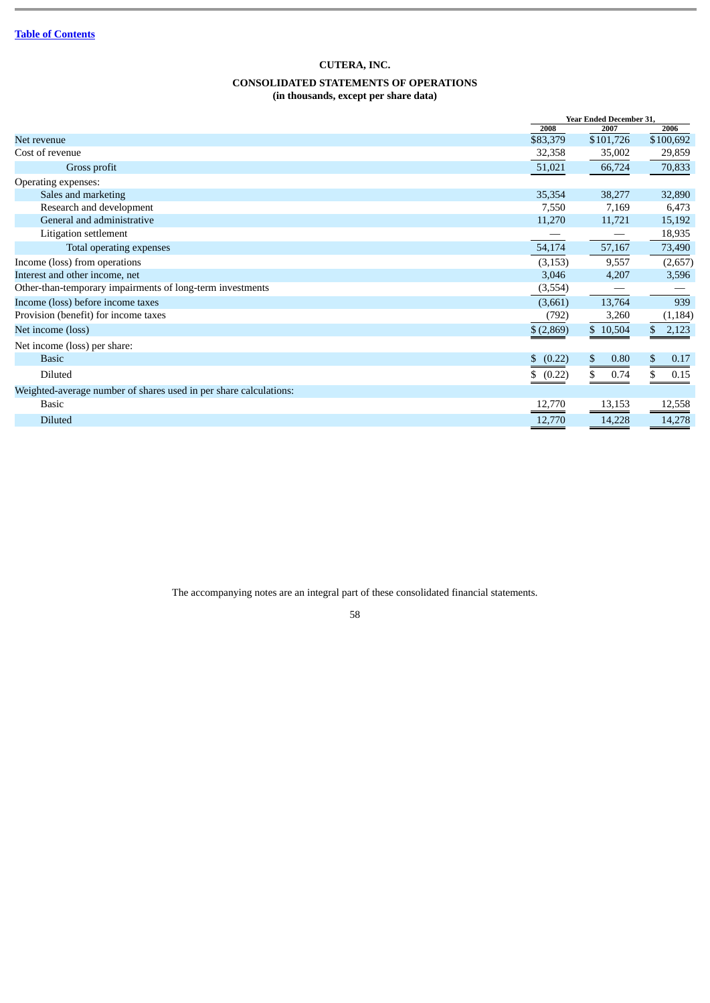## **CONSOLIDATED STATEMENTS OF OPERATIONS (in thousands, except per share data)**

<span id="page-57-0"></span>

|                                                                   |               | <b>Year Ended December 31,</b> |             |  |
|-------------------------------------------------------------------|---------------|--------------------------------|-------------|--|
|                                                                   | 2008          | 2007                           | 2006        |  |
| Net revenue                                                       | \$83,379      | \$101,726                      | \$100,692   |  |
| Cost of revenue                                                   | 32,358        | 35,002                         | 29,859      |  |
| Gross profit                                                      | 51,021        | 66,724                         | 70,833      |  |
| Operating expenses:                                               |               |                                |             |  |
| Sales and marketing                                               | 35,354        | 38,277                         | 32,890      |  |
| Research and development                                          | 7,550         | 7,169                          | 6,473       |  |
| General and administrative                                        | 11,270        | 11,721                         | 15,192      |  |
| Litigation settlement                                             |               |                                | 18,935      |  |
| Total operating expenses                                          | 54,174        | 57,167                         | 73,490      |  |
| Income (loss) from operations                                     | (3, 153)      | 9,557                          | (2,657)     |  |
| Interest and other income, net                                    | 3,046         | 4,207                          | 3,596       |  |
| Other-than-temporary impairments of long-term investments         | (3,554)       |                                |             |  |
| Income (loss) before income taxes                                 | (3,661)       | 13,764                         | 939         |  |
| Provision (benefit) for income taxes                              | (792)         | 3,260                          | (1, 184)    |  |
| Net income (loss)                                                 | \$(2,869)     | \$10,504                       | 2,123<br>S. |  |
| Net income (loss) per share:                                      |               |                                |             |  |
| <b>Basic</b>                                                      | (0.22)<br>\$. | \$<br>0.80                     | 0.17        |  |
| Diluted                                                           | \$ (0.22)     | 0.74                           | 0.15        |  |
| Weighted-average number of shares used in per share calculations: |               |                                |             |  |
| <b>Basic</b>                                                      | 12,770        | 13,153                         | 12,558      |  |
| Diluted                                                           | 12,770        | 14,228                         | 14,278      |  |
|                                                                   |               |                                |             |  |

The accompanying notes are an integral part of these consolidated financial statements.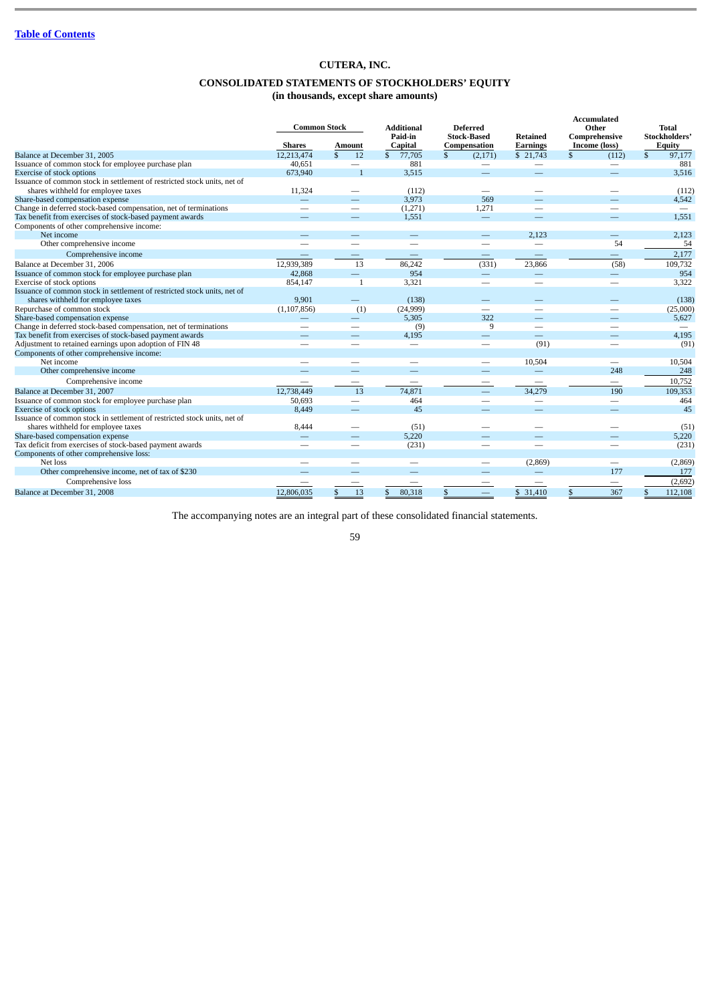## **CONSOLIDATED STATEMENTS OF STOCKHOLDERS' EQUITY (in thousands, except share amounts)**

<span id="page-58-0"></span>

|                                                                          | <b>Common Stock</b>            |                          | <b>Additional</b><br>Paid-in | <b>Deferred</b><br><b>Stock-Based</b> | <b>Retained</b>          | <b>Accumulated</b><br>Other<br>Comprehensive | <b>Total</b><br>Stockholders' |
|--------------------------------------------------------------------------|--------------------------------|--------------------------|------------------------------|---------------------------------------|--------------------------|----------------------------------------------|-------------------------------|
|                                                                          | <b>Shares</b>                  | <b>Amount</b>            | Capital                      | Compensation                          | Earnings                 | Income (loss)                                | <b>Equity</b>                 |
| Balance at December 31, 2005                                             | 12,213,474                     | $\mathbf{s}$<br>12       | \$77,705                     | $\mathbf{s}$<br>(2,171)               | \$ 21,743                | $\mathbb{S}$<br>(112)                        | $\mathbb{S}$<br>97,177        |
| Issuance of common stock for employee purchase plan                      | 40.651                         | $\overline{\phantom{0}}$ | 881                          |                                       |                          |                                              | 881                           |
| <b>Exercise of stock options</b>                                         | 673,940                        | $\mathbf{1}$             | 3,515                        |                                       | $\overline{\phantom{0}}$ |                                              | 3,516                         |
| Issuance of common stock in settlement of restricted stock units, net of |                                |                          |                              |                                       |                          |                                              |                               |
| shares withheld for employee taxes                                       | 11,324                         |                          | (112)                        |                                       |                          |                                              | (112)                         |
| Share-based compensation expense                                         | $\qquad \qquad -$              |                          | 3,973                        | 569                                   |                          |                                              | 4,542                         |
| Change in deferred stock-based compensation, net of terminations         | $\frac{1}{2}$                  | $\overline{\phantom{0}}$ | (1,271)                      | 1,271                                 | $\overline{\phantom{a}}$ |                                              |                               |
| Tax benefit from exercises of stock-based payment awards                 |                                |                          | 1,551                        |                                       |                          |                                              | 1.551                         |
| Components of other comprehensive income:                                |                                |                          |                              |                                       |                          |                                              |                               |
| Net income                                                               |                                |                          |                              |                                       | 2.123                    |                                              | 2,123                         |
| Other comprehensive income                                               |                                |                          |                              |                                       |                          | 54                                           | 54                            |
| Comprehensive income                                                     |                                |                          |                              |                                       |                          | $\overline{\phantom{a}}$                     | 2,177                         |
| Balance at December 31, 2006                                             | 12,939,389                     | 13                       | 86,242                       | (331)                                 | 23,866                   | (58)                                         | 109,732                       |
| Issuance of common stock for employee purchase plan                      | 42,868                         | $\equiv$                 | 954                          |                                       |                          | —                                            | 954                           |
| Exercise of stock options                                                | 854,147                        | $\mathbf{1}$             | 3,321                        |                                       |                          |                                              | 3,322                         |
| Issuance of common stock in settlement of restricted stock units, net of |                                |                          |                              |                                       |                          |                                              |                               |
| shares withheld for employee taxes                                       | 9.901                          |                          | (138)                        |                                       |                          |                                              | (138)                         |
| Repurchase of common stock                                               | (1, 107, 856)                  | (1)                      | (24,999)                     |                                       |                          |                                              | (25,000)                      |
| Share-based compensation expense                                         |                                | $\equiv$                 | 5,305                        | 322                                   |                          |                                              | 5,627                         |
| Change in deferred stock-based compensation, net of terminations         |                                | $\overline{\phantom{0}}$ | (9)                          | 9                                     |                          |                                              |                               |
| Tax benefit from exercises of stock-based payment awards                 |                                |                          | 4,195                        |                                       |                          |                                              | 4.195                         |
| Adjustment to retained earnings upon adoption of FIN 48                  |                                |                          |                              |                                       | (91)                     |                                              | (91)                          |
| Components of other comprehensive income:                                |                                |                          |                              |                                       |                          |                                              |                               |
| Net income                                                               |                                |                          |                              |                                       | 10,504                   |                                              | 10,504                        |
| Other comprehensive income                                               |                                |                          |                              |                                       |                          | 248                                          | 248                           |
| Comprehensive income                                                     |                                |                          |                              |                                       |                          | $\overline{\phantom{0}}$                     | 10,752                        |
| Balance at December 31, 2007                                             | 12,738,449                     | 13                       | 74,871                       |                                       | 34,279                   | 190                                          | 109,353                       |
| Issuance of common stock for employee purchase plan                      | 50,693                         |                          | 464                          |                                       |                          | $\qquad \qquad$                              | 464                           |
| Exercise of stock options                                                | 8,449                          |                          | 45                           |                                       |                          |                                              | 45                            |
| Issuance of common stock in settlement of restricted stock units, net of |                                |                          |                              |                                       |                          |                                              |                               |
| shares withheld for employee taxes                                       | 8,444                          |                          | (51)                         |                                       |                          |                                              | (51)                          |
| Share-based compensation expense                                         | $\qquad \qquad \longleftarrow$ |                          | 5,220                        |                                       |                          |                                              | 5,220                         |
| Tax deficit from exercises of stock-based payment awards                 | $\overline{\phantom{0}}$       |                          | (231)                        |                                       |                          |                                              | (231)                         |
| Components of other comprehensive loss:                                  |                                |                          |                              |                                       |                          |                                              |                               |
| Net loss                                                                 |                                |                          |                              |                                       | (2,869)                  | $\overline{\phantom{m}}$                     | (2,869)                       |
| Other comprehensive income, net of tax of \$230                          |                                |                          |                              |                                       |                          | 177                                          | 177                           |
| Comprehensive loss                                                       |                                |                          |                              |                                       |                          |                                              | (2,692)                       |
| Balance at December 31, 2008                                             | 12,806,035                     | 13                       | 80,318<br>\$                 | \$                                    | \$ 31,410                | 367<br>\$                                    | 112,108                       |

The accompanying notes are an integral part of these consolidated financial statements.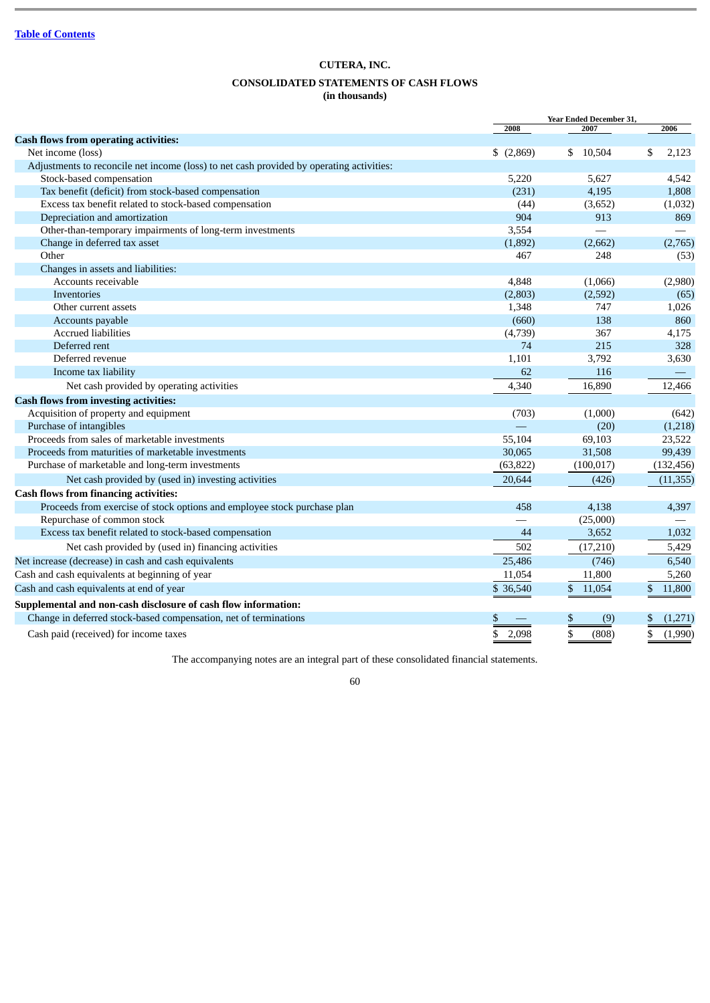# **CUTERA, INC. CONSOLIDATED STATEMENTS OF CASH FLOWS (in thousands)**

<span id="page-59-0"></span>

|                                                                                          |             | <b>Year Ended December 31,</b> |                        |  |
|------------------------------------------------------------------------------------------|-------------|--------------------------------|------------------------|--|
|                                                                                          | 2008        | 2007                           | 2006                   |  |
| <b>Cash flows from operating activities:</b>                                             |             |                                |                        |  |
| Net income (loss)                                                                        | \$(2,869)   | \$10,504                       | \$<br>2,123            |  |
| Adjustments to reconcile net income (loss) to net cash provided by operating activities: |             |                                |                        |  |
| Stock-based compensation                                                                 | 5,220       | 5,627                          | 4,542                  |  |
| Tax benefit (deficit) from stock-based compensation                                      | (231)       | 4,195                          | 1,808                  |  |
| Excess tax benefit related to stock-based compensation                                   | (44)        | (3,652)                        | (1,032)                |  |
| Depreciation and amortization                                                            | 904         | 913                            | 869                    |  |
| Other-than-temporary impairments of long-term investments                                | 3,554       |                                |                        |  |
| Change in deferred tax asset                                                             | (1,892)     | (2,662)                        | (2,765)                |  |
| Other                                                                                    | 467         | 248                            | (53)                   |  |
| Changes in assets and liabilities:                                                       |             |                                |                        |  |
| Accounts receivable                                                                      | 4,848       | (1,066)                        | (2,980)                |  |
| Inventories                                                                              | (2,803)     | (2,592)                        | (65)                   |  |
| Other current assets                                                                     | 1,348       | 747                            | 1,026                  |  |
| Accounts payable                                                                         | (660)       | 138                            | 860                    |  |
| Accrued liabilities                                                                      | (4,739)     | 367                            | 4,175                  |  |
| Deferred rent                                                                            | 74          | 215                            | 328                    |  |
| Deferred revenue                                                                         | 1,101       | 3,792                          | 3,630                  |  |
| Income tax liability                                                                     | 62          | 116                            | $\qquad \qquad -$      |  |
| Net cash provided by operating activities                                                | 4,340       | 16,890                         | 12,466                 |  |
| <b>Cash flows from investing activities:</b>                                             |             |                                |                        |  |
| Acquisition of property and equipment                                                    | (703)       | (1,000)                        | (642)                  |  |
| Purchase of intangibles                                                                  |             | (20)                           | (1,218)                |  |
| Proceeds from sales of marketable investments                                            | 55,104      | 69,103                         | 23,522                 |  |
| Proceeds from maturities of marketable investments                                       | 30,065      | 31,508                         | 99,439                 |  |
| Purchase of marketable and long-term investments                                         | (63, 822)   | (100, 017)                     | (132, 456)             |  |
| Net cash provided by (used in) investing activities                                      | 20,644      | (426)                          | (11, 355)              |  |
| <b>Cash flows from financing activities:</b>                                             |             |                                |                        |  |
| Proceeds from exercise of stock options and employee stock purchase plan                 | 458         | 4,138                          | 4,397                  |  |
| Repurchase of common stock                                                               |             | (25,000)                       |                        |  |
| Excess tax benefit related to stock-based compensation                                   | 44          | 3,652                          | 1,032                  |  |
| Net cash provided by (used in) financing activities                                      | 502         | (17,210)                       | 5,429                  |  |
| Net increase (decrease) in cash and cash equivalents                                     | 25,486      | (746)                          | 6,540                  |  |
| Cash and cash equivalents at beginning of year                                           | 11,054      | 11,800                         | 5,260                  |  |
| Cash and cash equivalents at end of year                                                 | \$ 36,540   | \$11,054                       | $\mathbb{S}$<br>11,800 |  |
|                                                                                          |             |                                |                        |  |
| Supplemental and non-cash disclosure of cash flow information:                           |             |                                |                        |  |
| Change in deferred stock-based compensation, net of terminations                         | \$          | \$<br>(9)                      | (1,271)<br>S           |  |
| Cash paid (received) for income taxes                                                    | \$<br>2,098 | \$<br>(808)                    | \$<br>(1,990)          |  |

The accompanying notes are an integral part of these consolidated financial statements.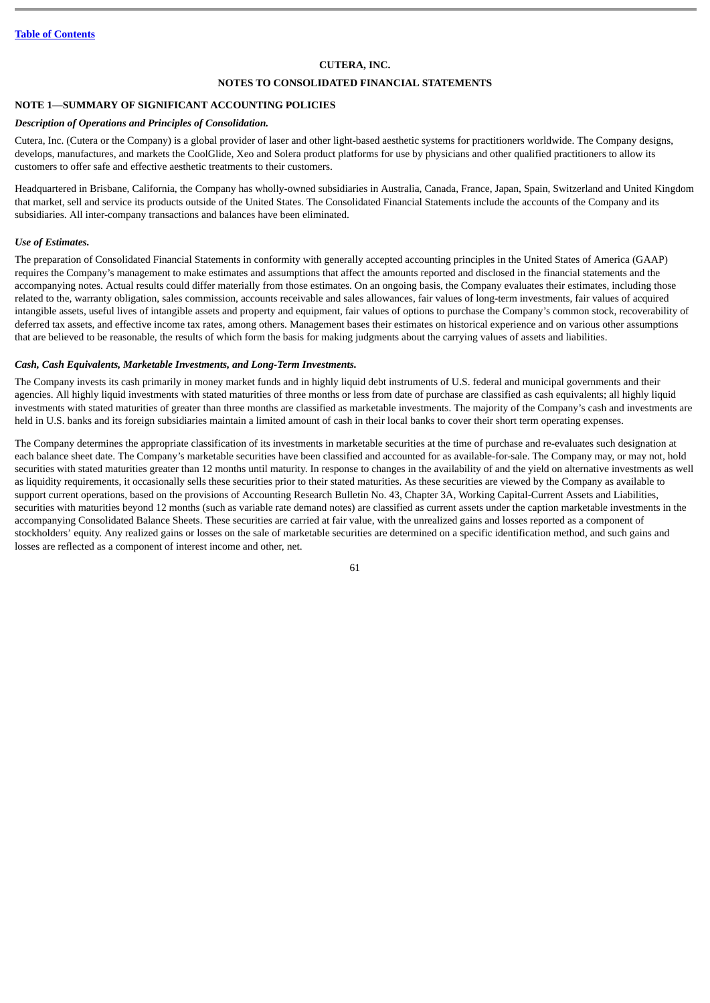### **NOTES TO CONSOLIDATED FINANCIAL STATEMENTS**

### <span id="page-60-0"></span>**NOTE 1—SUMMARY OF SIGNIFICANT ACCOUNTING POLICIES**

### *Description of Operations and Principles of Consolidation.*

Cutera, Inc. (Cutera or the Company) is a global provider of laser and other light-based aesthetic systems for practitioners worldwide. The Company designs, develops, manufactures, and markets the CoolGlide, Xeo and Solera product platforms for use by physicians and other qualified practitioners to allow its customers to offer safe and effective aesthetic treatments to their customers.

Headquartered in Brisbane, California, the Company has wholly-owned subsidiaries in Australia, Canada, France, Japan, Spain, Switzerland and United Kingdom that market, sell and service its products outside of the United States. The Consolidated Financial Statements include the accounts of the Company and its subsidiaries. All inter-company transactions and balances have been eliminated.

### *Use of Estimates.*

The preparation of Consolidated Financial Statements in conformity with generally accepted accounting principles in the United States of America (GAAP) requires the Company's management to make estimates and assumptions that affect the amounts reported and disclosed in the financial statements and the accompanying notes. Actual results could differ materially from those estimates. On an ongoing basis, the Company evaluates their estimates, including those related to the, warranty obligation, sales commission, accounts receivable and sales allowances, fair values of long-term investments, fair values of acquired intangible assets, useful lives of intangible assets and property and equipment, fair values of options to purchase the Company's common stock, recoverability of deferred tax assets, and effective income tax rates, among others. Management bases their estimates on historical experience and on various other assumptions that are believed to be reasonable, the results of which form the basis for making judgments about the carrying values of assets and liabilities.

### *Cash, Cash Equivalents, Marketable Investments, and Long-Term Investments.*

The Company invests its cash primarily in money market funds and in highly liquid debt instruments of U.S. federal and municipal governments and their agencies. All highly liquid investments with stated maturities of three months or less from date of purchase are classified as cash equivalents; all highly liquid investments with stated maturities of greater than three months are classified as marketable investments. The majority of the Company's cash and investments are held in U.S. banks and its foreign subsidiaries maintain a limited amount of cash in their local banks to cover their short term operating expenses.

The Company determines the appropriate classification of its investments in marketable securities at the time of purchase and re-evaluates such designation at each balance sheet date. The Company's marketable securities have been classified and accounted for as available-for-sale. The Company may, or may not, hold securities with stated maturities greater than 12 months until maturity. In response to changes in the availability of and the yield on alternative investments as well as liquidity requirements, it occasionally sells these securities prior to their stated maturities. As these securities are viewed by the Company as available to support current operations, based on the provisions of Accounting Research Bulletin No. 43, Chapter 3A, Working Capital-Current Assets and Liabilities, securities with maturities beyond 12 months (such as variable rate demand notes) are classified as current assets under the caption marketable investments in the accompanying Consolidated Balance Sheets. These securities are carried at fair value, with the unrealized gains and losses reported as a component of stockholders' equity. Any realized gains or losses on the sale of marketable securities are determined on a specific identification method, and such gains and losses are reflected as a component of interest income and other, net.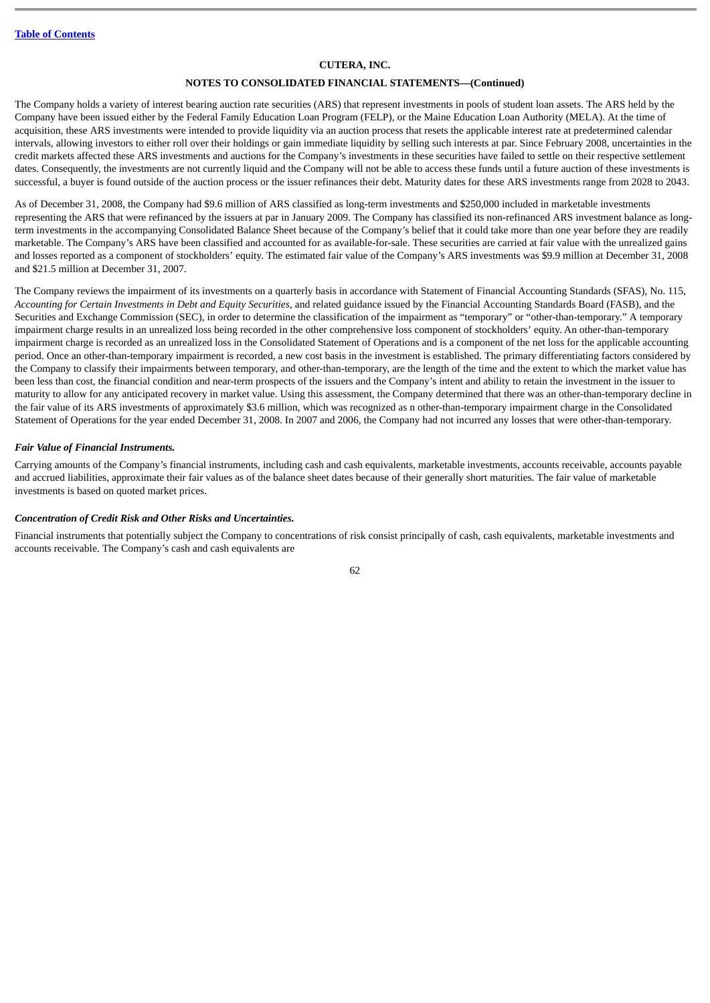### **NOTES TO CONSOLIDATED FINANCIAL STATEMENTS—(Continued)**

The Company holds a variety of interest bearing auction rate securities (ARS) that represent investments in pools of student loan assets. The ARS held by the Company have been issued either by the Federal Family Education Loan Program (FELP), or the Maine Education Loan Authority (MELA). At the time of acquisition, these ARS investments were intended to provide liquidity via an auction process that resets the applicable interest rate at predetermined calendar intervals, allowing investors to either roll over their holdings or gain immediate liquidity by selling such interests at par. Since February 2008, uncertainties in the credit markets affected these ARS investments and auctions for the Company's investments in these securities have failed to settle on their respective settlement dates. Consequently, the investments are not currently liquid and the Company will not be able to access these funds until a future auction of these investments is successful, a buyer is found outside of the auction process or the issuer refinances their debt. Maturity dates for these ARS investments range from 2028 to 2043.

As of December 31, 2008, the Company had \$9.6 million of ARS classified as long-term investments and \$250,000 included in marketable investments representing the ARS that were refinanced by the issuers at par in January 2009. The Company has classified its non-refinanced ARS investment balance as longterm investments in the accompanying Consolidated Balance Sheet because of the Company's belief that it could take more than one year before they are readily marketable. The Company's ARS have been classified and accounted for as available-for-sale. These securities are carried at fair value with the unrealized gains and losses reported as a component of stockholders' equity. The estimated fair value of the Company's ARS investments was \$9.9 million at December 31, 2008 and \$21.5 million at December 31, 2007.

The Company reviews the impairment of its investments on a quarterly basis in accordance with Statement of Financial Accounting Standards (SFAS), No. 115, *Accounting for Certain Investments in Debt and Equity Securities*, and related guidance issued by the Financial Accounting Standards Board (FASB), and the Securities and Exchange Commission (SEC), in order to determine the classification of the impairment as "temporary" or "other-than-temporary." A temporary impairment charge results in an unrealized loss being recorded in the other comprehensive loss component of stockholders' equity. An other-than-temporary impairment charge is recorded as an unrealized loss in the Consolidated Statement of Operations and is a component of the net loss for the applicable accounting period. Once an other-than-temporary impairment is recorded, a new cost basis in the investment is established. The primary differentiating factors considered by the Company to classify their impairments between temporary, and other-than-temporary, are the length of the time and the extent to which the market value has been less than cost, the financial condition and near-term prospects of the issuers and the Company's intent and ability to retain the investment in the issuer to maturity to allow for any anticipated recovery in market value. Using this assessment, the Company determined that there was an other-than-temporary decline in the fair value of its ARS investments of approximately \$3.6 million, which was recognized as n other-than-temporary impairment charge in the Consolidated Statement of Operations for the year ended December 31, 2008. In 2007 and 2006, the Company had not incurred any losses that were other-than-temporary.

### *Fair Value of Financial Instruments.*

Carrying amounts of the Company's financial instruments, including cash and cash equivalents, marketable investments, accounts receivable, accounts payable and accrued liabilities, approximate their fair values as of the balance sheet dates because of their generally short maturities. The fair value of marketable investments is based on quoted market prices.

### *Concentration of Credit Risk and Other Risks and Uncertainties.*

Financial instruments that potentially subject the Company to concentrations of risk consist principally of cash, cash equivalents, marketable investments and accounts receivable. The Company's cash and cash equivalents are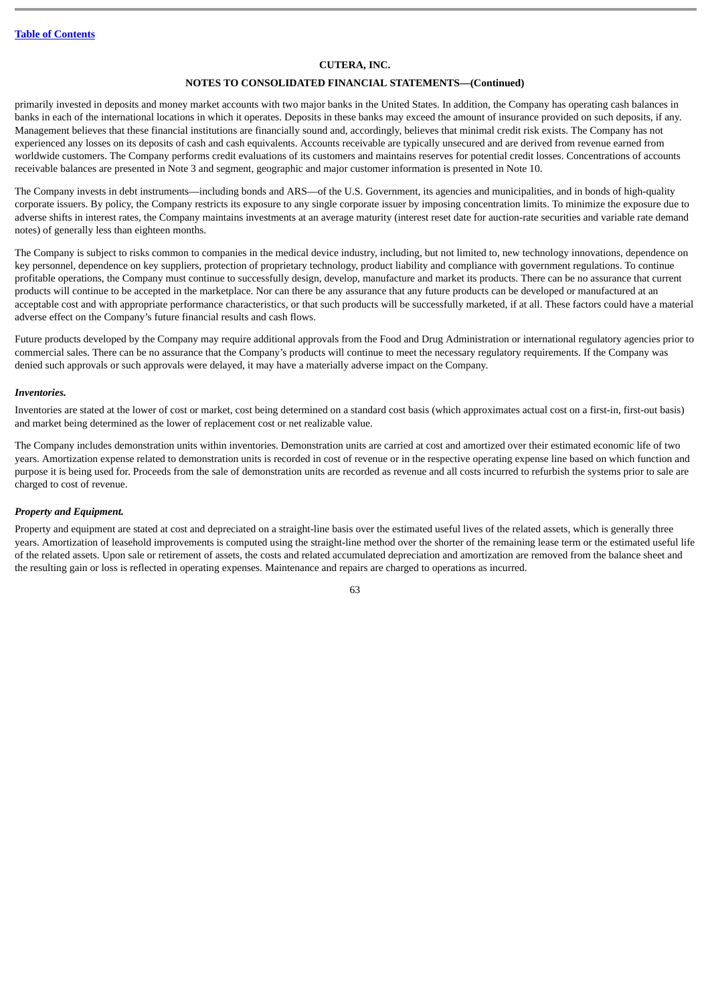### **NOTES TO CONSOLIDATED FINANCIAL STATEMENTS—(Continued)**

primarily invested in deposits and money market accounts with two major banks in the United States. In addition, the Company has operating cash balances in banks in each of the international locations in which it operates. Deposits in these banks may exceed the amount of insurance provided on such deposits, if any. Management believes that these financial institutions are financially sound and, accordingly, believes that minimal credit risk exists. The Company has not experienced any losses on its deposits of cash and cash equivalents. Accounts receivable are typically unsecured and are derived from revenue earned from worldwide customers. The Company performs credit evaluations of its customers and maintains reserves for potential credit losses. Concentrations of accounts receivable balances are presented in Note 3 and segment, geographic and major customer information is presented in Note 10.

The Company invests in debt instruments—including bonds and ARS—of the U.S. Government, its agencies and municipalities, and in bonds of high-quality corporate issuers. By policy, the Company restricts its exposure to any single corporate issuer by imposing concentration limits. To minimize the exposure due to adverse shifts in interest rates, the Company maintains investments at an average maturity (interest reset date for auction-rate securities and variable rate demand notes) of generally less than eighteen months.

The Company is subject to risks common to companies in the medical device industry, including, but not limited to, new technology innovations, dependence on key personnel, dependence on key suppliers, protection of proprietary technology, product liability and compliance with government regulations. To continue profitable operations, the Company must continue to successfully design, develop, manufacture and market its products. There can be no assurance that current products will continue to be accepted in the marketplace. Nor can there be any assurance that any future products can be developed or manufactured at an acceptable cost and with appropriate performance characteristics, or that such products will be successfully marketed, if at all. These factors could have a material adverse effect on the Company's future financial results and cash flows.

Future products developed by the Company may require additional approvals from the Food and Drug Administration or international regulatory agencies prior to commercial sales. There can be no assurance that the Company's products will continue to meet the necessary regulatory requirements. If the Company was denied such approvals or such approvals were delayed, it may have a materially adverse impact on the Company.

#### *Inventories.*

Inventories are stated at the lower of cost or market, cost being determined on a standard cost basis (which approximates actual cost on a first-in, first-out basis) and market being determined as the lower of replacement cost or net realizable value.

The Company includes demonstration units within inventories. Demonstration units are carried at cost and amortized over their estimated economic life of two years. Amortization expense related to demonstration units is recorded in cost of revenue or in the respective operating expense line based on which function and purpose it is being used for. Proceeds from the sale of demonstration units are recorded as revenue and all costs incurred to refurbish the systems prior to sale are charged to cost of revenue.

#### *Property and Equipment.*

Property and equipment are stated at cost and depreciated on a straight-line basis over the estimated useful lives of the related assets, which is generally three years. Amortization of leasehold improvements is computed using the straight-line method over the shorter of the remaining lease term or the estimated useful life of the related assets. Upon sale or retirement of assets, the costs and related accumulated depreciation and amortization are removed from the balance sheet and the resulting gain or loss is reflected in operating expenses. Maintenance and repairs are charged to operations as incurred.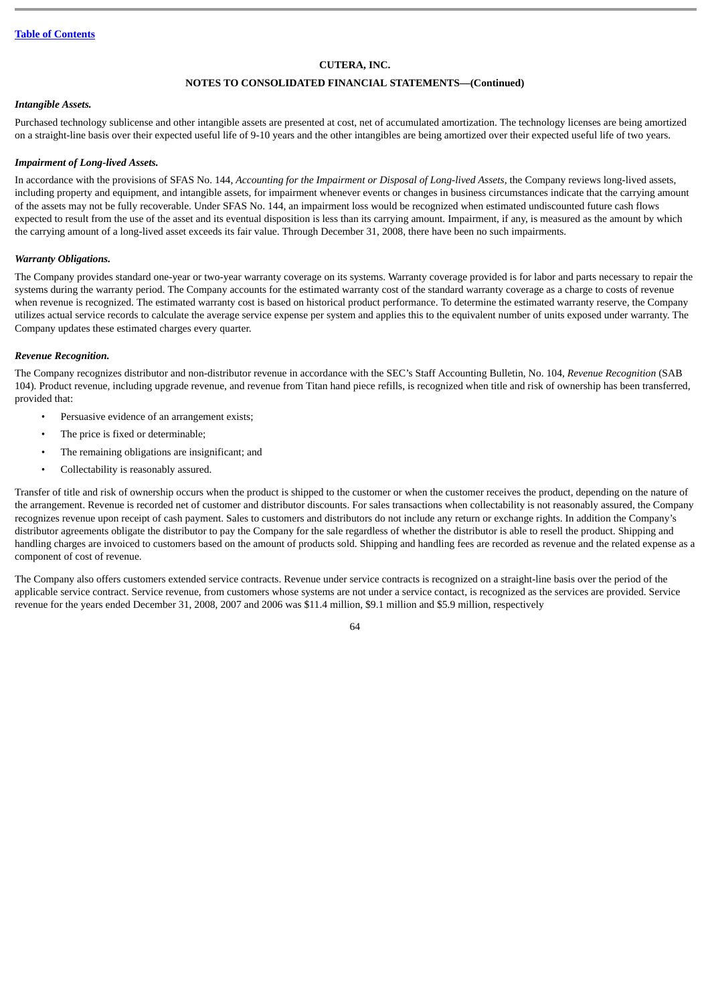### **NOTES TO CONSOLIDATED FINANCIAL STATEMENTS—(Continued)**

### *Intangible Assets.*

Purchased technology sublicense and other intangible assets are presented at cost, net of accumulated amortization. The technology licenses are being amortized on a straight-line basis over their expected useful life of 9-10 years and the other intangibles are being amortized over their expected useful life of two years.

#### *Impairment of Long-lived Assets.*

In accordance with the provisions of SFAS No. 144, *Accounting for the Impairment or Disposal of Long-lived Assets,* the Company reviews long-lived assets, including property and equipment, and intangible assets, for impairment whenever events or changes in business circumstances indicate that the carrying amount of the assets may not be fully recoverable. Under SFAS No. 144, an impairment loss would be recognized when estimated undiscounted future cash flows expected to result from the use of the asset and its eventual disposition is less than its carrying amount. Impairment, if any, is measured as the amount by which the carrying amount of a long-lived asset exceeds its fair value. Through December 31, 2008, there have been no such impairments.

## *Warranty Obligations.*

The Company provides standard one-year or two-year warranty coverage on its systems. Warranty coverage provided is for labor and parts necessary to repair the systems during the warranty period. The Company accounts for the estimated warranty cost of the standard warranty coverage as a charge to costs of revenue when revenue is recognized. The estimated warranty cost is based on historical product performance. To determine the estimated warranty reserve, the Company utilizes actual service records to calculate the average service expense per system and applies this to the equivalent number of units exposed under warranty. The Company updates these estimated charges every quarter.

#### *Revenue Recognition.*

The Company recognizes distributor and non-distributor revenue in accordance with the SEC's Staff Accounting Bulletin, No. 104, *Revenue Recognition* (SAB 104)*.* Product revenue, including upgrade revenue, and revenue from Titan hand piece refills, is recognized when title and risk of ownership has been transferred, provided that:

- Persuasive evidence of an arrangement exists;
- The price is fixed or determinable;
- The remaining obligations are insignificant; and
- Collectability is reasonably assured.

Transfer of title and risk of ownership occurs when the product is shipped to the customer or when the customer receives the product, depending on the nature of the arrangement. Revenue is recorded net of customer and distributor discounts. For sales transactions when collectability is not reasonably assured, the Company recognizes revenue upon receipt of cash payment. Sales to customers and distributors do not include any return or exchange rights. In addition the Company's distributor agreements obligate the distributor to pay the Company for the sale regardless of whether the distributor is able to resell the product. Shipping and handling charges are invoiced to customers based on the amount of products sold. Shipping and handling fees are recorded as revenue and the related expense as a component of cost of revenue.

The Company also offers customers extended service contracts. Revenue under service contracts is recognized on a straight-line basis over the period of the applicable service contract. Service revenue, from customers whose systems are not under a service contact, is recognized as the services are provided. Service revenue for the years ended December 31, 2008, 2007 and 2006 was \$11.4 million, \$9.1 million and \$5.9 million, respectively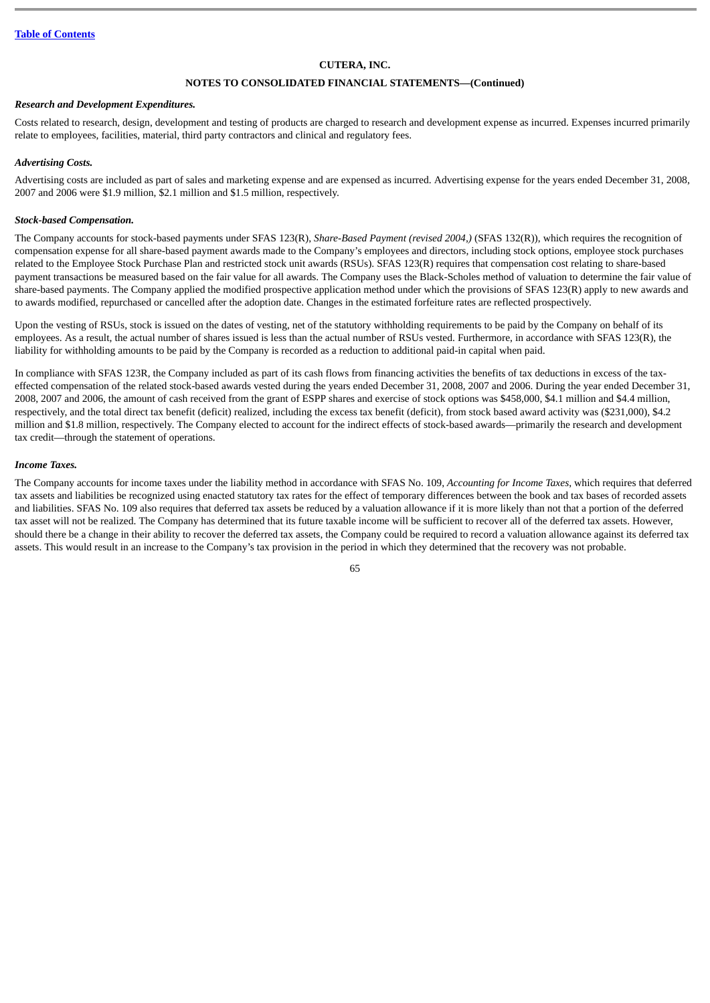### **NOTES TO CONSOLIDATED FINANCIAL STATEMENTS—(Continued)**

#### *Research and Development Expenditures.*

Costs related to research, design, development and testing of products are charged to research and development expense as incurred. Expenses incurred primarily relate to employees, facilities, material, third party contractors and clinical and regulatory fees.

### *Advertising Costs.*

Advertising costs are included as part of sales and marketing expense and are expensed as incurred. Advertising expense for the years ended December 31, 2008, 2007 and 2006 were \$1.9 million, \$2.1 million and \$1.5 million, respectively.

#### *Stock-based Compensation.*

The Company accounts for stock-based payments under SFAS 123(R), *Share-Based Payment (revised 2004,)* (SFAS 132(R)), which requires the recognition of compensation expense for all share-based payment awards made to the Company's employees and directors, including stock options, employee stock purchases related to the Employee Stock Purchase Plan and restricted stock unit awards (RSUs). SFAS 123(R) requires that compensation cost relating to share-based payment transactions be measured based on the fair value for all awards. The Company uses the Black-Scholes method of valuation to determine the fair value of share-based payments. The Company applied the modified prospective application method under which the provisions of SFAS 123(R) apply to new awards and to awards modified, repurchased or cancelled after the adoption date. Changes in the estimated forfeiture rates are reflected prospectively.

Upon the vesting of RSUs, stock is issued on the dates of vesting, net of the statutory withholding requirements to be paid by the Company on behalf of its employees. As a result, the actual number of shares issued is less than the actual number of RSUs vested. Furthermore, in accordance with SFAS 123(R), the liability for withholding amounts to be paid by the Company is recorded as a reduction to additional paid-in capital when paid.

In compliance with SFAS 123R, the Company included as part of its cash flows from financing activities the benefits of tax deductions in excess of the taxeffected compensation of the related stock-based awards vested during the years ended December 31, 2008, 2007 and 2006. During the year ended December 31, 2008, 2007 and 2006, the amount of cash received from the grant of ESPP shares and exercise of stock options was \$458,000, \$4.1 million and \$4.4 million, respectively, and the total direct tax benefit (deficit) realized, including the excess tax benefit (deficit), from stock based award activity was (\$231,000), \$4.2 million and \$1.8 million, respectively. The Company elected to account for the indirect effects of stock-based awards—primarily the research and development tax credit—through the statement of operations.

### *Income Taxes.*

The Company accounts for income taxes under the liability method in accordance with SFAS No. 109, *Accounting for Income Taxes*, which requires that deferred tax assets and liabilities be recognized using enacted statutory tax rates for the effect of temporary differences between the book and tax bases of recorded assets and liabilities. SFAS No. 109 also requires that deferred tax assets be reduced by a valuation allowance if it is more likely than not that a portion of the deferred tax asset will not be realized. The Company has determined that its future taxable income will be sufficient to recover all of the deferred tax assets. However, should there be a change in their ability to recover the deferred tax assets, the Company could be required to record a valuation allowance against its deferred tax assets. This would result in an increase to the Company's tax provision in the period in which they determined that the recovery was not probable.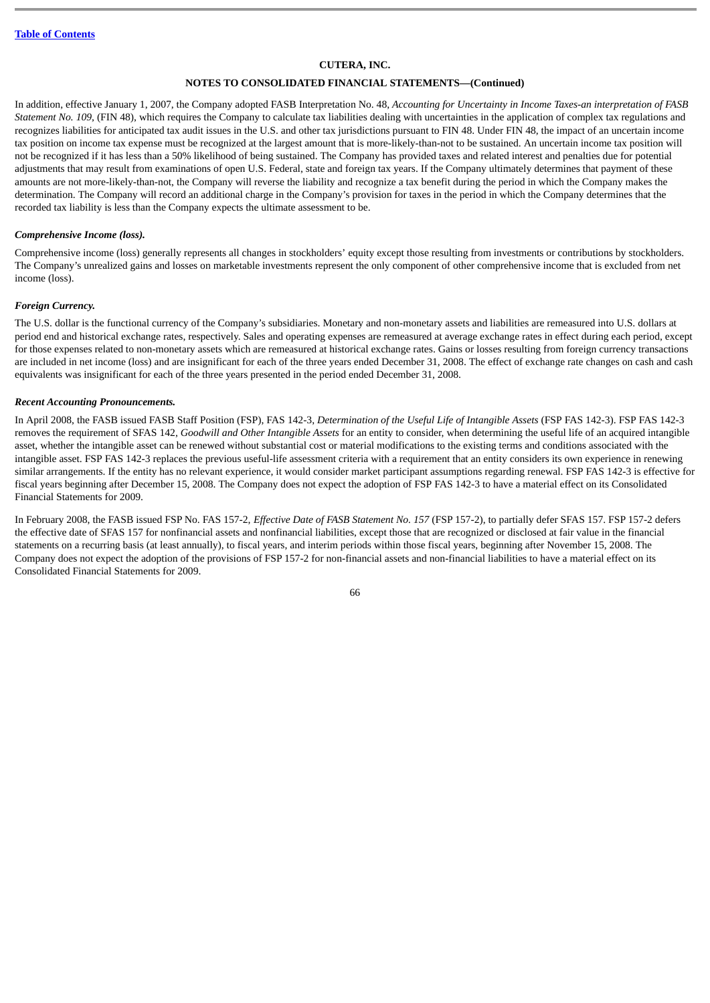### **NOTES TO CONSOLIDATED FINANCIAL STATEMENTS—(Continued)**

In addition, effective January 1, 2007, the Company adopted FASB Interpretation No. 48, *Accounting for Uncertainty in Income Taxes-an interpretation of FASB Statement No. 109*, (FIN 48), which requires the Company to calculate tax liabilities dealing with uncertainties in the application of complex tax regulations and recognizes liabilities for anticipated tax audit issues in the U.S. and other tax jurisdictions pursuant to FIN 48. Under FIN 48, the impact of an uncertain income tax position on income tax expense must be recognized at the largest amount that is more-likely-than-not to be sustained. An uncertain income tax position will not be recognized if it has less than a 50% likelihood of being sustained. The Company has provided taxes and related interest and penalties due for potential adjustments that may result from examinations of open U.S. Federal, state and foreign tax years. If the Company ultimately determines that payment of these amounts are not more-likely-than-not, the Company will reverse the liability and recognize a tax benefit during the period in which the Company makes the determination. The Company will record an additional charge in the Company's provision for taxes in the period in which the Company determines that the recorded tax liability is less than the Company expects the ultimate assessment to be.

#### *Comprehensive Income (loss).*

Comprehensive income (loss) generally represents all changes in stockholders' equity except those resulting from investments or contributions by stockholders. The Company's unrealized gains and losses on marketable investments represent the only component of other comprehensive income that is excluded from net income (loss).

### *Foreign Currency.*

The U.S. dollar is the functional currency of the Company's subsidiaries. Monetary and non-monetary assets and liabilities are remeasured into U.S. dollars at period end and historical exchange rates, respectively. Sales and operating expenses are remeasured at average exchange rates in effect during each period, except for those expenses related to non-monetary assets which are remeasured at historical exchange rates. Gains or losses resulting from foreign currency transactions are included in net income (loss) and are insignificant for each of the three years ended December 31, 2008. The effect of exchange rate changes on cash and cash equivalents was insignificant for each of the three years presented in the period ended December 31, 2008.

#### *Recent Accounting Pronouncements.*

In April 2008, the FASB issued FASB Staff Position (FSP), FAS 142-3, *Determination of the Useful Life of Intangible Assets* (FSP FAS 142-3). FSP FAS 142-3 removes the requirement of SFAS 142, *Goodwill and Other Intangible Assets* for an entity to consider, when determining the useful life of an acquired intangible asset, whether the intangible asset can be renewed without substantial cost or material modifications to the existing terms and conditions associated with the intangible asset. FSP FAS 142-3 replaces the previous useful-life assessment criteria with a requirement that an entity considers its own experience in renewing similar arrangements. If the entity has no relevant experience, it would consider market participant assumptions regarding renewal. FSP FAS 142-3 is effective for fiscal years beginning after December 15, 2008. The Company does not expect the adoption of FSP FAS 142-3 to have a material effect on its Consolidated Financial Statements for 2009.

In February 2008, the FASB issued FSP No. FAS 157-2, *Effective Date of FASB Statement No. 157* (FSP 157-2), to partially defer SFAS 157. FSP 157-2 defers the effective date of SFAS 157 for nonfinancial assets and nonfinancial liabilities, except those that are recognized or disclosed at fair value in the financial statements on a recurring basis (at least annually), to fiscal years, and interim periods within those fiscal years, beginning after November 15, 2008. The Company does not expect the adoption of the provisions of FSP 157-2 for non-financial assets and non-financial liabilities to have a material effect on its Consolidated Financial Statements for 2009.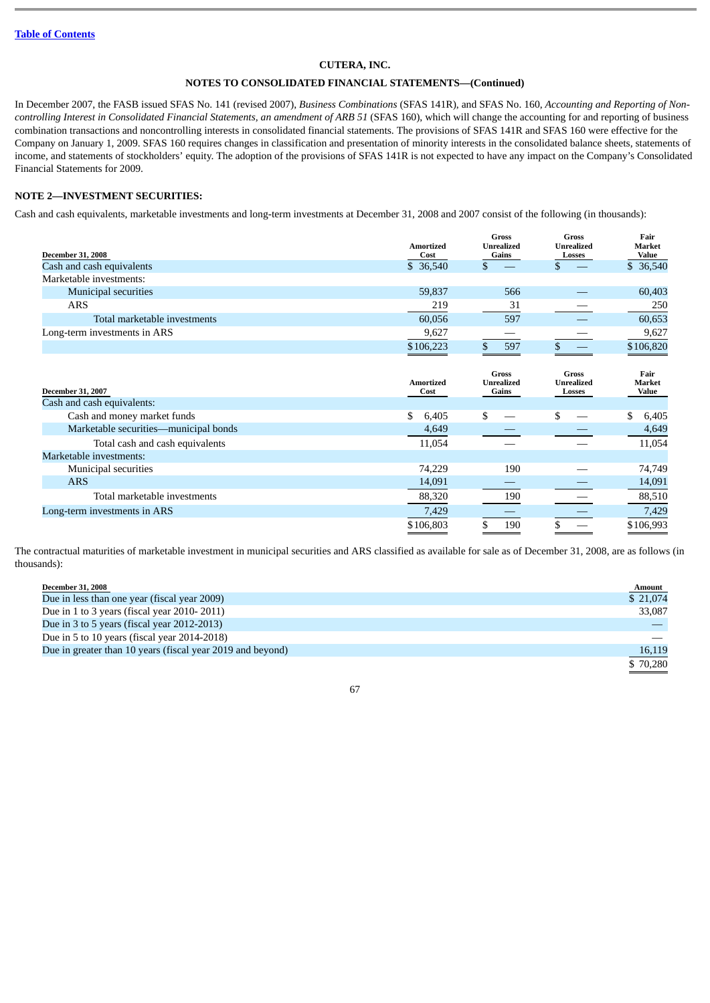### **NOTES TO CONSOLIDATED FINANCIAL STATEMENTS—(Continued)**

In December 2007, the FASB issued SFAS No. 141 (revised 2007), *Business Combinations* (SFAS 141R), and SFAS No. 160, *Accounting and Reporting of Noncontrolling Interest in Consolidated Financial Statements, an amendment of ARB 51* (SFAS 160), which will change the accounting for and reporting of business combination transactions and noncontrolling interests in consolidated financial statements. The provisions of SFAS 141R and SFAS 160 were effective for the Company on January 1, 2009. SFAS 160 requires changes in classification and presentation of minority interests in the consolidated balance sheets, statements of income, and statements of stockholders' equity. The adoption of the provisions of SFAS 141R is not expected to have any impact on the Company's Consolidated Financial Statements for 2009.

## **NOTE 2—INVESTMENT SECURITIES:**

Cash and cash equivalents, marketable investments and long-term investments at December 31, 2008 and 2007 consist of the following (in thousands):

|                                       | <b>Amortized</b>         | Gross<br><b>Unrealized</b>                 | Gross<br><b>Unrealized</b>           | Fair<br><b>Market</b>          |
|---------------------------------------|--------------------------|--------------------------------------------|--------------------------------------|--------------------------------|
| December 31, 2008                     | Cost                     | Gains                                      | Losses                               | <b>Value</b>                   |
| Cash and cash equivalents             | \$ 36,540                | \$                                         | \$                                   | \$ 36,540                      |
| Marketable investments:               |                          |                                            |                                      |                                |
| Municipal securities                  | 59,837                   | 566                                        |                                      | 60,403                         |
| ARS                                   | 219                      | 31                                         |                                      | 250                            |
| Total marketable investments          | 60,056                   | 597                                        |                                      | 60,653                         |
| Long-term investments in ARS          | 9,627                    |                                            |                                      | 9,627                          |
|                                       | \$106,223                | 597<br>\$                                  |                                      | \$106,820                      |
| <b>December 31, 2007</b>              | <b>Amortized</b><br>Cost | <b>Gross</b><br><b>Unrealized</b><br>Gains | Gross<br><b>Unrealized</b><br>Losses | Fair<br><b>Market</b><br>Value |
| Cash and cash equivalents:            |                          |                                            |                                      |                                |
| Cash and money market funds           | 6,405<br>\$.             | \$                                         | \$                                   | 6,405<br>\$                    |
| Marketable securities-municipal bonds | 4,649                    |                                            |                                      | 4,649                          |
| Total cash and cash equivalents       | 11,054                   |                                            |                                      | 11,054                         |
| Marketable investments:               |                          |                                            |                                      |                                |
| Municipal securities                  | 74,229                   | 190                                        |                                      | 74,749                         |
| <b>ARS</b>                            | 14,091                   |                                            |                                      | 14,091                         |
|                                       |                          |                                            |                                      |                                |
| Total marketable investments          | 88,320                   | 190                                        |                                      | 88,510                         |
| Long-term investments in ARS          | 7,429                    |                                            |                                      | 7,429                          |

The contractual maturities of marketable investment in municipal securities and ARS classified as available for sale as of December 31, 2008, are as follows (in thousands):

| <b>December 31, 2008</b>                                   | Amount   |
|------------------------------------------------------------|----------|
| Due in less than one year (fiscal year 2009)               | \$21,074 |
| Due in 1 to 3 years (fiscal year $2010 - 2011$ )           | 33,087   |
| Due in 3 to 5 years (fiscal year 2012-2013)                |          |
| Due in 5 to 10 years (fiscal year $2014-2018$ )            |          |
| Due in greater than 10 years (fiscal year 2019 and beyond) | 16,119   |
|                                                            | \$70,280 |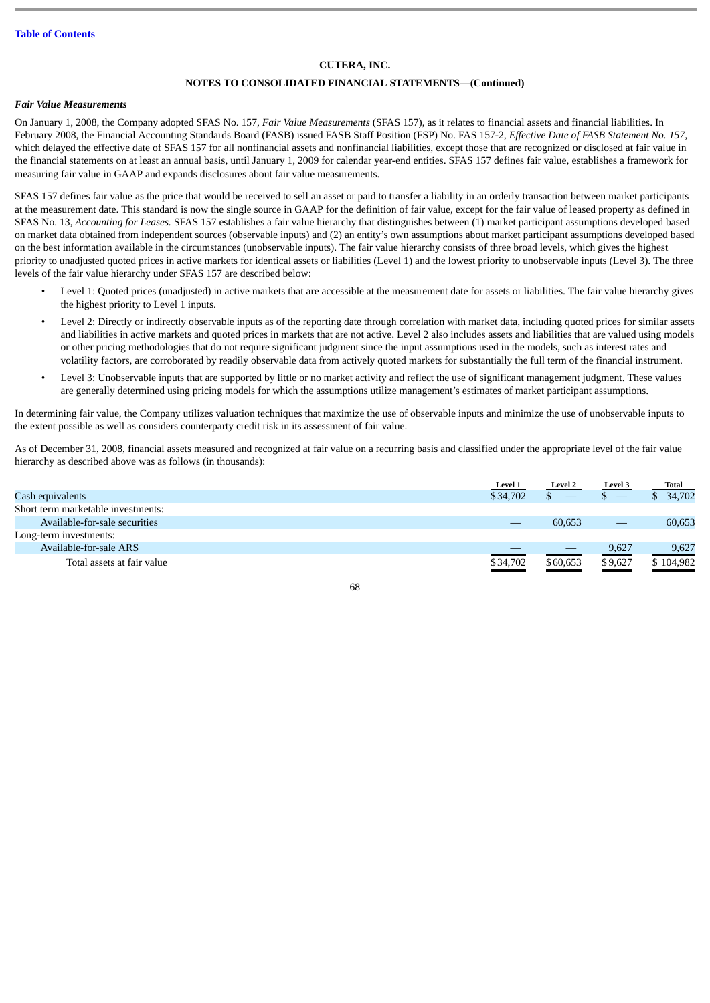### **NOTES TO CONSOLIDATED FINANCIAL STATEMENTS—(Continued)**

### *Fair Value Measurements*

On January 1, 2008, the Company adopted SFAS No. 157, *Fair Value Measurements* (SFAS 157), as it relates to financial assets and financial liabilities. In February 2008, the Financial Accounting Standards Board (FASB) issued FASB Staff Position (FSP) No. FAS 157-2, *Effective Date of FASB Statement No. 157,* which delayed the effective date of SFAS 157 for all nonfinancial assets and nonfinancial liabilities, except those that are recognized or disclosed at fair value in the financial statements on at least an annual basis, until January 1, 2009 for calendar year-end entities. SFAS 157 defines fair value, establishes a framework for measuring fair value in GAAP and expands disclosures about fair value measurements.

SFAS 157 defines fair value as the price that would be received to sell an asset or paid to transfer a liability in an orderly transaction between market participants at the measurement date. This standard is now the single source in GAAP for the definition of fair value, except for the fair value of leased property as defined in SFAS No. 13, *Accounting for Leases.* SFAS 157 establishes a fair value hierarchy that distinguishes between (1) market participant assumptions developed based on market data obtained from independent sources (observable inputs) and (2) an entity's own assumptions about market participant assumptions developed based on the best information available in the circumstances (unobservable inputs). The fair value hierarchy consists of three broad levels, which gives the highest priority to unadjusted quoted prices in active markets for identical assets or liabilities (Level 1) and the lowest priority to unobservable inputs (Level 3). The three levels of the fair value hierarchy under SFAS 157 are described below:

- Level 1: Quoted prices (unadjusted) in active markets that are accessible at the measurement date for assets or liabilities. The fair value hierarchy gives the highest priority to Level 1 inputs.
- Level 2: Directly or indirectly observable inputs as of the reporting date through correlation with market data, including quoted prices for similar assets and liabilities in active markets and quoted prices in markets that are not active. Level 2 also includes assets and liabilities that are valued using models or other pricing methodologies that do not require significant judgment since the input assumptions used in the models, such as interest rates and volatility factors, are corroborated by readily observable data from actively quoted markets for substantially the full term of the financial instrument.
- Level 3: Unobservable inputs that are supported by little or no market activity and reflect the use of significant management judgment. These values are generally determined using pricing models for which the assumptions utilize management's estimates of market participant assumptions.

In determining fair value, the Company utilizes valuation techniques that maximize the use of observable inputs and minimize the use of unobservable inputs to the extent possible as well as considers counterparty credit risk in its assessment of fair value.

As of December 31, 2008, financial assets measured and recognized at fair value on a recurring basis and classified under the appropriate level of the fair value hierarchy as described above was as follows (in thousands):

|                                    | <b>Level 1</b> | <b>Level 2</b>                                                                                                                   | Level 3                                                                                                                          | Total                                                                                                                             |
|------------------------------------|----------------|----------------------------------------------------------------------------------------------------------------------------------|----------------------------------------------------------------------------------------------------------------------------------|-----------------------------------------------------------------------------------------------------------------------------------|
| Cash equivalents                   | \$34,702       |                                                                                                                                  |                                                                                                                                  | \$ 34,702                                                                                                                         |
| Short term marketable investments: |                |                                                                                                                                  |                                                                                                                                  |                                                                                                                                   |
| Available-for-sale securities      |                | 60,653                                                                                                                           | $\overline{\phantom{m}}$                                                                                                         | 60,653                                                                                                                            |
| Long-term investments:             |                |                                                                                                                                  |                                                                                                                                  |                                                                                                                                   |
| Available-for-sale ARS             |                |                                                                                                                                  | 9,627                                                                                                                            | 9,627                                                                                                                             |
| Total assets at fair value         | \$34,702       | \$60,653<br><u> Termin de la provincia de la provincia de la provincia de la provincia de la provincia de la provincia de la</u> | \$9,627<br><u> Tanzania de la contenentación de la contenentación de la contenentación de la contenentación de la contenenta</u> | \$104,982<br><u> Termin de la provincia de la provincia de la provincia de la provincia de la provincia de la provincia de la</u> |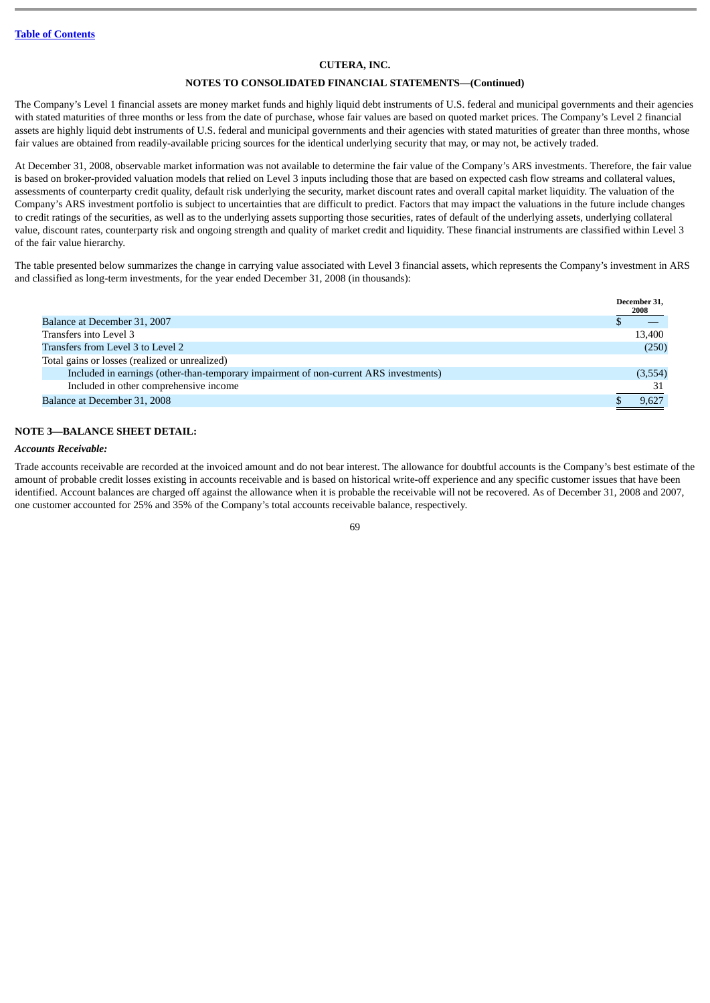### **NOTES TO CONSOLIDATED FINANCIAL STATEMENTS—(Continued)**

The Company's Level 1 financial assets are money market funds and highly liquid debt instruments of U.S. federal and municipal governments and their agencies with stated maturities of three months or less from the date of purchase, whose fair values are based on quoted market prices. The Company's Level 2 financial assets are highly liquid debt instruments of U.S. federal and municipal governments and their agencies with stated maturities of greater than three months, whose fair values are obtained from readily-available pricing sources for the identical underlying security that may, or may not, be actively traded.

At December 31, 2008, observable market information was not available to determine the fair value of the Company's ARS investments. Therefore, the fair value is based on broker-provided valuation models that relied on Level 3 inputs including those that are based on expected cash flow streams and collateral values, assessments of counterparty credit quality, default risk underlying the security, market discount rates and overall capital market liquidity. The valuation of the Company's ARS investment portfolio is subject to uncertainties that are difficult to predict. Factors that may impact the valuations in the future include changes to credit ratings of the securities, as well as to the underlying assets supporting those securities, rates of default of the underlying assets, underlying collateral value, discount rates, counterparty risk and ongoing strength and quality of market credit and liquidity. These financial instruments are classified within Level 3 of the fair value hierarchy.

The table presented below summarizes the change in carrying value associated with Level 3 financial assets, which represents the Company's investment in ARS and classified as long-term investments, for the year ended December 31, 2008 (in thousands):

|                                                                                       | December 31,<br>2008 |
|---------------------------------------------------------------------------------------|----------------------|
| Balance at December 31, 2007                                                          |                      |
| Transfers into Level 3                                                                | 13,400               |
| Transfers from Level 3 to Level 2                                                     | (250)                |
| Total gains or losses (realized or unrealized)                                        |                      |
| Included in earnings (other-than-temporary impairment of non-current ARS investments) | (3,554)              |
| Included in other comprehensive income                                                | 31                   |
| Balance at December 31, 2008                                                          | 9,627                |

## **NOTE 3—BALANCE SHEET DETAIL:**

### *Accounts Receivable:*

Trade accounts receivable are recorded at the invoiced amount and do not bear interest. The allowance for doubtful accounts is the Company's best estimate of the amount of probable credit losses existing in accounts receivable and is based on historical write-off experience and any specific customer issues that have been identified. Account balances are charged off against the allowance when it is probable the receivable will not be recovered. As of December 31, 2008 and 2007, one customer accounted for 25% and 35% of the Company's total accounts receivable balance, respectively.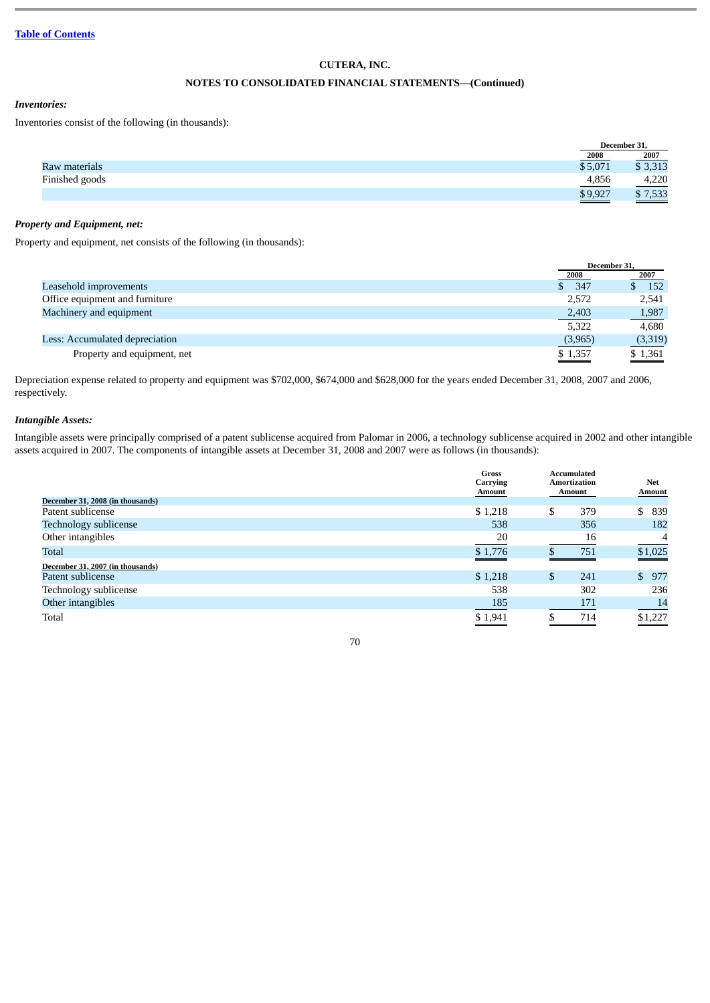# **CUTERA, INC. NOTES TO CONSOLIDATED FINANCIAL STATEMENTS—(Continued)**

## *Inventories:*

Inventories consist of the following (in thousands):

|                |         | December 31, |
|----------------|---------|--------------|
|                | 2008    | 2007         |
| Raw materials  | \$5,071 | \$3,313      |
| Finished goods | 4,856   | 4,220        |
|                | \$9,927 | 7,533        |

## *Property and Equipment, net:*

Property and equipment, net consists of the following (in thousands):

|                                | December 31. |         |
|--------------------------------|--------------|---------|
|                                | 2008         | 2007    |
| Leasehold improvements         | 347<br>S.    | 152     |
| Office equipment and furniture | 2,572        | 2,541   |
| Machinery and equipment        | 2,403        | 1,987   |
|                                | 5,322        | 4,680   |
| Less: Accumulated depreciation | (3,965)      | (3,319) |
| Property and equipment, net    | \$1,357      | \$1,361 |

Depreciation expense related to property and equipment was \$702,000, \$674,000 and \$628,000 for the years ended December 31, 2008, 2007 and 2006, respectively.

## *Intangible Assets:*

Intangible assets were principally comprised of a patent sublicense acquired from Palomar in 2006, a technology sublicense acquired in 2002 and other intangible assets acquired in 2007. The components of intangible assets at December 31, 2008 and 2007 were as follows (in thousands):

|                                  | Gross<br>Carrying<br>Amount | <b>Accumulated</b><br><b>Amortization</b><br>Amount | Net<br><b>Amount</b> |
|----------------------------------|-----------------------------|-----------------------------------------------------|----------------------|
| December 31, 2008 (in thousands) |                             |                                                     |                      |
| Patent sublicense                | \$1,218                     | \$<br>379                                           | \$<br>839            |
| Technology sublicense            | 538                         | 356                                                 | 182                  |
| Other intangibles                | 20                          | 16                                                  | $\overline{4}$       |
| Total                            | \$1,776                     | 751                                                 | \$1,025              |
| December 31, 2007 (in thousands) |                             |                                                     |                      |
| Patent sublicense                | \$1,218                     | \$<br>241                                           | \$<br>977            |
| Technology sublicense            | 538                         | 302                                                 | 236                  |
| Other intangibles                | 185                         | 171                                                 | 14                   |
| Total                            | \$1,941                     | 714                                                 | \$1,227              |
|                                  |                             |                                                     |                      |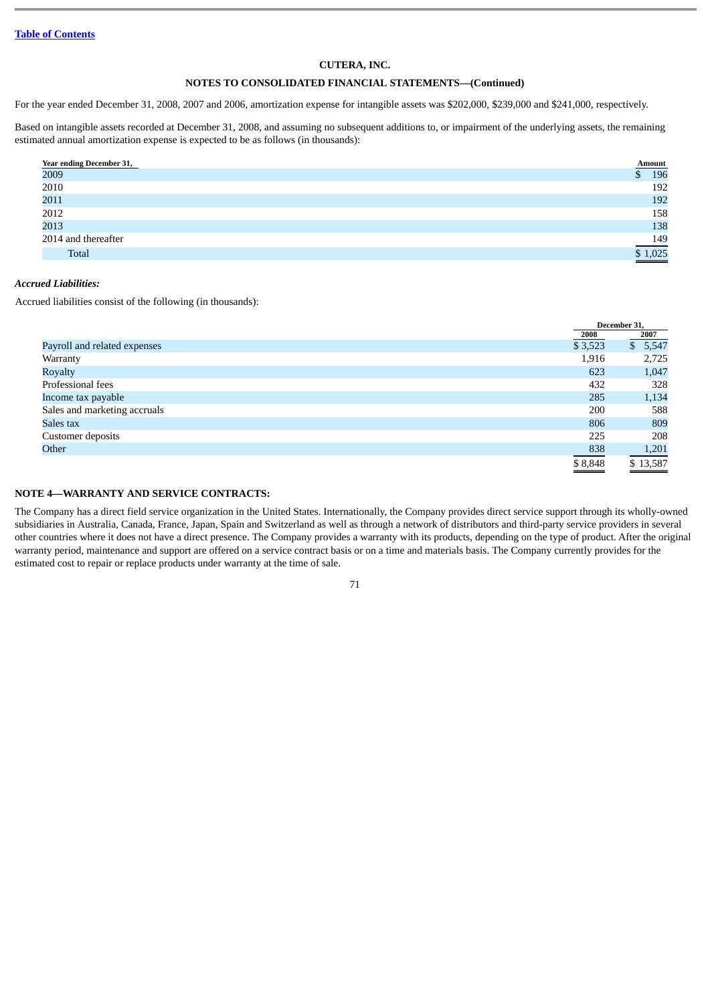### **NOTES TO CONSOLIDATED FINANCIAL STATEMENTS—(Continued)**

For the year ended December 31, 2008, 2007 and 2006, amortization expense for intangible assets was \$202,000, \$239,000 and \$241,000, respectively.

Based on intangible assets recorded at December 31, 2008, and assuming no subsequent additions to, or impairment of the underlying assets, the remaining estimated annual amortization expense is expected to be as follows (in thousands):

| Year ending December 31, | Amount                                       |
|--------------------------|----------------------------------------------|
| 2009                     | 196                                          |
| 2010                     | 192                                          |
| 2011                     | 192                                          |
| 2012                     | 158                                          |
| 2013                     | 138                                          |
| 2014 and thereafter      | 149                                          |
| <b>Total</b>             | \$1,025<br>and the control of the control of |

### *Accrued Liabilities:*

Accrued liabilities consist of the following (in thousands):

|                              | December 31, |          |
|------------------------------|--------------|----------|
|                              | 2008         | 2007     |
| Payroll and related expenses | \$3,523      | \$5,547  |
| Warranty                     | 1,916        | 2,725    |
| Royalty                      | 623          | 1,047    |
| Professional fees            | 432          | 328      |
| Income tax payable           | 285          | 1,134    |
| Sales and marketing accruals | 200          | 588      |
| Sales tax                    | 806          | 809      |
| Customer deposits            | 225          | 208      |
| Other                        | 838          | 1,201    |
|                              | \$8,848      | \$13,587 |

## **NOTE 4—WARRANTY AND SERVICE CONTRACTS:**

The Company has a direct field service organization in the United States. Internationally, the Company provides direct service support through its wholly-owned subsidiaries in Australia, Canada, France, Japan, Spain and Switzerland as well as through a network of distributors and third-party service providers in several other countries where it does not have a direct presence. The Company provides a warranty with its products, depending on the type of product. After the original warranty period, maintenance and support are offered on a service contract basis or on a time and materials basis. The Company currently provides for the estimated cost to repair or replace products under warranty at the time of sale.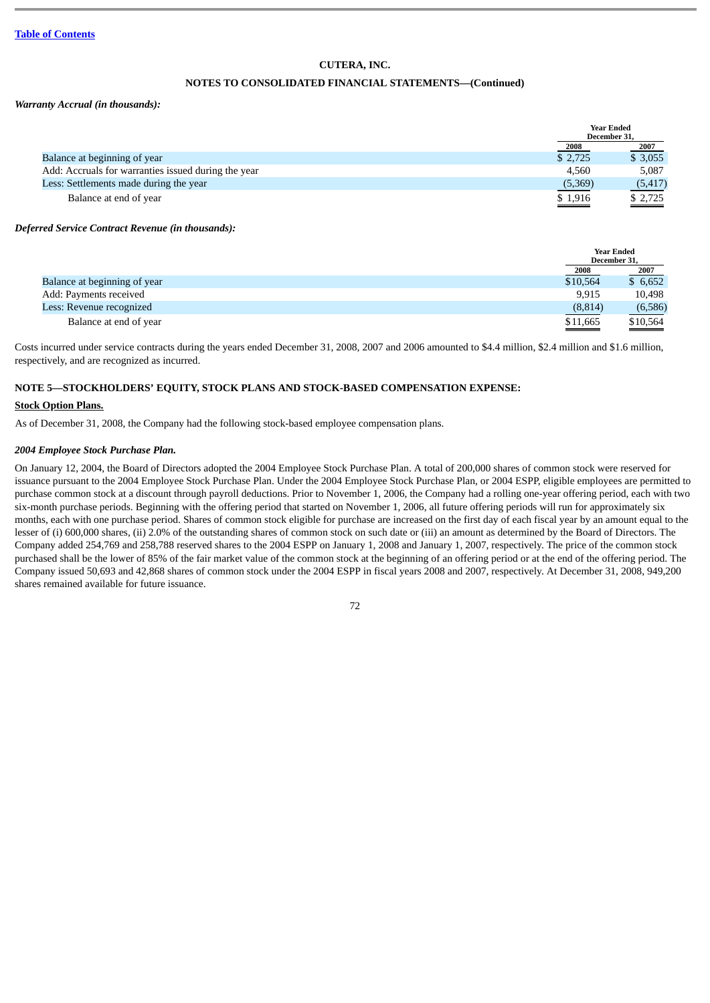## **NOTES TO CONSOLIDATED FINANCIAL STATEMENTS—(Continued)**

*Warranty Accrual (in thousands):*

|                                                     |         | <b>Year Ended</b><br>December 31. |  |
|-----------------------------------------------------|---------|-----------------------------------|--|
|                                                     | 2008    | <b>2007</b>                       |  |
| Balance at beginning of year                        | \$2,725 | $\overline{$}3,055$               |  |
| Add: Accruals for warranties issued during the year | 4.560   | 5,087                             |  |
| Less: Settlements made during the year              | (5,369) | (5, 417)                          |  |
| Balance at end of year                              | \$1,916 | \$2,725                           |  |

### *Deferred Service Contract Revenue (in thousands):*

|                              |          | <b>Year Ended</b>     |  |
|------------------------------|----------|-----------------------|--|
|                              |          | December 31,          |  |
|                              | 2008     |                       |  |
| Balance at beginning of year | \$10,564 | $\frac{2007}{$6,652}$ |  |
| Add: Payments received       | 9.915    | 10,498                |  |
| Less: Revenue recognized     | (8, 814) | (6,586)               |  |
| Balance at end of year       | \$11,665 | \$10,564              |  |

Costs incurred under service contracts during the years ended December 31, 2008, 2007 and 2006 amounted to \$4.4 million, \$2.4 million and \$1.6 million, respectively, and are recognized as incurred.

## **NOTE 5—STOCKHOLDERS' EQUITY, STOCK PLANS AND STOCK-BASED COMPENSATION EXPENSE:**

### **Stock Option Plans.**

As of December 31, 2008, the Company had the following stock-based employee compensation plans.

#### *2004 Employee Stock Purchase Plan.*

On January 12, 2004, the Board of Directors adopted the 2004 Employee Stock Purchase Plan. A total of 200,000 shares of common stock were reserved for issuance pursuant to the 2004 Employee Stock Purchase Plan. Under the 2004 Employee Stock Purchase Plan, or 2004 ESPP, eligible employees are permitted to purchase common stock at a discount through payroll deductions. Prior to November 1, 2006, the Company had a rolling one-year offering period, each with two six-month purchase periods. Beginning with the offering period that started on November 1, 2006, all future offering periods will run for approximately six months, each with one purchase period. Shares of common stock eligible for purchase are increased on the first day of each fiscal year by an amount equal to the lesser of (i) 600,000 shares, (ii) 2.0% of the outstanding shares of common stock on such date or (iii) an amount as determined by the Board of Directors. The Company added 254,769 and 258,788 reserved shares to the 2004 ESPP on January 1, 2008 and January 1, 2007, respectively. The price of the common stock purchased shall be the lower of 85% of the fair market value of the common stock at the beginning of an offering period or at the end of the offering period. The Company issued 50,693 and 42,868 shares of common stock under the 2004 ESPP in fiscal years 2008 and 2007, respectively. At December 31, 2008, 949,200 shares remained available for future issuance.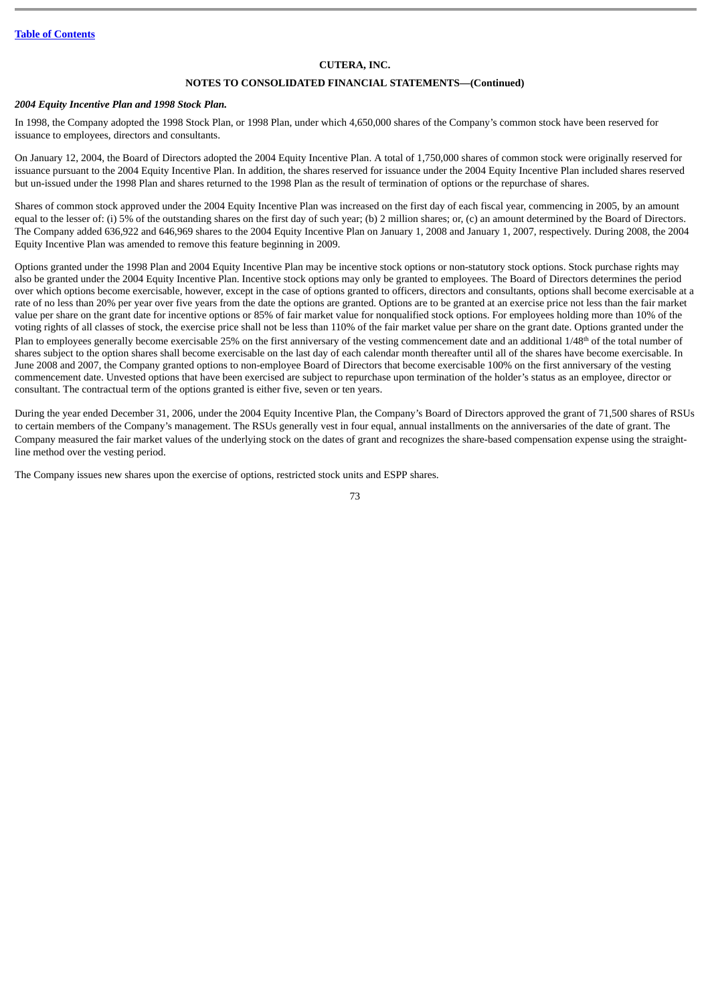## **NOTES TO CONSOLIDATED FINANCIAL STATEMENTS—(Continued)**

#### *2004 Equity Incentive Plan and 1998 Stock Plan.*

In 1998, the Company adopted the 1998 Stock Plan, or 1998 Plan, under which 4,650,000 shares of the Company's common stock have been reserved for issuance to employees, directors and consultants.

On January 12, 2004, the Board of Directors adopted the 2004 Equity Incentive Plan. A total of 1,750,000 shares of common stock were originally reserved for issuance pursuant to the 2004 Equity Incentive Plan. In addition, the shares reserved for issuance under the 2004 Equity Incentive Plan included shares reserved but un-issued under the 1998 Plan and shares returned to the 1998 Plan as the result of termination of options or the repurchase of shares.

Shares of common stock approved under the 2004 Equity Incentive Plan was increased on the first day of each fiscal year, commencing in 2005, by an amount equal to the lesser of: (i) 5% of the outstanding shares on the first day of such year; (b) 2 million shares; or, (c) an amount determined by the Board of Directors. The Company added 636,922 and 646,969 shares to the 2004 Equity Incentive Plan on January 1, 2008 and January 1, 2007, respectively. During 2008, the 2004 Equity Incentive Plan was amended to remove this feature beginning in 2009.

Options granted under the 1998 Plan and 2004 Equity Incentive Plan may be incentive stock options or non-statutory stock options. Stock purchase rights may also be granted under the 2004 Equity Incentive Plan. Incentive stock options may only be granted to employees. The Board of Directors determines the period over which options become exercisable, however, except in the case of options granted to officers, directors and consultants, options shall become exercisable at a rate of no less than 20% per year over five years from the date the options are granted. Options are to be granted at an exercise price not less than the fair market value per share on the grant date for incentive options or 85% of fair market value for nonqualified stock options. For employees holding more than 10% of the voting rights of all classes of stock, the exercise price shall not be less than 110% of the fair market value per share on the grant date. Options granted under the Plan to employees generally become exercisable 25% on the first anniversary of the vesting commencement date and an additional 1/48<sup>th</sup> of the total number of shares subject to the option shares shall become exercisable on the last day of each calendar month thereafter until all of the shares have become exercisable. In June 2008 and 2007, the Company granted options to non-employee Board of Directors that become exercisable 100% on the first anniversary of the vesting commencement date. Unvested options that have been exercised are subject to repurchase upon termination of the holder's status as an employee, director or consultant. The contractual term of the options granted is either five, seven or ten years.

During the year ended December 31, 2006, under the 2004 Equity Incentive Plan, the Company's Board of Directors approved the grant of 71,500 shares of RSUs to certain members of the Company's management. The RSUs generally vest in four equal, annual installments on the anniversaries of the date of grant. The Company measured the fair market values of the underlying stock on the dates of grant and recognizes the share-based compensation expense using the straightline method over the vesting period.

The Company issues new shares upon the exercise of options, restricted stock units and ESPP shares.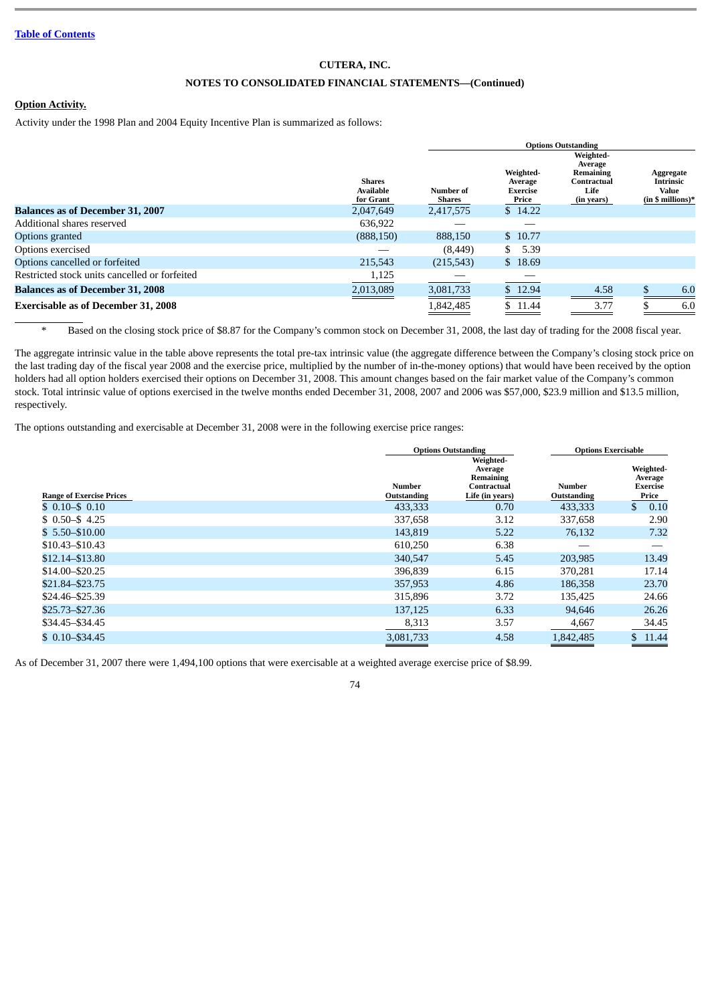## **NOTES TO CONSOLIDATED FINANCIAL STATEMENTS—(Continued)**

# **Option Activity.**

Activity under the 1998 Plan and 2004 Equity Incentive Plan is summarized as follows:

|                                               |                                                |                     | <b>Options Outstanding</b>                |                                                                        |                                                       |
|-----------------------------------------------|------------------------------------------------|---------------------|-------------------------------------------|------------------------------------------------------------------------|-------------------------------------------------------|
|                                               | <b>Shares</b><br><b>Available</b><br>for Grant | Number of<br>Shares | Weighted-<br>Average<br>Exercise<br>Price | Weighted-<br>Average<br>Remaining<br>Contractual<br>Life<br>(in years) | Aggregate<br>Intrinsic<br>Value<br>$(in $ millions)*$ |
| <b>Balances as of December 31, 2007</b>       | 2,047,649                                      | 2,417,575           | \$14.22                                   |                                                                        |                                                       |
| Additional shares reserved                    | 636.922                                        |                     |                                           |                                                                        |                                                       |
| Options granted                               | (888, 150)                                     | 888.150             | \$10.77                                   |                                                                        |                                                       |
| Options exercised                             |                                                | (8, 449)            | 5.39<br>\$                                |                                                                        |                                                       |
| Options cancelled or forfeited                | 215,543                                        | (215,543)           | \$18.69                                   |                                                                        |                                                       |
| Restricted stock units cancelled or forfeited | 1,125                                          |                     |                                           |                                                                        |                                                       |
| <b>Balances as of December 31, 2008</b>       | 2,013,089                                      | 3,081,733           | \$12.94                                   | 4.58                                                                   | 6.0                                                   |
| <b>Exercisable as of December 31, 2008</b>    |                                                | 1,842,485           | \$11.44                                   | 3.77                                                                   | 6.0                                                   |

\* Based on the closing stock price of \$8.87 for the Company's common stock on December 31, 2008, the last day of trading for the 2008 fiscal year.

The aggregate intrinsic value in the table above represents the total pre-tax intrinsic value (the aggregate difference between the Company's closing stock price on the last trading day of the fiscal year 2008 and the exercise price, multiplied by the number of in-the-money options) that would have been received by the option holders had all option holders exercised their options on December 31, 2008. This amount changes based on the fair market value of the Company's common stock. Total intrinsic value of options exercised in the twelve months ended December 31, 2008, 2007 and 2006 was \$57,000, \$23.9 million and \$13.5 million, respectively.

The options outstanding and exercisable at December 31, 2008 were in the following exercise price ranges:

|                                 |                       | <b>Options Outstanding</b>                                          |                              | <b>Options Exercisable</b>                       |
|---------------------------------|-----------------------|---------------------------------------------------------------------|------------------------------|--------------------------------------------------|
| <b>Range of Exercise Prices</b> | Number<br>Outstanding | Weighted-<br>Average<br>Remaining<br>Contractual<br>Life (in years) | <b>Number</b><br>Outstanding | Weighted-<br>Average<br><b>Exercise</b><br>Price |
| $$0.10 - $0.10$                 | 433,333               | 0.70                                                                | 433,333                      | \$<br>0.10                                       |
| $$0.50 - $4.25$                 | 337,658               | 3.12                                                                | 337,658                      | 2.90                                             |
| $$5.50 - $10.00$                | 143,819               | 5.22                                                                | 76,132                       | 7.32                                             |
| $$10.43 - $10.43$               | 610,250               | 6.38                                                                |                              |                                                  |
| \$12.14-\$13.80                 | 340,547               | 5.45                                                                | 203,985                      | 13.49                                            |
| \$14.00 - \$20.25               | 396,839               | 6.15                                                                | 370,281                      | 17.14                                            |
| \$21.84-\$23.75                 | 357,953               | 4.86                                                                | 186,358                      | 23.70                                            |
| \$24.46-\$25.39                 | 315,896               | 3.72                                                                | 135.425                      | 24.66                                            |
| \$25.73-\$27.36                 | 137,125               | 6.33                                                                | 94.646                       | 26.26                                            |
| \$34.45-\$34.45                 | 8,313                 | 3.57                                                                | 4,667                        | 34.45                                            |
| $$0.10 - $34.45$                | 3,081,733             | 4.58                                                                | 1.842.485                    | 11.44<br>\$                                      |

As of December 31, 2007 there were 1,494,100 options that were exercisable at a weighted average exercise price of \$8.99.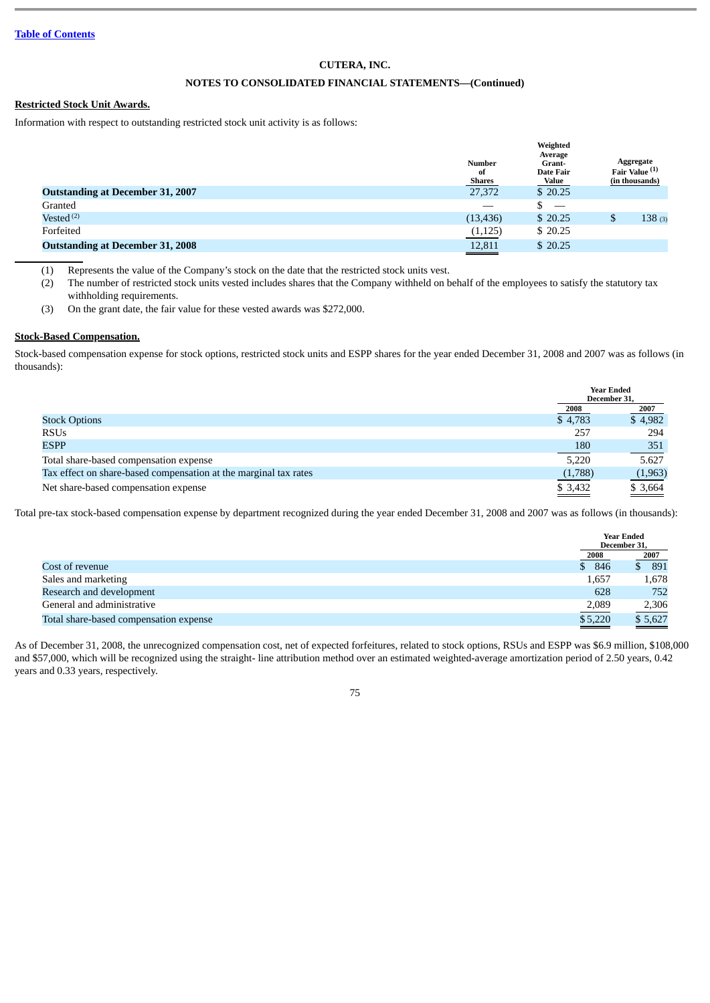## **NOTES TO CONSOLIDATED FINANCIAL STATEMENTS—(Continued)**

## **Restricted Stock Unit Awards.**

Information with respect to outstanding restricted stock unit activity is as follows:

|                                         | <b>Number</b><br>of<br><b>Shares</b> | Weighted<br>Average<br>Grant-<br>Date Fair<br>Value | Aggregate<br>Fair Value <sup>(1)</sup><br>(in thousands) |
|-----------------------------------------|--------------------------------------|-----------------------------------------------------|----------------------------------------------------------|
| <b>Outstanding at December 31, 2007</b> | 27,372                               | \$20.25                                             |                                                          |
| Granted                                 |                                      | $\hspace{0.05cm}$                                   |                                                          |
| Vested $(2)$                            | (13, 436)                            | \$20.25                                             | \$<br>138(3)                                             |
| Forfeited                               | (1, 125)                             | \$ 20.25                                            |                                                          |
| <b>Outstanding at December 31, 2008</b> | 12,811                               | \$20.25                                             |                                                          |

(1) Represents the value of the Company's stock on the date that the restricted stock units vest.

(2) The number of restricted stock units vested includes shares that the Company withheld on behalf of the employees to satisfy the statutory tax withholding requirements.

(3) On the grant date, the fair value for these vested awards was \$272,000.

## **Stock-Based Compensation.**

Stock-based compensation expense for stock options, restricted stock units and ESPP shares for the year ended December 31, 2008 and 2007 was as follows (in thousands):

|                                                                  |         | <b>Year Ended</b> |
|------------------------------------------------------------------|---------|-------------------|
|                                                                  |         | December 31.      |
|                                                                  | 2008    | 2007              |
| <b>Stock Options</b>                                             | \$4,783 | \$4,982           |
| <b>RSUs</b>                                                      | 257     | 294               |
| <b>ESPP</b>                                                      | 180     | 351               |
| Total share-based compensation expense                           | 5.220   | 5.627             |
| Tax effect on share-based compensation at the marginal tax rates | (1,788) | (1,963)           |
| Net share-based compensation expense                             | \$3,432 | \$3,664           |

Total pre-tax stock-based compensation expense by department recognized during the year ended December 31, 2008 and 2007 was as follows (in thousands):

|                                        |         | <b>Year Ended</b><br>December 31, |
|----------------------------------------|---------|-----------------------------------|
|                                        | 2008    | 2007                              |
| Cost of revenue                        | \$846   | 891<br>\$                         |
| Sales and marketing                    | 1,657   | 1,678                             |
| Research and development               | 628     | 752                               |
| General and administrative             | 2,089   |                                   |
| Total share-based compensation expense | \$5,220 | $\frac{2,306}{\$5,627}$           |

As of December 31, 2008, the unrecognized compensation cost, net of expected forfeitures, related to stock options, RSUs and ESPP was \$6.9 million, \$108,000 and \$57,000, which will be recognized using the straight- line attribution method over an estimated weighted-average amortization period of 2.50 years, 0.42 years and 0.33 years, respectively.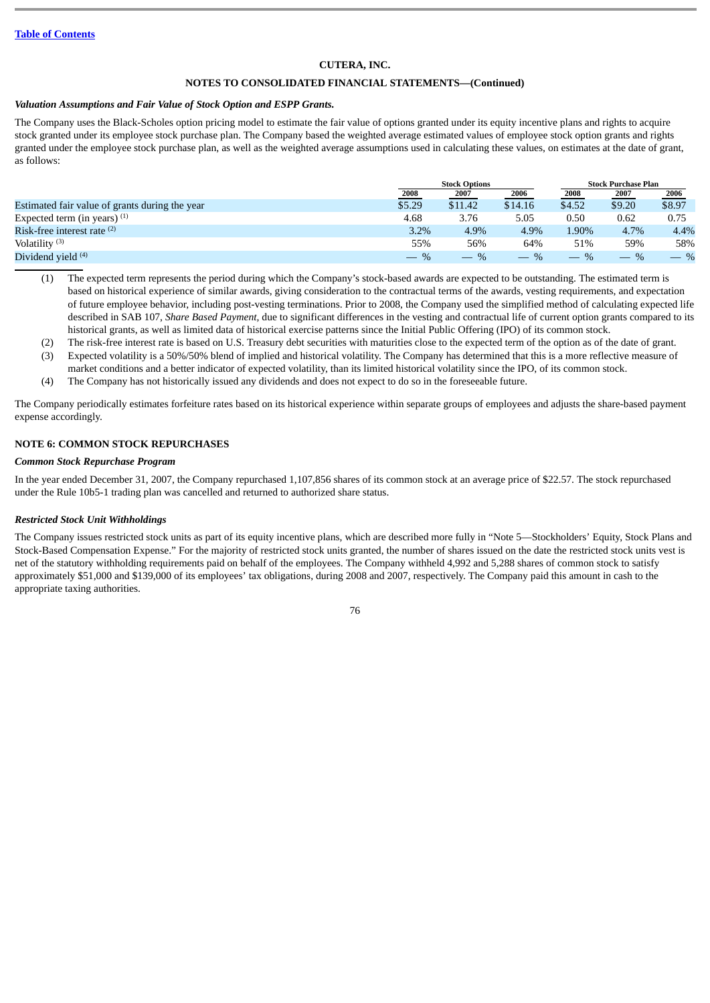#### **NOTES TO CONSOLIDATED FINANCIAL STATEMENTS—(Continued)**

#### *Valuation Assumptions and Fair Value of Stock Option and ESPP Grants.*

The Company uses the Black-Scholes option pricing model to estimate the fair value of options granted under its equity incentive plans and rights to acquire stock granted under its employee stock purchase plan. The Company based the weighted average estimated values of employee stock option grants and rights granted under the employee stock purchase plan, as well as the weighted average assumptions used in calculating these values, on estimates at the date of grant, as follows:

|                                                | <b>Stock Options</b> |                                    |         | <b>Stock Purchase Plan</b>              |                                        |        |
|------------------------------------------------|----------------------|------------------------------------|---------|-----------------------------------------|----------------------------------------|--------|
|                                                | 2008                 | 2007                               | 2006    | 2008                                    | 2007                                   | 2006   |
| Estimated fair value of grants during the year | \$5.29               | \$11.42                            | \$14.16 | \$4.52                                  | \$9.20                                 | \$8.97 |
| Expected term (in years) $(1)$                 | 4.68                 | 3.76                               | 5.05    | 0.50                                    | 0.62                                   | 0.75   |
| Risk-free interest rate <sup>(2)</sup>         | 3.2%                 | 4.9%                               | 4.9%    | L.90%                                   | 4.7%                                   | 4.4%   |
| Volatility $(3)$                               | 55%                  | 56%                                | 64%     | 51%                                     | 59%                                    | 58%    |
| Dividend yield (4)                             | $-$ %                | $\frac{0}{6}$<br>$\hspace{0.05cm}$ | $\%$    | $\%$<br>$\hspace{0.1mm}-\hspace{0.1mm}$ | $\%$<br>$\overbrace{\hspace{25mm}}^{}$ | $-$ %  |

- (1) The expected term represents the period during which the Company's stock-based awards are expected to be outstanding. The estimated term is based on historical experience of similar awards, giving consideration to the contractual terms of the awards, vesting requirements, and expectation of future employee behavior, including post-vesting terminations. Prior to 2008, the Company used the simplified method of calculating expected life described in SAB 107, *Share Based Payment*, due to significant differences in the vesting and contractual life of current option grants compared to its historical grants, as well as limited data of historical exercise patterns since the Initial Public Offering (IPO) of its common stock.
- (2) The risk-free interest rate is based on U.S. Treasury debt securities with maturities close to the expected term of the option as of the date of grant. (3) Expected volatility is a 50%/50% blend of implied and historical volatility. The Company has determined that this is a more reflective measure of
- market conditions and a better indicator of expected volatility, than its limited historical volatility since the IPO, of its common stock.
- (4) The Company has not historically issued any dividends and does not expect to do so in the foreseeable future.

The Company periodically estimates forfeiture rates based on its historical experience within separate groups of employees and adjusts the share-based payment expense accordingly.

#### **NOTE 6: COMMON STOCK REPURCHASES**

## *Common Stock Repurchase Program*

In the year ended December 31, 2007, the Company repurchased 1,107,856 shares of its common stock at an average price of \$22.57. The stock repurchased under the Rule 10b5-1 trading plan was cancelled and returned to authorized share status.

#### *Restricted Stock Unit Withholdings*

The Company issues restricted stock units as part of its equity incentive plans, which are described more fully in "Note 5—Stockholders' Equity, Stock Plans and Stock-Based Compensation Expense." For the majority of restricted stock units granted, the number of shares issued on the date the restricted stock units vest is net of the statutory withholding requirements paid on behalf of the employees. The Company withheld 4,992 and 5,288 shares of common stock to satisfy approximately \$51,000 and \$139,000 of its employees' tax obligations, during 2008 and 2007, respectively. The Company paid this amount in cash to the appropriate taxing authorities.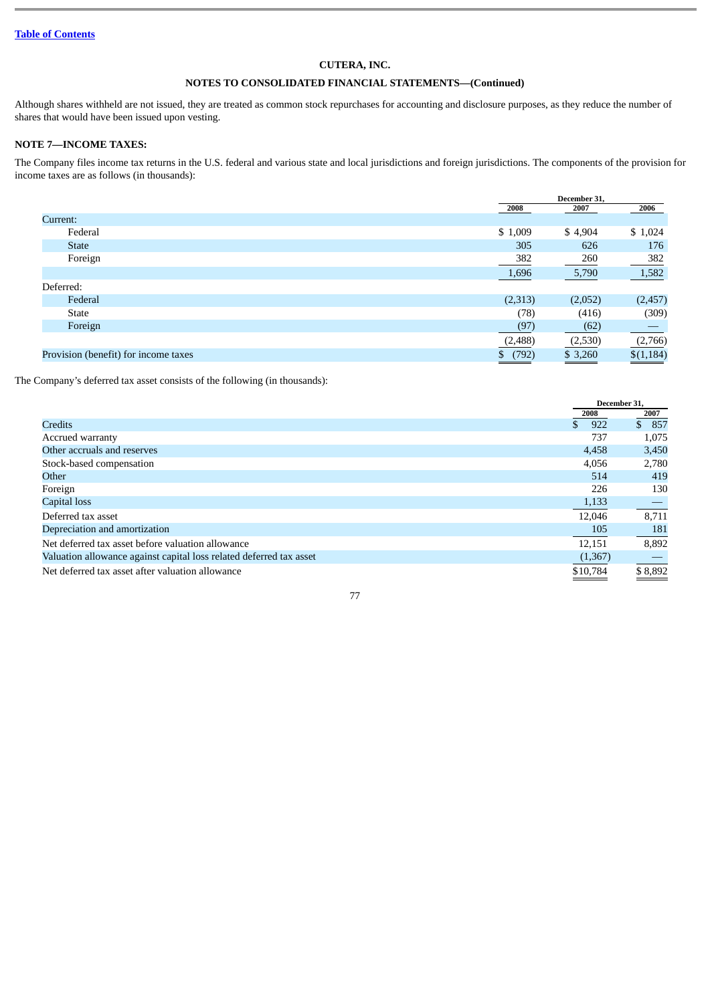## **NOTES TO CONSOLIDATED FINANCIAL STATEMENTS—(Continued)**

Although shares withheld are not issued, they are treated as common stock repurchases for accounting and disclosure purposes, as they reduce the number of shares that would have been issued upon vesting.

## **NOTE 7—INCOME TAXES:**

The Company files income tax returns in the U.S. federal and various state and local jurisdictions and foreign jurisdictions. The components of the provision for income taxes are as follows (in thousands):

|                                      |             | December 31, |           |  |
|--------------------------------------|-------------|--------------|-----------|--|
|                                      | 2008        | 2007         | 2006      |  |
| Current:                             |             |              |           |  |
| Federal                              | \$1,009     | \$4,904      | \$1,024   |  |
| <b>State</b>                         | 305         | 626          | 176       |  |
| Foreign                              | 382         | 260          | 382       |  |
|                                      | 1,696       | 5,790        | 1,582     |  |
| Deferred:                            |             |              |           |  |
| Federal                              | (2,313)     | (2,052)      | (2, 457)  |  |
| <b>State</b>                         | (78)        | (416)        | (309)     |  |
| Foreign                              | (97)        | (62)         |           |  |
|                                      | (2,488)     | (2,530)      | (2,766)   |  |
| Provision (benefit) for income taxes | (792)<br>\$ | \$3,260      | \$(1,184) |  |

The Company's deferred tax asset consists of the following (in thousands):

|                                                                     | December 31. |                     |
|---------------------------------------------------------------------|--------------|---------------------|
|                                                                     | 2008         | 2007                |
| <b>Credits</b>                                                      | 922          | 857<br>$\mathbf{s}$ |
| Accrued warranty                                                    | 737          | 1,075               |
| Other accruals and reserves                                         | 4,458        | 3,450               |
| Stock-based compensation                                            | 4,056        | 2,780               |
| Other                                                               | 514          | 419                 |
| Foreign                                                             | 226          | 130                 |
| Capital loss                                                        | 1,133        |                     |
| Deferred tax asset                                                  | 12,046       | 8,711               |
| Depreciation and amortization                                       | 105          | 181                 |
| Net deferred tax asset before valuation allowance                   | 12,151       | 8,892               |
| Valuation allowance against capital loss related deferred tax asset | (1, 367)     |                     |
| Net deferred tax asset after valuation allowance                    | \$10,784     | \$8,892             |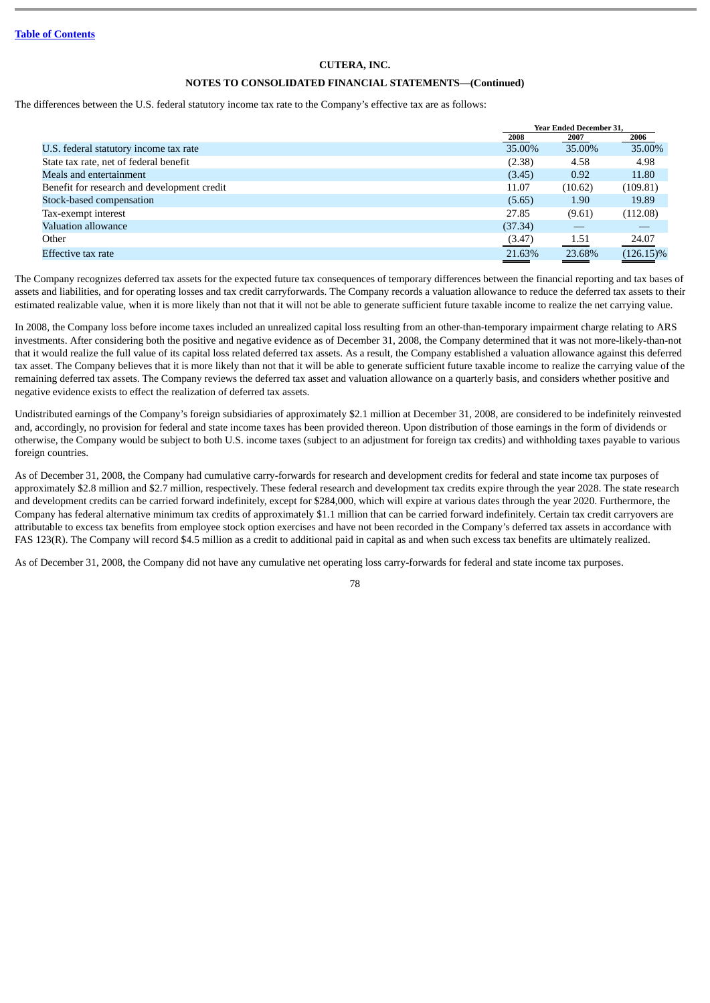#### **NOTES TO CONSOLIDATED FINANCIAL STATEMENTS—(Continued)**

The differences between the U.S. federal statutory income tax rate to the Company's effective tax are as follows:

|                                             |         | <b>Year Ended December 31.</b> |              |  |
|---------------------------------------------|---------|--------------------------------|--------------|--|
|                                             | 2008    | 2007                           | 2006         |  |
| U.S. federal statutory income tax rate      | 35.00%  | 35.00%                         | 35.00%       |  |
| State tax rate, net of federal benefit      | (2.38)  | 4.58                           | 4.98         |  |
| Meals and entertainment                     | (3.45)  | 0.92                           | 11.80        |  |
| Benefit for research and development credit | 11.07   | (10.62)                        | (109.81)     |  |
| Stock-based compensation                    | (5.65)  | 1.90                           | 19.89        |  |
| Tax-exempt interest                         | 27.85   | (9.61)                         | (112.08)     |  |
| Valuation allowance                         | (37.34) |                                |              |  |
| Other                                       | (3.47)  | 1.51                           | 24.07        |  |
| Effective tax rate                          | 21.63%  | 23.68%                         | $(126.15)\%$ |  |
|                                             |         |                                |              |  |

The Company recognizes deferred tax assets for the expected future tax consequences of temporary differences between the financial reporting and tax bases of assets and liabilities, and for operating losses and tax credit carryforwards. The Company records a valuation allowance to reduce the deferred tax assets to their estimated realizable value, when it is more likely than not that it will not be able to generate sufficient future taxable income to realize the net carrying value.

In 2008, the Company loss before income taxes included an unrealized capital loss resulting from an other-than-temporary impairment charge relating to ARS investments. After considering both the positive and negative evidence as of December 31, 2008, the Company determined that it was not more-likely-than-not that it would realize the full value of its capital loss related deferred tax assets. As a result, the Company established a valuation allowance against this deferred tax asset. The Company believes that it is more likely than not that it will be able to generate sufficient future taxable income to realize the carrying value of the remaining deferred tax assets. The Company reviews the deferred tax asset and valuation allowance on a quarterly basis, and considers whether positive and negative evidence exists to effect the realization of deferred tax assets.

Undistributed earnings of the Company's foreign subsidiaries of approximately \$2.1 million at December 31, 2008, are considered to be indefinitely reinvested and, accordingly, no provision for federal and state income taxes has been provided thereon. Upon distribution of those earnings in the form of dividends or otherwise, the Company would be subject to both U.S. income taxes (subject to an adjustment for foreign tax credits) and withholding taxes payable to various foreign countries.

As of December 31, 2008, the Company had cumulative carry-forwards for research and development credits for federal and state income tax purposes of approximately \$2.8 million and \$2.7 million, respectively. These federal research and development tax credits expire through the year 2028. The state research and development credits can be carried forward indefinitely, except for \$284,000, which will expire at various dates through the year 2020. Furthermore, the Company has federal alternative minimum tax credits of approximately \$1.1 million that can be carried forward indefinitely. Certain tax credit carryovers are attributable to excess tax benefits from employee stock option exercises and have not been recorded in the Company's deferred tax assets in accordance with FAS 123(R). The Company will record \$4.5 million as a credit to additional paid in capital as and when such excess tax benefits are ultimately realized.

As of December 31, 2008, the Company did not have any cumulative net operating loss carry-forwards for federal and state income tax purposes.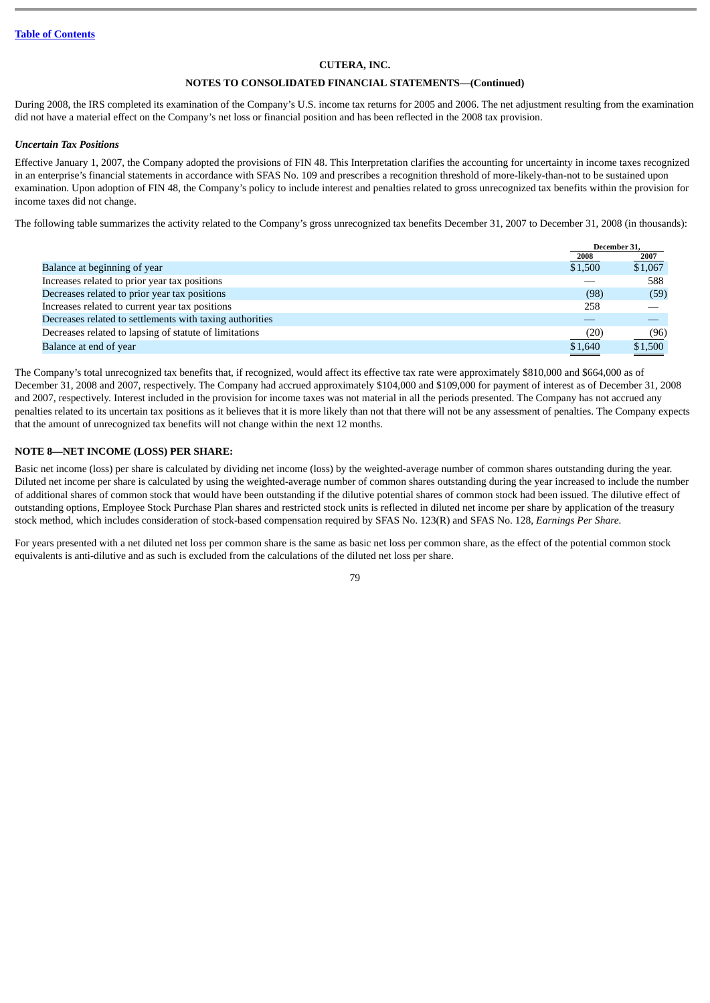#### **NOTES TO CONSOLIDATED FINANCIAL STATEMENTS—(Continued)**

During 2008, the IRS completed its examination of the Company's U.S. income tax returns for 2005 and 2006. The net adjustment resulting from the examination did not have a material effect on the Company's net loss or financial position and has been reflected in the 2008 tax provision.

#### *Uncertain Tax Positions*

Effective January 1, 2007, the Company adopted the provisions of FIN 48. This Interpretation clarifies the accounting for uncertainty in income taxes recognized in an enterprise's financial statements in accordance with SFAS No. 109 and prescribes a recognition threshold of more-likely-than-not to be sustained upon examination. Upon adoption of FIN 48, the Company's policy to include interest and penalties related to gross unrecognized tax benefits within the provision for income taxes did not change.

The following table summarizes the activity related to the Company's gross unrecognized tax benefits December 31, 2007 to December 31, 2008 (in thousands):

|                                                          | December 31. |                       |
|----------------------------------------------------------|--------------|-----------------------|
|                                                          | 2008         |                       |
| Balance at beginning of year                             | \$1,500      | $\frac{2007}{$1,067}$ |
| Increases related to prior year tax positions            |              | 588                   |
| Decreases related to prior year tax positions            | (98)         | (59)                  |
| Increases related to current year tax positions          | 258          |                       |
| Decreases related to settlements with taxing authorities |              |                       |
| Decreases related to lapsing of statute of limitations   | (20)         | (96)                  |
| Balance at end of year                                   | \$1,640      | \$1,500               |

The Company's total unrecognized tax benefits that, if recognized, would affect its effective tax rate were approximately \$810,000 and \$664,000 as of December 31, 2008 and 2007, respectively. The Company had accrued approximately \$104,000 and \$109,000 for payment of interest as of December 31, 2008 and 2007, respectively. Interest included in the provision for income taxes was not material in all the periods presented. The Company has not accrued any penalties related to its uncertain tax positions as it believes that it is more likely than not that there will not be any assessment of penalties. The Company expects that the amount of unrecognized tax benefits will not change within the next 12 months.

## **NOTE 8—NET INCOME (LOSS) PER SHARE:**

Basic net income (loss) per share is calculated by dividing net income (loss) by the weighted-average number of common shares outstanding during the year. Diluted net income per share is calculated by using the weighted-average number of common shares outstanding during the year increased to include the number of additional shares of common stock that would have been outstanding if the dilutive potential shares of common stock had been issued. The dilutive effect of outstanding options, Employee Stock Purchase Plan shares and restricted stock units is reflected in diluted net income per share by application of the treasury stock method, which includes consideration of stock-based compensation required by SFAS No. 123(R) and SFAS No. 128, *Earnings Per Share.*

For years presented with a net diluted net loss per common share is the same as basic net loss per common share, as the effect of the potential common stock equivalents is anti-dilutive and as such is excluded from the calculations of the diluted net loss per share.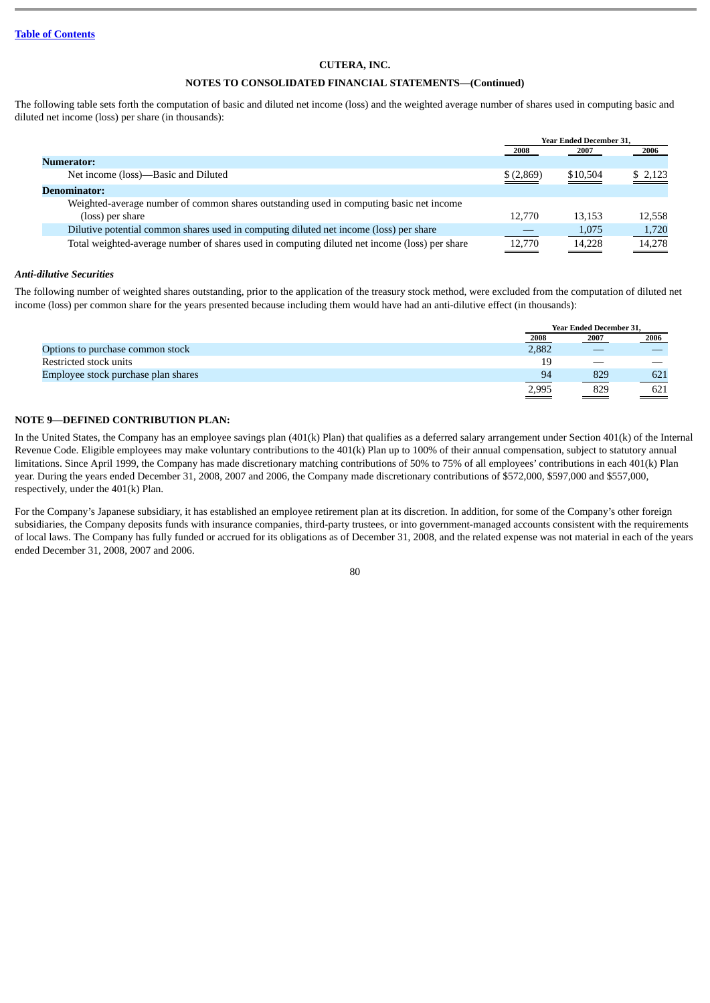#### **NOTES TO CONSOLIDATED FINANCIAL STATEMENTS—(Continued)**

The following table sets forth the computation of basic and diluted net income (loss) and the weighted average number of shares used in computing basic and diluted net income (loss) per share (in thousands):

|                                                                                               | <b>Year Ended December 31.</b> |          |                  |
|-----------------------------------------------------------------------------------------------|--------------------------------|----------|------------------|
|                                                                                               | 2008                           | 2007     | 2006             |
| Numerator:                                                                                    |                                |          |                  |
| Net income (loss)—Basic and Diluted                                                           | \$(2,869)                      | \$10,504 | \$2,123          |
| <b>Denominator:</b>                                                                           |                                |          |                  |
| Weighted-average number of common shares outstanding used in computing basic net income       |                                |          |                  |
| (loss) per share                                                                              | 12,770                         | 13.153   | 12.558           |
| Dilutive potential common shares used in computing diluted net income (loss) per share        |                                | 1,075    | 1,720            |
| Total weighted-average number of shares used in computing diluted net income (loss) per share | 12,770                         | 14,228   | 14,278<br>______ |

#### *Anti-dilutive Securities*

The following number of weighted shares outstanding, prior to the application of the treasury stock method, were excluded from the computation of diluted net income (loss) per common share for the years presented because including them would have had an anti-dilutive effect (in thousands):

|                                     |       | <b>Year Ended December 31.</b> |      |  |
|-------------------------------------|-------|--------------------------------|------|--|
|                                     | 2008  | 2007                           | 2006 |  |
| Options to purchase common stock    | 2,882 |                                |      |  |
| Restricted stock units              | 19    |                                |      |  |
| Employee stock purchase plan shares | 94    | 829                            | 621  |  |
|                                     | 2,995 | 829                            | 621  |  |

# **NOTE 9—DEFINED CONTRIBUTION PLAN:**

In the United States, the Company has an employee savings plan (401(k) Plan) that qualifies as a deferred salary arrangement under Section 401(k) of the Internal Revenue Code. Eligible employees may make voluntary contributions to the 401(k) Plan up to 100% of their annual compensation, subject to statutory annual limitations. Since April 1999, the Company has made discretionary matching contributions of 50% to 75% of all employees' contributions in each 401(k) Plan year. During the years ended December 31, 2008, 2007 and 2006, the Company made discretionary contributions of \$572,000, \$597,000 and \$557,000, respectively, under the 401(k) Plan.

For the Company's Japanese subsidiary, it has established an employee retirement plan at its discretion. In addition, for some of the Company's other foreign subsidiaries, the Company deposits funds with insurance companies, third-party trustees, or into government-managed accounts consistent with the requirements of local laws. The Company has fully funded or accrued for its obligations as of December 31, 2008, and the related expense was not material in each of the years ended December 31, 2008, 2007 and 2006.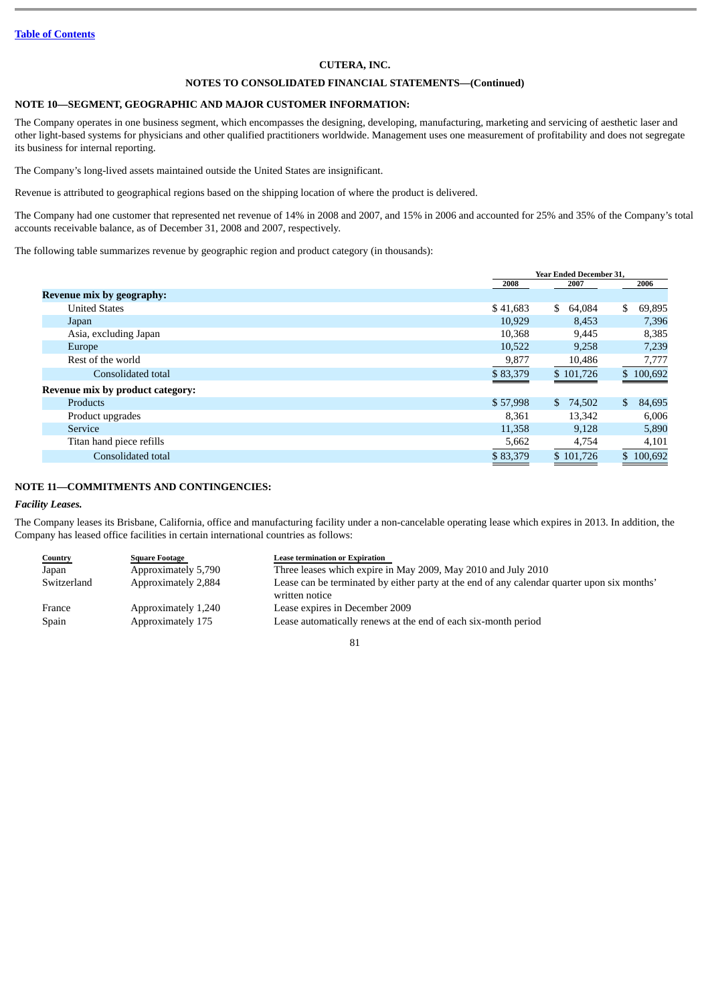#### **NOTES TO CONSOLIDATED FINANCIAL STATEMENTS—(Continued)**

#### **NOTE 10—SEGMENT, GEOGRAPHIC AND MAJOR CUSTOMER INFORMATION:**

The Company operates in one business segment, which encompasses the designing, developing, manufacturing, marketing and servicing of aesthetic laser and other light-based systems for physicians and other qualified practitioners worldwide. Management uses one measurement of profitability and does not segregate its business for internal reporting.

The Company's long-lived assets maintained outside the United States are insignificant.

Revenue is attributed to geographical regions based on the shipping location of where the product is delivered.

The Company had one customer that represented net revenue of 14% in 2008 and 2007, and 15% in 2006 and accounted for 25% and 35% of the Company's total accounts receivable balance, as of December 31, 2008 and 2007, respectively.

The following table summarizes revenue by geographic region and product category (in thousands):

|                                  |          | <b>Year Ended December 31.</b> |              |  |
|----------------------------------|----------|--------------------------------|--------------|--|
|                                  | 2008     | 2007                           | 2006         |  |
| Revenue mix by geography:        |          |                                |              |  |
| <b>United States</b>             | \$41,683 | \$<br>64,084                   | \$<br>69,895 |  |
| Japan                            | 10.929   | 8,453                          | 7,396        |  |
| Asia, excluding Japan            | 10,368   | 9,445                          | 8,385        |  |
| Europe                           | 10.522   | 9,258                          | 7,239        |  |
| Rest of the world                | 9,877    | 10,486                         | 7,777        |  |
| Consolidated total               | \$83,379 | \$101,726                      | \$100,692    |  |
| Revenue mix by product category: |          |                                |              |  |
| Products                         | \$57,998 | \$74,502                       | \$<br>84,695 |  |
| Product upgrades                 | 8,361    | 13,342                         | 6,006        |  |
| Service                          | 11,358   | 9,128                          | 5,890        |  |
| Titan hand piece refills         | 5,662    | 4,754                          | 4,101        |  |
| Consolidated total               | \$83,379 | \$101,726                      | 100,692      |  |
|                                  |          |                                |              |  |

#### **NOTE 11—COMMITMENTS AND CONTINGENCIES:**

## *Facility Leases.*

The Company leases its Brisbane, California, office and manufacturing facility under a non-cancelable operating lease which expires in 2013. In addition, the Company has leased office facilities in certain international countries as follows:

| <b>Country</b> | <b>Square Footage</b> | <b>Lease termination or Expiration</b>                                                      |
|----------------|-----------------------|---------------------------------------------------------------------------------------------|
| Japan          | Approximately 5,790   | Three leases which expire in May 2009, May 2010 and July 2010                               |
| Switzerland    | Approximately 2,884   | Lease can be terminated by either party at the end of any calendar quarter upon six months' |
|                |                       | written notice                                                                              |
| France         | Approximately 1,240   | Lease expires in December 2009                                                              |
| Spain          | Approximately 175     | Lease automatically renews at the end of each six-month period                              |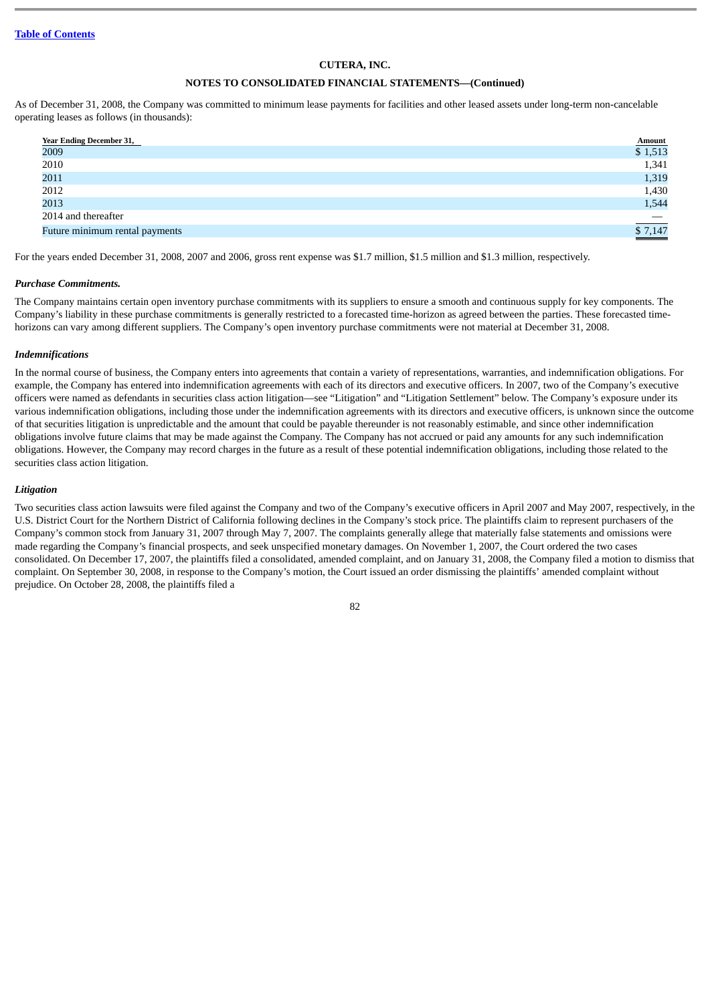#### **NOTES TO CONSOLIDATED FINANCIAL STATEMENTS—(Continued)**

As of December 31, 2008, the Company was committed to minimum lease payments for facilities and other leased assets under long-term non-cancelable operating leases as follows (in thousands):

| <b>Year Ending December 31,</b> | Amount  |
|---------------------------------|---------|
| 2009                            | \$1,513 |
| 2010                            | 1,341   |
| 2011                            | 1,319   |
| 2012                            | 1,430   |
| 2013                            | 1,544   |
| 2014 and thereafter             |         |
| Future minimum rental payments  | \$7,147 |

For the years ended December 31, 2008, 2007 and 2006, gross rent expense was \$1.7 million, \$1.5 million and \$1.3 million, respectively.

#### *Purchase Commitments.*

The Company maintains certain open inventory purchase commitments with its suppliers to ensure a smooth and continuous supply for key components. The Company's liability in these purchase commitments is generally restricted to a forecasted time-horizon as agreed between the parties. These forecasted timehorizons can vary among different suppliers. The Company's open inventory purchase commitments were not material at December 31, 2008.

#### *Indemnifications*

In the normal course of business, the Company enters into agreements that contain a variety of representations, warranties, and indemnification obligations. For example, the Company has entered into indemnification agreements with each of its directors and executive officers. In 2007, two of the Company's executive officers were named as defendants in securities class action litigation—see "Litigation" and "Litigation Settlement" below. The Company's exposure under its various indemnification obligations, including those under the indemnification agreements with its directors and executive officers, is unknown since the outcome of that securities litigation is unpredictable and the amount that could be payable thereunder is not reasonably estimable, and since other indemnification obligations involve future claims that may be made against the Company. The Company has not accrued or paid any amounts for any such indemnification obligations. However, the Company may record charges in the future as a result of these potential indemnification obligations, including those related to the securities class action litigation.

#### *Litigation*

Two securities class action lawsuits were filed against the Company and two of the Company's executive officers in April 2007 and May 2007, respectively, in the U.S. District Court for the Northern District of California following declines in the Company's stock price. The plaintiffs claim to represent purchasers of the Company's common stock from January 31, 2007 through May 7, 2007. The complaints generally allege that materially false statements and omissions were made regarding the Company's financial prospects, and seek unspecified monetary damages. On November 1, 2007, the Court ordered the two cases consolidated. On December 17, 2007, the plaintiffs filed a consolidated, amended complaint, and on January 31, 2008, the Company filed a motion to dismiss that complaint. On September 30, 2008, in response to the Company's motion, the Court issued an order dismissing the plaintiffs' amended complaint without prejudice. On October 28, 2008, the plaintiffs filed a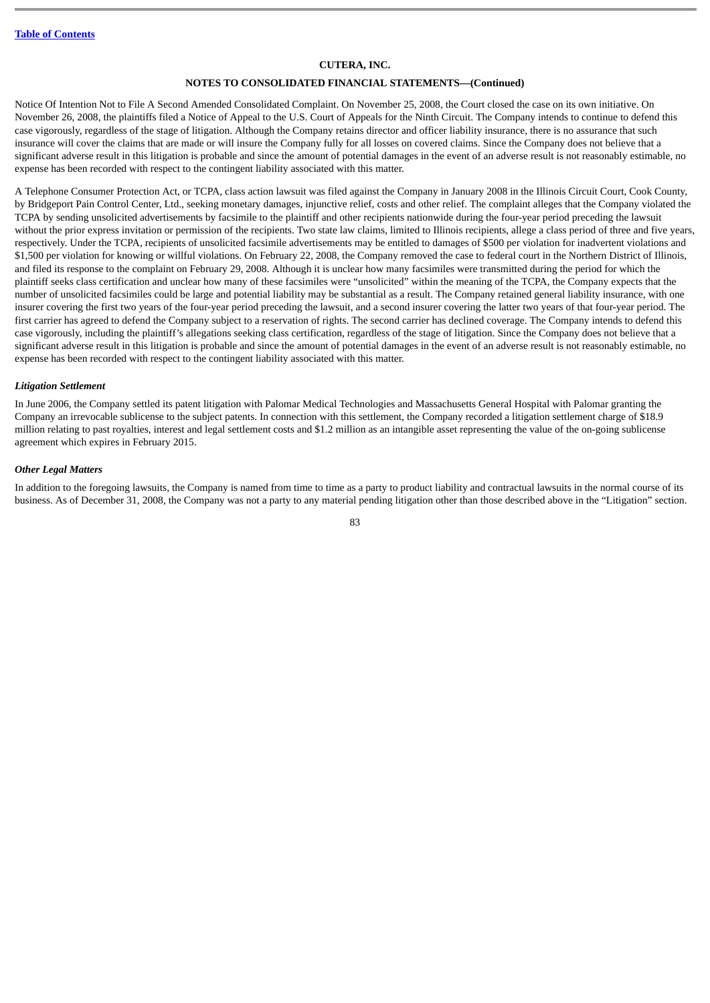#### **NOTES TO CONSOLIDATED FINANCIAL STATEMENTS—(Continued)**

Notice Of Intention Not to File A Second Amended Consolidated Complaint. On November 25, 2008, the Court closed the case on its own initiative. On November 26, 2008, the plaintiffs filed a Notice of Appeal to the U.S. Court of Appeals for the Ninth Circuit. The Company intends to continue to defend this case vigorously, regardless of the stage of litigation. Although the Company retains director and officer liability insurance, there is no assurance that such insurance will cover the claims that are made or will insure the Company fully for all losses on covered claims. Since the Company does not believe that a significant adverse result in this litigation is probable and since the amount of potential damages in the event of an adverse result is not reasonably estimable, no expense has been recorded with respect to the contingent liability associated with this matter.

A Telephone Consumer Protection Act, or TCPA, class action lawsuit was filed against the Company in January 2008 in the Illinois Circuit Court, Cook County, by Bridgeport Pain Control Center, Ltd., seeking monetary damages, injunctive relief, costs and other relief. The complaint alleges that the Company violated the TCPA by sending unsolicited advertisements by facsimile to the plaintiff and other recipients nationwide during the four-year period preceding the lawsuit without the prior express invitation or permission of the recipients. Two state law claims, limited to Illinois recipients, allege a class period of three and five years, respectively. Under the TCPA, recipients of unsolicited facsimile advertisements may be entitled to damages of \$500 per violation for inadvertent violations and \$1,500 per violation for knowing or willful violations. On February 22, 2008, the Company removed the case to federal court in the Northern District of Illinois, and filed its response to the complaint on February 29, 2008. Although it is unclear how many facsimiles were transmitted during the period for which the plaintiff seeks class certification and unclear how many of these facsimiles were "unsolicited" within the meaning of the TCPA, the Company expects that the number of unsolicited facsimiles could be large and potential liability may be substantial as a result. The Company retained general liability insurance, with one insurer covering the first two years of the four-year period preceding the lawsuit, and a second insurer covering the latter two years of that four-year period. The first carrier has agreed to defend the Company subject to a reservation of rights. The second carrier has declined coverage. The Company intends to defend this case vigorously, including the plaintiff's allegations seeking class certification, regardless of the stage of litigation. Since the Company does not believe that a significant adverse result in this litigation is probable and since the amount of potential damages in the event of an adverse result is not reasonably estimable, no expense has been recorded with respect to the contingent liability associated with this matter.

#### *Litigation Settlement*

In June 2006, the Company settled its patent litigation with Palomar Medical Technologies and Massachusetts General Hospital with Palomar granting the Company an irrevocable sublicense to the subject patents. In connection with this settlement, the Company recorded a litigation settlement charge of \$18.9 million relating to past royalties, interest and legal settlement costs and \$1.2 million as an intangible asset representing the value of the on-going sublicense agreement which expires in February 2015.

#### *Other Legal Matters*

In addition to the foregoing lawsuits, the Company is named from time to time as a party to product liability and contractual lawsuits in the normal course of its business. As of December 31, 2008, the Company was not a party to any material pending litigation other than those described above in the "Litigation" section.

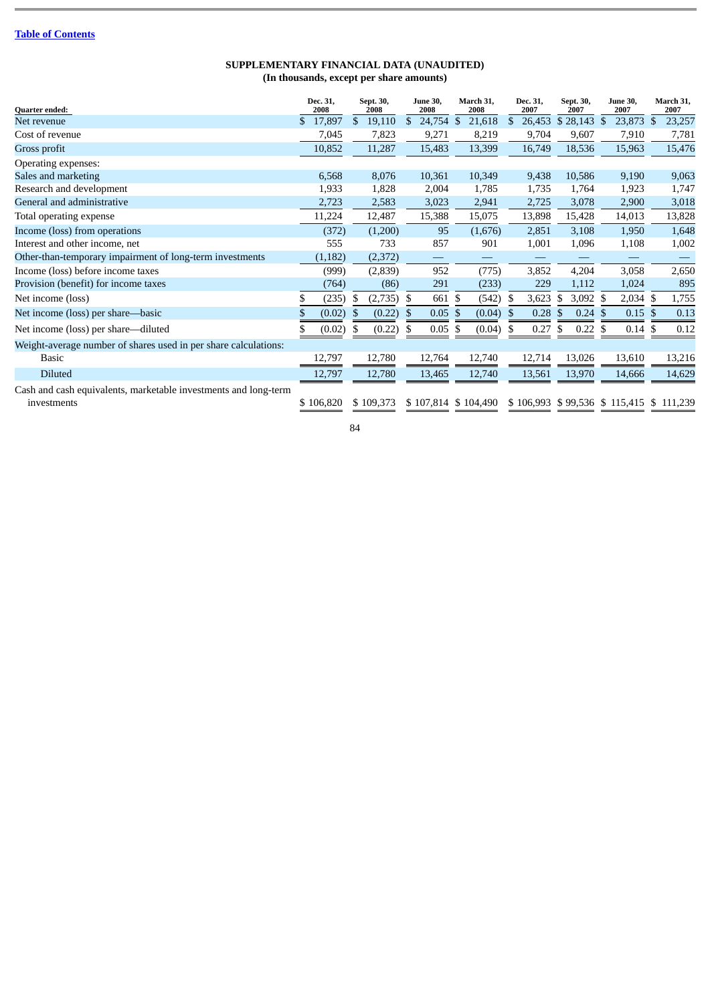## **SUPPLEMENTARY FINANCIAL DATA (UNAUDITED) (In thousands, except per share amounts)**

| Quarter ended:                                                                 | Dec. 31,<br>2008 |    | Sept. 30,<br>2008 |    | <b>June 30,</b><br>2008 |     | March 31.<br>2008 |               | Dec. 31,<br>2007 | Sept. 30,<br>2007        |      | <b>June 30,</b><br>2007                | March 31.<br>2007 |
|--------------------------------------------------------------------------------|------------------|----|-------------------|----|-------------------------|-----|-------------------|---------------|------------------|--------------------------|------|----------------------------------------|-------------------|
| Net revenue                                                                    | 17,897<br>\$     | S. | 19,110            | \$ | 24,754                  | \$  | 21,618            | \$            | 26,453           | \$28,143                 | - \$ | 23,873                                 | \$<br>23,257      |
| Cost of revenue                                                                | 7,045            |    | 7,823             |    | 9,271                   |     | 8,219             |               | 9,704            | 9,607                    |      | 7,910                                  | 7,781             |
| Gross profit                                                                   | 10,852           |    | 11,287            |    | 15,483                  |     | 13,399            |               | 16,749           | 18,536                   |      | 15,963                                 | 15,476            |
| Operating expenses:                                                            |                  |    |                   |    |                         |     |                   |               |                  |                          |      |                                        |                   |
| Sales and marketing                                                            | 6,568            |    | 8,076             |    | 10,361                  |     | 10,349            |               | 9,438            | 10,586                   |      | 9,190                                  | 9,063             |
| Research and development                                                       | 1,933            |    | 1,828             |    | 2,004                   |     | 1,785             |               | 1,735            | 1,764                    |      | 1,923                                  | 1,747             |
| General and administrative                                                     | 2,723            |    | 2,583             |    | 3,023                   |     | 2,941             |               | 2,725            | 3,078                    |      | 2,900                                  | 3,018             |
| Total operating expense                                                        | 11,224           |    | 12,487            |    | 15,388                  |     | 15,075            |               | 13,898           | 15,428                   |      | 14,013                                 | 13,828            |
| Income (loss) from operations                                                  | (372)            |    | (1,200)           |    | 95                      |     | (1,676)           |               | 2,851            | 3,108                    |      | 1,950                                  | 1,648             |
| Interest and other income, net                                                 | 555              |    | 733               |    | 857                     |     | 901               |               | 1,001            | 1,096                    |      | 1,108                                  | 1,002             |
| Other-than-temporary impairment of long-term investments                       | (1,182)          |    | (2,372)           |    |                         |     |                   |               |                  |                          |      |                                        |                   |
| Income (loss) before income taxes                                              | (999)            |    | (2,839)           |    | 952                     |     | (775)             |               | 3,852            | 4,204                    |      | 3,058                                  | 2,650             |
| Provision (benefit) for income taxes                                           | (764)            |    | (86)              |    | 291                     |     | (233)             |               | 229              | 1,112                    |      | 1,024                                  | 895               |
| Net income (loss)                                                              | (235)            | S. | (2,735)           | S. | 661                     | -\$ | (542)             | S             | 3,623            | $3,092$ \$<br>S          |      | 2,034 \$                               | 1,755             |
| Net income (loss) per share—basic                                              | (0.02)<br>S      | S  | (0.22)            | \$ | 0.05                    | -\$ | (0.04)            | \$            | 0.28             | $0.24 \text{ } $$<br>- 5 |      | $0.15$ \$                              | 0.13              |
| Net income (loss) per share—diluted                                            | (0.02)           | \$ | (0.22)            | \$ | $0.05 \text{ }$ \$      |     | (0.04)            | <sup>\$</sup> | 0.27             | $0.22 \text{ } $$        |      | $0.14 \text{ } $$                      | 0.12              |
| Weight-average number of shares used in per share calculations:                |                  |    |                   |    |                         |     |                   |               |                  |                          |      |                                        |                   |
| <b>Basic</b>                                                                   | 12,797           |    | 12,780            |    | 12,764                  |     | 12,740            |               | 12,714           | 13,026                   |      | 13,610                                 | 13,216            |
| Diluted                                                                        | 12,797           |    | 12,780            |    | 13,465                  |     | 12,740            |               | 13,561           | 13,970                   |      | 14,666                                 | 14,629            |
| Cash and cash equivalents, marketable investments and long-term<br>investments | \$106,820        |    | \$109,373         |    | \$107,814 \$104,490     |     |                   |               |                  |                          |      | \$106,993 \$99,536 \$115,415 \$111,239 |                   |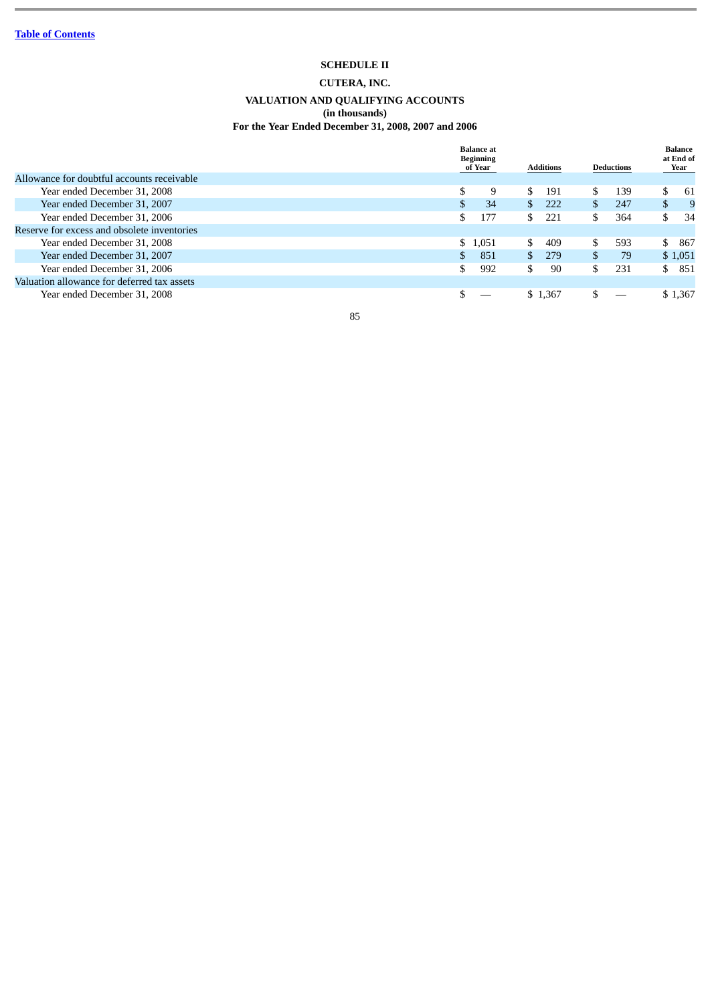# **SCHEDULE II**

# **CUTERA, INC.**

#### **VALUATION AND QUALIFYING ACCOUNTS (in thousands)**

## **For the Year Ended December 31, 2008, 2007 and 2006**

| <b>Balance</b> at<br><b>Beginning</b><br>of Year | <b>Additions</b> | <b>Deductions</b>   | <b>Balance</b><br>at End of<br>Year |
|--------------------------------------------------|------------------|---------------------|-------------------------------------|
|                                                  |                  |                     |                                     |
| \$<br>9                                          | \$.<br>191       | 139<br>\$           | \$<br>-61                           |
| 34                                               | \$.<br>222       | 247<br>S.           | \$<br>-9                            |
| 177                                              | 221<br>\$        | 364<br>S.           | \$<br>34                            |
|                                                  |                  |                     |                                     |
| \$1,051                                          | \$.<br>409       | 593<br>\$           | \$.<br>867                          |
| 851                                              | 279<br>\$.       | <sup>\$</sup><br>79 | \$1,051                             |
| \$<br>992                                        | 90<br>\$         | 231<br>S.           | 851<br>\$.                          |
|                                                  |                  |                     |                                     |
| ¢                                                | \$1,367          |                     | \$1,367                             |
|                                                  |                  |                     |                                     |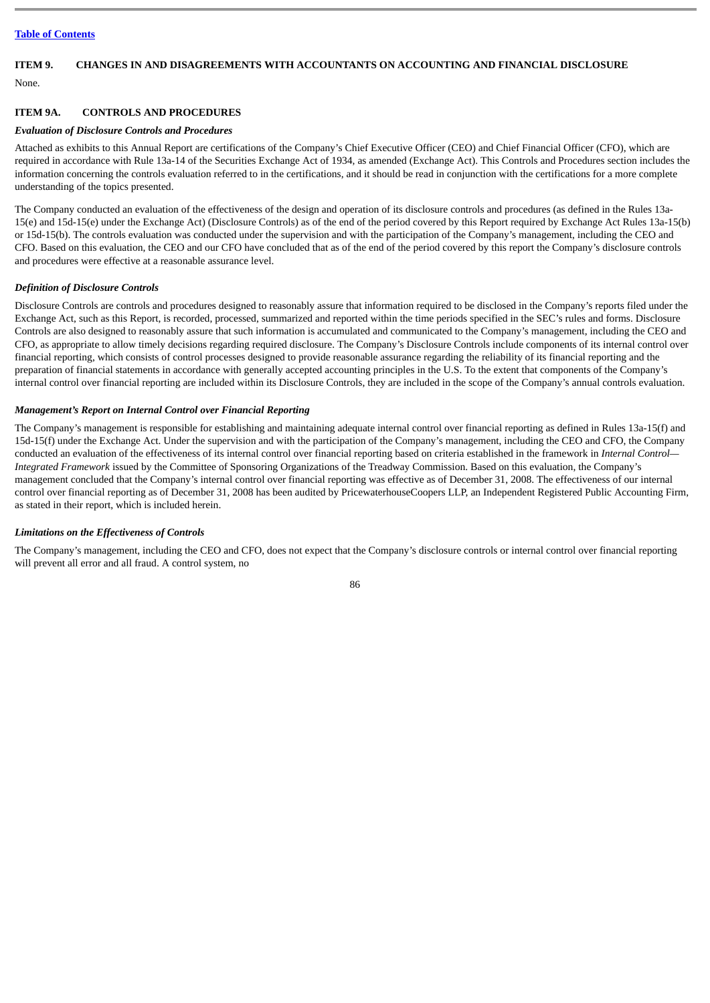#### **Table of [Contents](#page-1-0)**

# **ITEM 9. CHANGES IN AND DISAGREEMENTS WITH ACCOUNTANTS ON ACCOUNTING AND FINANCIAL DISCLOSURE**

None.

### **ITEM 9A. CONTROLS AND PROCEDURES**

#### *Evaluation of Disclosure Controls and Procedures*

Attached as exhibits to this Annual Report are certifications of the Company's Chief Executive Officer (CEO) and Chief Financial Officer (CFO), which are required in accordance with Rule 13a-14 of the Securities Exchange Act of 1934, as amended (Exchange Act). This Controls and Procedures section includes the information concerning the controls evaluation referred to in the certifications, and it should be read in conjunction with the certifications for a more complete understanding of the topics presented.

The Company conducted an evaluation of the effectiveness of the design and operation of its disclosure controls and procedures (as defined in the Rules 13a-15(e) and 15d-15(e) under the Exchange Act) (Disclosure Controls) as of the end of the period covered by this Report required by Exchange Act Rules 13a-15(b) or 15d-15(b). The controls evaluation was conducted under the supervision and with the participation of the Company's management, including the CEO and CFO. Based on this evaluation, the CEO and our CFO have concluded that as of the end of the period covered by this report the Company's disclosure controls and procedures were effective at a reasonable assurance level.

### *Definition of Disclosure Controls*

Disclosure Controls are controls and procedures designed to reasonably assure that information required to be disclosed in the Company's reports filed under the Exchange Act, such as this Report, is recorded, processed, summarized and reported within the time periods specified in the SEC's rules and forms. Disclosure Controls are also designed to reasonably assure that such information is accumulated and communicated to the Company's management, including the CEO and CFO, as appropriate to allow timely decisions regarding required disclosure. The Company's Disclosure Controls include components of its internal control over financial reporting, which consists of control processes designed to provide reasonable assurance regarding the reliability of its financial reporting and the preparation of financial statements in accordance with generally accepted accounting principles in the U.S. To the extent that components of the Company's internal control over financial reporting are included within its Disclosure Controls, they are included in the scope of the Company's annual controls evaluation.

### *Management's Report on Internal Control over Financial Reporting*

The Company's management is responsible for establishing and maintaining adequate internal control over financial reporting as defined in Rules 13a-15(f) and 15d-15(f) under the Exchange Act. Under the supervision and with the participation of the Company's management, including the CEO and CFO, the Company conducted an evaluation of the effectiveness of its internal control over financial reporting based on criteria established in the framework in *Internal Control— Integrated Framework* issued by the Committee of Sponsoring Organizations of the Treadway Commission. Based on this evaluation, the Company's management concluded that the Company's internal control over financial reporting was effective as of December 31, 2008. The effectiveness of our internal control over financial reporting as of December 31, 2008 has been audited by PricewaterhouseCoopers LLP, an Independent Registered Public Accounting Firm, as stated in their report, which is included herein.

#### *Limitations on the Effectiveness of Controls*

The Company's management, including the CEO and CFO, does not expect that the Company's disclosure controls or internal control over financial reporting will prevent all error and all fraud. A control system, no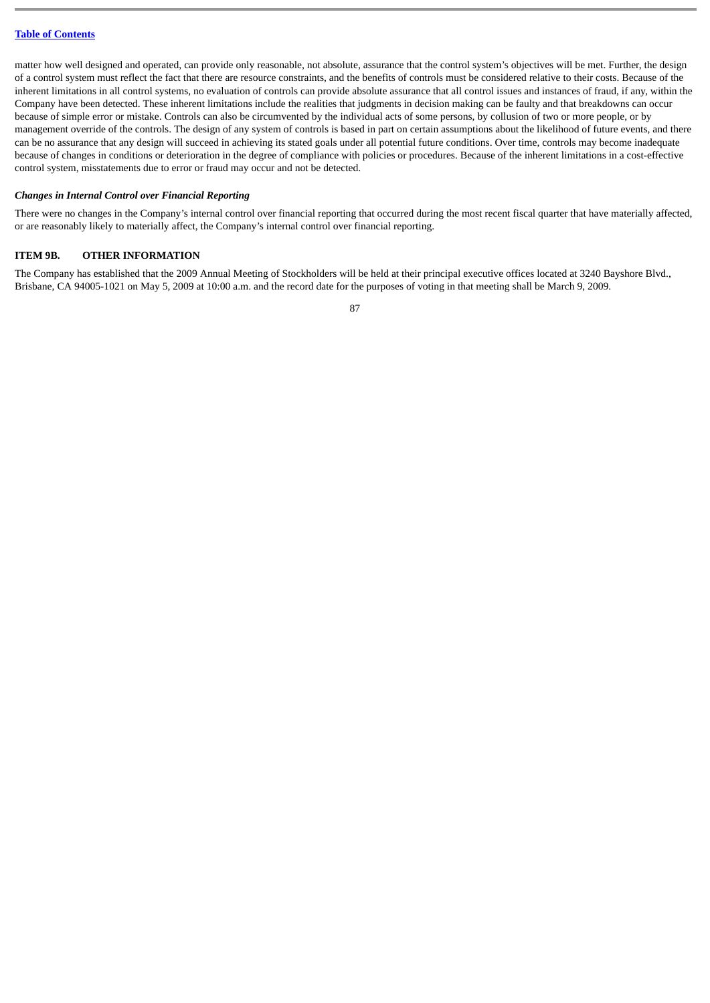## **Table of [Contents](#page-1-0)**

matter how well designed and operated, can provide only reasonable, not absolute, assurance that the control system's objectives will be met. Further, the design of a control system must reflect the fact that there are resource constraints, and the benefits of controls must be considered relative to their costs. Because of the inherent limitations in all control systems, no evaluation of controls can provide absolute assurance that all control issues and instances of fraud, if any, within the Company have been detected. These inherent limitations include the realities that judgments in decision making can be faulty and that breakdowns can occur because of simple error or mistake. Controls can also be circumvented by the individual acts of some persons, by collusion of two or more people, or by management override of the controls. The design of any system of controls is based in part on certain assumptions about the likelihood of future events, and there can be no assurance that any design will succeed in achieving its stated goals under all potential future conditions. Over time, controls may become inadequate because of changes in conditions or deterioration in the degree of compliance with policies or procedures. Because of the inherent limitations in a cost-effective control system, misstatements due to error or fraud may occur and not be detected.

#### *Changes in Internal Control over Financial Reporting*

There were no changes in the Company's internal control over financial reporting that occurred during the most recent fiscal quarter that have materially affected, or are reasonably likely to materially affect, the Company's internal control over financial reporting.

## **ITEM 9B. OTHER INFORMATION**

The Company has established that the 2009 Annual Meeting of Stockholders will be held at their principal executive offices located at 3240 Bayshore Blvd., Brisbane, CA 94005-1021 on May 5, 2009 at 10:00 a.m. and the record date for the purposes of voting in that meeting shall be March 9, 2009.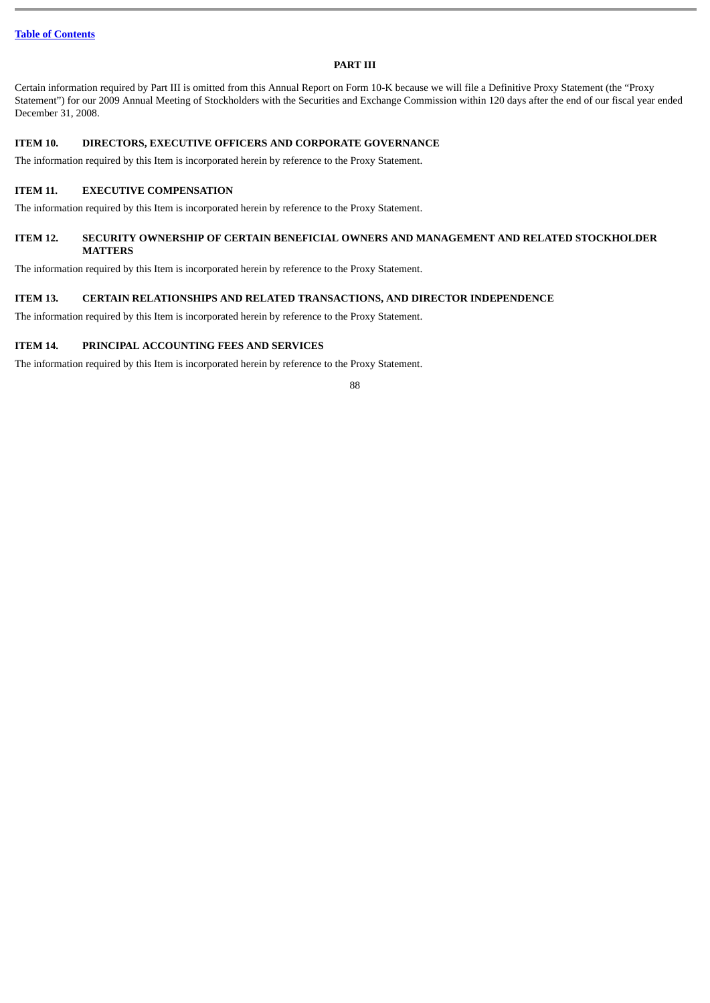## **PART III**

Certain information required by Part III is omitted from this Annual Report on Form 10-K because we will file a Definitive Proxy Statement (the "Proxy Statement") for our 2009 Annual Meeting of Stockholders with the Securities and Exchange Commission within 120 days after the end of our fiscal year ended December 31, 2008.

# **ITEM 10. DIRECTORS, EXECUTIVE OFFICERS AND CORPORATE GOVERNANCE**

The information required by this Item is incorporated herein by reference to the Proxy Statement.

## **ITEM 11. EXECUTIVE COMPENSATION**

The information required by this Item is incorporated herein by reference to the Proxy Statement.

## **ITEM 12. SECURITY OWNERSHIP OF CERTAIN BENEFICIAL OWNERS AND MANAGEMENT AND RELATED STOCKHOLDER MATTERS**

The information required by this Item is incorporated herein by reference to the Proxy Statement.

## **ITEM 13. CERTAIN RELATIONSHIPS AND RELATED TRANSACTIONS, AND DIRECTOR INDEPENDENCE**

The information required by this Item is incorporated herein by reference to the Proxy Statement.

## **ITEM 14. PRINCIPAL ACCOUNTING FEES AND SERVICES**

The information required by this Item is incorporated herein by reference to the Proxy Statement.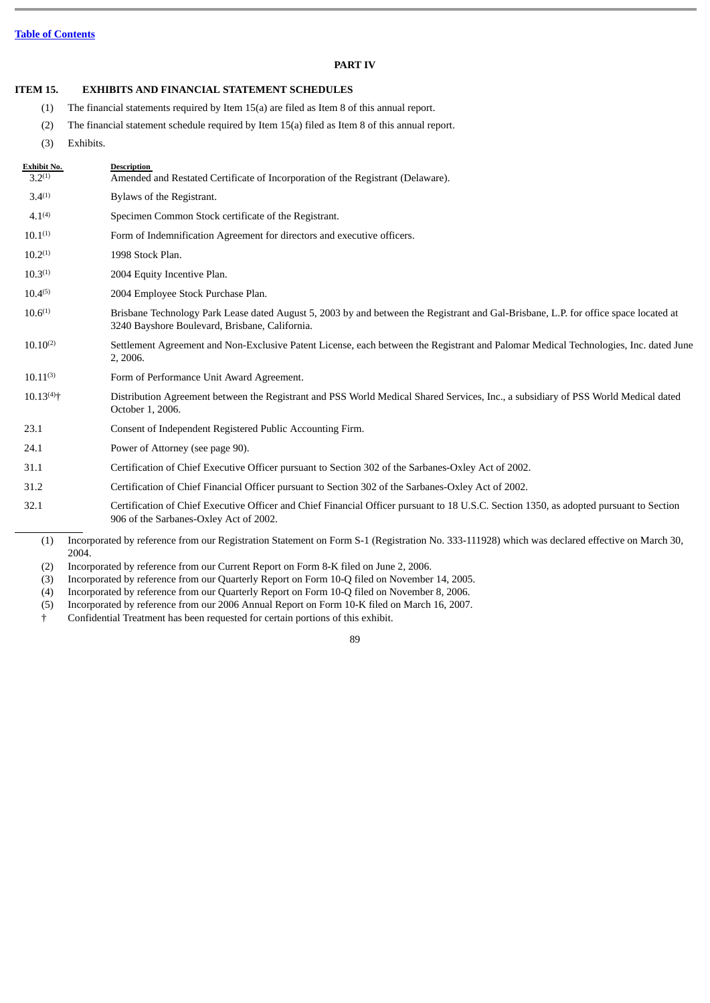## **PART IV**

# **ITEM 15. EXHIBITS AND FINANCIAL STATEMENT SCHEDULES**

- (1) The financial statements required by Item 15(a) are filed as Item 8 of this annual report.
- (2) The financial statement schedule required by Item 15(a) filed as Item 8 of this annual report.
- (3) Exhibits.

| Exhibit No.<br>$3.2^{(1)}$ | <b>Description</b><br>Amended and Restated Certificate of Incorporation of the Registrant (Delaware).                                                                                  |
|----------------------------|----------------------------------------------------------------------------------------------------------------------------------------------------------------------------------------|
| $3.4^{(1)}$                | Bylaws of the Registrant.                                                                                                                                                              |
| $4.1^{(4)}$                | Specimen Common Stock certificate of the Registrant.                                                                                                                                   |
| $10.1^{(1)}$               | Form of Indemnification Agreement for directors and executive officers.                                                                                                                |
| $10.2^{(1)}$               | 1998 Stock Plan.                                                                                                                                                                       |
| $10.3^{(1)}$               | 2004 Equity Incentive Plan.                                                                                                                                                            |
| $10.4^{(5)}$               | 2004 Employee Stock Purchase Plan.                                                                                                                                                     |
| $10.6^{(1)}$               | Brisbane Technology Park Lease dated August 5, 2003 by and between the Registrant and Gal-Brisbane, L.P. for office space located at<br>3240 Bayshore Boulevard, Brisbane, California. |
| $10.10^{(2)}$              | Settlement Agreement and Non-Exclusive Patent License, each between the Registrant and Palomar Medical Technologies, Inc. dated June<br>2, 2006.                                       |
| $10.11^{(3)}$              | Form of Performance Unit Award Agreement.                                                                                                                                              |
| $10.13^{(4)}$ <sup>+</sup> | Distribution Agreement between the Registrant and PSS World Medical Shared Services, Inc., a subsidiary of PSS World Medical dated<br>October 1, 2006.                                 |
| 23.1                       | Consent of Independent Registered Public Accounting Firm.                                                                                                                              |
| 24.1                       | Power of Attorney (see page 90).                                                                                                                                                       |
| 31.1                       | Certification of Chief Executive Officer pursuant to Section 302 of the Sarbanes-Oxley Act of 2002.                                                                                    |
| 31.2                       | Certification of Chief Financial Officer pursuant to Section 302 of the Sarbanes-Oxley Act of 2002.                                                                                    |
| 32.1                       | Certification of Chief Executive Officer and Chief Financial Officer pursuant to 18 U.S.C. Section 1350, as adopted pursuant to Section<br>906 of the Sarbanes-Oxley Act of 2002.      |

(1) Incorporated by reference from our Registration Statement on Form S-1 (Registration No. 333-111928) which was declared effective on March 30, 2004.

(2) Incorporated by reference from our Current Report on Form 8-K filed on June 2, 2006.

- (3) Incorporated by reference from our Quarterly Report on Form 10-Q filed on November 14, 2005.
- (4) Incorporated by reference from our Quarterly Report on Form 10-Q filed on November 8, 2006.
- (5) Incorporated by reference from our 2006 Annual Report on Form 10-K filed on March 16, 2007.

† Confidential Treatment has been requested for certain portions of this exhibit.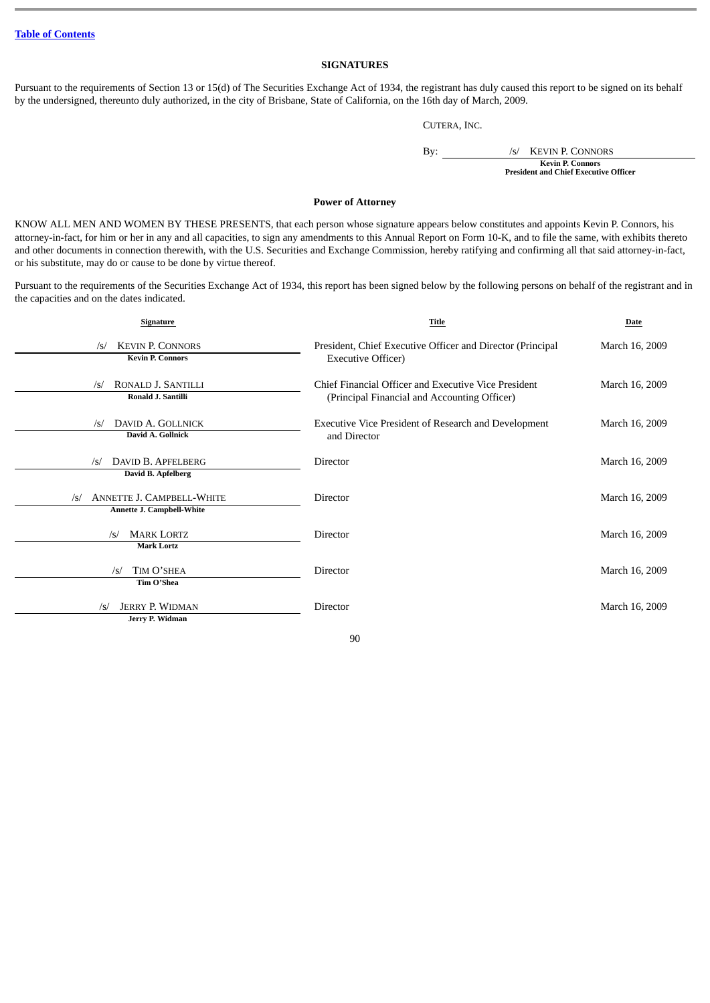## **SIGNATURES**

Pursuant to the requirements of Section 13 or 15(d) of The Securities Exchange Act of 1934, the registrant has duly caused this report to be signed on its behalf by the undersigned, thereunto duly authorized, in the city of Brisbane, State of California, on the 16th day of March, 2009.

CUTERA, INC.

By: /s/ KEVIN P. CONNORS

**Kevin P. Connors President and Chief Executive Officer**

## **Power of Attorney**

KNOW ALL MEN AND WOMEN BY THESE PRESENTS, that each person whose signature appears below constitutes and appoints Kevin P. Connors, his attorney-in-fact, for him or her in any and all capacities, to sign any amendments to this Annual Report on Form 10-K, and to file the same, with exhibits thereto and other documents in connection therewith, with the U.S. Securities and Exchange Commission, hereby ratifying and confirming all that said attorney-in-fact, or his substitute, may do or cause to be done by virtue thereof.

Pursuant to the requirements of the Securities Exchange Act of 1934, this report has been signed below by the following persons on behalf of the registrant and in the capacities and on the dates indicated.

| Signature                                                                   | <b>Title</b>                                                                                         | Date           |
|-----------------------------------------------------------------------------|------------------------------------------------------------------------------------------------------|----------------|
| <b>KEVIN P. CONNORS</b><br>$\sqrt{s}$<br><b>Kevin P. Connors</b>            | President, Chief Executive Officer and Director (Principal<br><b>Executive Officer)</b>              | March 16, 2009 |
| RONALD J. SANTILLI<br>$\sqrt{s}$<br>Ronald J. Santilli                      | Chief Financial Officer and Executive Vice President<br>(Principal Financial and Accounting Officer) | March 16, 2009 |
| DAVID A. GOLLNICK<br>$\sqrt{s}$<br>David A. Gollnick                        | Executive Vice President of Research and Development<br>and Director                                 | March 16, 2009 |
| DAVID B. APFELBERG<br>/s/<br>David B. Apfelberg                             | Director                                                                                             | March 16, 2009 |
| ANNETTE J. CAMPBELL-WHITE<br>$\sqrt{s}$<br><b>Annette J. Campbell-White</b> | Director                                                                                             | March 16, 2009 |
| <b>MARK LORTZ</b><br>/s/<br><b>Mark Lortz</b>                               | Director                                                                                             | March 16, 2009 |
| TIM O'SHEA<br>$\sqrt{s}$<br>Tim O'Shea                                      | Director                                                                                             | March 16, 2009 |
| JERRY P. WIDMAN<br>$\sqrt{s}$<br>Jerry P. Widman                            | Director                                                                                             | March 16, 2009 |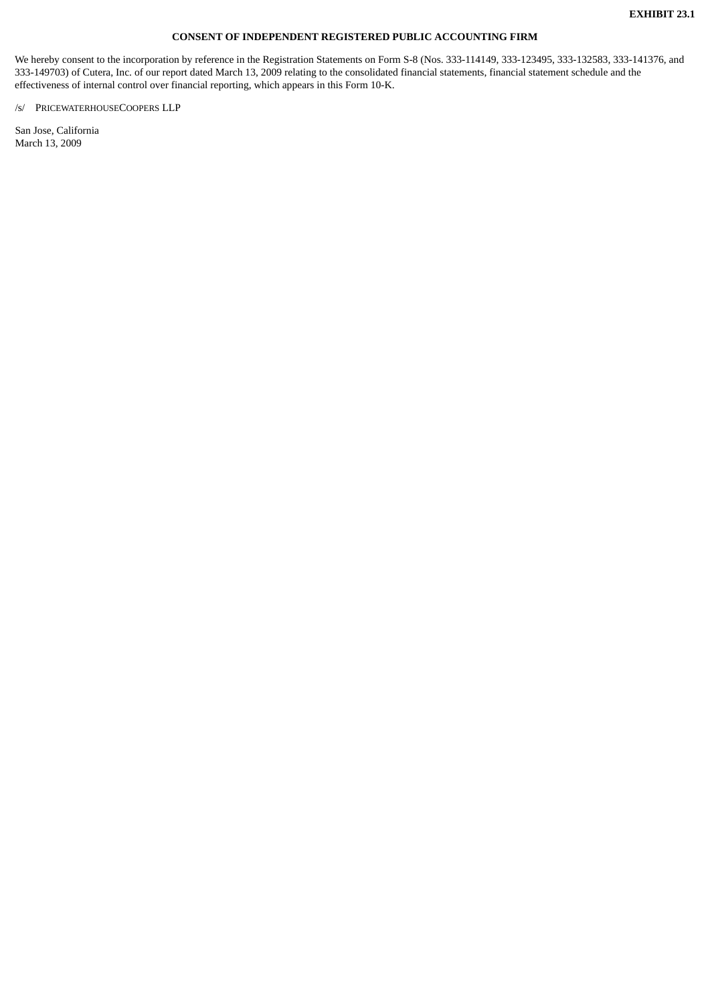## **CONSENT OF INDEPENDENT REGISTERED PUBLIC ACCOUNTING FIRM**

We hereby consent to the incorporation by reference in the Registration Statements on Form S-8 (Nos. 333-114149, 333-123495, 333-132583, 333-141376, and 333-149703) of Cutera, Inc. of our report dated March 13, 2009 relating to the consolidated financial statements, financial statement schedule and the effectiveness of internal control over financial reporting, which appears in this Form 10-K.

/s/ PRICEWATERHOUSECOOPERS LLP

San Jose, California March 13, 2009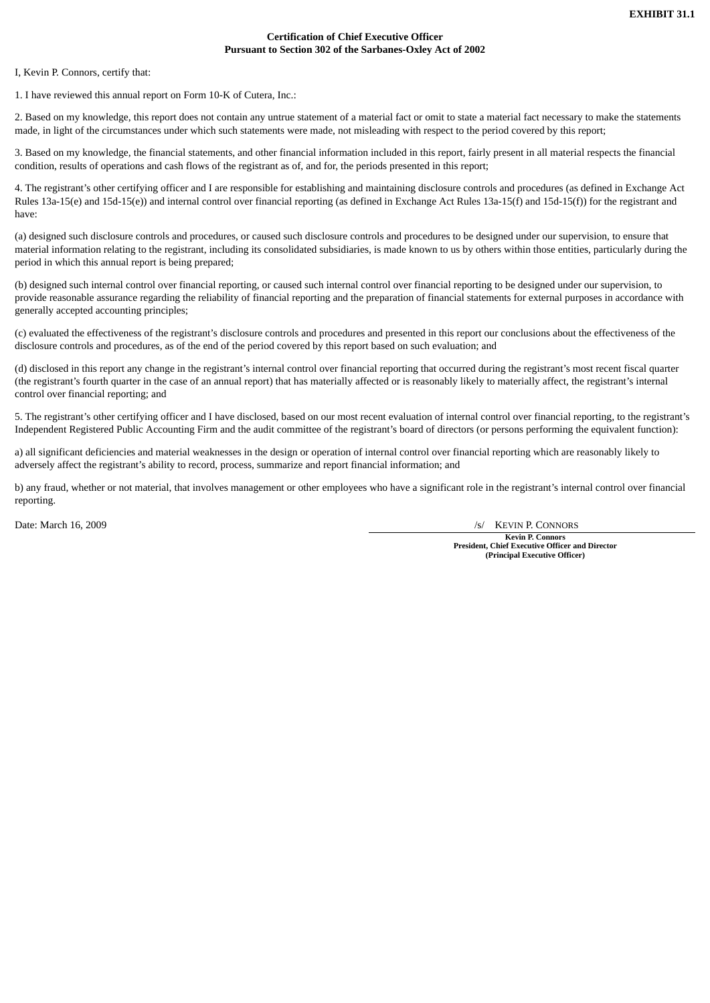## **Certification of Chief Executive Officer Pursuant to Section 302 of the Sarbanes-Oxley Act of 2002**

I, Kevin P. Connors, certify that:

1. I have reviewed this annual report on Form 10-K of Cutera, Inc.:

2. Based on my knowledge, this report does not contain any untrue statement of a material fact or omit to state a material fact necessary to make the statements made, in light of the circumstances under which such statements were made, not misleading with respect to the period covered by this report;

3. Based on my knowledge, the financial statements, and other financial information included in this report, fairly present in all material respects the financial condition, results of operations and cash flows of the registrant as of, and for, the periods presented in this report;

4. The registrant's other certifying officer and I are responsible for establishing and maintaining disclosure controls and procedures (as defined in Exchange Act Rules 13a-15(e) and 15d-15(e)) and internal control over financial reporting (as defined in Exchange Act Rules 13a-15(f) and 15d-15(f)) for the registrant and have:

(a) designed such disclosure controls and procedures, or caused such disclosure controls and procedures to be designed under our supervision, to ensure that material information relating to the registrant, including its consolidated subsidiaries, is made known to us by others within those entities, particularly during the period in which this annual report is being prepared;

(b) designed such internal control over financial reporting, or caused such internal control over financial reporting to be designed under our supervision, to provide reasonable assurance regarding the reliability of financial reporting and the preparation of financial statements for external purposes in accordance with generally accepted accounting principles;

(c) evaluated the effectiveness of the registrant's disclosure controls and procedures and presented in this report our conclusions about the effectiveness of the disclosure controls and procedures, as of the end of the period covered by this report based on such evaluation; and

(d) disclosed in this report any change in the registrant's internal control over financial reporting that occurred during the registrant's most recent fiscal quarter (the registrant's fourth quarter in the case of an annual report) that has materially affected or is reasonably likely to materially affect, the registrant's internal control over financial reporting; and

5. The registrant's other certifying officer and I have disclosed, based on our most recent evaluation of internal control over financial reporting, to the registrant's Independent Registered Public Accounting Firm and the audit committee of the registrant's board of directors (or persons performing the equivalent function):

a) all significant deficiencies and material weaknesses in the design or operation of internal control over financial reporting which are reasonably likely to adversely affect the registrant's ability to record, process, summarize and report financial information; and

b) any fraud, whether or not material, that involves management or other employees who have a significant role in the registrant's internal control over financial reporting.

Date: March 16, 2009 /s/ KEVIN P. CONNORS

**Kevin P. Connors President, Chief Executive Officer and Director (Principal Executive Officer)**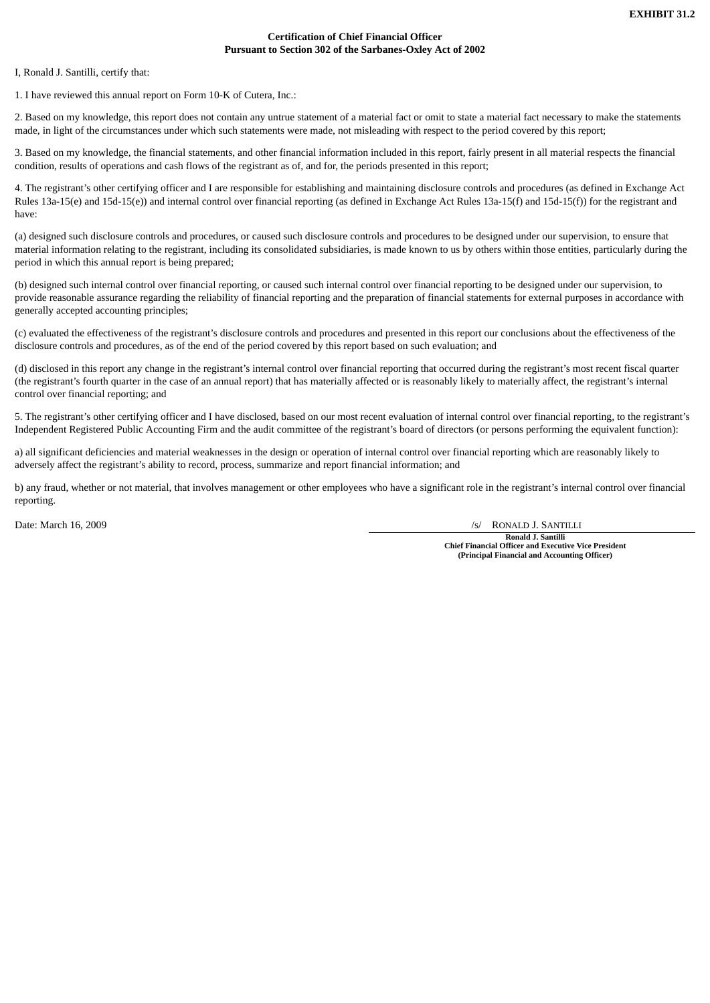## **Certification of Chief Financial Officer Pursuant to Section 302 of the Sarbanes-Oxley Act of 2002**

I, Ronald J. Santilli, certify that:

1. I have reviewed this annual report on Form 10-K of Cutera, Inc.:

2. Based on my knowledge, this report does not contain any untrue statement of a material fact or omit to state a material fact necessary to make the statements made, in light of the circumstances under which such statements were made, not misleading with respect to the period covered by this report;

3. Based on my knowledge, the financial statements, and other financial information included in this report, fairly present in all material respects the financial condition, results of operations and cash flows of the registrant as of, and for, the periods presented in this report;

4. The registrant's other certifying officer and I are responsible for establishing and maintaining disclosure controls and procedures (as defined in Exchange Act Rules 13a-15(e) and 15d-15(e)) and internal control over financial reporting (as defined in Exchange Act Rules 13a-15(f) and 15d-15(f)) for the registrant and have:

(a) designed such disclosure controls and procedures, or caused such disclosure controls and procedures to be designed under our supervision, to ensure that material information relating to the registrant, including its consolidated subsidiaries, is made known to us by others within those entities, particularly during the period in which this annual report is being prepared;

(b) designed such internal control over financial reporting, or caused such internal control over financial reporting to be designed under our supervision, to provide reasonable assurance regarding the reliability of financial reporting and the preparation of financial statements for external purposes in accordance with generally accepted accounting principles;

(c) evaluated the effectiveness of the registrant's disclosure controls and procedures and presented in this report our conclusions about the effectiveness of the disclosure controls and procedures, as of the end of the period covered by this report based on such evaluation; and

(d) disclosed in this report any change in the registrant's internal control over financial reporting that occurred during the registrant's most recent fiscal quarter (the registrant's fourth quarter in the case of an annual report) that has materially affected or is reasonably likely to materially affect, the registrant's internal control over financial reporting; and

5. The registrant's other certifying officer and I have disclosed, based on our most recent evaluation of internal control over financial reporting, to the registrant's Independent Registered Public Accounting Firm and the audit committee of the registrant's board of directors (or persons performing the equivalent function):

a) all significant deficiencies and material weaknesses in the design or operation of internal control over financial reporting which are reasonably likely to adversely affect the registrant's ability to record, process, summarize and report financial information; and

b) any fraud, whether or not material, that involves management or other employees who have a significant role in the registrant's internal control over financial reporting.

Date: March 16, 2009 /s/ RONALD J. SANTILLI

**Ronald J. Santilli Chief Financial Officer and Executive Vice President (Principal Financial and Accounting Officer)**